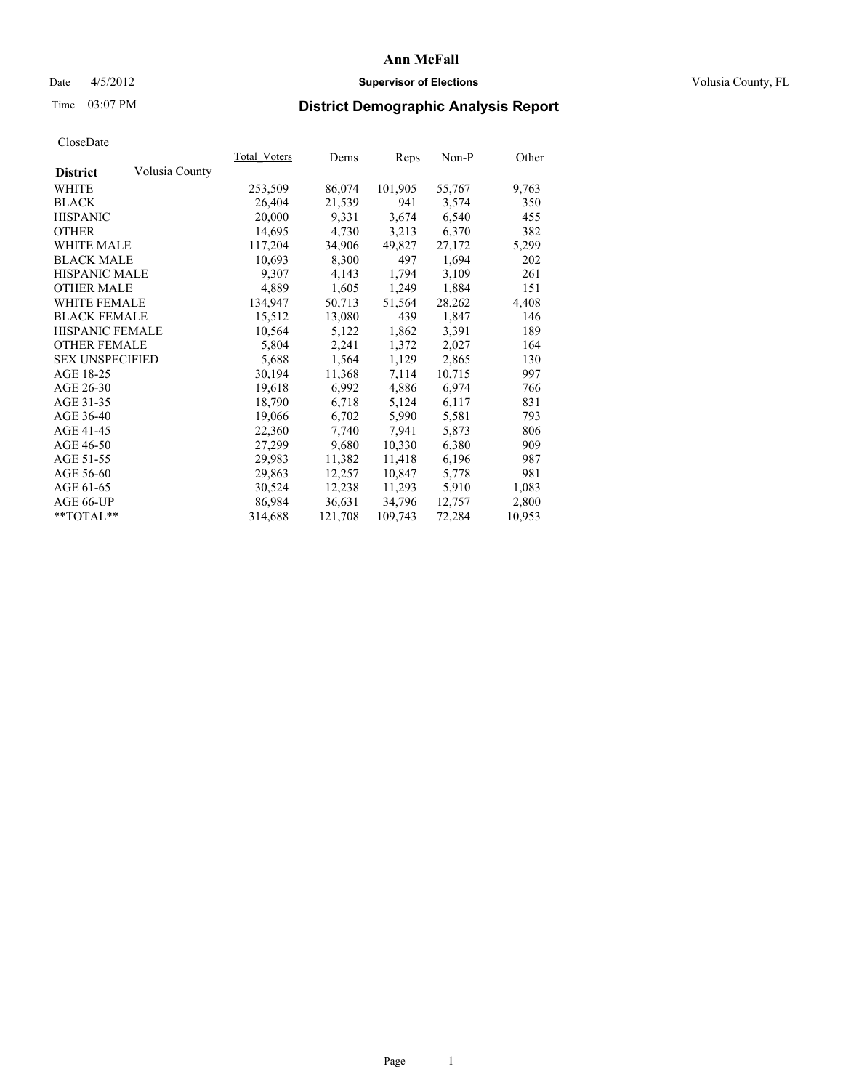### Date  $4/5/2012$  **Supervisor of Elections Supervisor of Elections** Volusia County, FL

## Time 03:07 PM **District Demographic Analysis Report**

|                        |                | Total Voters | Dems    | <b>Reps</b> | Non-P  | Other  |
|------------------------|----------------|--------------|---------|-------------|--------|--------|
| <b>District</b>        | Volusia County |              |         |             |        |        |
| WHITE                  |                | 253,509      | 86,074  | 101,905     | 55,767 | 9,763  |
| <b>BLACK</b>           |                | 26,404       | 21,539  | 941         | 3,574  | 350    |
| <b>HISPANIC</b>        |                | 20,000       | 9.331   | 3,674       | 6,540  | 455    |
| <b>OTHER</b>           |                | 14,695       | 4,730   | 3,213       | 6,370  | 382    |
| <b>WHITE MALE</b>      |                | 117,204      | 34,906  | 49,827      | 27,172 | 5,299  |
| <b>BLACK MALE</b>      |                | 10,693       | 8,300   | 497         | 1,694  | 202    |
| <b>HISPANIC MALE</b>   |                | 9,307        | 4,143   | 1,794       | 3,109  | 261    |
| <b>OTHER MALE</b>      |                | 4,889        | 1,605   | 1,249       | 1,884  | 151    |
| <b>WHITE FEMALE</b>    |                | 134,947      | 50,713  | 51,564      | 28,262 | 4,408  |
| <b>BLACK FEMALE</b>    |                | 15,512       | 13,080  | 439         | 1,847  | 146    |
| HISPANIC FEMALE        |                | 10,564       | 5,122   | 1,862       | 3,391  | 189    |
| <b>OTHER FEMALE</b>    |                | 5,804        | 2,241   | 1,372       | 2,027  | 164    |
| <b>SEX UNSPECIFIED</b> |                | 5,688        | 1,564   | 1,129       | 2,865  | 130    |
| AGE 18-25              |                | 30,194       | 11,368  | 7,114       | 10,715 | 997    |
| AGE 26-30              |                | 19,618       | 6,992   | 4,886       | 6,974  | 766    |
| AGE 31-35              |                | 18,790       | 6,718   | 5,124       | 6,117  | 831    |
| AGE 36-40              |                | 19,066       | 6,702   | 5,990       | 5,581  | 793    |
| AGE 41-45              |                | 22,360       | 7,740   | 7.941       | 5,873  | 806    |
| AGE 46-50              |                | 27,299       | 9,680   | 10,330      | 6,380  | 909    |
| AGE 51-55              |                | 29,983       | 11,382  | 11,418      | 6,196  | 987    |
| AGE 56-60              |                | 29,863       | 12,257  | 10,847      | 5,778  | 981    |
| AGE 61-65              |                | 30,524       | 12,238  | 11,293      | 5,910  | 1,083  |
| AGE 66-UP              |                | 86,984       | 36,631  | 34,796      | 12,757 | 2,800  |
| $*$ TOTAL $*$          |                | 314,688      | 121,708 | 109,743     | 72,284 | 10,953 |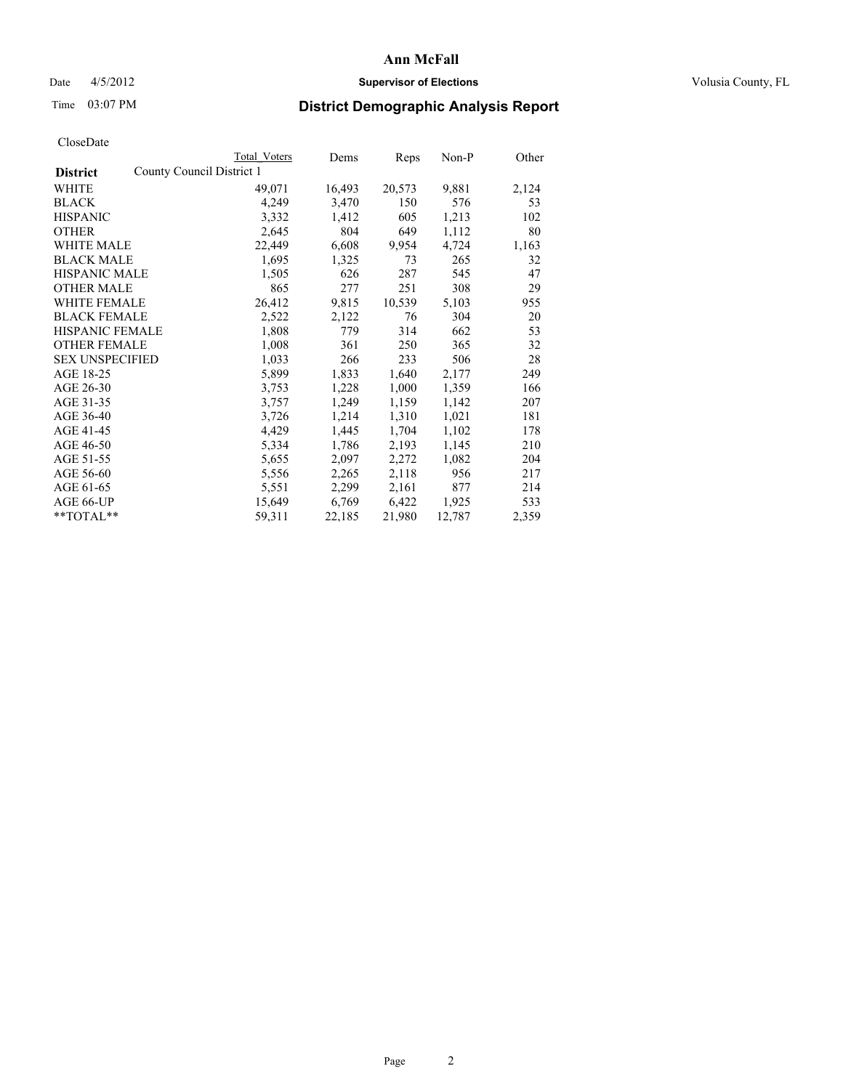### Date  $4/5/2012$  **Supervisor of Elections Supervisor of Elections** Volusia County, FL

## Time 03:07 PM **District Demographic Analysis Report**

|                        |                           | <b>Total Voters</b> | Dems   | Reps   | Non-P  | Other |
|------------------------|---------------------------|---------------------|--------|--------|--------|-------|
| <b>District</b>        | County Council District 1 |                     |        |        |        |       |
| <b>WHITE</b>           |                           | 49,071              | 16,493 | 20,573 | 9,881  | 2,124 |
| <b>BLACK</b>           |                           | 4,249               | 3,470  | 150    | 576    | 53    |
| <b>HISPANIC</b>        |                           | 3,332               | 1,412  | 605    | 1,213  | 102   |
| <b>OTHER</b>           |                           | 2,645               | 804    | 649    | 1,112  | 80    |
| <b>WHITE MALE</b>      |                           | 22,449              | 6,608  | 9,954  | 4,724  | 1,163 |
| <b>BLACK MALE</b>      |                           | 1,695               | 1,325  | 73     | 265    | 32    |
| <b>HISPANIC MALE</b>   |                           | 1,505               | 626    | 287    | 545    | 47    |
| <b>OTHER MALE</b>      |                           | 865                 | 277    | 251    | 308    | 29    |
| <b>WHITE FEMALE</b>    |                           | 26,412              | 9,815  | 10,539 | 5,103  | 955   |
| <b>BLACK FEMALE</b>    |                           | 2,522               | 2,122  | 76     | 304    | 20    |
| <b>HISPANIC FEMALE</b> |                           | 1,808               | 779    | 314    | 662    | 53    |
| <b>OTHER FEMALE</b>    |                           | 1,008               | 361    | 250    | 365    | 32    |
| <b>SEX UNSPECIFIED</b> |                           | 1,033               | 266    | 233    | 506    | 28    |
| AGE 18-25              |                           | 5,899               | 1,833  | 1,640  | 2,177  | 249   |
| AGE 26-30              |                           | 3,753               | 1,228  | 1,000  | 1,359  | 166   |
| AGE 31-35              |                           | 3,757               | 1,249  | 1,159  | 1,142  | 207   |
| AGE 36-40              |                           | 3,726               | 1,214  | 1,310  | 1,021  | 181   |
| AGE 41-45              |                           | 4,429               | 1,445  | 1,704  | 1,102  | 178   |
| AGE 46-50              |                           | 5,334               | 1,786  | 2,193  | 1,145  | 210   |
| AGE 51-55              |                           | 5,655               | 2,097  | 2,272  | 1,082  | 204   |
| AGE 56-60              |                           | 5,556               | 2,265  | 2,118  | 956    | 217   |
| AGE 61-65              |                           | 5,551               | 2,299  | 2,161  | 877    | 214   |
| AGE 66-UP              |                           | 15,649              | 6,769  | 6,422  | 1,925  | 533   |
| $*$ $TOTAL**$          |                           | 59,311              | 22,185 | 21,980 | 12,787 | 2,359 |
|                        |                           |                     |        |        |        |       |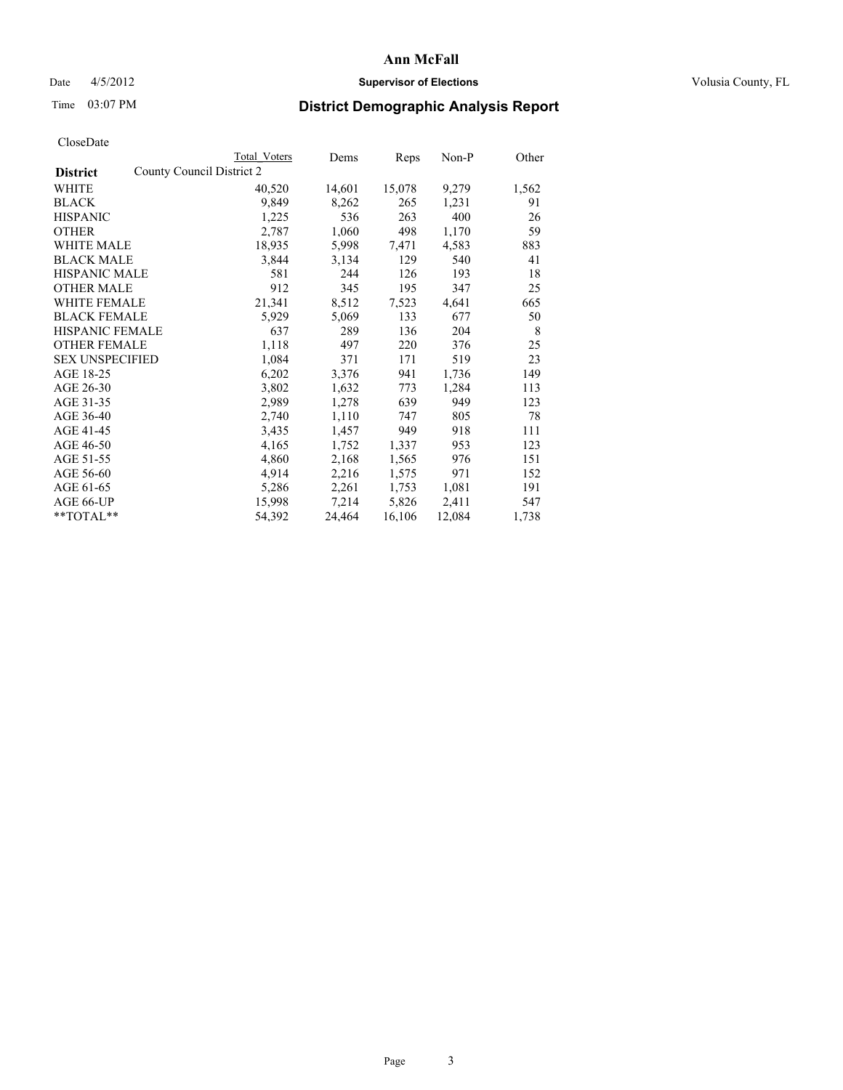### Date  $4/5/2012$  **Supervisor of Elections Supervisor of Elections** Volusia County, FL

# Time 03:07 PM **District Demographic Analysis Report**

|                                              | Total Voters | Dems   | <b>Reps</b> | $Non-P$ | Other |
|----------------------------------------------|--------------|--------|-------------|---------|-------|
| County Council District 2<br><b>District</b> |              |        |             |         |       |
| WHITE                                        | 40,520       | 14,601 | 15,078      | 9,279   | 1,562 |
| <b>BLACK</b>                                 | 9,849        | 8,262  | 265         | 1,231   | 91    |
| <b>HISPANIC</b>                              | 1,225        | 536    | 263         | 400     | 26    |
| <b>OTHER</b>                                 | 2,787        | 1,060  | 498         | 1,170   | 59    |
| WHITE MALE                                   | 18,935       | 5,998  | 7,471       | 4,583   | 883   |
| <b>BLACK MALE</b>                            | 3,844        | 3,134  | 129         | 540     | 41    |
| <b>HISPANIC MALE</b>                         | 581          | 244    | 126         | 193     | 18    |
| <b>OTHER MALE</b>                            | 912          | 345    | 195         | 347     | 25    |
| <b>WHITE FEMALE</b>                          | 21,341       | 8,512  | 7,523       | 4,641   | 665   |
| <b>BLACK FEMALE</b>                          | 5,929        | 5,069  | 133         | 677     | 50    |
| <b>HISPANIC FEMALE</b>                       | 637          | 289    | 136         | 204     | 8     |
| <b>OTHER FEMALE</b>                          | 1,118        | 497    | 220         | 376     | 25    |
| <b>SEX UNSPECIFIED</b>                       | 1,084        | 371    | 171         | 519     | 23    |
| AGE 18-25                                    | 6,202        | 3,376  | 941         | 1,736   | 149   |
| AGE 26-30                                    | 3,802        | 1,632  | 773         | 1,284   | 113   |
| AGE 31-35                                    | 2,989        | 1,278  | 639         | 949     | 123   |
| AGE 36-40                                    | 2,740        | 1,110  | 747         | 805     | 78    |
| AGE 41-45                                    | 3,435        | 1,457  | 949         | 918     | 111   |
| AGE 46-50                                    | 4,165        | 1,752  | 1,337       | 953     | 123   |
| AGE 51-55                                    | 4,860        | 2,168  | 1,565       | 976     | 151   |
| AGE 56-60                                    | 4,914        | 2,216  | 1,575       | 971     | 152   |
| AGE 61-65                                    | 5,286        | 2,261  | 1,753       | 1,081   | 191   |
| AGE 66-UP                                    | 15,998       | 7,214  | 5,826       | 2,411   | 547   |
| $*$ $TOTAL**$                                | 54,392       | 24,464 | 16,106      | 12,084  | 1,738 |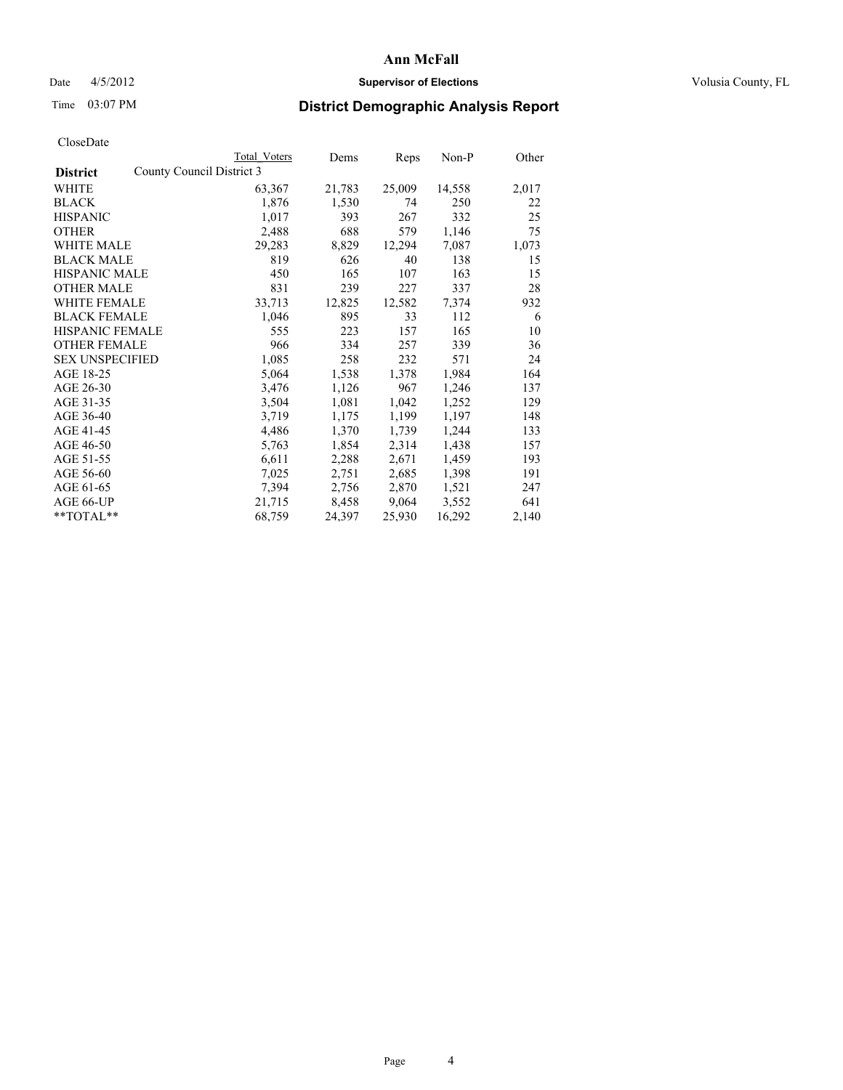### Date  $4/5/2012$  **Supervisor of Elections Supervisor of Elections** Volusia County, FL

## Time 03:07 PM **District Demographic Analysis Report**

|                                              | Total Voters | Dems   | <b>Reps</b> | Non-P  | Other |
|----------------------------------------------|--------------|--------|-------------|--------|-------|
| County Council District 3<br><b>District</b> |              |        |             |        |       |
| WHITE                                        | 63,367       | 21,783 | 25,009      | 14,558 | 2,017 |
| <b>BLACK</b>                                 | 1,876        | 1,530  | 74          | 250    | 22    |
| <b>HISPANIC</b>                              | 1,017        | 393    | 267         | 332    | 25    |
| <b>OTHER</b>                                 | 2,488        | 688    | 579         | 1,146  | 75    |
| <b>WHITE MALE</b>                            | 29,283       | 8,829  | 12,294      | 7,087  | 1,073 |
| <b>BLACK MALE</b>                            | 819          | 626    | 40          | 138    | 15    |
| <b>HISPANIC MALE</b>                         | 450          | 165    | 107         | 163    | 15    |
| <b>OTHER MALE</b>                            | 831          | 239    | 227         | 337    | 28    |
| <b>WHITE FEMALE</b>                          | 33,713       | 12,825 | 12,582      | 7,374  | 932   |
| <b>BLACK FEMALE</b>                          | 1,046        | 895    | 33          | 112    | 6     |
| <b>HISPANIC FEMALE</b>                       | 555          | 223    | 157         | 165    | 10    |
| <b>OTHER FEMALE</b>                          | 966          | 334    | 257         | 339    | 36    |
| <b>SEX UNSPECIFIED</b>                       | 1,085        | 258    | 232         | 571    | 24    |
| AGE 18-25                                    | 5,064        | 1,538  | 1,378       | 1,984  | 164   |
| AGE 26-30                                    | 3,476        | 1,126  | 967         | 1,246  | 137   |
| AGE 31-35                                    | 3,504        | 1,081  | 1,042       | 1,252  | 129   |
| AGE 36-40                                    | 3,719        | 1,175  | 1,199       | 1,197  | 148   |
| AGE 41-45                                    | 4,486        | 1,370  | 1,739       | 1,244  | 133   |
| AGE 46-50                                    | 5,763        | 1,854  | 2,314       | 1,438  | 157   |
| AGE 51-55                                    | 6,611        | 2,288  | 2,671       | 1,459  | 193   |
| AGE 56-60                                    | 7,025        | 2,751  | 2,685       | 1,398  | 191   |
| AGE 61-65                                    | 7.394        | 2,756  | 2,870       | 1,521  | 247   |
| AGE 66-UP                                    | 21,715       | 8,458  | 9,064       | 3,552  | 641   |
| $*$ $TOTAL**$                                | 68,759       | 24,397 | 25,930      | 16,292 | 2,140 |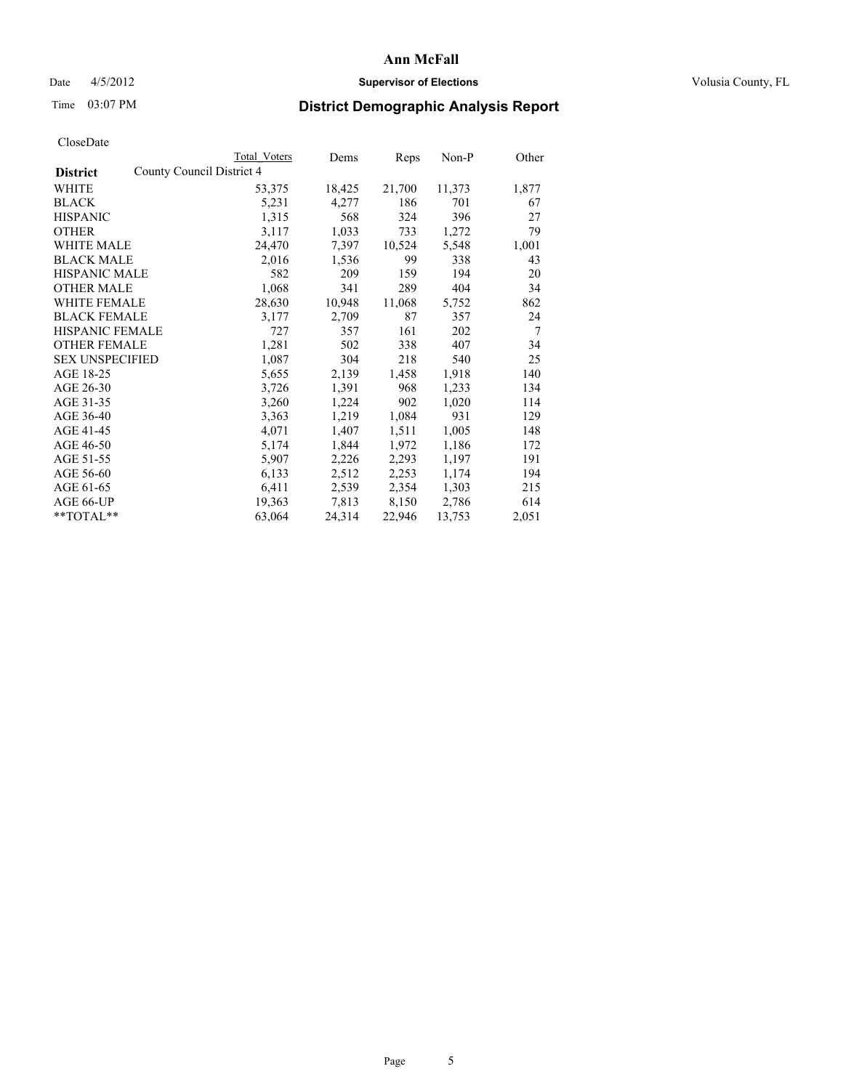### Date  $4/5/2012$  **Supervisor of Elections Supervisor of Elections** Volusia County, FL

# Time 03:07 PM **District Demographic Analysis Report**

|                                              | Total Voters | Dems   | <b>Reps</b> | Non-P  | Other |
|----------------------------------------------|--------------|--------|-------------|--------|-------|
| County Council District 4<br><b>District</b> |              |        |             |        |       |
| WHITE                                        | 53,375       | 18,425 | 21,700      | 11,373 | 1,877 |
| <b>BLACK</b>                                 | 5,231        | 4,277  | 186         | 701    | 67    |
| <b>HISPANIC</b>                              | 1,315        | 568    | 324         | 396    | 27    |
| <b>OTHER</b>                                 | 3,117        | 1,033  | 733         | 1,272  | 79    |
| <b>WHITE MALE</b>                            | 24,470       | 7.397  | 10,524      | 5,548  | 1,001 |
| <b>BLACK MALE</b>                            | 2,016        | 1,536  | 99          | 338    | 43    |
| <b>HISPANIC MALE</b>                         | 582          | 209    | 159         | 194    | 20    |
| <b>OTHER MALE</b>                            | 1,068        | 341    | 289         | 404    | 34    |
| <b>WHITE FEMALE</b>                          | 28,630       | 10,948 | 11,068      | 5,752  | 862   |
| <b>BLACK FEMALE</b>                          | 3,177        | 2,709  | 87          | 357    | 24    |
| <b>HISPANIC FEMALE</b>                       | 727          | 357    | 161         | 202    | 7     |
| <b>OTHER FEMALE</b>                          | 1,281        | 502    | 338         | 407    | 34    |
| <b>SEX UNSPECIFIED</b>                       | 1,087        | 304    | 218         | 540    | 25    |
| AGE 18-25                                    | 5,655        | 2,139  | 1,458       | 1,918  | 140   |
| AGE 26-30                                    | 3,726        | 1,391  | 968         | 1,233  | 134   |
| AGE 31-35                                    | 3,260        | 1,224  | 902         | 1,020  | 114   |
| AGE 36-40                                    | 3,363        | 1,219  | 1,084       | 931    | 129   |
| AGE 41-45                                    | 4,071        | 1,407  | 1,511       | 1,005  | 148   |
| AGE 46-50                                    | 5,174        | 1,844  | 1,972       | 1,186  | 172   |
| AGE 51-55                                    | 5,907        | 2,226  | 2,293       | 1,197  | 191   |
| AGE 56-60                                    | 6,133        | 2,512  | 2,253       | 1,174  | 194   |
| AGE 61-65                                    | 6,411        | 2,539  | 2,354       | 1,303  | 215   |
| AGE 66-UP                                    | 19,363       | 7,813  | 8,150       | 2,786  | 614   |
| $*$ $TOTAL**$                                | 63,064       | 24,314 | 22,946      | 13,753 | 2,051 |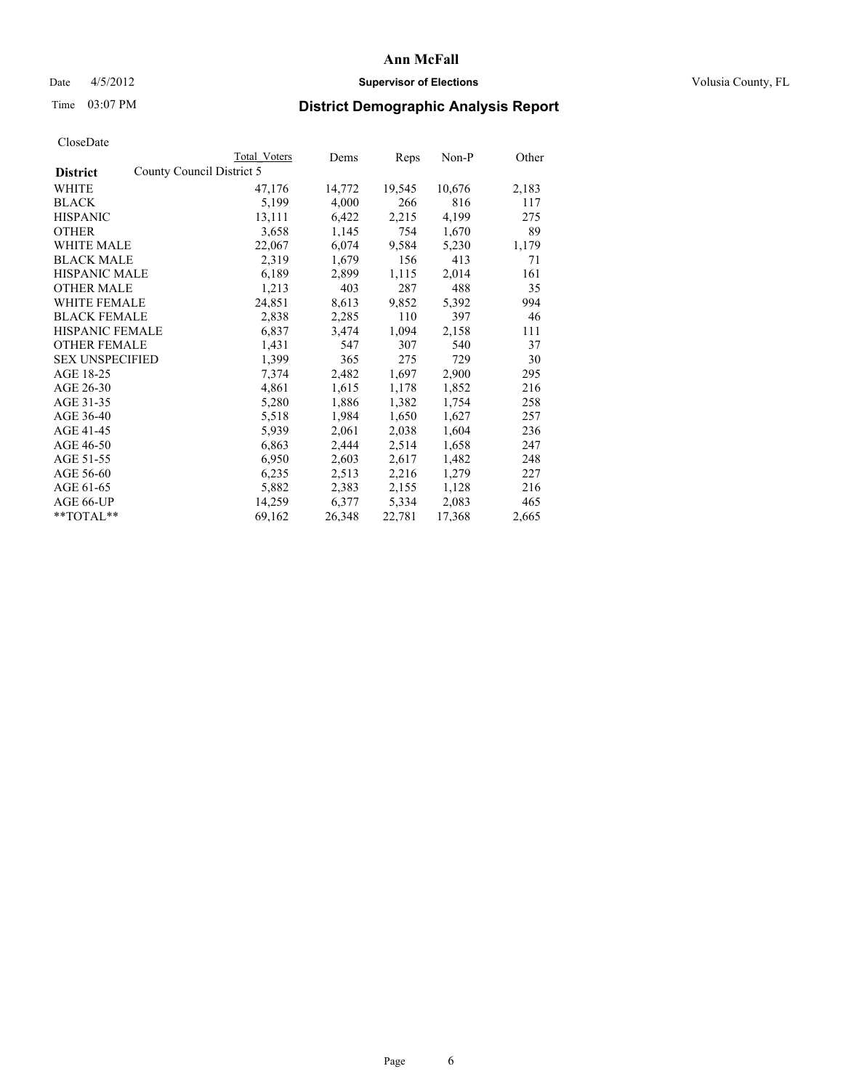### Date  $4/5/2012$  **Supervisor of Elections Supervisor of Elections** Volusia County, FL

## Time 03:07 PM **District Demographic Analysis Report**

|                                              | Total Voters | Dems   | Reps   | Non-P  | Other |
|----------------------------------------------|--------------|--------|--------|--------|-------|
| County Council District 5<br><b>District</b> |              |        |        |        |       |
| WHITE                                        | 47,176       | 14,772 | 19,545 | 10,676 | 2,183 |
| <b>BLACK</b>                                 | 5,199        | 4,000  | 266    | 816    | 117   |
| <b>HISPANIC</b>                              | 13,111       | 6,422  | 2,215  | 4,199  | 275   |
| <b>OTHER</b>                                 | 3,658        | 1,145  | 754    | 1,670  | 89    |
| WHITE MALE                                   | 22,067       | 6,074  | 9,584  | 5,230  | 1,179 |
| <b>BLACK MALE</b>                            | 2,319        | 1,679  | 156    | 413    | 71    |
| <b>HISPANIC MALE</b>                         | 6,189        | 2,899  | 1,115  | 2,014  | 161   |
| <b>OTHER MALE</b>                            | 1,213        | 403    | 287    | 488    | 35    |
| <b>WHITE FEMALE</b>                          | 24,851       | 8,613  | 9,852  | 5,392  | 994   |
| <b>BLACK FEMALE</b>                          | 2,838        | 2,285  | 110    | 397    | 46    |
| HISPANIC FEMALE                              | 6,837        | 3,474  | 1,094  | 2,158  | 111   |
| <b>OTHER FEMALE</b>                          | 1,431        | 547    | 307    | 540    | 37    |
| <b>SEX UNSPECIFIED</b>                       | 1,399        | 365    | 275    | 729    | 30    |
| AGE 18-25                                    | 7,374        | 2,482  | 1,697  | 2,900  | 295   |
| AGE 26-30                                    | 4,861        | 1,615  | 1,178  | 1,852  | 216   |
| AGE 31-35                                    | 5,280        | 1,886  | 1,382  | 1,754  | 258   |
| AGE 36-40                                    | 5,518        | 1,984  | 1,650  | 1,627  | 257   |
| AGE 41-45                                    | 5,939        | 2,061  | 2,038  | 1,604  | 236   |
| AGE 46-50                                    | 6,863        | 2,444  | 2,514  | 1,658  | 247   |
| AGE 51-55                                    | 6,950        | 2,603  | 2,617  | 1,482  | 248   |
| AGE 56-60                                    | 6,235        | 2,513  | 2,216  | 1,279  | 227   |
| AGE 61-65                                    | 5,882        | 2,383  | 2,155  | 1,128  | 216   |
| AGE 66-UP                                    | 14,259       | 6,377  | 5,334  | 2,083  | 465   |
| **TOTAL**                                    | 69,162       | 26,348 | 22,781 | 17,368 | 2,665 |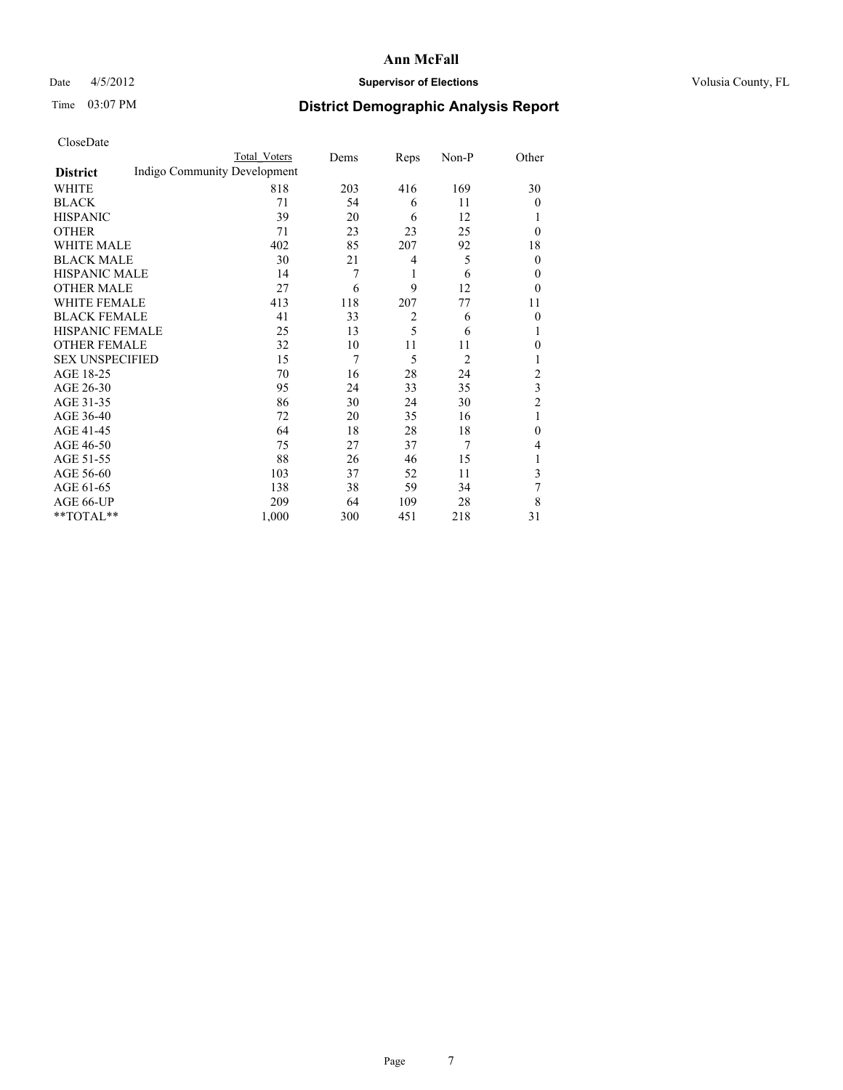### Date  $4/5/2012$  **Supervisor of Elections Supervisor of Elections** Volusia County, FL

## Time 03:07 PM **District Demographic Analysis Report**

|                        |                              | <b>Total Voters</b> | Dems | Reps           | Non-P          | Other          |
|------------------------|------------------------------|---------------------|------|----------------|----------------|----------------|
| <b>District</b>        | Indigo Community Development |                     |      |                |                |                |
| WHITE                  |                              | 818                 | 203  | 416            | 169            | 30             |
| <b>BLACK</b>           |                              | 71                  | 54   | 6              | 11             | $\overline{0}$ |
| <b>HISPANIC</b>        |                              | 39                  | 20   | 6              | 12             | 1              |
| <b>OTHER</b>           |                              | 71                  | 23   | 23             | 25             | $\theta$       |
| WHITE MALE             |                              | 402                 | 85   | 207            | 92             | 18             |
| <b>BLACK MALE</b>      |                              | 30                  | 21   | 4              | 5              | $\overline{0}$ |
| <b>HISPANIC MALE</b>   |                              | 14                  | 7    | 1              | 6              | $\overline{0}$ |
| <b>OTHER MALE</b>      |                              | 27                  | 6    | 9              | 12             | $\theta$       |
| WHITE FEMALE           |                              | 413                 | 118  | 207            | 77             | 11             |
| <b>BLACK FEMALE</b>    |                              | 41                  | 33   | $\overline{2}$ | 6              | $\overline{0}$ |
| <b>HISPANIC FEMALE</b> |                              | 25                  | 13   | 5              | 6              | 1              |
| <b>OTHER FEMALE</b>    |                              | 32                  | 10   | 11             | 11             | $\theta$       |
| <b>SEX UNSPECIFIED</b> |                              | 15                  | 7    | 5              | $\overline{2}$ | 1              |
| AGE 18-25              |                              | 70                  | 16   | 28             | 24             | $\overline{2}$ |
| AGE 26-30              |                              | 95                  | 24   | 33             | 35             | 3              |
| AGE 31-35              |                              | 86                  | 30   | 24             | 30             | $\overline{2}$ |
| AGE 36-40              |                              | 72                  | 20   | 35             | 16             | 1              |
| AGE 41-45              |                              | 64                  | 18   | 28             | 18             | $\theta$       |
| AGE 46-50              |                              | 75                  | 27   | 37             | 7              | 4              |
| AGE 51-55              |                              | 88                  | 26   | 46             | 15             | 1              |
| AGE 56-60              |                              | 103                 | 37   | 52             | 11             | 3              |
| AGE 61-65              |                              | 138                 | 38   | 59             | 34             | 7              |
| AGE 66-UP              |                              | 209                 | 64   | 109            | 28             | 8              |
| **TOTAL**              |                              | 1,000               | 300  | 451            | 218            | 31             |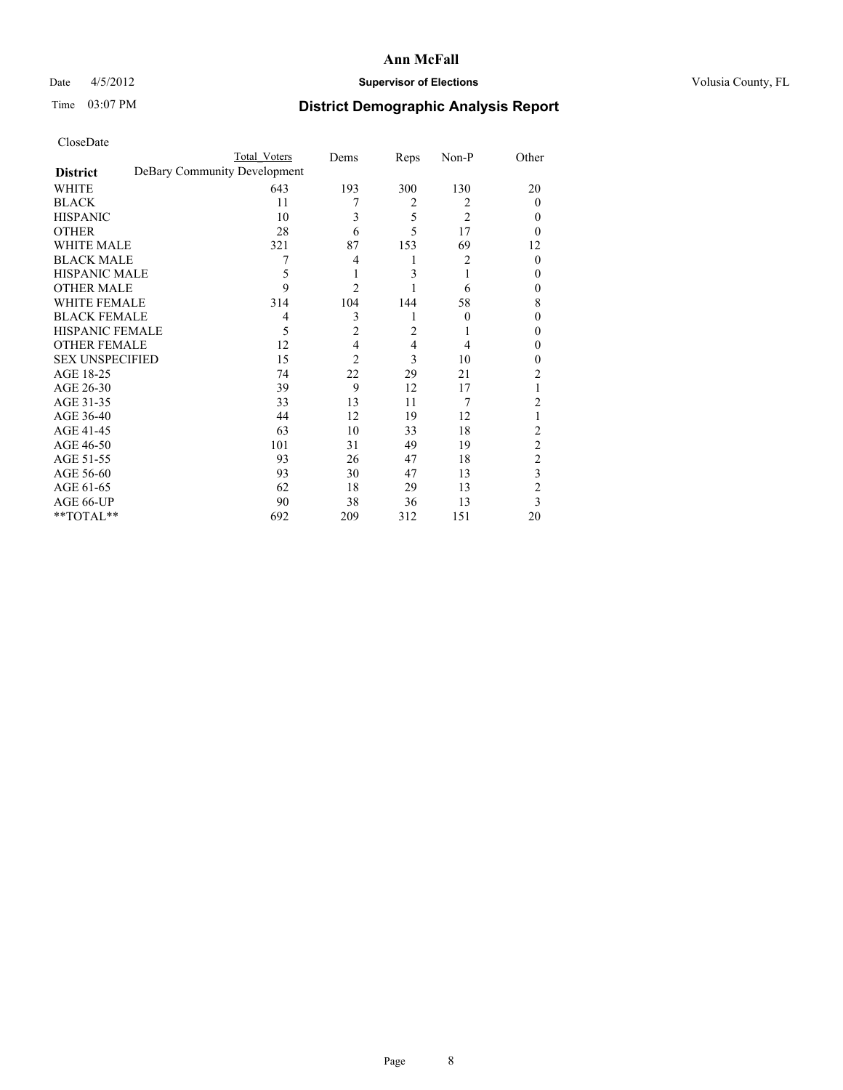### Date  $4/5/2012$  **Supervisor of Elections Supervisor of Elections** Volusia County, FL

# Time 03:07 PM **District Demographic Analysis Report**

|                        | <b>Total Voters</b>          | Dems           | Reps | Non-P          | Other          |
|------------------------|------------------------------|----------------|------|----------------|----------------|
| <b>District</b>        | DeBary Community Development |                |      |                |                |
| WHITE                  | 643                          | 193            | 300  | 130            | 20             |
| <b>BLACK</b>           | 11                           | 7              | 2    | 2              | $\Omega$       |
| <b>HISPANIC</b>        | 10                           | 3              | 5    | $\overline{2}$ | $\theta$       |
| <b>OTHER</b>           | 28                           | 6              | 5    | 17             | $\theta$       |
| WHITE MALE             | 321                          | 87             | 153  | 69             | 12             |
| <b>BLACK MALE</b>      | 7                            | 4              | 1    | 2              | $\theta$       |
| <b>HISPANIC MALE</b>   | 5                            | 1              | 3    |                | $\theta$       |
| <b>OTHER MALE</b>      | 9                            | $\overline{2}$ |      | 6              | $\theta$       |
| WHITE FEMALE           | 314                          | 104            | 144  | 58             | 8              |
| <b>BLACK FEMALE</b>    | 4                            | 3              |      | $\theta$       | $\theta$       |
| <b>HISPANIC FEMALE</b> | 5                            | $\overline{2}$ | 2    |                | $\theta$       |
| <b>OTHER FEMALE</b>    | 12                           | 4              | 4    | 4              | $\theta$       |
| <b>SEX UNSPECIFIED</b> | 15                           | $\overline{2}$ | 3    | 10             | $\theta$       |
| AGE 18-25              | 74                           | 22             | 29   | 21             | 2              |
| AGE 26-30              | 39                           | 9              | 12   | 17             | 1              |
| AGE 31-35              | 33                           | 13             | 11   | 7              | 2              |
| AGE 36-40              | 44                           | 12             | 19   | 12             | 1              |
| AGE 41-45              | 63                           | 10             | 33   | 18             | 2              |
| AGE 46-50              | 101                          | 31             | 49   | 19             | 2              |
| AGE 51-55              | 93                           | 26             | 47   | 18             | $\overline{c}$ |
| AGE 56-60              | 93                           | 30             | 47   | 13             | 3              |
| AGE 61-65              | 62                           | 18             | 29   | 13             | $\overline{2}$ |
| AGE 66-UP              | 90                           | 38             | 36   | 13             | 3              |
| **TOTAL**              | 692                          | 209            | 312  | 151            | 20             |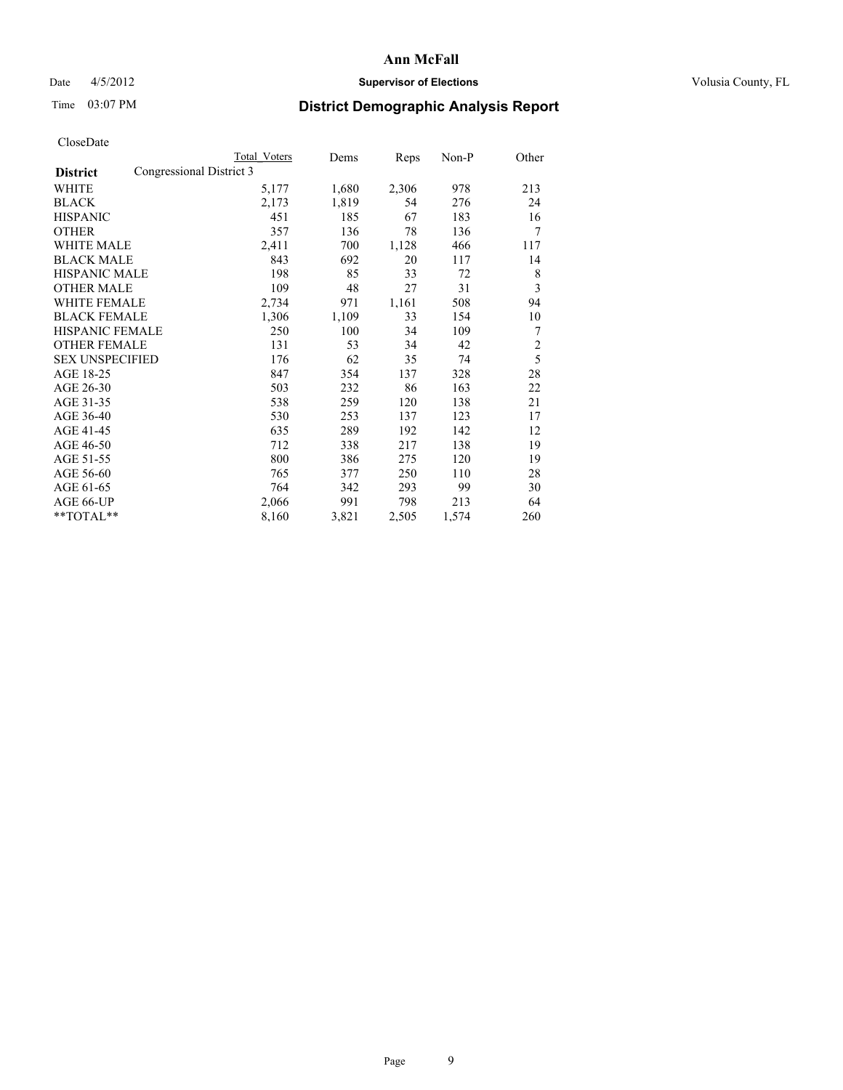### Date  $4/5/2012$  **Supervisor of Elections Supervisor of Elections** Volusia County, FL

# Time 03:07 PM **District Demographic Analysis Report**

|                                             | Total Voters | Dems  | Reps  | Non-P | Other          |
|---------------------------------------------|--------------|-------|-------|-------|----------------|
| Congressional District 3<br><b>District</b> |              |       |       |       |                |
| WHITE                                       | 5,177        | 1,680 | 2,306 | 978   | 213            |
| <b>BLACK</b>                                | 2,173        | 1,819 | 54    | 276   | 24             |
| <b>HISPANIC</b>                             | 451          | 185   | 67    | 183   | 16             |
| <b>OTHER</b>                                | 357          | 136   | 78    | 136   | 7              |
| <b>WHITE MALE</b>                           | 2,411        | 700   | 1,128 | 466   | 117            |
| <b>BLACK MALE</b>                           | 843          | 692   | 20    | 117   | 14             |
| <b>HISPANIC MALE</b>                        | 198          | 85    | 33    | 72    | 8              |
| <b>OTHER MALE</b>                           | 109          | 48    | 27    | 31    | 3              |
| <b>WHITE FEMALE</b>                         | 2,734        | 971   | 1,161 | 508   | 94             |
| <b>BLACK FEMALE</b>                         | 1,306        | 1,109 | 33    | 154   | 10             |
| <b>HISPANIC FEMALE</b>                      | 250          | 100   | 34    | 109   | 7              |
| <b>OTHER FEMALE</b>                         | 131          | 53    | 34    | 42    | $\overline{c}$ |
| <b>SEX UNSPECIFIED</b>                      | 176          | 62    | 35    | 74    | 5              |
| AGE 18-25                                   | 847          | 354   | 137   | 328   | 28             |
| AGE 26-30                                   | 503          | 232   | 86    | 163   | 22             |
| AGE 31-35                                   | 538          | 259   | 120   | 138   | 21             |
| AGE 36-40                                   | 530          | 253   | 137   | 123   | 17             |
| AGE 41-45                                   | 635          | 289   | 192   | 142   | 12             |
| AGE 46-50                                   | 712          | 338   | 217   | 138   | 19             |
| AGE 51-55                                   | 800          | 386   | 275   | 120   | 19             |
| AGE 56-60                                   | 765          | 377   | 250   | 110   | 28             |
| AGE 61-65                                   | 764          | 342   | 293   | 99    | 30             |
| AGE 66-UP                                   | 2,066        | 991   | 798   | 213   | 64             |
| **TOTAL**                                   | 8,160        | 3,821 | 2,505 | 1,574 | 260            |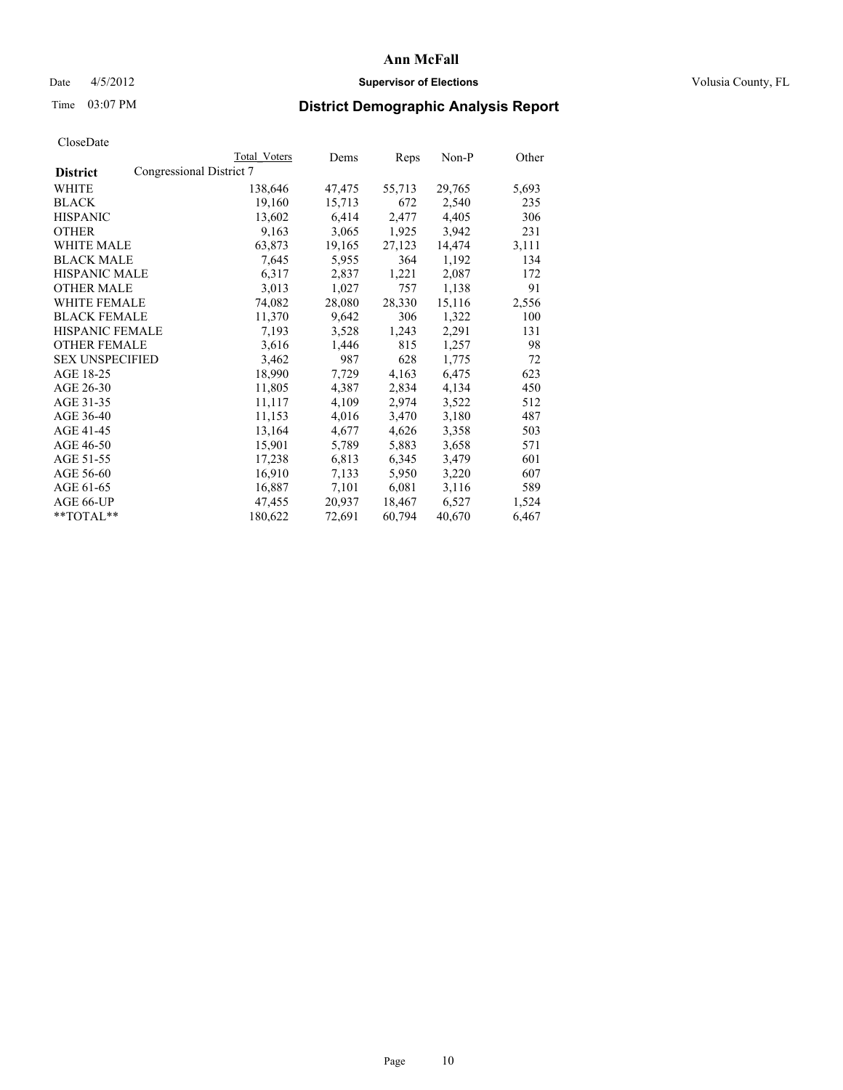### Date 4/5/2012 **Supervisor of Elections Supervisor of Elections** Volusia County, FL

## Time 03:07 PM **District Demographic Analysis Report**

|                        |                          | Total Voters | Dems   | <b>Reps</b> | Non-P  | Other |
|------------------------|--------------------------|--------------|--------|-------------|--------|-------|
| <b>District</b>        | Congressional District 7 |              |        |             |        |       |
| <b>WHITE</b>           |                          | 138,646      | 47,475 | 55,713      | 29,765 | 5,693 |
| <b>BLACK</b>           |                          | 19,160       | 15,713 | 672         | 2,540  | 235   |
| <b>HISPANIC</b>        |                          | 13,602       | 6,414  | 2,477       | 4,405  | 306   |
| <b>OTHER</b>           |                          | 9,163        | 3,065  | 1,925       | 3,942  | 231   |
| <b>WHITE MALE</b>      |                          | 63,873       | 19,165 | 27,123      | 14,474 | 3,111 |
| <b>BLACK MALE</b>      |                          | 7,645        | 5,955  | 364         | 1,192  | 134   |
| <b>HISPANIC MALE</b>   |                          | 6,317        | 2,837  | 1,221       | 2,087  | 172   |
| <b>OTHER MALE</b>      |                          | 3,013        | 1,027  | 757         | 1,138  | 91    |
| <b>WHITE FEMALE</b>    |                          | 74,082       | 28,080 | 28,330      | 15,116 | 2,556 |
| <b>BLACK FEMALE</b>    |                          | 11,370       | 9,642  | 306         | 1,322  | 100   |
| HISPANIC FEMALE        |                          | 7,193        | 3,528  | 1,243       | 2,291  | 131   |
| <b>OTHER FEMALE</b>    |                          | 3,616        | 1,446  | 815         | 1,257  | 98    |
| <b>SEX UNSPECIFIED</b> |                          | 3,462        | 987    | 628         | 1,775  | 72    |
| AGE 18-25              |                          | 18,990       | 7,729  | 4,163       | 6,475  | 623   |
| AGE 26-30              |                          | 11,805       | 4,387  | 2,834       | 4,134  | 450   |
| AGE 31-35              |                          | 11,117       | 4,109  | 2,974       | 3,522  | 512   |
| AGE 36-40              |                          | 11,153       | 4,016  | 3,470       | 3,180  | 487   |
| AGE 41-45              |                          | 13,164       | 4,677  | 4,626       | 3,358  | 503   |
| AGE 46-50              |                          | 15,901       | 5,789  | 5,883       | 3,658  | 571   |
| AGE 51-55              |                          | 17,238       | 6,813  | 6,345       | 3,479  | 601   |
| AGE 56-60              |                          | 16,910       | 7,133  | 5,950       | 3,220  | 607   |
| AGE 61-65              |                          | 16,887       | 7,101  | 6,081       | 3,116  | 589   |
| AGE 66-UP              |                          | 47,455       | 20,937 | 18,467      | 6,527  | 1,524 |
| $*$ $TOTAL**$          |                          | 180,622      | 72,691 | 60,794      | 40,670 | 6,467 |
|                        |                          |              |        |             |        |       |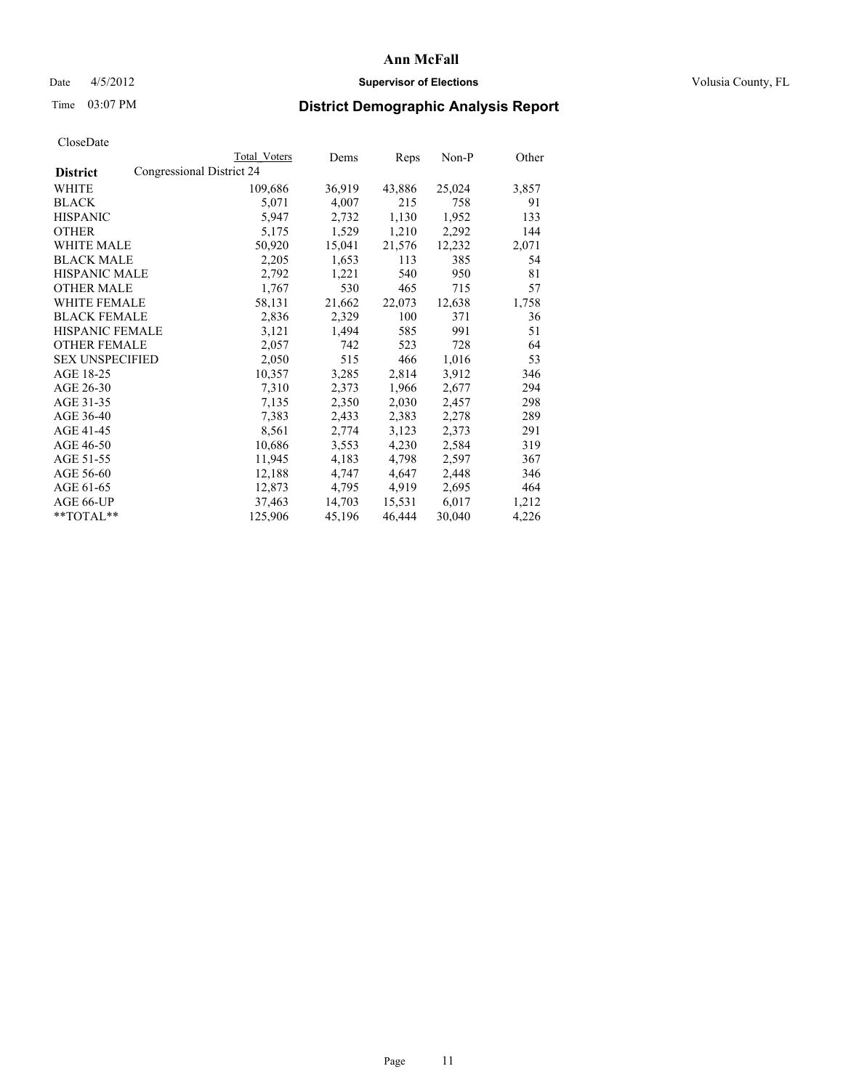### Date  $4/5/2012$  **Supervisor of Elections Supervisor of Elections** Volusia County, FL

## Time 03:07 PM **District Demographic Analysis Report**

|                        |                           | Total Voters | Dems   | <b>Reps</b> | Non-P  | Other |
|------------------------|---------------------------|--------------|--------|-------------|--------|-------|
| <b>District</b>        | Congressional District 24 |              |        |             |        |       |
| <b>WHITE</b>           |                           | 109,686      | 36,919 | 43,886      | 25,024 | 3,857 |
| <b>BLACK</b>           |                           | 5,071        | 4,007  | 215         | 758    | 91    |
| <b>HISPANIC</b>        |                           | 5,947        | 2,732  | 1,130       | 1,952  | 133   |
| <b>OTHER</b>           |                           | 5,175        | 1,529  | 1,210       | 2,292  | 144   |
| <b>WHITE MALE</b>      |                           | 50,920       | 15,041 | 21,576      | 12,232 | 2,071 |
| <b>BLACK MALE</b>      |                           | 2,205        | 1,653  | 113         | 385    | 54    |
| <b>HISPANIC MALE</b>   |                           | 2,792        | 1,221  | 540         | 950    | 81    |
| <b>OTHER MALE</b>      |                           | 1,767        | 530    | 465         | 715    | 57    |
| <b>WHITE FEMALE</b>    |                           | 58,131       | 21,662 | 22,073      | 12,638 | 1,758 |
| <b>BLACK FEMALE</b>    |                           | 2,836        | 2,329  | 100         | 371    | 36    |
| <b>HISPANIC FEMALE</b> |                           | 3,121        | 1,494  | 585         | 991    | 51    |
| <b>OTHER FEMALE</b>    |                           | 2,057        | 742    | 523         | 728    | 64    |
| <b>SEX UNSPECIFIED</b> |                           | 2,050        | 515    | 466         | 1,016  | 53    |
| AGE 18-25              |                           | 10,357       | 3,285  | 2,814       | 3,912  | 346   |
| AGE 26-30              |                           | 7,310        | 2,373  | 1,966       | 2,677  | 294   |
| AGE 31-35              |                           | 7,135        | 2,350  | 2,030       | 2,457  | 298   |
| AGE 36-40              |                           | 7,383        | 2,433  | 2,383       | 2,278  | 289   |
| AGE 41-45              |                           | 8,561        | 2,774  | 3,123       | 2,373  | 291   |
| AGE 46-50              |                           | 10,686       | 3,553  | 4,230       | 2,584  | 319   |
| AGE 51-55              |                           | 11,945       | 4,183  | 4,798       | 2,597  | 367   |
| AGE 56-60              |                           | 12,188       | 4,747  | 4,647       | 2,448  | 346   |
| AGE 61-65              |                           | 12,873       | 4,795  | 4,919       | 2,695  | 464   |
| AGE 66-UP              |                           | 37,463       | 14,703 | 15,531      | 6,017  | 1,212 |
| $*$ $TOTAL**$          |                           | 125,906      | 45,196 | 46,444      | 30,040 | 4,226 |
|                        |                           |              |        |             |        |       |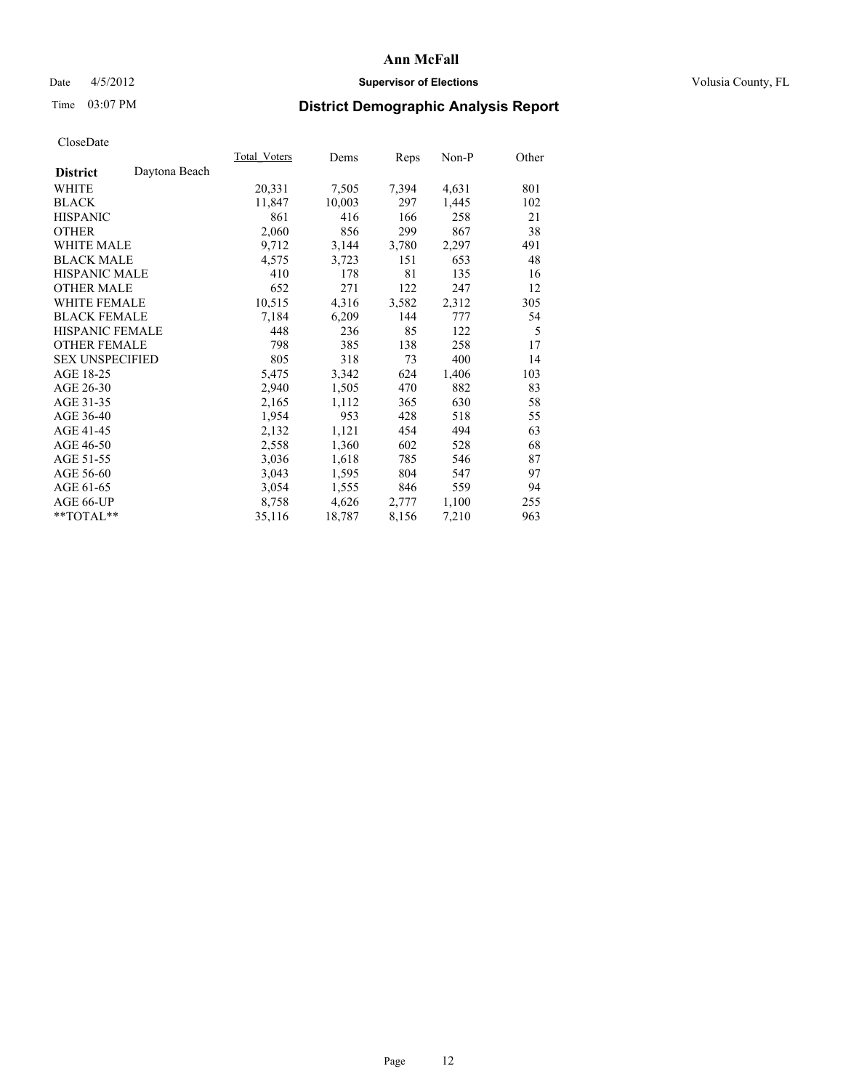### Date 4/5/2012 **Supervisor of Elections Supervisor of Elections** Volusia County, FL

## Time 03:07 PM **District Demographic Analysis Report**

|                        |               | <b>Total Voters</b> | Dems   | Reps  | $Non-P$ | Other |
|------------------------|---------------|---------------------|--------|-------|---------|-------|
| <b>District</b>        | Daytona Beach |                     |        |       |         |       |
| WHITE                  |               | 20,331              | 7,505  | 7,394 | 4,631   | 801   |
| <b>BLACK</b>           |               | 11,847              | 10,003 | 297   | 1,445   | 102   |
| <b>HISPANIC</b>        |               | 861                 | 416    | 166   | 258     | 21    |
| <b>OTHER</b>           |               | 2,060               | 856    | 299   | 867     | 38    |
| <b>WHITE MALE</b>      |               | 9,712               | 3,144  | 3,780 | 2,297   | 491   |
| <b>BLACK MALE</b>      |               | 4,575               | 3,723  | 151   | 653     | 48    |
| <b>HISPANIC MALE</b>   |               | 410                 | 178    | 81    | 135     | 16    |
| <b>OTHER MALE</b>      |               | 652                 | 271    | 122   | 247     | 12    |
| <b>WHITE FEMALE</b>    |               | 10,515              | 4,316  | 3,582 | 2,312   | 305   |
| <b>BLACK FEMALE</b>    |               | 7,184               | 6,209  | 144   | 777     | 54    |
| HISPANIC FEMALE        |               | 448                 | 236    | 85    | 122     | 5     |
| <b>OTHER FEMALE</b>    |               | 798                 | 385    | 138   | 258     | 17    |
| <b>SEX UNSPECIFIED</b> |               | 805                 | 318    | 73    | 400     | 14    |
| AGE 18-25              |               | 5,475               | 3,342  | 624   | 1,406   | 103   |
| AGE 26-30              |               | 2,940               | 1,505  | 470   | 882     | 83    |
| AGE 31-35              |               | 2,165               | 1,112  | 365   | 630     | 58    |
| AGE 36-40              |               | 1,954               | 953    | 428   | 518     | 55    |
| AGE 41-45              |               | 2,132               | 1,121  | 454   | 494     | 63    |
| AGE 46-50              |               | 2,558               | 1,360  | 602   | 528     | 68    |
| AGE 51-55              |               | 3,036               | 1,618  | 785   | 546     | 87    |
| AGE 56-60              |               | 3,043               | 1,595  | 804   | 547     | 97    |
| AGE 61-65              |               | 3,054               | 1,555  | 846   | 559     | 94    |
| AGE 66-UP              |               | 8,758               | 4,626  | 2,777 | 1,100   | 255   |
| $*$ $TOTAL**$          |               | 35,116              | 18,787 | 8,156 | 7,210   | 963   |
|                        |               |                     |        |       |         |       |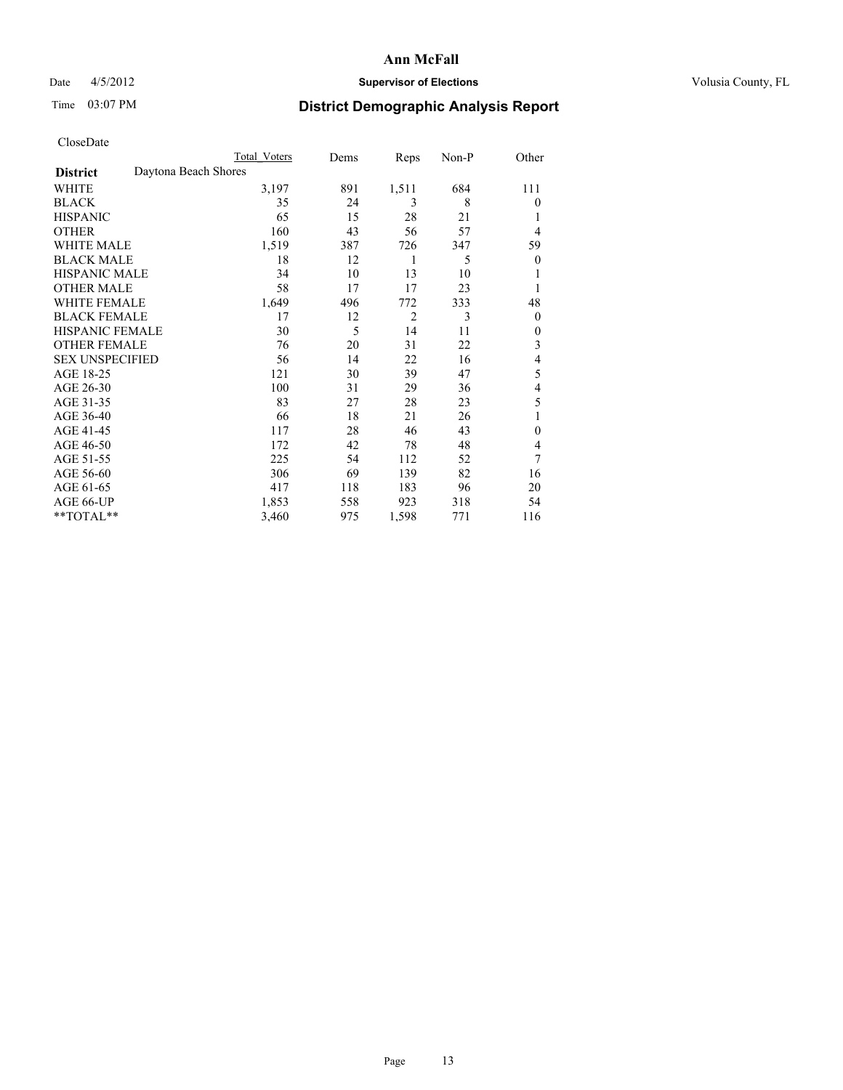### Date 4/5/2012 **Supervisor of Elections Supervisor of Elections** Volusia County, FL

## Time 03:07 PM **District Demographic Analysis Report**

|                        | Total Voters         | Dems | Reps           | Non-P | Other            |
|------------------------|----------------------|------|----------------|-------|------------------|
| <b>District</b>        | Daytona Beach Shores |      |                |       |                  |
| WHITE                  | 3,197                | 891  | 1,511          | 684   | 111              |
| <b>BLACK</b>           | 35                   | 24   | 3              | 8     | $\theta$         |
| <b>HISPANIC</b>        | 65                   | 15   | 28             | 21    | 1                |
| <b>OTHER</b>           | 160                  | 43   | 56             | 57    | $\overline{4}$   |
| <b>WHITE MALE</b>      | 1,519                | 387  | 726            | 347   | 59               |
| <b>BLACK MALE</b>      | 18                   | 12   | 1              | 5     | $\boldsymbol{0}$ |
| <b>HISPANIC MALE</b>   | 34                   | 10   | 13             | 10    |                  |
| <b>OTHER MALE</b>      | 58                   | 17   | 17             | 23    | 1                |
| <b>WHITE FEMALE</b>    | 1,649                | 496  | 772            | 333   | 48               |
| <b>BLACK FEMALE</b>    | 17                   | 12   | $\overline{2}$ | 3     | $\overline{0}$   |
| <b>HISPANIC FEMALE</b> | 30                   | 5    | 14             | 11    | $\theta$         |
| <b>OTHER FEMALE</b>    | 76                   | 20   | 31             | 22    | 3                |
| <b>SEX UNSPECIFIED</b> | 56                   | 14   | 22             | 16    | 4                |
| AGE 18-25              | 121                  | 30   | 39             | 47    | 5                |
| AGE 26-30              | 100                  | 31   | 29             | 36    | 4                |
| AGE 31-35              | 83                   | 27   | 28             | 23    | 5                |
| AGE 36-40              | 66                   | 18   | 21             | 26    | 1                |
| AGE 41-45              | 117                  | 28   | 46             | 43    | $\mathbf{0}$     |
| AGE 46-50              | 172                  | 42   | 78             | 48    | 4                |
| AGE 51-55              | 225                  | 54   | 112            | 52    | 7                |
| AGE 56-60              | 306                  | 69   | 139            | 82    | 16               |
| AGE 61-65              | 417                  | 118  | 183            | 96    | 20               |
| AGE 66-UP              | 1,853                | 558  | 923            | 318   | 54               |
| **TOTAL**              | 3,460                | 975  | 1,598          | 771   | 116              |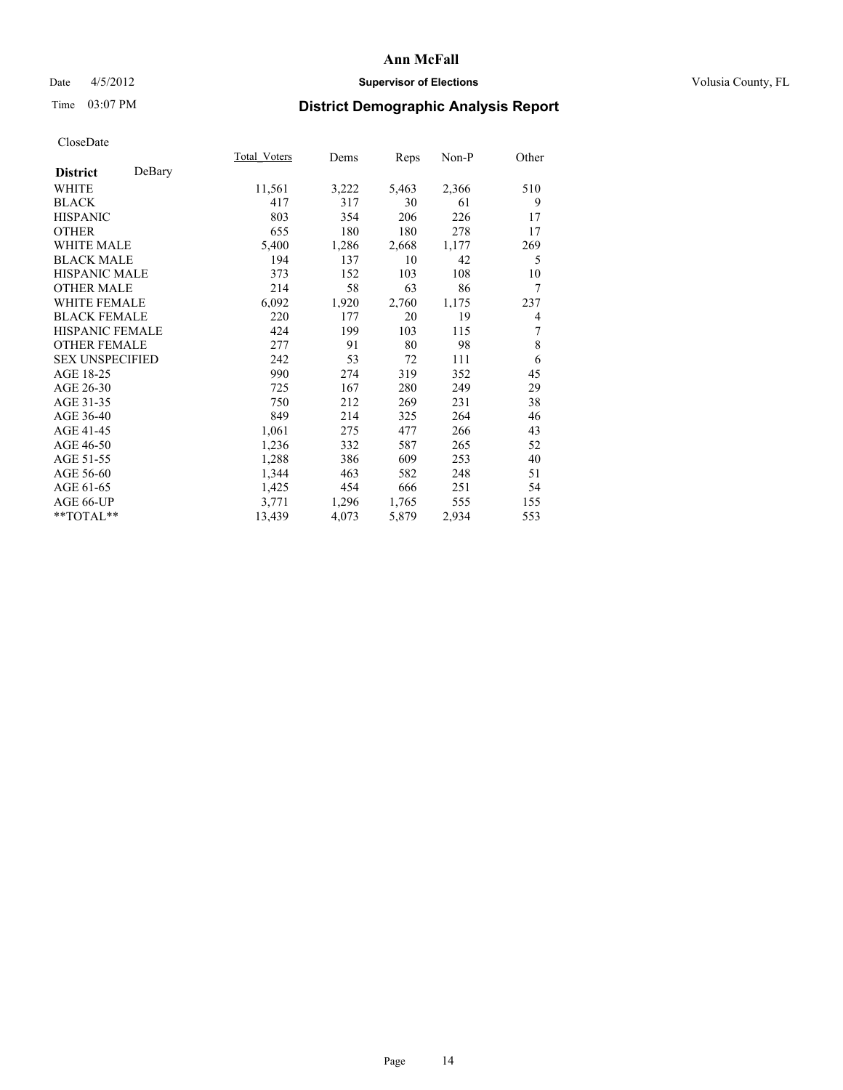### Date 4/5/2012 **Supervisor of Elections Supervisor of Elections** Volusia County, FL

# Time 03:07 PM **District Demographic Analysis Report**

| <b>Total Voters</b> | Dems  | Reps  | $Non-P$ | Other |
|---------------------|-------|-------|---------|-------|
|                     |       |       |         |       |
| 11,561              | 3,222 |       | 2,366   | 510   |
| 417                 | 317   | 30    | 61      | 9     |
| 803                 | 354   | 206   | 226     | 17    |
| 655                 | 180   | 180   | 278     | 17    |
| 5,400               | 1,286 | 2,668 | 1,177   | 269   |
| 194                 | 137   | 10    | 42      | 5     |
| 373                 | 152   | 103   | 108     | 10    |
| 214                 | 58    | 63    | 86      | 7     |
| 6,092               | 1,920 | 2,760 | 1,175   | 237   |
| 220                 | 177   | 20    | 19      | 4     |
| 424                 | 199   | 103   | 115     | 7     |
| 277                 | 91    | 80    | 98      | 8     |
| 242                 | 53    | 72    | 111     | 6     |
| 990                 | 274   | 319   | 352     | 45    |
| 725                 | 167   | 280   | 249     | 29    |
| 750                 | 212   | 269   | 231     | 38    |
| 849                 | 214   | 325   | 264     | 46    |
| 1,061               | 275   | 477   | 266     | 43    |
| 1,236               | 332   | 587   | 265     | 52    |
| 1,288               | 386   | 609   | 253     | 40    |
| 1,344               | 463   | 582   | 248     | 51    |
| 1,425               | 454   | 666   | 251     | 54    |
| 3,771               | 1,296 | 1,765 | 555     | 155   |
| 13,439              | 4,073 | 5,879 | 2,934   | 553   |
|                     |       |       | 5,463   |       |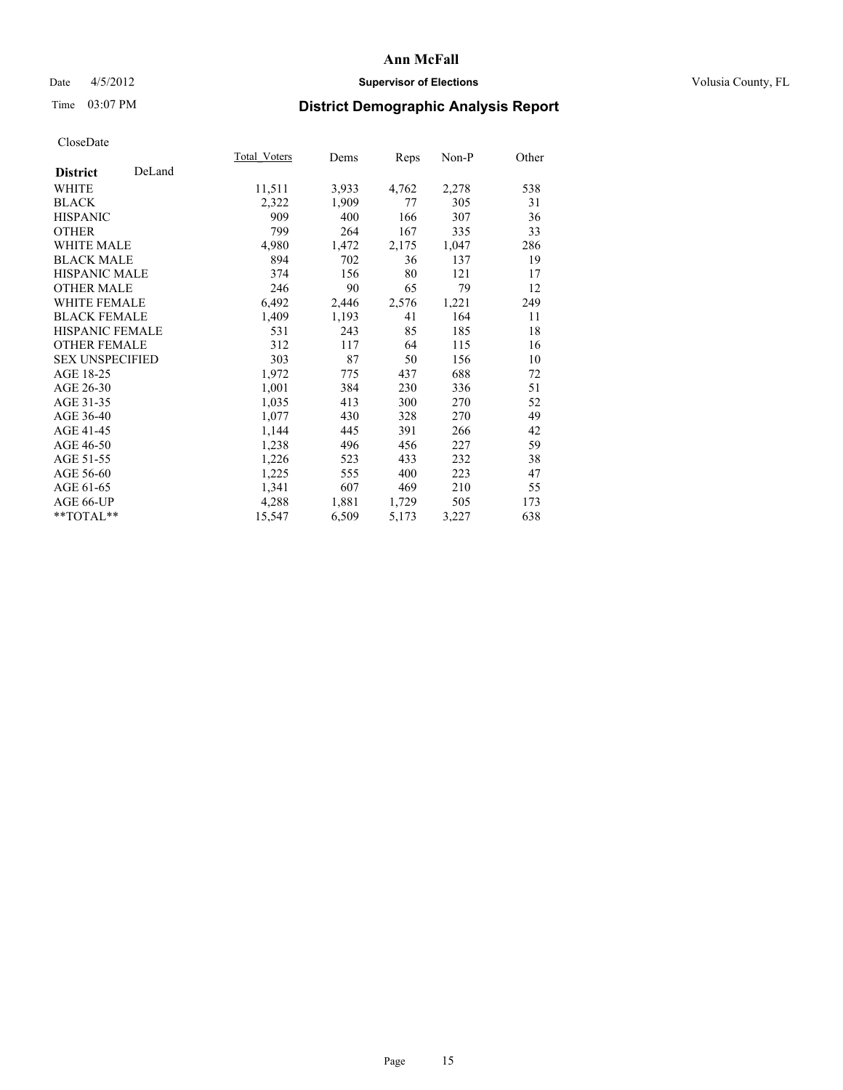### Date 4/5/2012 **Supervisor of Elections Supervisor of Elections** Volusia County, FL

# Time 03:07 PM **District Demographic Analysis Report**

|                        |        | <b>Total Voters</b> | Dems  | <b>Reps</b> | $Non-P$ | Other |
|------------------------|--------|---------------------|-------|-------------|---------|-------|
| <b>District</b>        | DeLand |                     |       |             |         |       |
| WHITE                  |        | 11,511              | 3,933 | 4,762       | 2,278   | 538   |
| <b>BLACK</b>           |        | 2,322               | 1,909 | 77          | 305     | 31    |
| <b>HISPANIC</b>        |        | 909                 | 400   | 166         | 307     | 36    |
| <b>OTHER</b>           |        | 799                 | 264   | 167         | 335     | 33    |
| <b>WHITE MALE</b>      |        | 4,980               | 1,472 | 2,175       | 1,047   | 286   |
| <b>BLACK MALE</b>      |        | 894                 | 702   | 36          | 137     | 19    |
| <b>HISPANIC MALE</b>   |        | 374                 | 156   | 80          | 121     | 17    |
| <b>OTHER MALE</b>      |        | 246                 | 90    | 65          | 79      | 12    |
| WHITE FEMALE           |        | 6,492               | 2,446 | 2,576       | 1,221   | 249   |
| <b>BLACK FEMALE</b>    |        | 1,409               | 1,193 | 41          | 164     | 11    |
| HISPANIC FEMALE        |        | 531                 | 243   | 85          | 185     | 18    |
| <b>OTHER FEMALE</b>    |        | 312                 | 117   | 64          | 115     | 16    |
| <b>SEX UNSPECIFIED</b> |        | 303                 | 87    | 50          | 156     | 10    |
| AGE 18-25              |        | 1,972               | 775   | 437         | 688     | 72    |
| AGE 26-30              |        | 1,001               | 384   | 230         | 336     | 51    |
| AGE 31-35              |        | 1,035               | 413   | 300         | 270     | 52    |
| AGE 36-40              |        | 1,077               | 430   | 328         | 270     | 49    |
| AGE 41-45              |        | 1,144               | 445   | 391         | 266     | 42    |
| AGE 46-50              |        | 1,238               | 496   | 456         | 227     | 59    |
| AGE 51-55              |        | 1,226               | 523   | 433         | 232     | 38    |
| AGE 56-60              |        | 1,225               | 555   | 400         | 223     | 47    |
| AGE 61-65              |        | 1,341               | 607   | 469         | 210     | 55    |
| AGE 66-UP              |        | 4,288               | 1,881 | 1,729       | 505     | 173   |
| **TOTAL**              |        | 15,547              | 6,509 | 5,173       | 3,227   | 638   |
|                        |        |                     |       |             |         |       |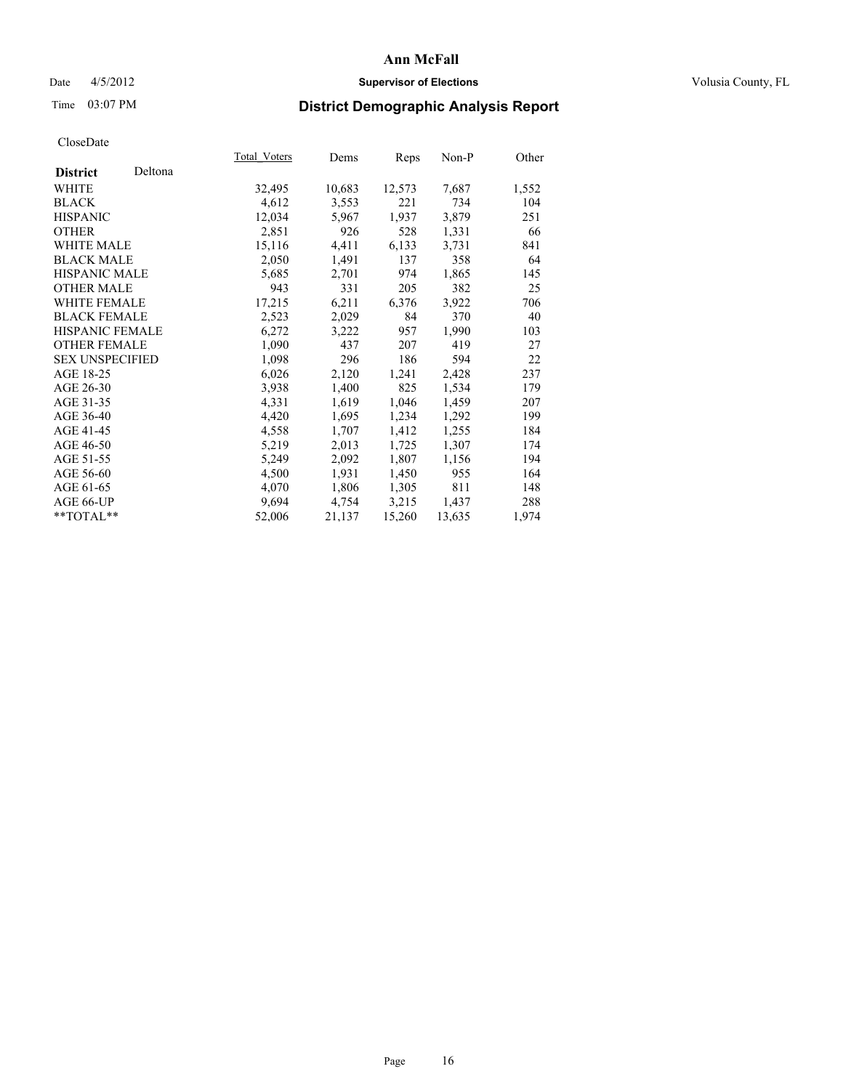### Date 4/5/2012 **Supervisor of Elections Supervisor of Elections** Volusia County, FL

# Time 03:07 PM **District Demographic Analysis Report**

|                        |         | Total Voters | Dems   | <b>Reps</b> | $Non-P$ | Other |
|------------------------|---------|--------------|--------|-------------|---------|-------|
| <b>District</b>        | Deltona |              |        |             |         |       |
| <b>WHITE</b>           |         | 32,495       | 10,683 | 12,573      | 7,687   | 1,552 |
| <b>BLACK</b>           |         | 4,612        | 3,553  | 221         | 734     | 104   |
| <b>HISPANIC</b>        |         | 12,034       | 5,967  | 1,937       | 3,879   | 251   |
| <b>OTHER</b>           |         | 2,851        | 926    | 528         | 1,331   | 66    |
| <b>WHITE MALE</b>      |         | 15,116       | 4,411  | 6,133       | 3,731   | 841   |
| <b>BLACK MALE</b>      |         | 2,050        | 1,491  | 137         | 358     | 64    |
| <b>HISPANIC MALE</b>   |         | 5,685        | 2,701  | 974         | 1,865   | 145   |
| <b>OTHER MALE</b>      |         | 943          | 331    | 205         | 382     | 25    |
| <b>WHITE FEMALE</b>    |         | 17,215       | 6,211  | 6,376       | 3,922   | 706   |
| <b>BLACK FEMALE</b>    |         | 2,523        | 2,029  | 84          | 370     | 40    |
| HISPANIC FEMALE        |         | 6,272        | 3,222  | 957         | 1,990   | 103   |
| <b>OTHER FEMALE</b>    |         | 1,090        | 437    | 207         | 419     | 27    |
| <b>SEX UNSPECIFIED</b> |         | 1,098        | 296    | 186         | 594     | 22    |
| AGE 18-25              |         | 6,026        | 2,120  | 1,241       | 2,428   | 237   |
| AGE 26-30              |         | 3.938        | 1,400  | 825         | 1,534   | 179   |
| AGE 31-35              |         | 4,331        | 1,619  | 1,046       | 1,459   | 207   |
| AGE 36-40              |         | 4,420        | 1,695  | 1,234       | 1,292   | 199   |
| AGE 41-45              |         | 4,558        | 1,707  | 1,412       | 1,255   | 184   |
| AGE 46-50              |         | 5,219        | 2,013  | 1,725       | 1,307   | 174   |
| AGE 51-55              |         | 5,249        | 2,092  | 1,807       | 1,156   | 194   |
| AGE 56-60              |         | 4,500        | 1,931  | 1,450       | 955     | 164   |
| AGE 61-65              |         | 4,070        | 1,806  | 1,305       | 811     | 148   |
| AGE 66-UP              |         | 9,694        | 4,754  | 3,215       | 1,437   | 288   |
| $*$ TOTAL $*$          |         | 52,006       | 21,137 | 15,260      | 13,635  | 1,974 |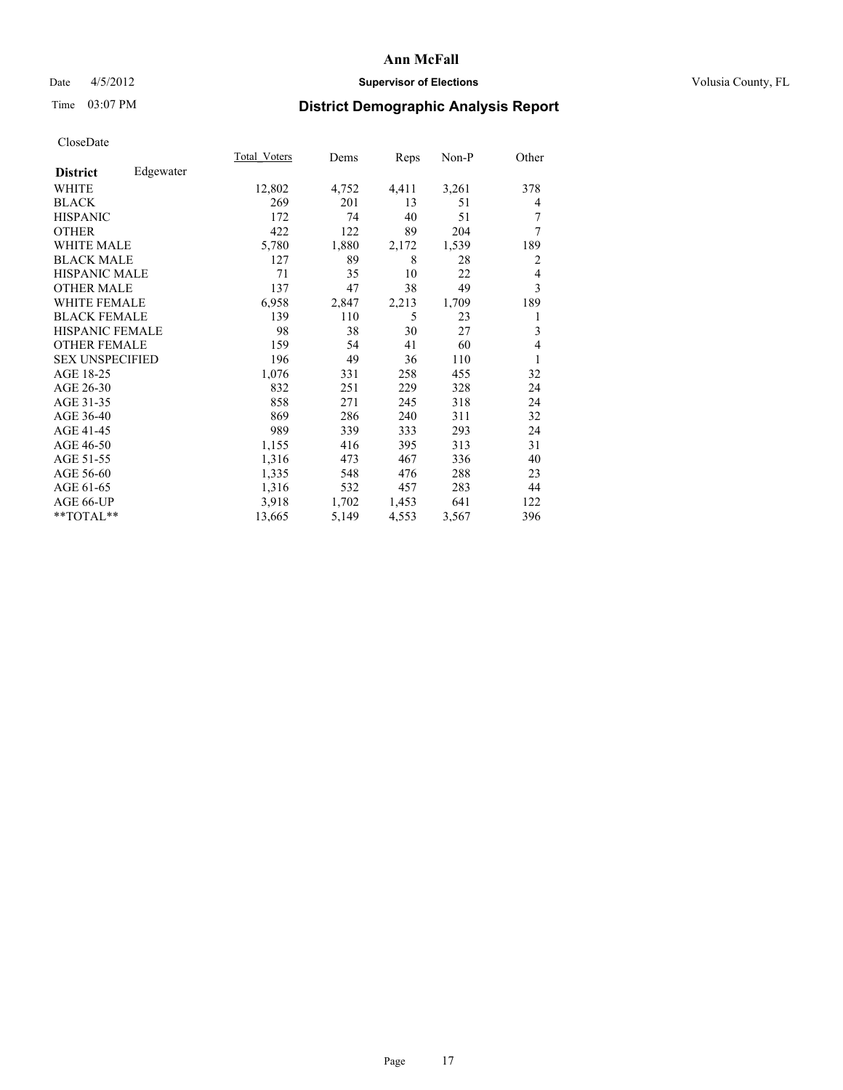### Date 4/5/2012 **Supervisor of Elections Supervisor of Elections** Volusia County, FL

## Time 03:07 PM **District Demographic Analysis Report**

|                        |           | Total Voters | Dems  | Reps  | Non-P | Other          |
|------------------------|-----------|--------------|-------|-------|-------|----------------|
| <b>District</b>        | Edgewater |              |       |       |       |                |
| WHITE                  |           | 12,802       | 4,752 | 4,411 | 3,261 | 378            |
| <b>BLACK</b>           |           | 269          | 201   | 13    | 51    | 4              |
| <b>HISPANIC</b>        |           | 172          | 74    | 40    | 51    | 7              |
| <b>OTHER</b>           |           | 422          | 122   | 89    | 204   | 7              |
| WHITE MALE             |           | 5,780        | 1,880 | 2,172 | 1,539 | 189            |
| <b>BLACK MALE</b>      |           | 127          | 89    | 8     | 28    | $\overline{2}$ |
| <b>HISPANIC MALE</b>   |           | 71           | 35    | 10    | 22    | 4              |
| <b>OTHER MALE</b>      |           | 137          | 47    | 38    | 49    | 3              |
| <b>WHITE FEMALE</b>    |           | 6,958        | 2,847 | 2,213 | 1,709 | 189            |
| <b>BLACK FEMALE</b>    |           | 139          | 110   | 5     | 23    | 1              |
| <b>HISPANIC FEMALE</b> |           | 98           | 38    | 30    | 27    | 3              |
| <b>OTHER FEMALE</b>    |           | 159          | 54    | 41    | 60    | $\overline{4}$ |
| <b>SEX UNSPECIFIED</b> |           | 196          | 49    | 36    | 110   | 1              |
| AGE 18-25              |           | 1,076        | 331   | 258   | 455   | 32             |
| AGE 26-30              |           | 832          | 251   | 229   | 328   | 24             |
| AGE 31-35              |           | 858          | 271   | 245   | 318   | 24             |
| AGE 36-40              |           | 869          | 286   | 240   | 311   | 32             |
| AGE 41-45              |           | 989          | 339   | 333   | 293   | 24             |
| AGE 46-50              |           | 1,155        | 416   | 395   | 313   | 31             |
| AGE 51-55              |           | 1,316        | 473   | 467   | 336   | 40             |
| AGE 56-60              |           | 1,335        | 548   | 476   | 288   | 23             |
| AGE 61-65              |           | 1,316        | 532   | 457   | 283   | 44             |
| AGE 66-UP              |           | 3,918        | 1,702 | 1,453 | 641   | 122            |
| **TOTAL**              |           | 13,665       | 5,149 | 4,553 | 3,567 | 396            |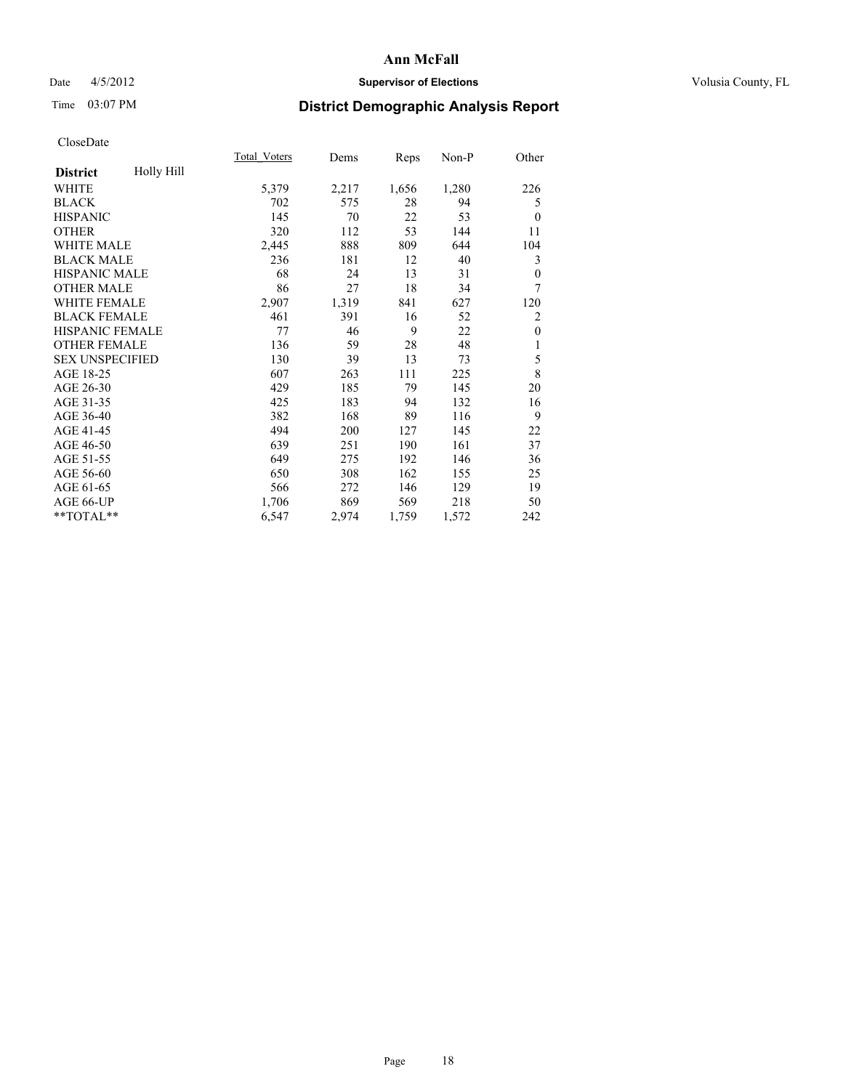### Date 4/5/2012 **Supervisor of Elections Supervisor of Elections** Volusia County, FL

# Time 03:07 PM **District Demographic Analysis Report**

|                        |                   | Total Voters | Dems  | Reps  | Non-P | Other          |
|------------------------|-------------------|--------------|-------|-------|-------|----------------|
| <b>District</b>        | <b>Holly Hill</b> |              |       |       |       |                |
| WHITE                  |                   | 5,379        | 2,217 | 1,656 | 1,280 | 226            |
| <b>BLACK</b>           |                   | 702          | 575   | 28    | 94    | 5              |
| <b>HISPANIC</b>        |                   | 145          | 70    | 22    | 53    | $\theta$       |
| <b>OTHER</b>           |                   | 320          | 112   | 53    | 144   | 11             |
| <b>WHITE MALE</b>      |                   | 2,445        | 888   | 809   | 644   | 104            |
| <b>BLACK MALE</b>      |                   | 236          | 181   | 12    | 40    | 3              |
| <b>HISPANIC MALE</b>   |                   | 68           | 24    | 13    | 31    | $\theta$       |
| <b>OTHER MALE</b>      |                   | 86           | 27    | 18    | 34    | 7              |
| <b>WHITE FEMALE</b>    |                   | 2,907        | 1,319 | 841   | 627   | 120            |
| <b>BLACK FEMALE</b>    |                   | 461          | 391   | 16    | 52    | $\overline{2}$ |
| <b>HISPANIC FEMALE</b> |                   | 77           | 46    | 9     | 22    | $\theta$       |
| <b>OTHER FEMALE</b>    |                   | 136          | 59    | 28    | 48    | 1              |
| <b>SEX UNSPECIFIED</b> |                   | 130          | 39    | 13    | 73    | 5              |
| AGE 18-25              |                   | 607          | 263   | 111   | 225   | 8              |
| AGE 26-30              |                   | 429          | 185   | 79    | 145   | 20             |
| AGE 31-35              |                   | 425          | 183   | 94    | 132   | 16             |
| AGE 36-40              |                   | 382          | 168   | 89    | 116   | 9              |
| AGE 41-45              |                   | 494          | 200   | 127   | 145   | 22             |
| AGE 46-50              |                   | 639          | 251   | 190   | 161   | 37             |
| AGE 51-55              |                   | 649          | 275   | 192   | 146   | 36             |
| AGE 56-60              |                   | 650          | 308   | 162   | 155   | 25             |
| AGE 61-65              |                   | 566          | 272   | 146   | 129   | 19             |
| AGE 66-UP              |                   | 1,706        | 869   | 569   | 218   | 50             |
| **TOTAL**              |                   | 6,547        | 2,974 | 1,759 | 1,572 | 242            |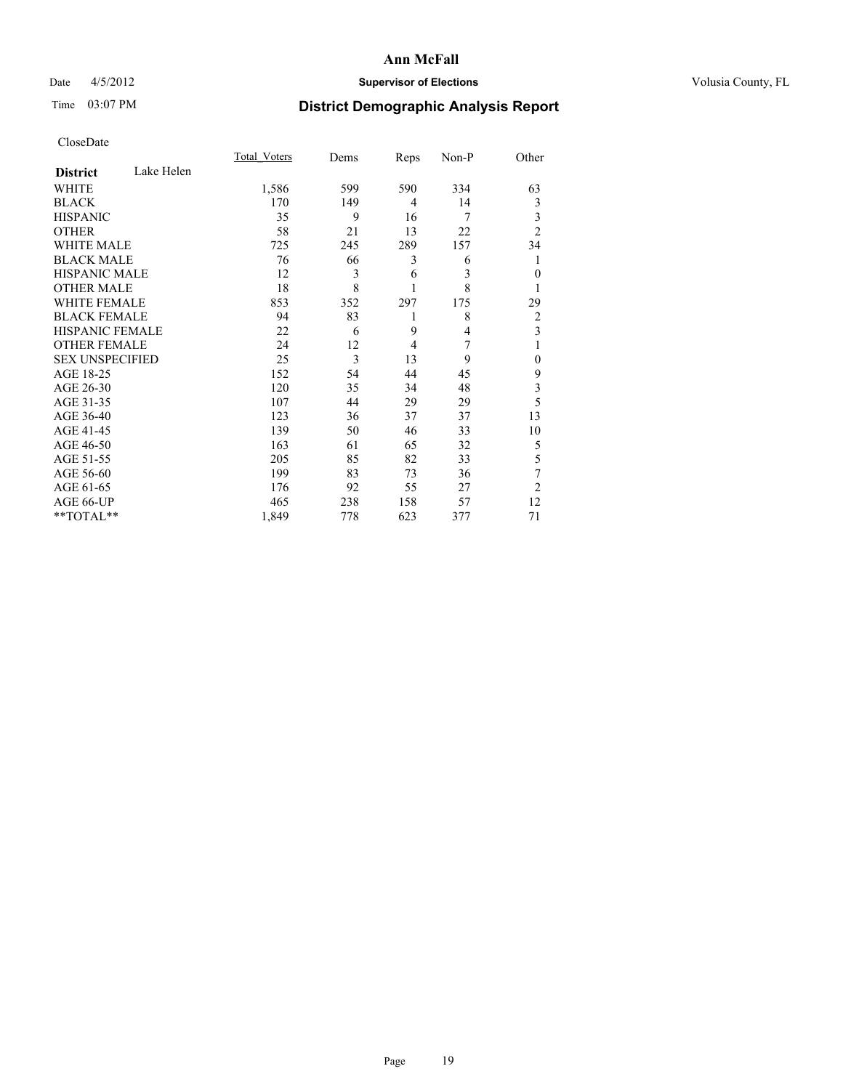### Date 4/5/2012 **Supervisor of Elections Supervisor of Elections** Volusia County, FL

# Time 03:07 PM **District Demographic Analysis Report**

|                        |            | Total Voters | Dems | Reps           | Non-P          | Other          |
|------------------------|------------|--------------|------|----------------|----------------|----------------|
| <b>District</b>        | Lake Helen |              |      |                |                |                |
| <b>WHITE</b>           |            | 1,586        | 599  | 590            | 334            | 63             |
| <b>BLACK</b>           |            | 170          | 149  | 4              | 14             | 3              |
| <b>HISPANIC</b>        |            | 35           | 9    | 16             | 7              | 3              |
| <b>OTHER</b>           |            | 58           | 21   | 13             | 22             | $\overline{2}$ |
| WHITE MALE             |            | 725          | 245  | 289            | 157            | 34             |
| <b>BLACK MALE</b>      |            | 76           | 66   | 3              | 6              |                |
| <b>HISPANIC MALE</b>   |            | 12           | 3    | 6              | 3              | $\mathbf{0}$   |
| <b>OTHER MALE</b>      |            | 18           | 8    | 1              | 8              | 1              |
| <b>WHITE FEMALE</b>    |            | 853          | 352  | 297            | 175            | 29             |
| <b>BLACK FEMALE</b>    |            | 94           | 83   | 1              | 8              | $\overline{2}$ |
| HISPANIC FEMALE        |            | 22           | 6    | 9              | $\overline{4}$ | 3              |
| <b>OTHER FEMALE</b>    |            | 24           | 12   | $\overline{4}$ | 7              |                |
| <b>SEX UNSPECIFIED</b> |            | 25           | 3    | 13             | 9              | $\mathbf{0}$   |
| AGE 18-25              |            | 152          | 54   | 44             | 45             | 9              |
| AGE 26-30              |            | 120          | 35   | 34             | 48             | 3              |
| AGE 31-35              |            | 107          | 44   | 29             | 29             | 5              |
| AGE 36-40              |            | 123          | 36   | 37             | 37             | 13             |
| AGE 41-45              |            | 139          | 50   | 46             | 33             | 10             |
| AGE 46-50              |            | 163          | 61   | 65             | 32             | 5              |
| AGE 51-55              |            | 205          | 85   | 82             | 33             | 5              |
| AGE 56-60              |            | 199          | 83   | 73             | 36             | 7              |
| AGE 61-65              |            | 176          | 92   | 55             | 27             | $\overline{2}$ |
| AGE 66-UP              |            | 465          | 238  | 158            | 57             | 12             |
| **TOTAL**              |            | 1,849        | 778  | 623            | 377            | 71             |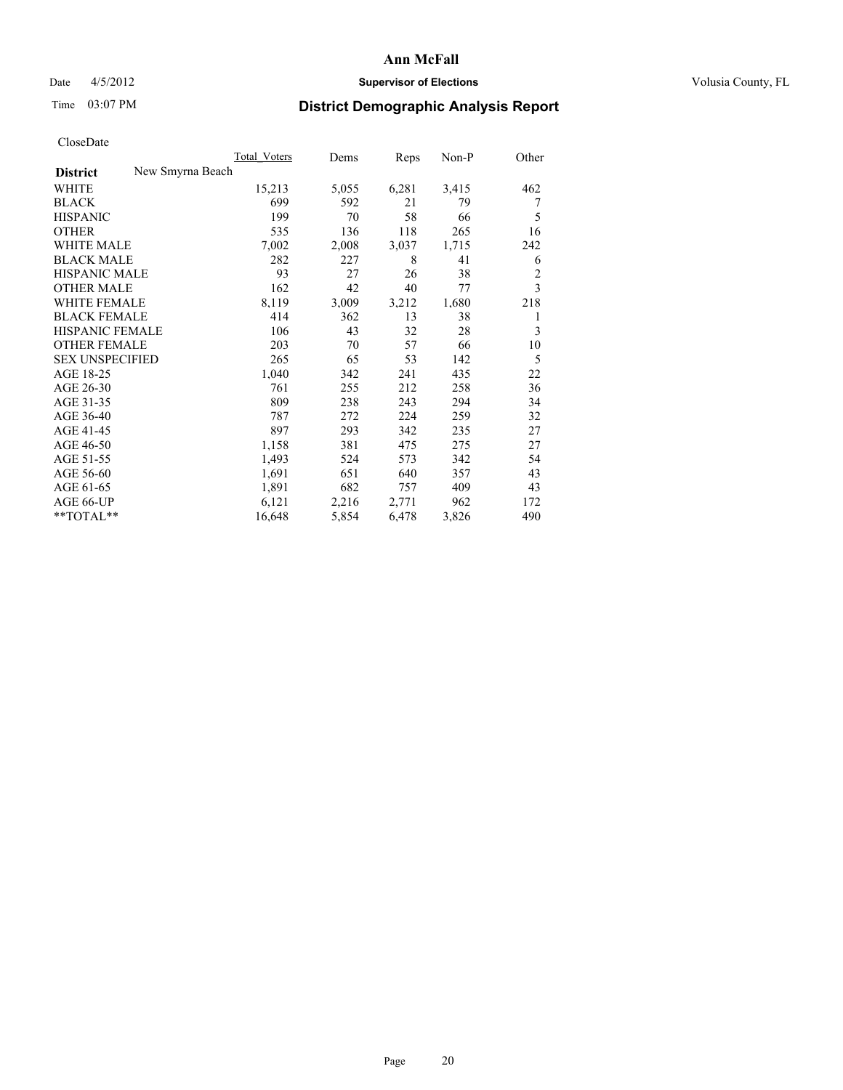### Date 4/5/2012 **Supervisor of Elections Supervisor of Elections** Volusia County, FL

## Time 03:07 PM **District Demographic Analysis Report**

|                                     | <b>Total Voters</b> | Dems  | Reps  | Non-P | Other          |
|-------------------------------------|---------------------|-------|-------|-------|----------------|
| New Smyrna Beach<br><b>District</b> |                     |       |       |       |                |
| WHITE                               | 15,213              | 5,055 | 6,281 | 3,415 | 462            |
| <b>BLACK</b>                        | 699                 | 592   | 21    | 79    | 7              |
| <b>HISPANIC</b>                     | 199                 | 70    | 58    | 66    | 5              |
| <b>OTHER</b>                        | 535                 | 136   | 118   | 265   | 16             |
| <b>WHITE MALE</b>                   | 7,002               | 2,008 | 3,037 | 1,715 | 242            |
| <b>BLACK MALE</b>                   | 282                 | 227   | 8     | 41    | 6              |
| <b>HISPANIC MALE</b>                | 93                  | 27    | 26    | 38    | $\overline{c}$ |
| <b>OTHER MALE</b>                   | 162                 | 42    | 40    | 77    | 3              |
| <b>WHITE FEMALE</b>                 | 8,119               | 3,009 | 3,212 | 1,680 | 218            |
| <b>BLACK FEMALE</b>                 | 414                 | 362   | 13    | 38    | 1              |
| HISPANIC FEMALE                     | 106                 | 43    | 32    | 28    | 3              |
| <b>OTHER FEMALE</b>                 | 203                 | 70    | 57    | 66    | 10             |
| <b>SEX UNSPECIFIED</b>              | 265                 | 65    | 53    | 142   | 5              |
| AGE 18-25                           | 1,040               | 342   | 241   | 435   | 22             |
| AGE 26-30                           | 761                 | 255   | 212   | 258   | 36             |
| AGE 31-35                           | 809                 | 238   | 243   | 294   | 34             |
| AGE 36-40                           | 787                 | 272   | 224   | 259   | 32             |
| AGE 41-45                           | 897                 | 293   | 342   | 235   | 27             |
| AGE 46-50                           | 1,158               | 381   | 475   | 275   | 27             |
| AGE 51-55                           | 1,493               | 524   | 573   | 342   | 54             |
| AGE 56-60                           | 1,691               | 651   | 640   | 357   | 43             |
| AGE 61-65                           | 1,891               | 682   | 757   | 409   | 43             |
| AGE 66-UP                           | 6,121               | 2,216 | 2,771 | 962   | 172            |
| $*$ $TOTAL**$                       | 16,648              | 5,854 | 6,478 | 3,826 | 490            |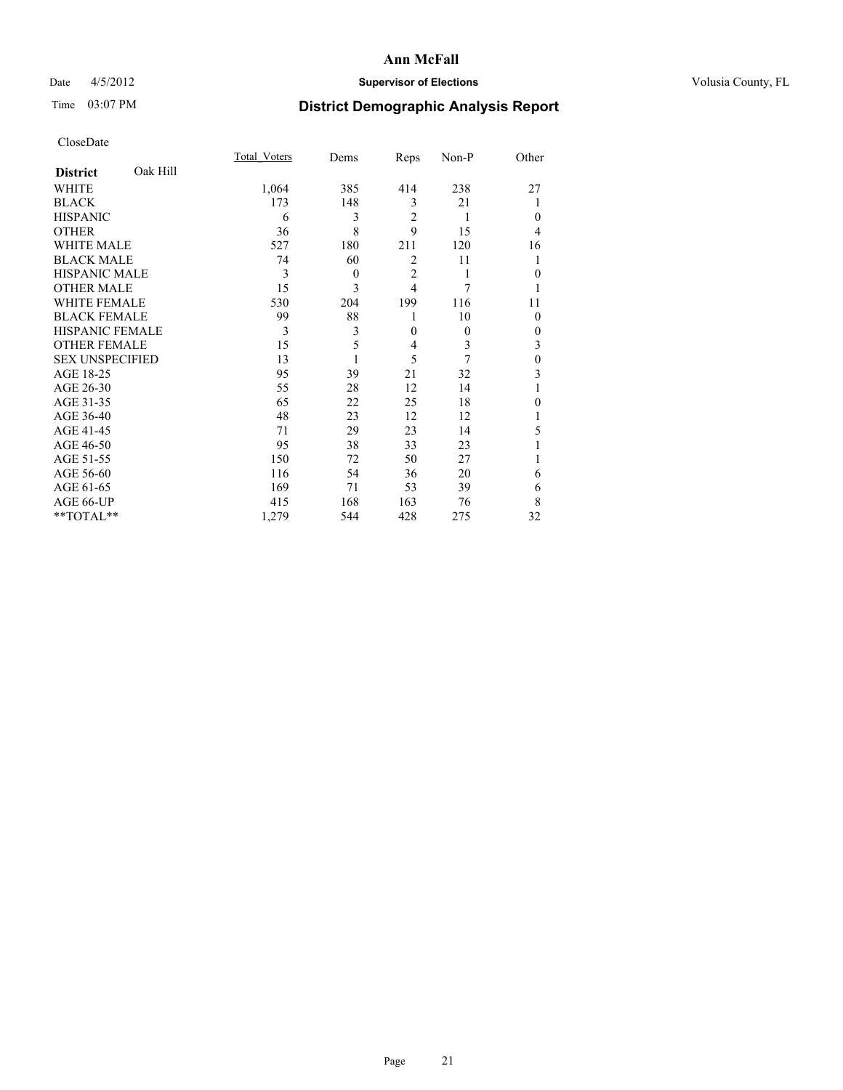### Date 4/5/2012 **Supervisor of Elections Supervisor of Elections** Volusia County, FL

# Time 03:07 PM **District Demographic Analysis Report**

|                        |          | <b>Total Voters</b> | Dems         | Reps           | Non-P    | Other    |
|------------------------|----------|---------------------|--------------|----------------|----------|----------|
| <b>District</b>        | Oak Hill |                     |              |                |          |          |
| WHITE                  |          | 1,064               | 385          | 414            | 238      | 27       |
| <b>BLACK</b>           |          | 173                 | 148          | 3              | 21       |          |
| <b>HISPANIC</b>        |          | 6                   | 3            | $\overline{c}$ | 1        | $\Omega$ |
| <b>OTHER</b>           |          | 36                  | 8            | 9              | 15       | 4        |
| WHITE MALE             |          | 527                 | 180          | 211            | 120      | 16       |
| <b>BLACK MALE</b>      |          | 74                  | 60           | 2              | 11       | 1        |
| <b>HISPANIC MALE</b>   |          | 3                   | $\mathbf{0}$ | $\overline{2}$ | 1        | $\Omega$ |
| <b>OTHER MALE</b>      |          | 15                  | 3            | $\overline{4}$ | 7        |          |
| WHITE FEMALE           |          | 530                 | 204          | 199            | 116      | 11       |
| <b>BLACK FEMALE</b>    |          | 99                  | 88           | 1              | 10       | $\Omega$ |
| HISPANIC FEMALE        |          | 3                   | 3            | $\mathbf{0}$   | $\theta$ | $\Omega$ |
| <b>OTHER FEMALE</b>    |          | 15                  | 5            | 4              | 3        | 3        |
| <b>SEX UNSPECIFIED</b> |          | 13                  |              | 5              | 7        | $\theta$ |
| AGE 18-25              |          | 95                  | 39           | 21             | 32       | 3        |
| AGE 26-30              |          | 55                  | 28           | 12             | 14       | 1        |
| AGE 31-35              |          | 65                  | 22           | 25             | 18       | 0        |
| AGE 36-40              |          | 48                  | 23           | 12             | 12       |          |
| AGE 41-45              |          | 71                  | 29           | 23             | 14       | 5        |
| AGE 46-50              |          | 95                  | 38           | 33             | 23       |          |
| AGE 51-55              |          | 150                 | 72           | 50             | 27       |          |
| AGE 56-60              |          | 116                 | 54           | 36             | 20       | 6        |
| AGE 61-65              |          | 169                 | 71           | 53             | 39       | 6        |
| AGE 66-UP              |          | 415                 | 168          | 163            | 76       | 8        |
| **TOTAL**              |          | 1,279               | 544          | 428            | 275      | 32       |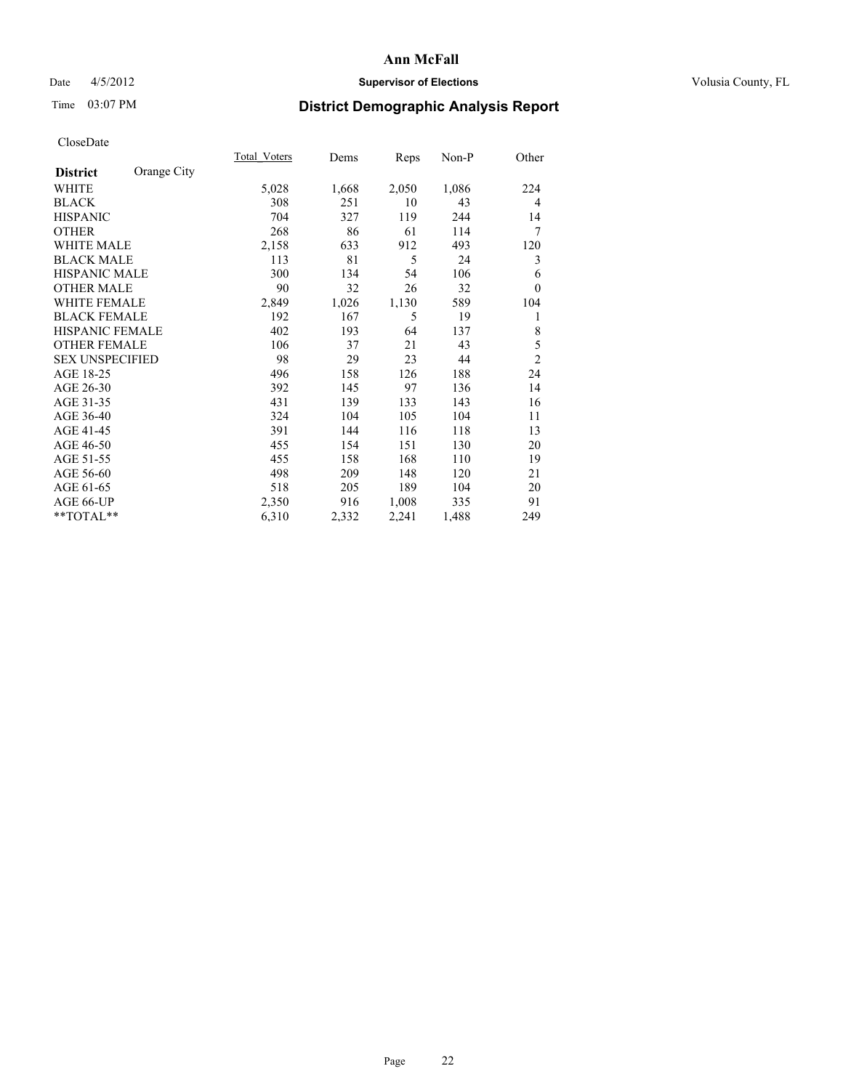### Date 4/5/2012 **Supervisor of Elections Supervisor of Elections** Volusia County, FL

# Time 03:07 PM **District Demographic Analysis Report**

|                        |             | Total Voters | Dems  | <b>Reps</b> | $Non-P$ | Other          |
|------------------------|-------------|--------------|-------|-------------|---------|----------------|
| <b>District</b>        | Orange City |              |       |             |         |                |
| WHITE                  |             | 5,028        | 1,668 | 2,050       | 1,086   | 224            |
| <b>BLACK</b>           |             | 308          | 251   | 10          | 43      | 4              |
| <b>HISPANIC</b>        |             | 704          | 327   | 119         | 244     | 14             |
| <b>OTHER</b>           |             | 268          | 86    | 61          | 114     | 7              |
| <b>WHITE MALE</b>      |             | 2,158        | 633   | 912         | 493     | 120            |
| <b>BLACK MALE</b>      |             | 113          | 81    | 5           | 24      | 3              |
| <b>HISPANIC MALE</b>   |             | 300          | 134   | 54          | 106     | 6              |
| <b>OTHER MALE</b>      |             | 90           | 32    | 26          | 32      | $\Omega$       |
| WHITE FEMALE           |             | 2,849        | 1,026 | 1,130       | 589     | 104            |
| <b>BLACK FEMALE</b>    |             | 192          | 167   | 5           | 19      | 1              |
| HISPANIC FEMALE        |             | 402          | 193   | 64          | 137     | 8              |
| <b>OTHER FEMALE</b>    |             | 106          | 37    | 21          | 43      | 5              |
| <b>SEX UNSPECIFIED</b> |             | 98           | 29    | 23          | 44      | $\overline{2}$ |
| AGE 18-25              |             | 496          | 158   | 126         | 188     | 24             |
| AGE 26-30              |             | 392          | 145   | 97          | 136     | 14             |
| AGE 31-35              |             | 431          | 139   | 133         | 143     | 16             |
| AGE 36-40              |             | 324          | 104   | 105         | 104     | 11             |
| AGE 41-45              |             | 391          | 144   | 116         | 118     | 13             |
| AGE 46-50              |             | 455          | 154   | 151         | 130     | 20             |
| AGE 51-55              |             | 455          | 158   | 168         | 110     | 19             |
| AGE 56-60              |             | 498          | 209   | 148         | 120     | 21             |
| AGE 61-65              |             | 518          | 205   | 189         | 104     | 20             |
| AGE 66-UP              |             | 2,350        | 916   | 1,008       | 335     | 91             |
| **TOTAL**              |             | 6,310        | 2,332 | 2,241       | 1,488   | 249            |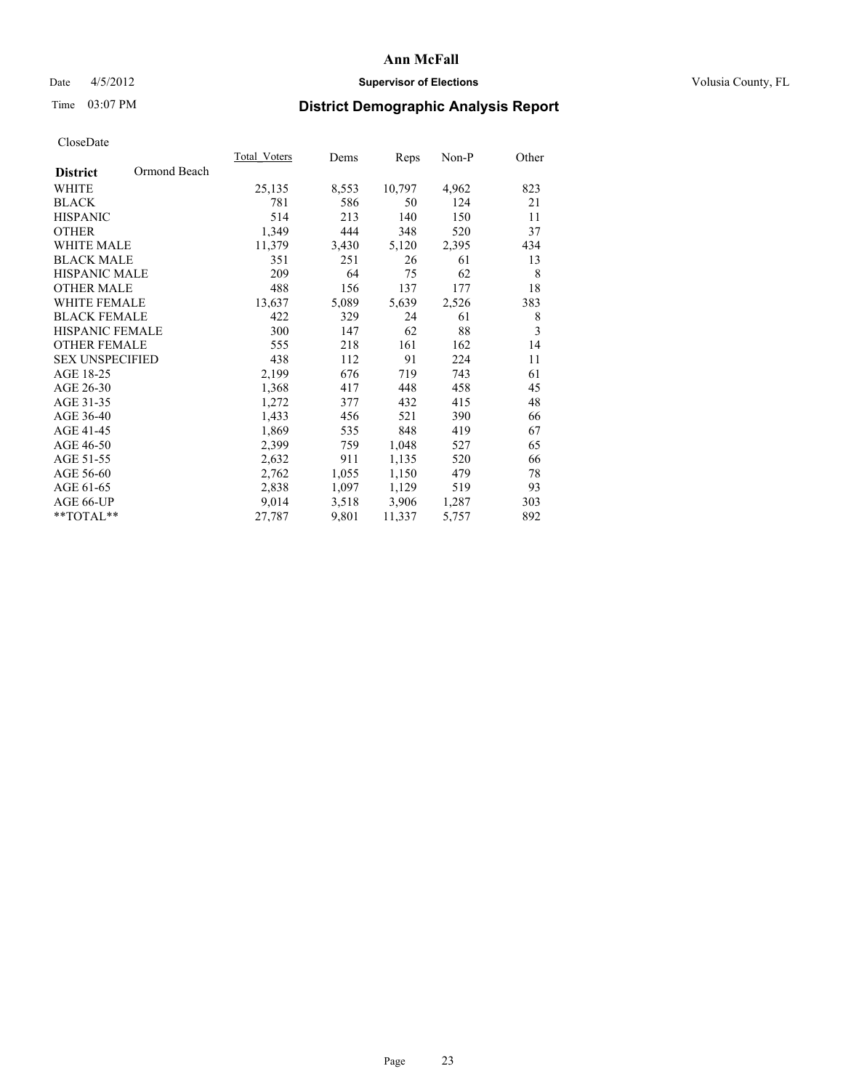### Date 4/5/2012 **Supervisor of Elections Supervisor of Elections** Volusia County, FL

## Time 03:07 PM **District Demographic Analysis Report**

|                        |              | Total Voters | Dems  | <b>Reps</b> | Non-P | Other          |
|------------------------|--------------|--------------|-------|-------------|-------|----------------|
| <b>District</b>        | Ormond Beach |              |       |             |       |                |
| WHITE                  |              | 25,135       | 8,553 | 10,797      | 4,962 | 823            |
| <b>BLACK</b>           |              | 781          | 586   | 50          | 124   | 21             |
| <b>HISPANIC</b>        |              | 514          | 213   | 140         | 150   | 11             |
| <b>OTHER</b>           |              | 1,349        | 444   | 348         | 520   | 37             |
| WHITE MALE             |              | 11,379       | 3,430 | 5,120       | 2,395 | 434            |
| <b>BLACK MALE</b>      |              | 351          | 251   | 26          | 61    | 13             |
| <b>HISPANIC MALE</b>   |              | 209          | 64    | 75          | 62    | 8              |
| <b>OTHER MALE</b>      |              | 488          | 156   | 137         | 177   | 18             |
| <b>WHITE FEMALE</b>    |              | 13,637       | 5,089 | 5,639       | 2,526 | 383            |
| <b>BLACK FEMALE</b>    |              | 422          | 329   | 24          | 61    | 8              |
| <b>HISPANIC FEMALE</b> |              | 300          | 147   | 62          | 88    | $\overline{3}$ |
| <b>OTHER FEMALE</b>    |              | 555          | 218   | 161         | 162   | 14             |
| <b>SEX UNSPECIFIED</b> |              | 438          | 112   | 91          | 224   | 11             |
| AGE 18-25              |              | 2,199        | 676   | 719         | 743   | 61             |
| AGE 26-30              |              | 1,368        | 417   | 448         | 458   | 45             |
| AGE 31-35              |              | 1,272        | 377   | 432         | 415   | 48             |
| AGE 36-40              |              | 1,433        | 456   | 521         | 390   | 66             |
| AGE 41-45              |              | 1,869        | 535   | 848         | 419   | 67             |
| AGE 46-50              |              | 2,399        | 759   | 1,048       | 527   | 65             |
| AGE 51-55              |              | 2,632        | 911   | 1,135       | 520   | 66             |
| AGE 56-60              |              | 2,762        | 1,055 | 1,150       | 479   | 78             |
| AGE 61-65              |              | 2,838        | 1,097 | 1,129       | 519   | 93             |
| AGE 66-UP              |              | 9,014        | 3,518 | 3,906       | 1,287 | 303            |
| **TOTAL**              |              | 27,787       | 9,801 | 11,337      | 5,757 | 892            |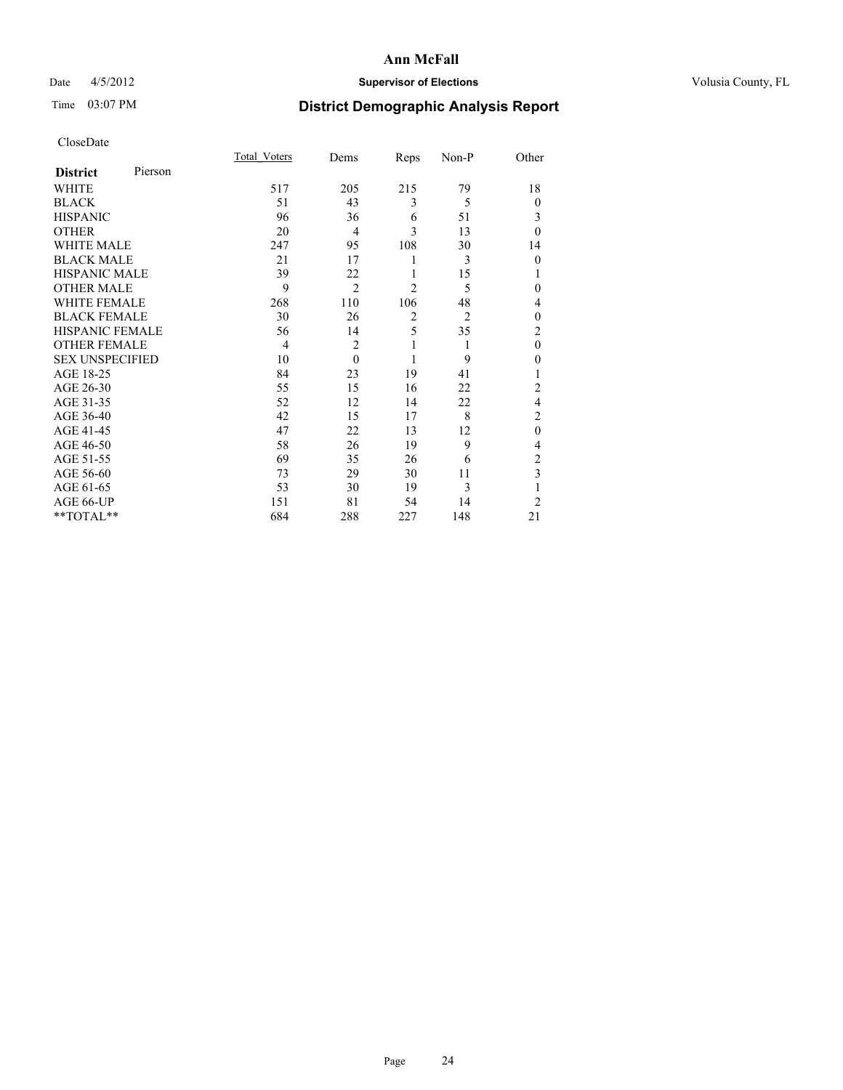### Date 4/5/2012 **Supervisor of Elections Supervisor of Elections** Volusia County, FL

## Time 03:07 PM **District Demographic Analysis Report**

|                        |         | <b>Total Voters</b> | Dems           | Reps           | Non-P          | Other          |
|------------------------|---------|---------------------|----------------|----------------|----------------|----------------|
| <b>District</b>        | Pierson |                     |                |                |                |                |
| <b>WHITE</b>           |         | 517                 | 205            | 215            | 79             | 18             |
| <b>BLACK</b>           |         | 51                  | 43             | 3              | 5              | $\Omega$       |
| <b>HISPANIC</b>        |         | 96                  | 36             | 6              | 51             | 3              |
| <b>OTHER</b>           |         | 20                  | $\overline{4}$ | 3              | 13             | $\theta$       |
| WHITE MALE             |         | 247                 | 95             | 108            | 30             | 14             |
| <b>BLACK MALE</b>      |         | 21                  | 17             | 1              | 3              | $\mathbf{0}$   |
| <b>HISPANIC MALE</b>   |         | 39                  | 22             | 1              | 15             | 1              |
| <b>OTHER MALE</b>      |         | 9                   | $\overline{2}$ | $\overline{c}$ | 5              | 0              |
| WHITE FEMALE           |         | 268                 | 110            | 106            | 48             | 4              |
| <b>BLACK FEMALE</b>    |         | 30                  | 26             | $\overline{2}$ | $\overline{2}$ | $\theta$       |
| <b>HISPANIC FEMALE</b> |         | 56                  | 14             | 5              | 35             | $\overline{c}$ |
| <b>OTHER FEMALE</b>    |         | $\overline{4}$      | $\overline{c}$ | 1              | 1              | $\theta$       |
| <b>SEX UNSPECIFIED</b> |         | 10                  | $\theta$       | 1              | 9              | $\theta$       |
| AGE 18-25              |         | 84                  | 23             | 19             | 41             |                |
| AGE 26-30              |         | 55                  | 15             | 16             | 22             | $\overline{c}$ |
| AGE 31-35              |         | 52                  | 12             | 14             | 22             | 4              |
| AGE 36-40              |         | 42                  | 15             | 17             | 8              | $\overline{c}$ |
| AGE 41-45              |         | 47                  | 22             | 13             | 12             | $\mathbf{0}$   |
| AGE 46-50              |         | 58                  | 26             | 19             | 9              | 4              |
| AGE 51-55              |         | 69                  | 35             | 26             | 6              | 2              |
| AGE 56-60              |         | 73                  | 29             | 30             | 11             | 3              |
| AGE 61-65              |         | 53                  | 30             | 19             | 3              | 1              |
| AGE 66-UP              |         | 151                 | 81             | 54             | 14             | $\overline{2}$ |
| **TOTAL**              |         | 684                 | 288            | 227            | 148            | 21             |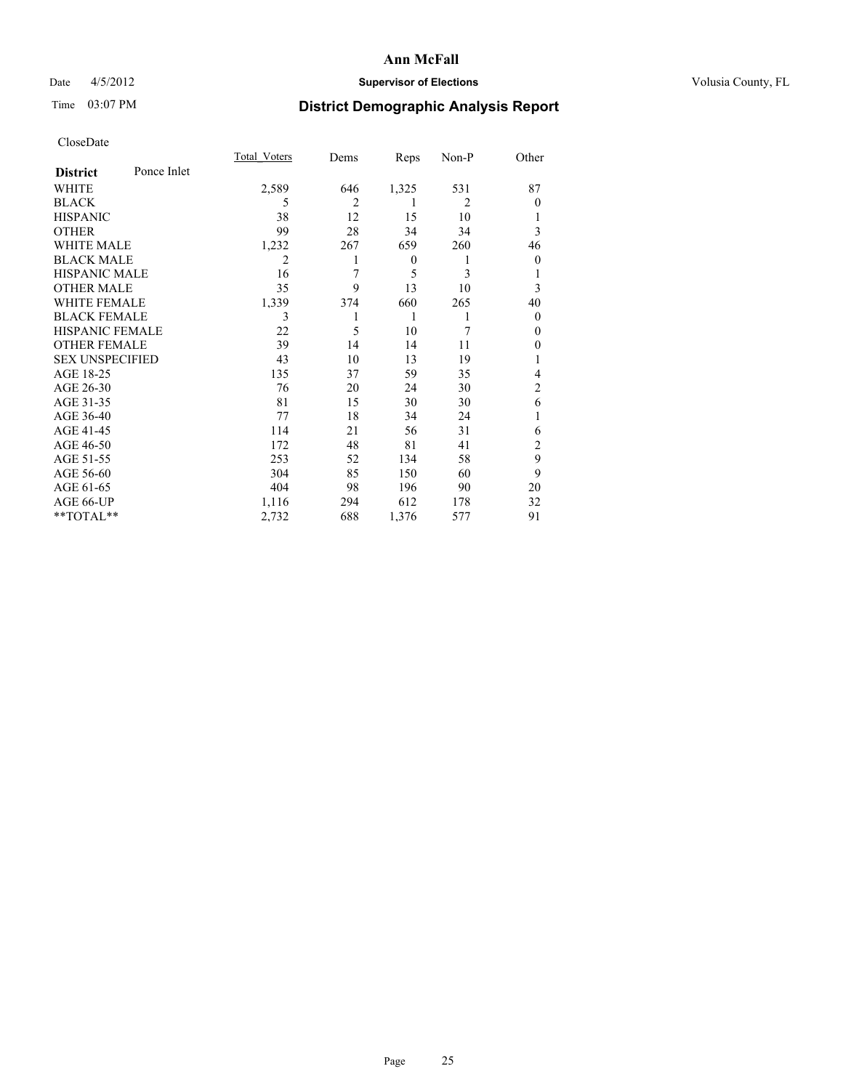### Date 4/5/2012 **Supervisor of Elections Supervisor of Elections** Volusia County, FL

## Time 03:07 PM **District Demographic Analysis Report**

|                        |             | <b>Total Voters</b> | Dems           | Reps             | Non-P          | Other          |
|------------------------|-------------|---------------------|----------------|------------------|----------------|----------------|
| <b>District</b>        | Ponce Inlet |                     |                |                  |                |                |
| WHITE                  |             | 2,589               | 646            | 1,325            | 531            | 87             |
| <b>BLACK</b>           |             | 5                   | $\overline{2}$ | 1                | $\overline{2}$ | $\Omega$       |
| <b>HISPANIC</b>        |             | 38                  | 12             | 15               | 10             |                |
| <b>OTHER</b>           |             | 99                  | 28             | 34               | 34             | 3              |
| WHITE MALE             |             | 1,232               | 267            | 659              | 260            | 46             |
| <b>BLACK MALE</b>      |             | 2                   |                | $\boldsymbol{0}$ | 1              | $\overline{0}$ |
| <b>HISPANIC MALE</b>   |             | 16                  | 7              | 5                | 3              |                |
| <b>OTHER MALE</b>      |             | 35                  | 9              | 13               | 10             | 3              |
| <b>WHITE FEMALE</b>    |             | 1,339               | 374            | 660              | 265            | 40             |
| <b>BLACK FEMALE</b>    |             | 3                   |                | 1                | 1              | $\overline{0}$ |
| <b>HISPANIC FEMALE</b> |             | 22                  | 5              | 10               | 7              | $\Omega$       |
| <b>OTHER FEMALE</b>    |             | 39                  | 14             | 14               | 11             | $\Omega$       |
| <b>SEX UNSPECIFIED</b> |             | 43                  | 10             | 13               | 19             |                |
| AGE 18-25              |             | 135                 | 37             | 59               | 35             | 4              |
| AGE 26-30              |             | 76                  | 20             | 24               | 30             | $\overline{2}$ |
| AGE 31-35              |             | 81                  | 15             | 30               | 30             | 6              |
| AGE 36-40              |             | 77                  | 18             | 34               | 24             |                |
| AGE 41-45              |             | 114                 | 21             | 56               | 31             | 6              |
| AGE 46-50              |             | 172                 | 48             | 81               | 41             | 2              |
| AGE 51-55              |             | 253                 | 52             | 134              | 58             | 9              |
| AGE 56-60              |             | 304                 | 85             | 150              | 60             | 9              |
| AGE 61-65              |             | 404                 | 98             | 196              | 90             | 20             |
| AGE 66-UP              |             | 1,116               | 294            | 612              | 178            | 32             |
| **TOTAL**              |             | 2,732               | 688            | 1,376            | 577            | 91             |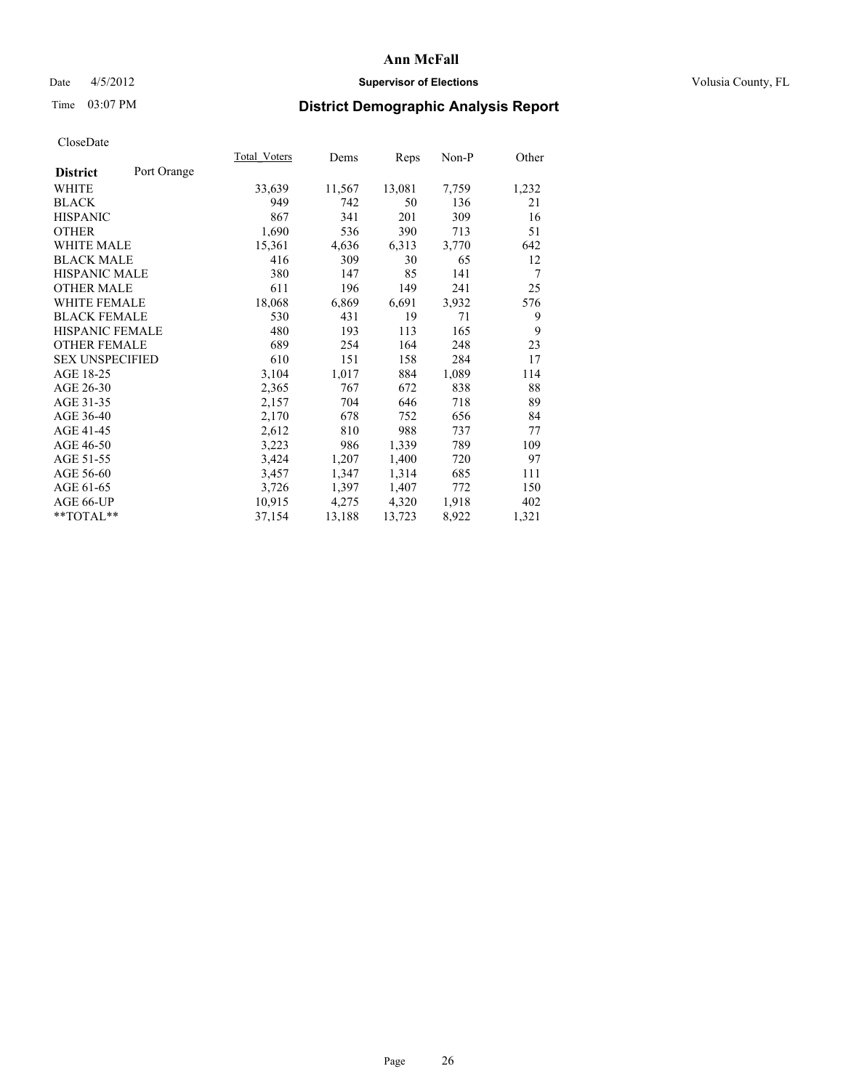### Date 4/5/2012 **Supervisor of Elections Supervisor of Elections** Volusia County, FL

# Time 03:07 PM **District Demographic Analysis Report**

|                        |             | Total Voters | Dems   | <b>Reps</b> | Non-P | Other          |
|------------------------|-------------|--------------|--------|-------------|-------|----------------|
| <b>District</b>        | Port Orange |              |        |             |       |                |
| WHITE                  |             | 33,639       | 11,567 | 13,081      | 7,759 | 1,232          |
| <b>BLACK</b>           |             | 949          | 742    | 50          | 136   | 21             |
| <b>HISPANIC</b>        |             | 867          | 341    | 201         | 309   | 16             |
| <b>OTHER</b>           |             | 1,690        | 536    | 390         | 713   | 51             |
| <b>WHITE MALE</b>      |             | 15,361       | 4,636  | 6,313       | 3,770 | 642            |
| <b>BLACK MALE</b>      |             | 416          | 309    | 30          | 65    | 12             |
| <b>HISPANIC MALE</b>   |             | 380          | 147    | 85          | 141   | $\overline{7}$ |
| <b>OTHER MALE</b>      |             | 611          | 196    | 149         | 241   | 25             |
| <b>WHITE FEMALE</b>    |             | 18,068       | 6,869  | 6,691       | 3,932 | 576            |
| <b>BLACK FEMALE</b>    |             | 530          | 431    | 19          | 71    | 9              |
| <b>HISPANIC FEMALE</b> |             | 480          | 193    | 113         | 165   | 9              |
| <b>OTHER FEMALE</b>    |             | 689          | 254    | 164         | 248   | 23             |
| <b>SEX UNSPECIFIED</b> |             | 610          | 151    | 158         | 284   | 17             |
| AGE 18-25              |             | 3,104        | 1,017  | 884         | 1,089 | 114            |
| AGE 26-30              |             | 2,365        | 767    | 672         | 838   | 88             |
| AGE 31-35              |             | 2,157        | 704    | 646         | 718   | 89             |
| AGE 36-40              |             | 2,170        | 678    | 752         | 656   | 84             |
| AGE 41-45              |             | 2,612        | 810    | 988         | 737   | 77             |
| AGE 46-50              |             | 3,223        | 986    | 1,339       | 789   | 109            |
| AGE 51-55              |             | 3,424        | 1,207  | 1,400       | 720   | 97             |
| AGE 56-60              |             | 3,457        | 1,347  | 1,314       | 685   | 111            |
| AGE 61-65              |             | 3,726        | 1,397  | 1,407       | 772   | 150            |
| AGE 66-UP              |             | 10.915       | 4,275  | 4,320       | 1,918 | 402            |
| $*$ TOTAL $*$          |             | 37,154       | 13,188 | 13,723      | 8,922 | 1,321          |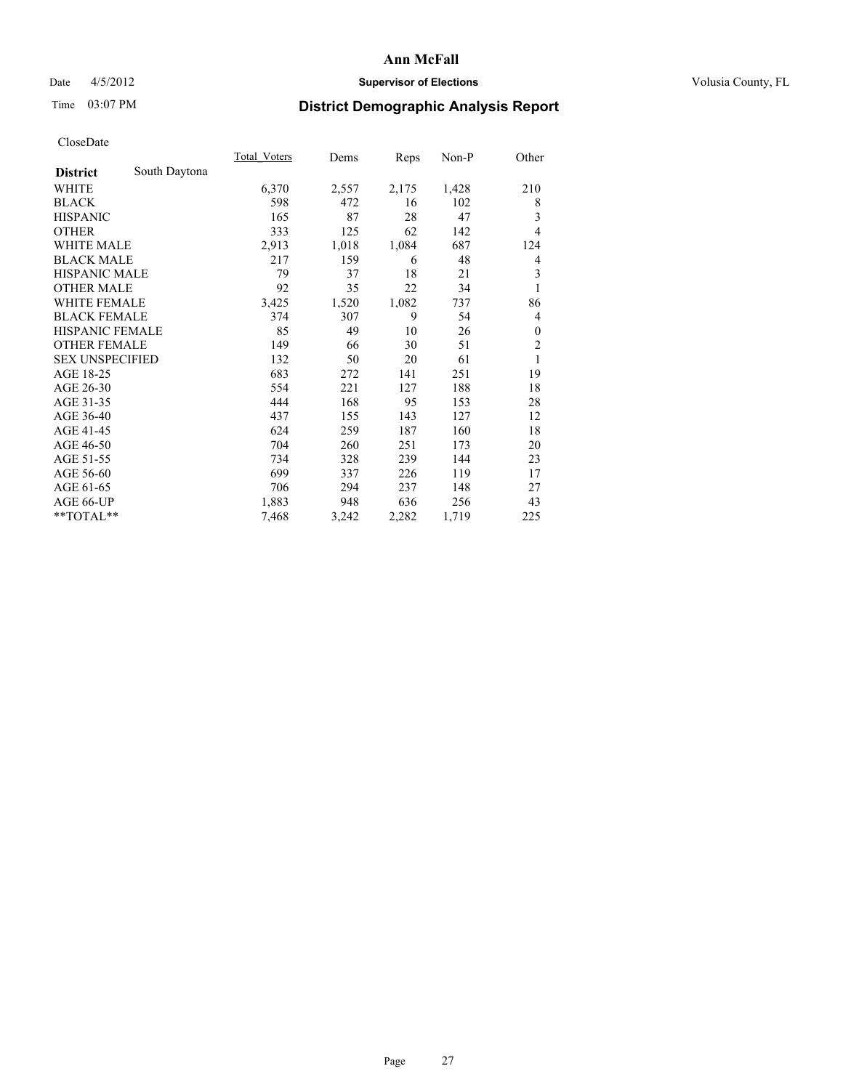### Date 4/5/2012 **Supervisor of Elections Supervisor of Elections** Volusia County, FL

## Time 03:07 PM **District Demographic Analysis Report**

|                        |               | <b>Total Voters</b> | Dems  | Reps  | Non-P | Other          |
|------------------------|---------------|---------------------|-------|-------|-------|----------------|
| <b>District</b>        | South Daytona |                     |       |       |       |                |
| WHITE                  |               | 6,370               | 2,557 | 2,175 | 1,428 | 210            |
| <b>BLACK</b>           |               | 598                 | 472   | 16    | 102   | 8              |
| <b>HISPANIC</b>        |               | 165                 | 87    | 28    | 47    | 3              |
| <b>OTHER</b>           |               | 333                 | 125   | 62    | 142   | $\overline{4}$ |
| WHITE MALE             |               | 2,913               | 1,018 | 1,084 | 687   | 124            |
| <b>BLACK MALE</b>      |               | 217                 | 159   | 6     | 48    | 4              |
| <b>HISPANIC MALE</b>   |               | 79                  | 37    | 18    | 21    | 3              |
| <b>OTHER MALE</b>      |               | 92                  | 35    | 22    | 34    | 1              |
| <b>WHITE FEMALE</b>    |               | 3,425               | 1,520 | 1,082 | 737   | 86             |
| <b>BLACK FEMALE</b>    |               | 374                 | 307   | 9     | 54    | 4              |
| <b>HISPANIC FEMALE</b> |               | 85                  | 49    | 10    | 26    | $\Omega$       |
| <b>OTHER FEMALE</b>    |               | 149                 | 66    | 30    | 51    | $\overline{c}$ |
| <b>SEX UNSPECIFIED</b> |               | 132                 | 50    | 20    | 61    | 1              |
| AGE 18-25              |               | 683                 | 272   | 141   | 251   | 19             |
| AGE 26-30              |               | 554                 | 221   | 127   | 188   | 18             |
| AGE 31-35              |               | 444                 | 168   | 95    | 153   | 28             |
| AGE 36-40              |               | 437                 | 155   | 143   | 127   | 12             |
| AGE 41-45              |               | 624                 | 259   | 187   | 160   | 18             |
| AGE 46-50              |               | 704                 | 260   | 251   | 173   | 20             |
| AGE 51-55              |               | 734                 | 328   | 239   | 144   | 23             |
| AGE 56-60              |               | 699                 | 337   | 226   | 119   | 17             |
| AGE 61-65              |               | 706                 | 294   | 237   | 148   | 27             |
| AGE 66-UP              |               | 1,883               | 948   | 636   | 256   | 43             |
| **TOTAL**              |               | 7,468               | 3,242 | 2,282 | 1,719 | 225            |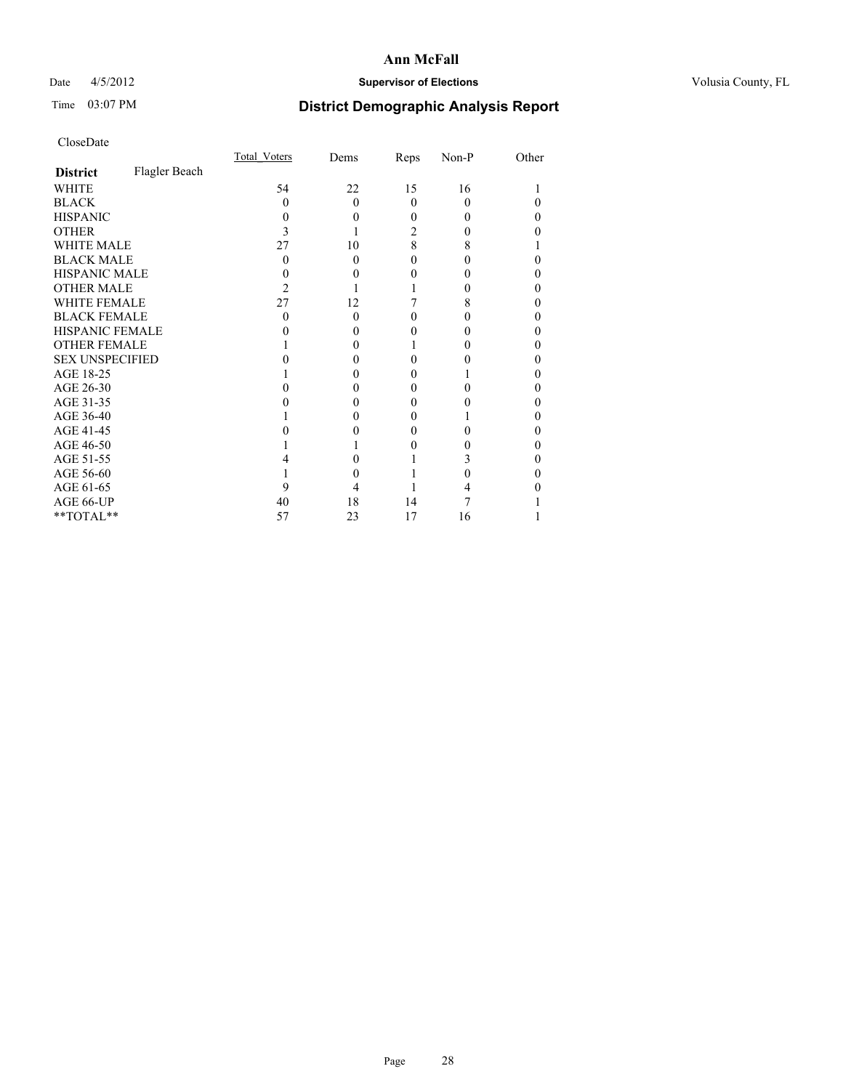### Date 4/5/2012 **Supervisor of Elections Supervisor of Elections** Volusia County, FL

# Time 03:07 PM **District Demographic Analysis Report**

|                        |               | <b>Total Voters</b> | Dems     | Reps     | Non-P    | Other |
|------------------------|---------------|---------------------|----------|----------|----------|-------|
| <b>District</b>        | Flagler Beach |                     |          |          |          |       |
| WHITE                  |               | 54                  | 22       | 15       | 16       |       |
| <b>BLACK</b>           |               | 0                   | $\Omega$ | $\theta$ | $\Omega$ |       |
| <b>HISPANIC</b>        |               | 0                   | 0        | 0        | $\theta$ | 0     |
| <b>OTHER</b>           |               |                     |          | 2        |          |       |
| <b>WHITE MALE</b>      |               | 27                  | 10       | 8        | 8        |       |
| <b>BLACK MALE</b>      |               | 0                   | 0        | 0        | 0        |       |
| <b>HISPANIC MALE</b>   |               |                     |          |          |          |       |
| <b>OTHER MALE</b>      |               | 2                   |          |          | 0        | 0     |
| <b>WHITE FEMALE</b>    |               | 27                  | 12       |          | 8        |       |
| <b>BLACK FEMALE</b>    |               | 0                   | $\Omega$ | 0        | $\theta$ | 0     |
| <b>HISPANIC FEMALE</b> |               |                     |          |          |          |       |
| <b>OTHER FEMALE</b>    |               |                     |          |          |          | 0     |
| <b>SEX UNSPECIFIED</b> |               |                     |          |          |          |       |
| AGE 18-25              |               |                     |          | 0        |          |       |
| AGE 26-30              |               |                     |          | 0        |          |       |
| AGE 31-35              |               |                     |          |          |          | 0     |
| AGE 36-40              |               |                     | 0        | 0        |          | 0     |
| AGE 41-45              |               |                     |          |          |          |       |
| AGE 46-50              |               |                     |          | 0        |          | 0     |
| AGE 51-55              |               |                     |          |          |          |       |
| AGE 56-60              |               |                     |          |          |          |       |
| AGE 61-65              |               | 9                   |          |          |          |       |
| AGE 66-UP              |               | 40                  | 18       | 14       |          |       |
| **TOTAL**              |               | 57                  | 23       | 17       | 16       |       |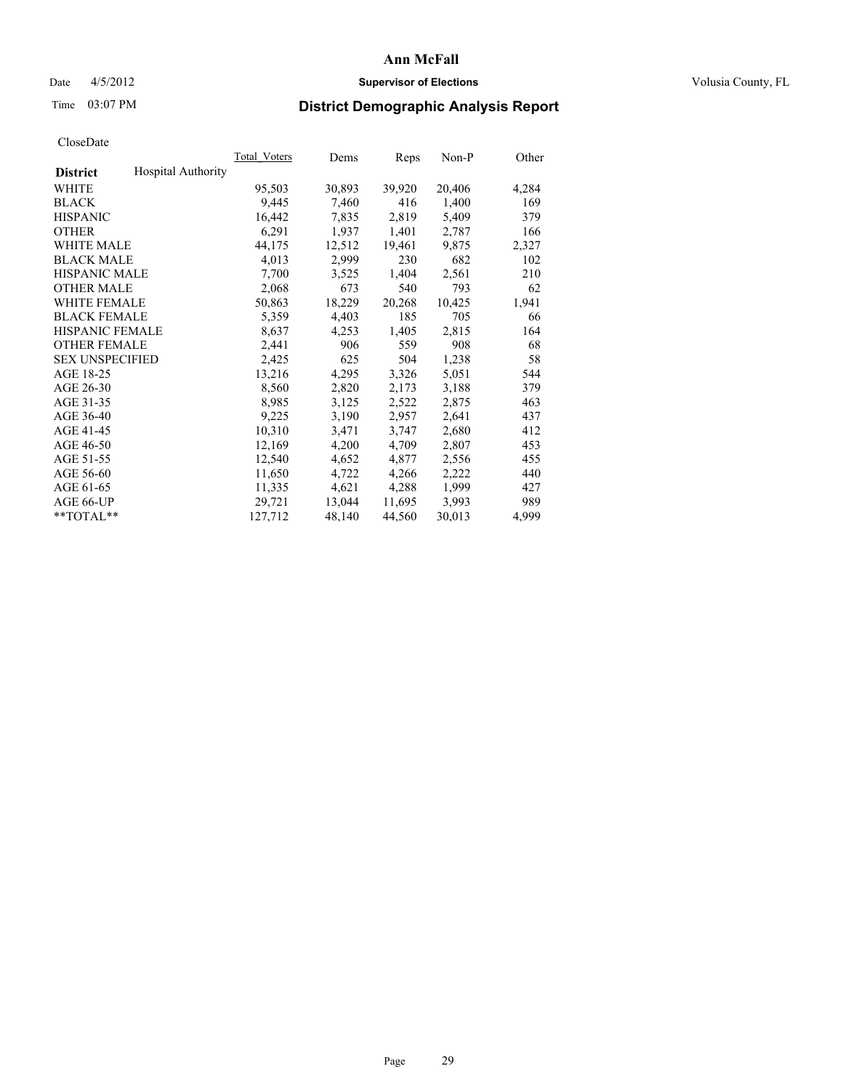### Date 4/5/2012 **Supervisor of Elections Supervisor of Elections** Volusia County, FL

# Time 03:07 PM **District Demographic Analysis Report**

| Total Voters              | Dems   | <b>Reps</b> | Non-P  | Other |
|---------------------------|--------|-------------|--------|-------|
| <b>Hospital Authority</b> |        |             |        |       |
| 95,503                    | 30,893 | 39,920      | 20,406 | 4,284 |
| 9,445                     | 7,460  | 416         | 1,400  | 169   |
| 16,442                    | 7,835  | 2,819       | 5,409  | 379   |
| 6,291                     | 1,937  | 1,401       | 2,787  | 166   |
| 44,175                    | 12,512 | 19,461      | 9,875  | 2,327 |
| 4,013                     | 2,999  | 230         | 682    | 102   |
| 7,700                     | 3,525  | 1,404       | 2,561  | 210   |
| 2,068                     | 673    | 540         | 793    | 62    |
| 50,863                    | 18,229 | 20,268      | 10,425 | 1,941 |
| 5,359                     | 4,403  | 185         | 705    | 66    |
| 8,637                     | 4,253  | 1,405       | 2,815  | 164   |
| 2,441                     | 906    | 559         | 908    | 68    |
| 2,425                     | 625    | 504         | 1,238  | 58    |
| 13,216                    | 4,295  | 3,326       | 5,051  | 544   |
| 8,560                     | 2,820  | 2,173       | 3,188  | 379   |
| 8,985                     | 3,125  | 2,522       | 2,875  | 463   |
| 9,225                     | 3,190  | 2,957       | 2,641  | 437   |
| 10,310                    | 3,471  | 3,747       | 2,680  | 412   |
| 12,169                    | 4,200  | 4,709       | 2,807  | 453   |
| 12,540                    | 4,652  | 4,877       | 2,556  | 455   |
| 11,650                    | 4,722  | 4,266       | 2,222  | 440   |
| 11,335                    | 4,621  | 4,288       | 1,999  | 427   |
| 29,721                    | 13,044 | 11,695      | 3,993  | 989   |
| 127,712                   | 48,140 | 44,560      | 30,013 | 4,999 |
|                           |        |             |        |       |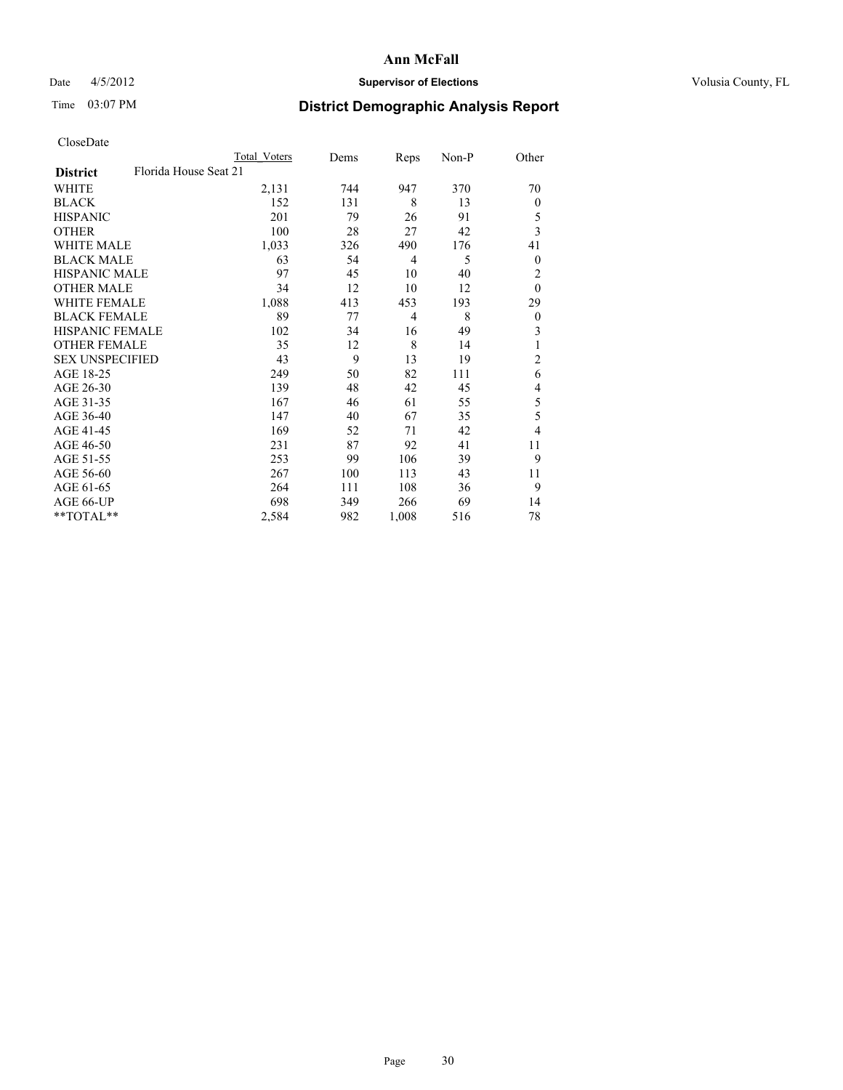### Date 4/5/2012 **Supervisor of Elections Supervisor of Elections** Volusia County, FL

## Time 03:07 PM **District Demographic Analysis Report**

|                        |                       | <b>Total Voters</b> | Dems | Reps           | Non-P | Other          |
|------------------------|-----------------------|---------------------|------|----------------|-------|----------------|
| <b>District</b>        | Florida House Seat 21 |                     |      |                |       |                |
| WHITE                  |                       | 2,131               | 744  | 947            | 370   | 70             |
| <b>BLACK</b>           |                       | 152                 | 131  | 8              | 13    | $\mathbf{0}$   |
| <b>HISPANIC</b>        |                       | 201                 | 79   | 26             | 91    | 5              |
| <b>OTHER</b>           |                       | 100                 | 28   | 27             | 42    | 3              |
| WHITE MALE             |                       | 1,033               | 326  | 490            | 176   | 41             |
| <b>BLACK MALE</b>      |                       | 63                  | 54   | 4              | 5     | 0              |
| <b>HISPANIC MALE</b>   |                       | 97                  | 45   | 10             | 40    | $\overline{c}$ |
| <b>OTHER MALE</b>      |                       | 34                  | 12   | 10             | 12    | $\mathbf{0}$   |
| <b>WHITE FEMALE</b>    |                       | 1,088               | 413  | 453            | 193   | 29             |
| <b>BLACK FEMALE</b>    |                       | 89                  | 77   | $\overline{4}$ | 8     | $\overline{0}$ |
| <b>HISPANIC FEMALE</b> |                       | 102                 | 34   | 16             | 49    | 3              |
| <b>OTHER FEMALE</b>    |                       | 35                  | 12   | 8              | 14    | 1              |
| <b>SEX UNSPECIFIED</b> |                       | 43                  | 9    | 13             | 19    | $\overline{c}$ |
| AGE 18-25              |                       | 249                 | 50   | 82             | 111   | 6              |
| AGE 26-30              |                       | 139                 | 48   | 42             | 45    | 4              |
| AGE 31-35              |                       | 167                 | 46   | 61             | 55    | 5              |
| AGE 36-40              |                       | 147                 | 40   | 67             | 35    | 5              |
| AGE 41-45              |                       | 169                 | 52   | 71             | 42    | 4              |
| AGE 46-50              |                       | 231                 | 87   | 92             | 41    | 11             |
| AGE 51-55              |                       | 253                 | 99   | 106            | 39    | 9              |
| AGE 56-60              |                       | 267                 | 100  | 113            | 43    | 11             |
| AGE 61-65              |                       | 264                 | 111  | 108            | 36    | 9              |
| AGE 66-UP              |                       | 698                 | 349  | 266            | 69    | 14             |
| **TOTAL**              |                       | 2,584               | 982  | 1,008          | 516   | 78             |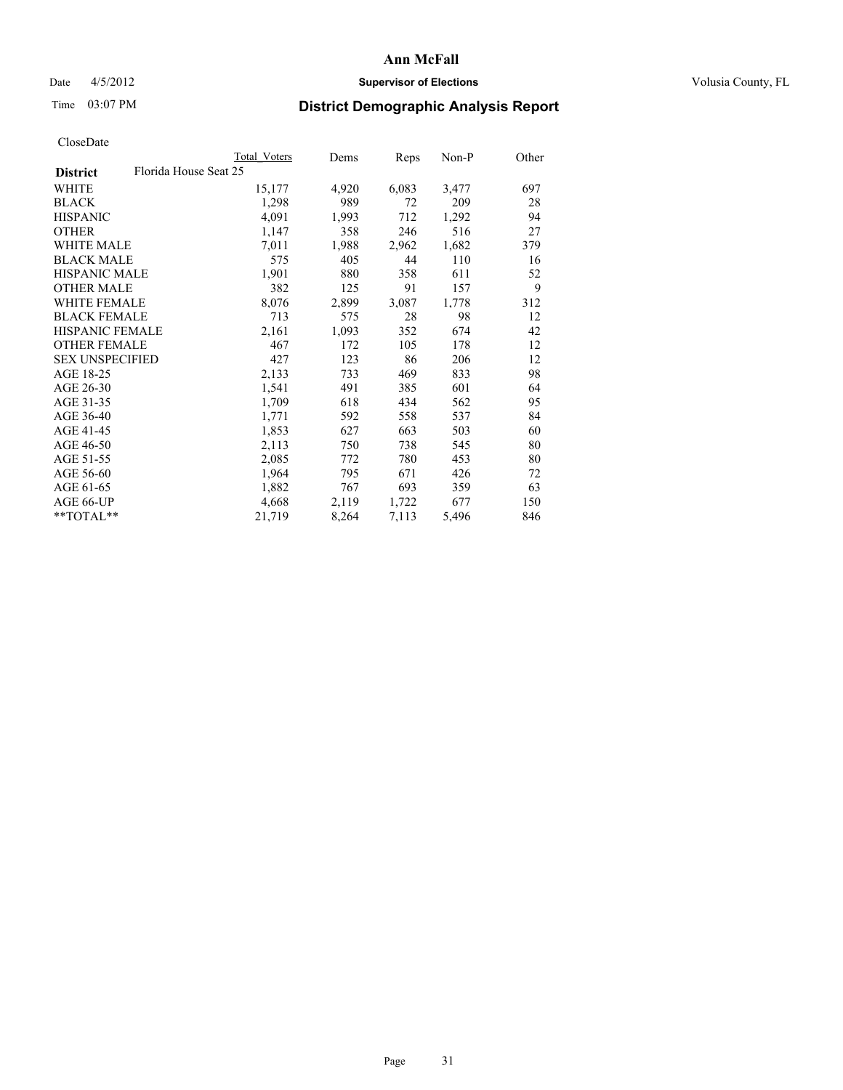### Date 4/5/2012 **Supervisor of Elections Supervisor of Elections** Volusia County, FL

# Time 03:07 PM **District Demographic Analysis Report**

|                                          | <b>Total Voters</b> | Dems  | <b>Reps</b> | $Non-P$ | Other |
|------------------------------------------|---------------------|-------|-------------|---------|-------|
| Florida House Seat 25<br><b>District</b> |                     |       |             |         |       |
| WHITE                                    | 15,177              | 4,920 | 6,083       | 3,477   | 697   |
| <b>BLACK</b>                             | 1,298               | 989   | 72          | 209     | 28    |
| <b>HISPANIC</b>                          | 4,091               | 1,993 | 712         | 1,292   | 94    |
| <b>OTHER</b>                             | 1,147               | 358   | 246         | 516     | 27    |
| WHITE MALE                               | 7.011               | 1,988 | 2,962       | 1,682   | 379   |
| <b>BLACK MALE</b>                        | 575                 | 405   | 44          | 110     | 16    |
| <b>HISPANIC MALE</b>                     | 1,901               | 880   | 358         | 611     | 52    |
| <b>OTHER MALE</b>                        | 382                 | 125   | 91          | 157     | 9     |
| <b>WHITE FEMALE</b>                      | 8,076               | 2,899 | 3,087       | 1,778   | 312   |
| <b>BLACK FEMALE</b>                      | 713                 | 575   | 28          | 98      | 12    |
| HISPANIC FEMALE                          | 2,161               | 1,093 | 352         | 674     | 42    |
| <b>OTHER FEMALE</b>                      | 467                 | 172   | 105         | 178     | 12    |
| <b>SEX UNSPECIFIED</b>                   | 427                 | 123   | 86          | 206     | 12    |
| AGE 18-25                                | 2,133               | 733   | 469         | 833     | 98    |
| AGE 26-30                                | 1,541               | 491   | 385         | 601     | 64    |
| AGE 31-35                                | 1,709               | 618   | 434         | 562     | 95    |
| AGE 36-40                                | 1,771               | 592   | 558         | 537     | 84    |
| AGE 41-45                                | 1,853               | 627   | 663         | 503     | 60    |
| AGE 46-50                                | 2,113               | 750   | 738         | 545     | 80    |
| AGE 51-55                                | 2,085               | 772   | 780         | 453     | 80    |
| AGE 56-60                                | 1,964               | 795   | 671         | 426     | 72    |
| AGE 61-65                                | 1,882               | 767   | 693         | 359     | 63    |
| AGE 66-UP                                | 4,668               | 2,119 | 1,722       | 677     | 150   |
| $*$ TOTAL $*$                            | 21,719              | 8,264 | 7,113       | 5,496   | 846   |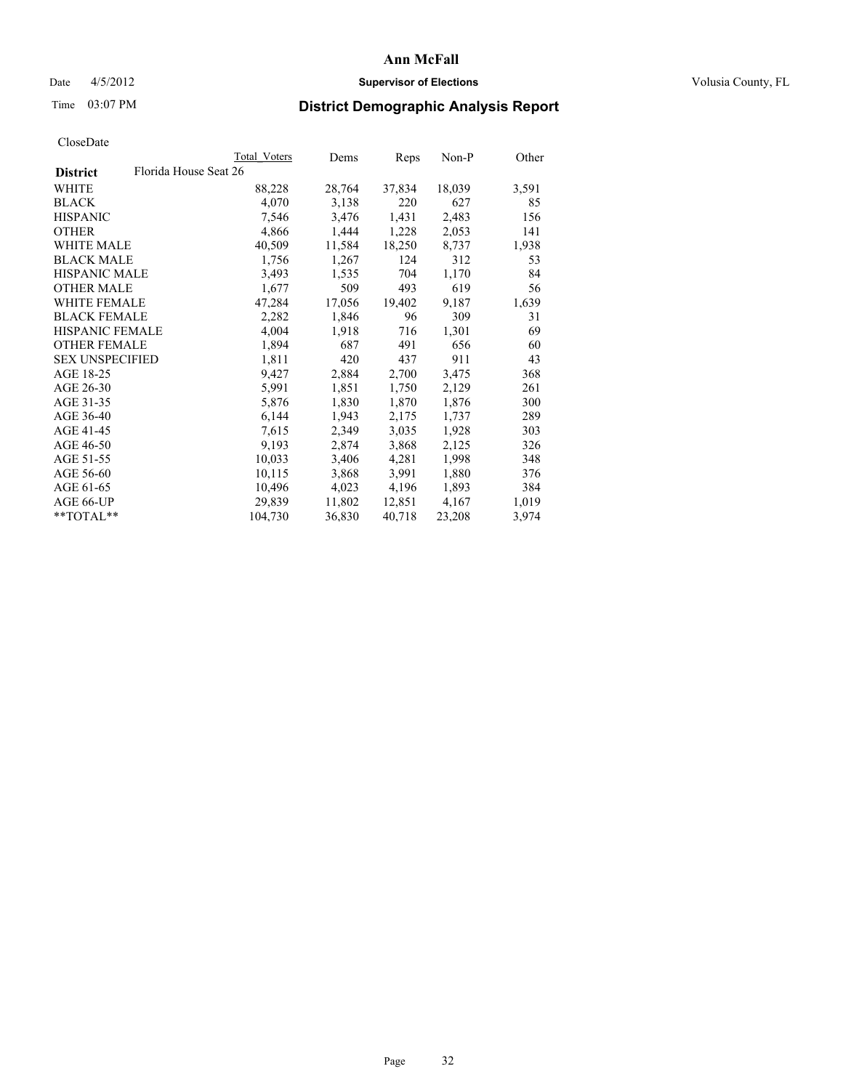### Date 4/5/2012 **Supervisor of Elections Supervisor of Elections** Volusia County, FL

# Time 03:07 PM **District Demographic Analysis Report**

|                                          | <b>Total Voters</b> | Dems   | Reps   | Non-P  | Other |
|------------------------------------------|---------------------|--------|--------|--------|-------|
| Florida House Seat 26<br><b>District</b> |                     |        |        |        |       |
| WHITE                                    | 88,228              | 28,764 | 37,834 | 18,039 | 3,591 |
| <b>BLACK</b>                             | 4,070               | 3,138  | 220    | 627    | 85    |
| <b>HISPANIC</b>                          | 7,546               | 3,476  | 1,431  | 2,483  | 156   |
| <b>OTHER</b>                             | 4,866               | 1,444  | 1,228  | 2,053  | 141   |
| WHITE MALE                               | 40,509              | 11,584 | 18,250 | 8,737  | 1,938 |
| <b>BLACK MALE</b>                        | 1,756               | 1,267  | 124    | 312    | 53    |
| <b>HISPANIC MALE</b>                     | 3,493               | 1,535  | 704    | 1,170  | 84    |
| <b>OTHER MALE</b>                        | 1,677               | 509    | 493    | 619    | 56    |
| <b>WHITE FEMALE</b>                      | 47,284              | 17,056 | 19,402 | 9,187  | 1,639 |
| <b>BLACK FEMALE</b>                      | 2,282               | 1,846  | 96     | 309    | 31    |
| HISPANIC FEMALE                          | 4,004               | 1,918  | 716    | 1,301  | 69    |
| <b>OTHER FEMALE</b>                      | 1,894               | 687    | 491    | 656    | 60    |
| <b>SEX UNSPECIFIED</b>                   | 1,811               | 420    | 437    | 911    | 43    |
| AGE 18-25                                | 9,427               | 2,884  | 2,700  | 3,475  | 368   |
| AGE 26-30                                | 5,991               | 1,851  | 1,750  | 2,129  | 261   |
| AGE 31-35                                | 5,876               | 1,830  | 1,870  | 1,876  | 300   |
| AGE 36-40                                | 6,144               | 1,943  | 2,175  | 1,737  | 289   |
| AGE 41-45                                | 7,615               | 2,349  | 3,035  | 1,928  | 303   |
| AGE 46-50                                | 9,193               | 2,874  | 3,868  | 2,125  | 326   |
| AGE 51-55                                | 10,033              | 3,406  | 4,281  | 1,998  | 348   |
| AGE 56-60                                | 10,115              | 3,868  | 3,991  | 1,880  | 376   |
| AGE 61-65                                | 10,496              | 4,023  | 4,196  | 1,893  | 384   |
| AGE 66-UP                                | 29,839              | 11,802 | 12,851 | 4,167  | 1,019 |
| $*$ $TOTAL**$                            | 104,730             | 36,830 | 40,718 | 23,208 | 3,974 |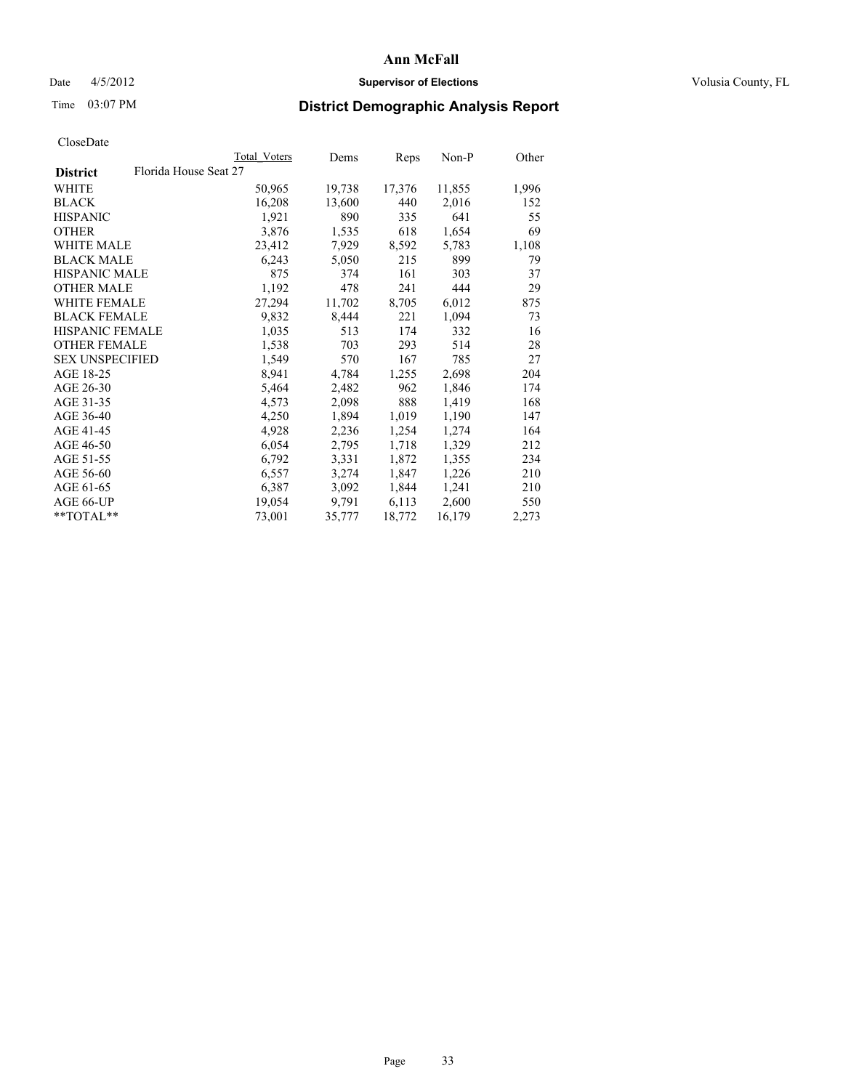### Date  $4/5/2012$  **Supervisor of Elections Supervisor of Elections** Volusia County, FL

# Time 03:07 PM **District Demographic Analysis Report**

|                        |                       | Total Voters | Dems   | <b>Reps</b> | Non-P  | Other |
|------------------------|-----------------------|--------------|--------|-------------|--------|-------|
| <b>District</b>        | Florida House Seat 27 |              |        |             |        |       |
| <b>WHITE</b>           |                       | 50,965       | 19,738 | 17,376      | 11,855 | 1,996 |
| <b>BLACK</b>           |                       | 16,208       | 13,600 | 440         | 2,016  | 152   |
| <b>HISPANIC</b>        |                       | 1,921        | 890    | 335         | 641    | 55    |
| <b>OTHER</b>           |                       | 3,876        | 1,535  | 618         | 1,654  | 69    |
| WHITE MALE             |                       | 23,412       | 7,929  | 8,592       | 5,783  | 1,108 |
| <b>BLACK MALE</b>      |                       | 6,243        | 5,050  | 215         | 899    | 79    |
| <b>HISPANIC MALE</b>   |                       | 875          | 374    | 161         | 303    | 37    |
| <b>OTHER MALE</b>      |                       | 1,192        | 478    | 241         | 444    | 29    |
| WHITE FEMALE           |                       | 27,294       | 11,702 | 8,705       | 6,012  | 875   |
| <b>BLACK FEMALE</b>    |                       | 9,832        | 8,444  | 221         | 1,094  | 73    |
| HISPANIC FEMALE        |                       | 1,035        | 513    | 174         | 332    | 16    |
| <b>OTHER FEMALE</b>    |                       | 1,538        | 703    | 293         | 514    | 28    |
| <b>SEX UNSPECIFIED</b> |                       | 1,549        | 570    | 167         | 785    | 27    |
| AGE 18-25              |                       | 8,941        | 4,784  | 1,255       | 2,698  | 204   |
| AGE 26-30              |                       | 5,464        | 2,482  | 962         | 1,846  | 174   |
| AGE 31-35              |                       | 4,573        | 2,098  | 888         | 1,419  | 168   |
| AGE 36-40              |                       | 4,250        | 1,894  | 1,019       | 1,190  | 147   |
| AGE 41-45              |                       | 4,928        | 2,236  | 1,254       | 1,274  | 164   |
| AGE 46-50              |                       | 6,054        | 2,795  | 1,718       | 1,329  | 212   |
| AGE 51-55              |                       | 6,792        | 3,331  | 1,872       | 1,355  | 234   |
| AGE 56-60              |                       | 6,557        | 3,274  | 1,847       | 1,226  | 210   |
| AGE 61-65              |                       | 6,387        | 3,092  | 1,844       | 1,241  | 210   |
| AGE 66-UP              |                       | 19,054       | 9,791  | 6,113       | 2,600  | 550   |
| $*$ TOTAL $*$          |                       | 73,001       | 35,777 | 18,772      | 16,179 | 2,273 |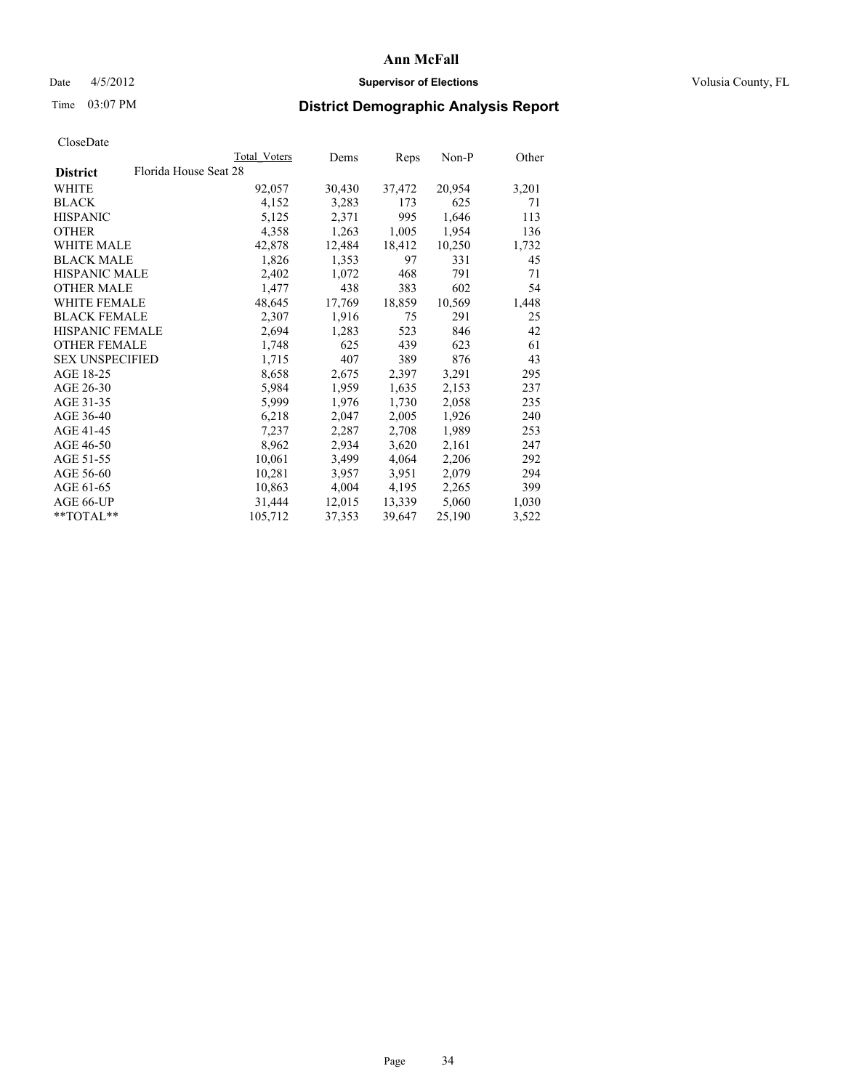### Date 4/5/2012 **Supervisor of Elections Supervisor of Elections** Volusia County, FL

# Time 03:07 PM **District Demographic Analysis Report**

|                                          | Total Voters | Dems   | <b>Reps</b> | Non-P  | Other |
|------------------------------------------|--------------|--------|-------------|--------|-------|
| Florida House Seat 28<br><b>District</b> |              |        |             |        |       |
| WHITE                                    | 92,057       | 30,430 | 37,472      | 20,954 | 3,201 |
| <b>BLACK</b>                             | 4,152        | 3,283  | 173         | 625    | 71    |
| <b>HISPANIC</b>                          | 5,125        | 2,371  | 995         | 1,646  | 113   |
| <b>OTHER</b>                             | 4,358        | 1,263  | 1,005       | 1,954  | 136   |
| <b>WHITE MALE</b>                        | 42,878       | 12,484 | 18,412      | 10,250 | 1,732 |
| <b>BLACK MALE</b>                        | 1,826        | 1,353  | 97          | 331    | 45    |
| <b>HISPANIC MALE</b>                     | 2,402        | 1,072  | 468         | 791    | 71    |
| <b>OTHER MALE</b>                        | 1,477        | 438    | 383         | 602    | 54    |
| <b>WHITE FEMALE</b>                      | 48,645       | 17,769 | 18,859      | 10,569 | 1,448 |
| <b>BLACK FEMALE</b>                      | 2,307        | 1,916  | 75          | 291    | 25    |
| <b>HISPANIC FEMALE</b>                   | 2,694        | 1,283  | 523         | 846    | 42    |
| <b>OTHER FEMALE</b>                      | 1,748        | 625    | 439         | 623    | 61    |
| <b>SEX UNSPECIFIED</b>                   | 1,715        | 407    | 389         | 876    | 43    |
| AGE 18-25                                | 8,658        | 2,675  | 2,397       | 3,291  | 295   |
| AGE 26-30                                | 5,984        | 1,959  | 1,635       | 2,153  | 237   |
| AGE 31-35                                | 5,999        | 1,976  | 1,730       | 2,058  | 235   |
| AGE 36-40                                | 6,218        | 2,047  | 2,005       | 1,926  | 240   |
| AGE 41-45                                | 7,237        | 2,287  | 2,708       | 1,989  | 253   |
| AGE 46-50                                | 8,962        | 2,934  | 3,620       | 2,161  | 247   |
| AGE 51-55                                | 10,061       | 3,499  | 4,064       | 2,206  | 292   |
| AGE 56-60                                | 10,281       | 3,957  | 3,951       | 2,079  | 294   |
| AGE 61-65                                | 10,863       | 4,004  | 4,195       | 2,265  | 399   |
| AGE 66-UP                                | 31,444       | 12,015 | 13,339      | 5,060  | 1,030 |
| $*$ TOTAL $*$                            | 105,712      | 37,353 | 39,647      | 25,190 | 3,522 |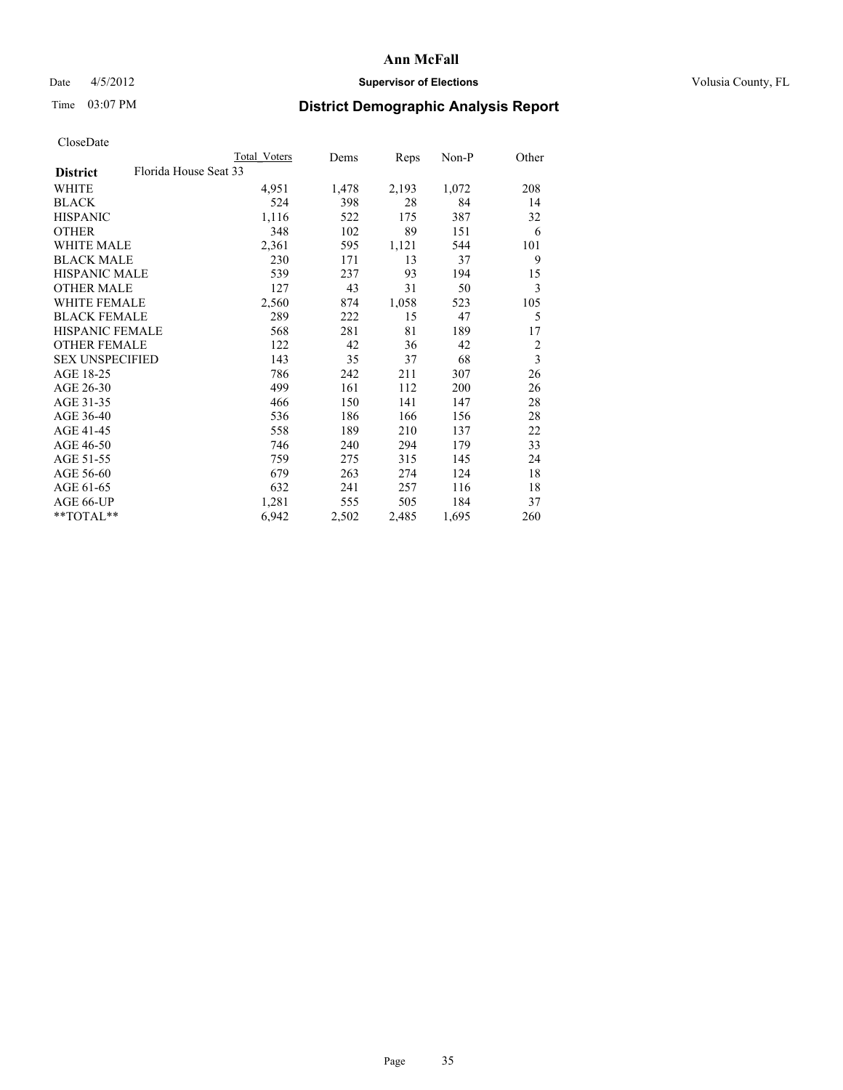### Date 4/5/2012 **Supervisor of Elections Supervisor of Elections** Volusia County, FL

# Time 03:07 PM **District Demographic Analysis Report**

|                                          | Total Voters | Dems  | <b>Reps</b> | Non-P | Other                   |
|------------------------------------------|--------------|-------|-------------|-------|-------------------------|
| Florida House Seat 33<br><b>District</b> |              |       |             |       |                         |
| WHITE                                    | 4,951        | 1,478 | 2,193       | 1,072 | 208                     |
| <b>BLACK</b>                             | 524          | 398   | 28          | 84    | 14                      |
| <b>HISPANIC</b>                          | 1,116        | 522   | 175         | 387   | 32                      |
| <b>OTHER</b>                             | 348          | 102   | 89          | 151   | 6                       |
| <b>WHITE MALE</b>                        | 2,361        | 595   | 1,121       | 544   | 101                     |
| <b>BLACK MALE</b>                        | 230          | 171   | 13          | 37    | 9                       |
| <b>HISPANIC MALE</b>                     | 539          | 237   | 93          | 194   | 15                      |
| <b>OTHER MALE</b>                        | 127          | 43    | 31          | 50    | 3                       |
| <b>WHITE FEMALE</b>                      | 2,560        | 874   | 1,058       | 523   | 105                     |
| <b>BLACK FEMALE</b>                      | 289          | 222   | 15          | 47    | 5                       |
| <b>HISPANIC FEMALE</b>                   | 568          | 281   | 81          | 189   | 17                      |
| <b>OTHER FEMALE</b>                      | 122          | 42    | 36          | 42    | $\overline{2}$          |
| <b>SEX UNSPECIFIED</b>                   | 143          | 35    | 37          | 68    | $\overline{\mathbf{3}}$ |
| AGE 18-25                                | 786          | 242   | 211         | 307   | 26                      |
| AGE 26-30                                | 499          | 161   | 112         | 200   | 26                      |
| AGE 31-35                                | 466          | 150   | 141         | 147   | 28                      |
| AGE 36-40                                | 536          | 186   | 166         | 156   | 28                      |
| AGE 41-45                                | 558          | 189   | 210         | 137   | 22                      |
| AGE 46-50                                | 746          | 240   | 294         | 179   | 33                      |
| AGE 51-55                                | 759          | 275   | 315         | 145   | 24                      |
| AGE 56-60                                | 679          | 263   | 274         | 124   | 18                      |
| AGE 61-65                                | 632          | 241   | 257         | 116   | 18                      |
| AGE 66-UP                                | 1,281        | 555   | 505         | 184   | 37                      |
| **TOTAL**                                | 6,942        | 2,502 | 2,485       | 1,695 | 260                     |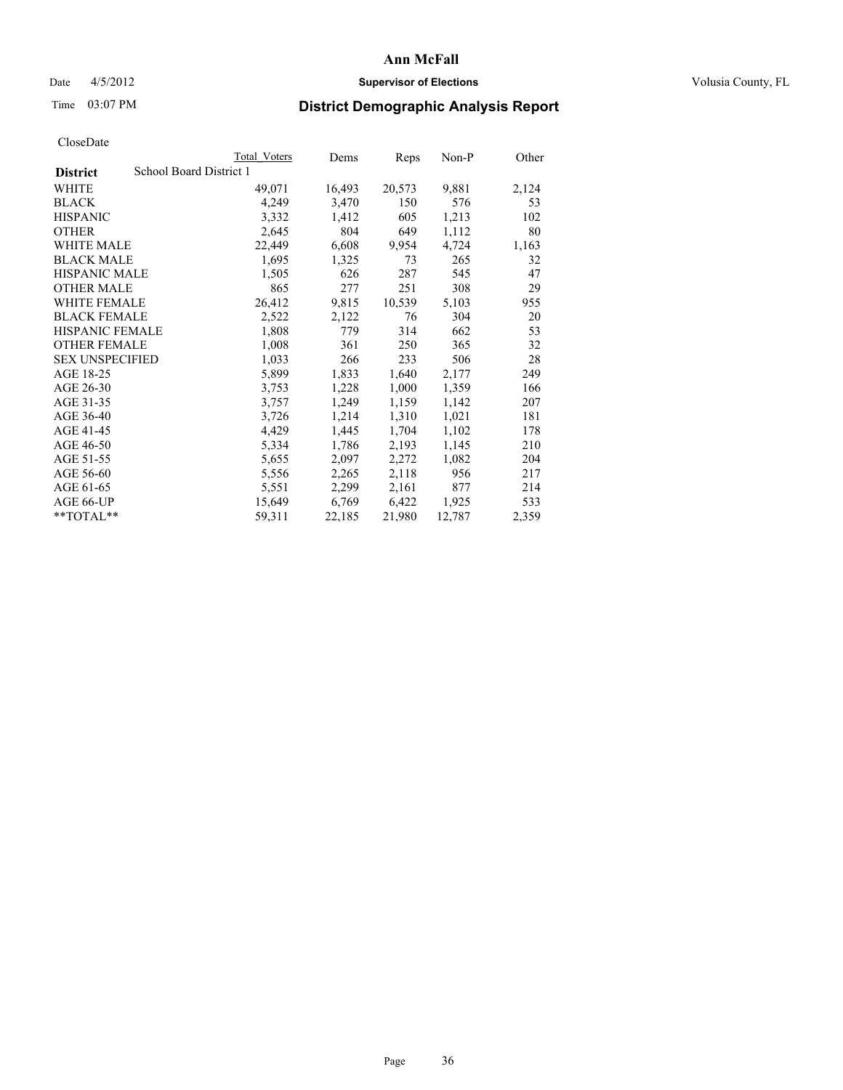### Date  $4/5/2012$  **Supervisor of Elections Supervisor of Elections** Volusia County, FL

## Time 03:07 PM **District Demographic Analysis Report**

|                        | Total Voters            | Dems   | <b>Reps</b> | Non-P  | Other |
|------------------------|-------------------------|--------|-------------|--------|-------|
| <b>District</b>        | School Board District 1 |        |             |        |       |
| <b>WHITE</b>           | 49,071                  | 16,493 | 20,573      | 9,881  | 2,124 |
| <b>BLACK</b>           | 4,249                   | 3,470  | 150         | 576    | 53    |
| <b>HISPANIC</b>        | 3,332                   | 1,412  | 605         | 1,213  | 102   |
| <b>OTHER</b>           | 2,645                   | 804    | 649         | 1,112  | 80    |
| <b>WHITE MALE</b>      | 22,449                  | 6,608  | 9,954       | 4,724  | 1,163 |
| <b>BLACK MALE</b>      | 1,695                   | 1,325  | 73          | 265    | 32    |
| <b>HISPANIC MALE</b>   | 1,505                   | 626    | 287         | 545    | 47    |
| <b>OTHER MALE</b>      | 865                     | 277    | 251         | 308    | 29    |
| WHITE FEMALE           | 26,412                  | 9,815  | 10,539      | 5,103  | 955   |
| <b>BLACK FEMALE</b>    | 2,522                   | 2,122  | 76          | 304    | 20    |
| HISPANIC FEMALE        | 1,808                   | 779    | 314         | 662    | 53    |
| <b>OTHER FEMALE</b>    | 1,008                   | 361    | 250         | 365    | 32    |
| <b>SEX UNSPECIFIED</b> | 1,033                   | 266    | 233         | 506    | 28    |
| AGE 18-25              | 5,899                   | 1,833  | 1,640       | 2,177  | 249   |
| AGE 26-30              | 3,753                   | 1,228  | 1,000       | 1,359  | 166   |
| AGE 31-35              | 3,757                   | 1,249  | 1,159       | 1,142  | 207   |
| AGE 36-40              | 3,726                   | 1,214  | 1,310       | 1,021  | 181   |
| AGE 41-45              | 4,429                   | 1,445  | 1,704       | 1,102  | 178   |
| AGE 46-50              | 5,334                   | 1,786  | 2,193       | 1,145  | 210   |
| AGE 51-55              | 5,655                   | 2,097  | 2,272       | 1,082  | 204   |
| AGE 56-60              | 5,556                   | 2,265  | 2,118       | 956    | 217   |
| AGE 61-65              | 5,551                   | 2,299  | 2,161       | 877    | 214   |
| AGE 66-UP              | 15,649                  | 6,769  | 6,422       | 1,925  | 533   |
| $*$ TOTAL $*$          | 59,311                  | 22,185 | 21,980      | 12,787 | 2,359 |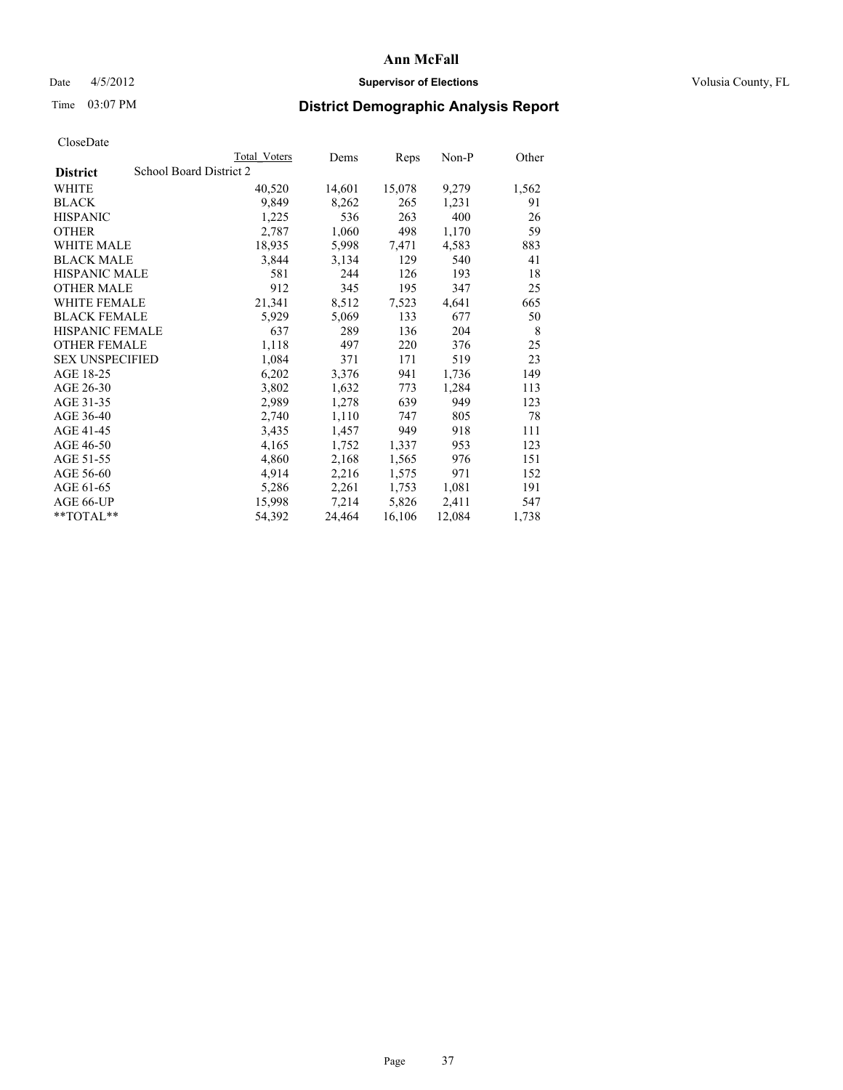## Date  $4/5/2012$  **Supervisor of Elections Supervisor of Elections** Volusia County, FL

# Time 03:07 PM **District Demographic Analysis Report**

|                        |                         | Total Voters | Dems   | Reps   | Non-P  | Other |
|------------------------|-------------------------|--------------|--------|--------|--------|-------|
| <b>District</b>        | School Board District 2 |              |        |        |        |       |
| WHITE                  |                         | 40,520       | 14,601 | 15,078 | 9,279  | 1,562 |
| <b>BLACK</b>           |                         | 9,849        | 8,262  | 265    | 1,231  | 91    |
| <b>HISPANIC</b>        |                         | 1,225        | 536    | 263    | 400    | 26    |
| <b>OTHER</b>           |                         | 2,787        | 1,060  | 498    | 1,170  | 59    |
| <b>WHITE MALE</b>      |                         | 18,935       | 5,998  | 7,471  | 4,583  | 883   |
| <b>BLACK MALE</b>      |                         | 3,844        | 3,134  | 129    | 540    | 41    |
| <b>HISPANIC MALE</b>   |                         | 581          | 244    | 126    | 193    | 18    |
| <b>OTHER MALE</b>      |                         | 912          | 345    | 195    | 347    | 25    |
| WHITE FEMALE           |                         | 21,341       | 8,512  | 7,523  | 4,641  | 665   |
| <b>BLACK FEMALE</b>    |                         | 5,929        | 5,069  | 133    | 677    | 50    |
| <b>HISPANIC FEMALE</b> |                         | 637          | 289    | 136    | 204    | 8     |
| <b>OTHER FEMALE</b>    |                         | 1,118        | 497    | 220    | 376    | 25    |
| <b>SEX UNSPECIFIED</b> |                         | 1,084        | 371    | 171    | 519    | 23    |
| AGE 18-25              |                         | 6,202        | 3,376  | 941    | 1,736  | 149   |
| AGE 26-30              |                         | 3,802        | 1,632  | 773    | 1,284  | 113   |
| AGE 31-35              |                         | 2,989        | 1,278  | 639    | 949    | 123   |
| AGE 36-40              |                         | 2,740        | 1,110  | 747    | 805    | 78    |
| AGE 41-45              |                         | 3,435        | 1,457  | 949    | 918    | 111   |
| AGE 46-50              |                         | 4,165        | 1,752  | 1,337  | 953    | 123   |
| AGE 51-55              |                         | 4,860        | 2,168  | 1,565  | 976    | 151   |
| AGE 56-60              |                         | 4,914        | 2,216  | 1,575  | 971    | 152   |
| AGE 61-65              |                         | 5,286        | 2,261  | 1,753  | 1,081  | 191   |
| AGE 66-UP              |                         | 15,998       | 7,214  | 5,826  | 2,411  | 547   |
| $*$ TOTAL $*$          |                         | 54,392       | 24,464 | 16,106 | 12,084 | 1,738 |
|                        |                         |              |        |        |        |       |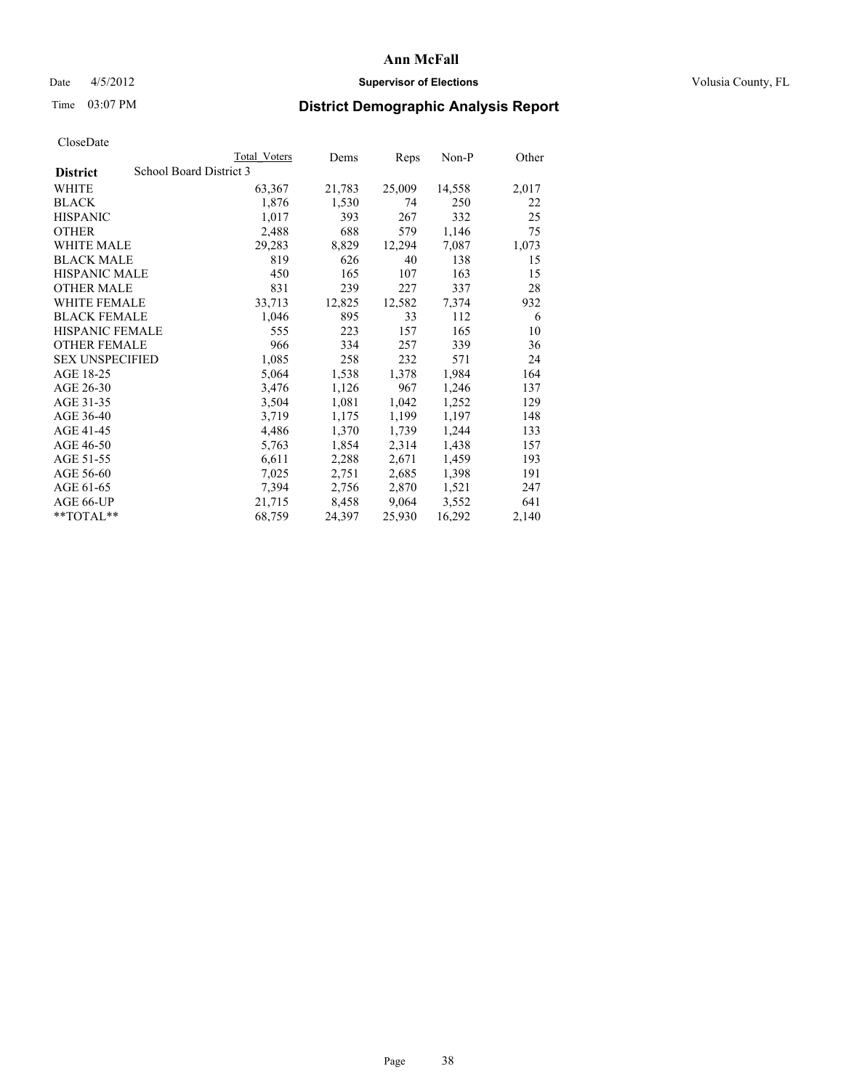## Date  $4/5/2012$  **Supervisor of Elections Supervisor of Elections** Volusia County, FL

# Time 03:07 PM **District Demographic Analysis Report**

|                        | Total Voters            | Dems   | <b>Reps</b> | $Non-P$ | Other |
|------------------------|-------------------------|--------|-------------|---------|-------|
| <b>District</b>        | School Board District 3 |        |             |         |       |
| <b>WHITE</b>           | 63,367                  | 21,783 | 25,009      | 14,558  | 2,017 |
| <b>BLACK</b>           | 1,876                   | 1,530  | 74          | 250     | 22    |
| <b>HISPANIC</b>        | 1,017                   | 393    | 267         | 332     | 25    |
| <b>OTHER</b>           | 2,488                   | 688    | 579         | 1,146   | 75    |
| <b>WHITE MALE</b>      | 29,283                  | 8,829  | 12,294      | 7,087   | 1,073 |
| <b>BLACK MALE</b>      | 819                     | 626    | 40          | 138     | 15    |
| <b>HISPANIC MALE</b>   | 450                     | 165    | 107         | 163     | 15    |
| <b>OTHER MALE</b>      | 831                     | 239    | 227         | 337     | 28    |
| WHITE FEMALE           | 33,713                  | 12,825 | 12,582      | 7,374   | 932   |
| <b>BLACK FEMALE</b>    | 1,046                   | 895    | 33          | 112     | 6     |
| HISPANIC FEMALE        | 555                     | 223    | 157         | 165     | 10    |
| <b>OTHER FEMALE</b>    | 966                     | 334    | 257         | 339     | 36    |
| <b>SEX UNSPECIFIED</b> | 1,085                   | 258    | 232         | 571     | 24    |
| AGE 18-25              | 5,064                   | 1,538  | 1,378       | 1,984   | 164   |
| AGE 26-30              | 3,476                   | 1,126  | 967         | 1,246   | 137   |
| AGE 31-35              | 3,504                   | 1,081  | 1,042       | 1,252   | 129   |
| AGE 36-40              | 3,719                   | 1,175  | 1,199       | 1,197   | 148   |
| AGE 41-45              | 4,486                   | 1,370  | 1,739       | 1,244   | 133   |
| AGE 46-50              | 5,763                   | 1,854  | 2,314       | 1,438   | 157   |
| AGE 51-55              | 6,611                   | 2,288  | 2,671       | 1,459   | 193   |
| AGE 56-60              | 7,025                   | 2,751  | 2,685       | 1,398   | 191   |
| AGE 61-65              | 7,394                   | 2,756  | 2,870       | 1,521   | 247   |
| AGE 66-UP              | 21,715                  | 8,458  | 9,064       | 3,552   | 641   |
| $*$ TOTAL $*$          | 68,759                  | 24,397 | 25,930      | 16,292  | 2,140 |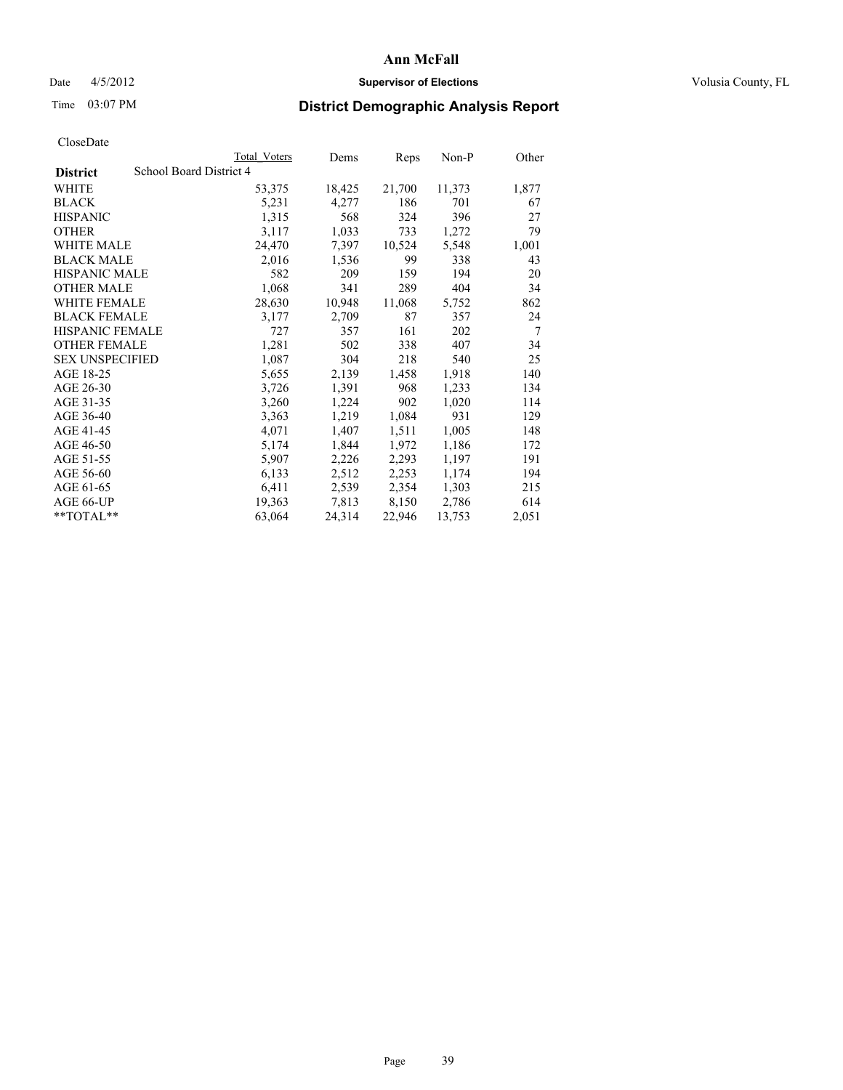# Date 4/5/2012 **Supervisor of Elections Supervisor of Elections** Volusia County, FL

# Time 03:07 PM **District Demographic Analysis Report**

|                                            | Total Voters | Dems   | <b>Reps</b> | Non-P  | Other |
|--------------------------------------------|--------------|--------|-------------|--------|-------|
| School Board District 4<br><b>District</b> |              |        |             |        |       |
| <b>WHITE</b>                               | 53,375       | 18,425 | 21,700      | 11,373 | 1,877 |
| <b>BLACK</b>                               | 5,231        | 4,277  | 186         | 701    | 67    |
| <b>HISPANIC</b>                            | 1,315        | 568    | 324         | 396    | 27    |
| <b>OTHER</b>                               | 3,117        | 1,033  | 733         | 1,272  | 79    |
| <b>WHITE MALE</b>                          | 24,470       | 7,397  | 10,524      | 5,548  | 1,001 |
| <b>BLACK MALE</b>                          | 2,016        | 1,536  | 99          | 338    | 43    |
| <b>HISPANIC MALE</b>                       | 582          | 209    | 159         | 194    | 20    |
| <b>OTHER MALE</b>                          | 1,068        | 341    | 289         | 404    | 34    |
| <b>WHITE FEMALE</b>                        | 28,630       | 10,948 | 11,068      | 5,752  | 862   |
| <b>BLACK FEMALE</b>                        | 3,177        | 2,709  | 87          | 357    | 24    |
| <b>HISPANIC FEMALE</b>                     | 727          | 357    | 161         | 202    | 7     |
| <b>OTHER FEMALE</b>                        | 1,281        | 502    | 338         | 407    | 34    |
| <b>SEX UNSPECIFIED</b>                     | 1,087        | 304    | 218         | 540    | 25    |
| AGE 18-25                                  | 5,655        | 2,139  | 1,458       | 1,918  | 140   |
| AGE 26-30                                  | 3,726        | 1,391  | 968         | 1,233  | 134   |
| AGE 31-35                                  | 3,260        | 1,224  | 902         | 1,020  | 114   |
| AGE 36-40                                  | 3,363        | 1,219  | 1,084       | 931    | 129   |
| AGE 41-45                                  | 4,071        | 1,407  | 1,511       | 1,005  | 148   |
| AGE 46-50                                  | 5,174        | 1,844  | 1,972       | 1,186  | 172   |
| AGE 51-55                                  | 5,907        | 2,226  | 2,293       | 1,197  | 191   |
| AGE 56-60                                  | 6,133        | 2,512  | 2,253       | 1,174  | 194   |
| AGE 61-65                                  | 6,411        | 2,539  | 2,354       | 1,303  | 215   |
| AGE 66-UP                                  | 19,363       | 7,813  | 8,150       | 2,786  | 614   |
| $*$ $TOTAL**$                              | 63,064       | 24,314 | 22,946      | 13,753 | 2,051 |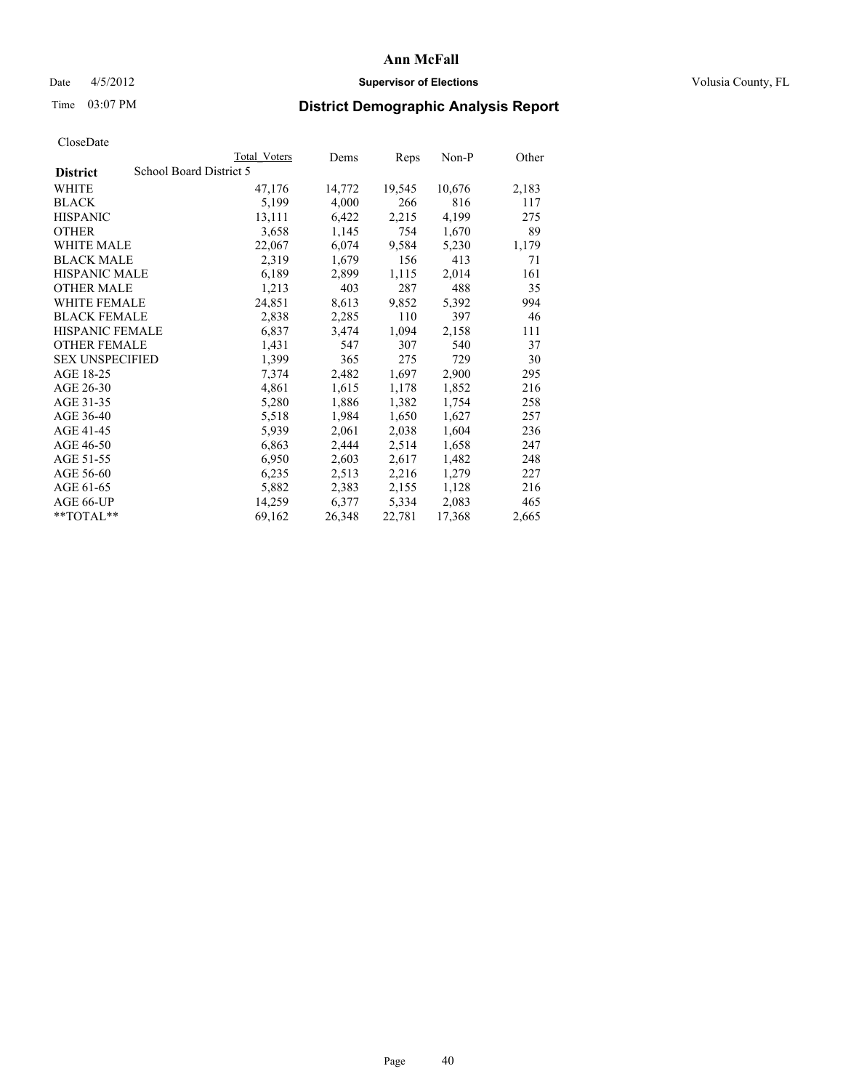## Date  $4/5/2012$  **Supervisor of Elections Supervisor of Elections** Volusia County, FL

# Time 03:07 PM **District Demographic Analysis Report**

|                                            | Total Voters | Dems   | Reps   | Non-P  | Other |
|--------------------------------------------|--------------|--------|--------|--------|-------|
| School Board District 5<br><b>District</b> |              |        |        |        |       |
| <b>WHITE</b>                               | 47,176       | 14,772 | 19,545 | 10,676 | 2,183 |
| <b>BLACK</b>                               | 5,199        | 4,000  | 266    | 816    | 117   |
| <b>HISPANIC</b>                            | 13,111       | 6,422  | 2,215  | 4,199  | 275   |
| <b>OTHER</b>                               | 3,658        | 1,145  | 754    | 1,670  | 89    |
| WHITE MALE                                 | 22,067       | 6,074  | 9,584  | 5,230  | 1,179 |
| <b>BLACK MALE</b>                          | 2,319        | 1,679  | 156    | 413    | 71    |
| <b>HISPANIC MALE</b>                       | 6,189        | 2,899  | 1,115  | 2,014  | 161   |
| <b>OTHER MALE</b>                          | 1,213        | 403    | 287    | 488    | 35    |
| WHITE FEMALE                               | 24,851       | 8,613  | 9,852  | 5,392  | 994   |
| <b>BLACK FEMALE</b>                        | 2,838        | 2,285  | 110    | 397    | 46    |
| HISPANIC FEMALE                            | 6,837        | 3,474  | 1,094  | 2,158  | 111   |
| <b>OTHER FEMALE</b>                        | 1,431        | 547    | 307    | 540    | 37    |
| <b>SEX UNSPECIFIED</b>                     | 1,399        | 365    | 275    | 729    | 30    |
| AGE 18-25                                  | 7,374        | 2,482  | 1,697  | 2,900  | 295   |
| AGE 26-30                                  | 4,861        | 1,615  | 1,178  | 1,852  | 216   |
| AGE 31-35                                  | 5,280        | 1,886  | 1,382  | 1,754  | 258   |
| AGE 36-40                                  | 5,518        | 1,984  | 1,650  | 1,627  | 257   |
| AGE 41-45                                  | 5,939        | 2,061  | 2,038  | 1,604  | 236   |
| AGE 46-50                                  | 6,863        | 2,444  | 2,514  | 1,658  | 247   |
| AGE 51-55                                  | 6,950        | 2,603  | 2,617  | 1,482  | 248   |
| AGE 56-60                                  | 6,235        | 2,513  | 2,216  | 1,279  | 227   |
| AGE 61-65                                  | 5,882        | 2,383  | 2,155  | 1,128  | 216   |
| AGE 66-UP                                  | 14,259       | 6,377  | 5,334  | 2,083  | 465   |
| **TOTAL**                                  | 69,162       | 26,348 | 22,781 | 17,368 | 2,665 |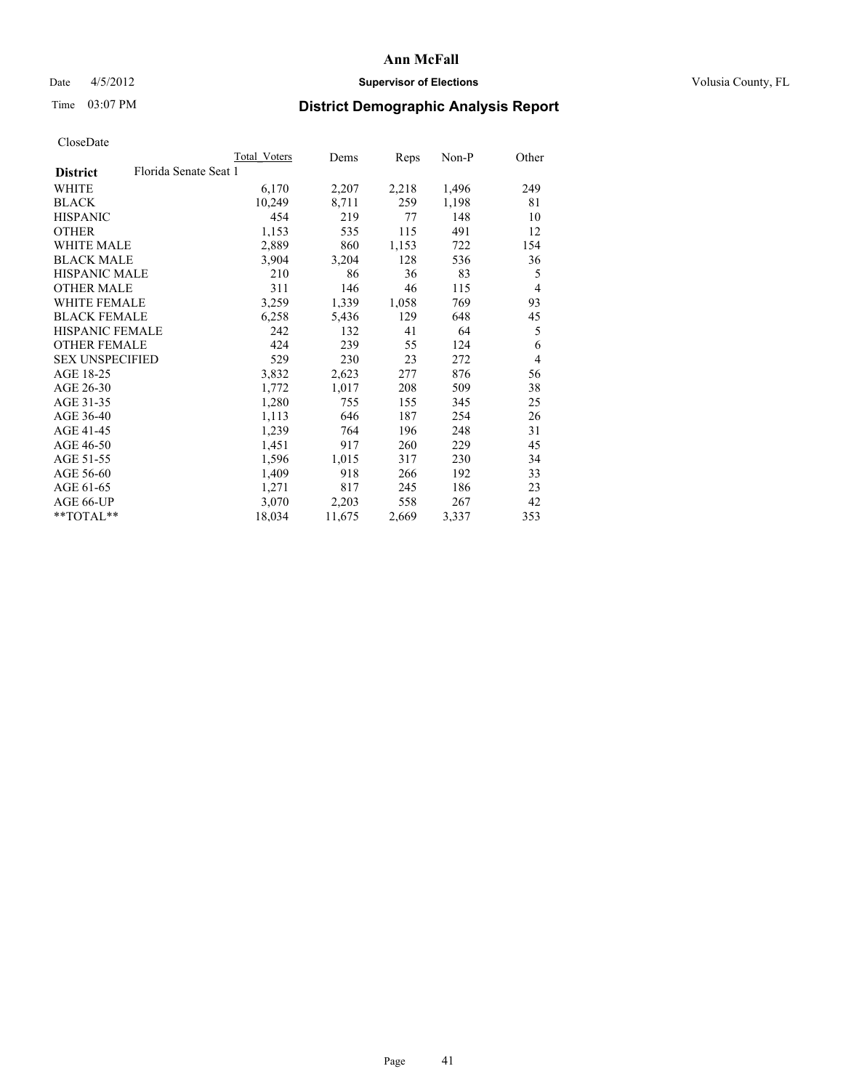# Date 4/5/2012 **Supervisor of Elections Supervisor of Elections** Volusia County, FL

# Time 03:07 PM **District Demographic Analysis Report**

|                                          | Total Voters | Dems   | Reps  | Non-P | Other          |
|------------------------------------------|--------------|--------|-------|-------|----------------|
| Florida Senate Seat 1<br><b>District</b> |              |        |       |       |                |
| WHITE                                    | 6,170        | 2,207  | 2,218 | 1,496 | 249            |
| <b>BLACK</b>                             | 10,249       | 8,711  | 259   | 1,198 | 81             |
| <b>HISPANIC</b>                          | 454          | 219    | 77    | 148   | 10             |
| <b>OTHER</b>                             | 1,153        | 535    | 115   | 491   | 12             |
| <b>WHITE MALE</b>                        | 2,889        | 860    | 1,153 | 722   | 154            |
| <b>BLACK MALE</b>                        | 3,904        | 3,204  | 128   | 536   | 36             |
| <b>HISPANIC MALE</b>                     | 210          | 86     | 36    | 83    | 5              |
| <b>OTHER MALE</b>                        | 311          | 146    | 46    | 115   | $\overline{4}$ |
| <b>WHITE FEMALE</b>                      | 3,259        | 1,339  | 1,058 | 769   | 93             |
| <b>BLACK FEMALE</b>                      | 6,258        | 5,436  | 129   | 648   | 45             |
| <b>HISPANIC FEMALE</b>                   | 242          | 132    | 41    | 64    | 5              |
| <b>OTHER FEMALE</b>                      | 424          | 239    | 55    | 124   | 6              |
| <b>SEX UNSPECIFIED</b>                   | 529          | 230    | 23    | 272   | $\overline{4}$ |
| AGE 18-25                                | 3,832        | 2,623  | 277   | 876   | 56             |
| AGE 26-30                                | 1,772        | 1,017  | 208   | 509   | 38             |
| AGE 31-35                                | 1,280        | 755    | 155   | 345   | 25             |
| AGE 36-40                                | 1,113        | 646    | 187   | 254   | 26             |
| AGE 41-45                                | 1,239        | 764    | 196   | 248   | 31             |
| AGE 46-50                                | 1,451        | 917    | 260   | 229   | 45             |
| AGE 51-55                                | 1,596        | 1,015  | 317   | 230   | 34             |
| AGE 56-60                                | 1,409        | 918    | 266   | 192   | 33             |
| AGE 61-65                                | 1,271        | 817    | 245   | 186   | 23             |
| AGE 66-UP                                | 3,070        | 2,203  | 558   | 267   | 42             |
| $*$ TOTAL $*$                            | 18,034       | 11,675 | 2,669 | 3,337 | 353            |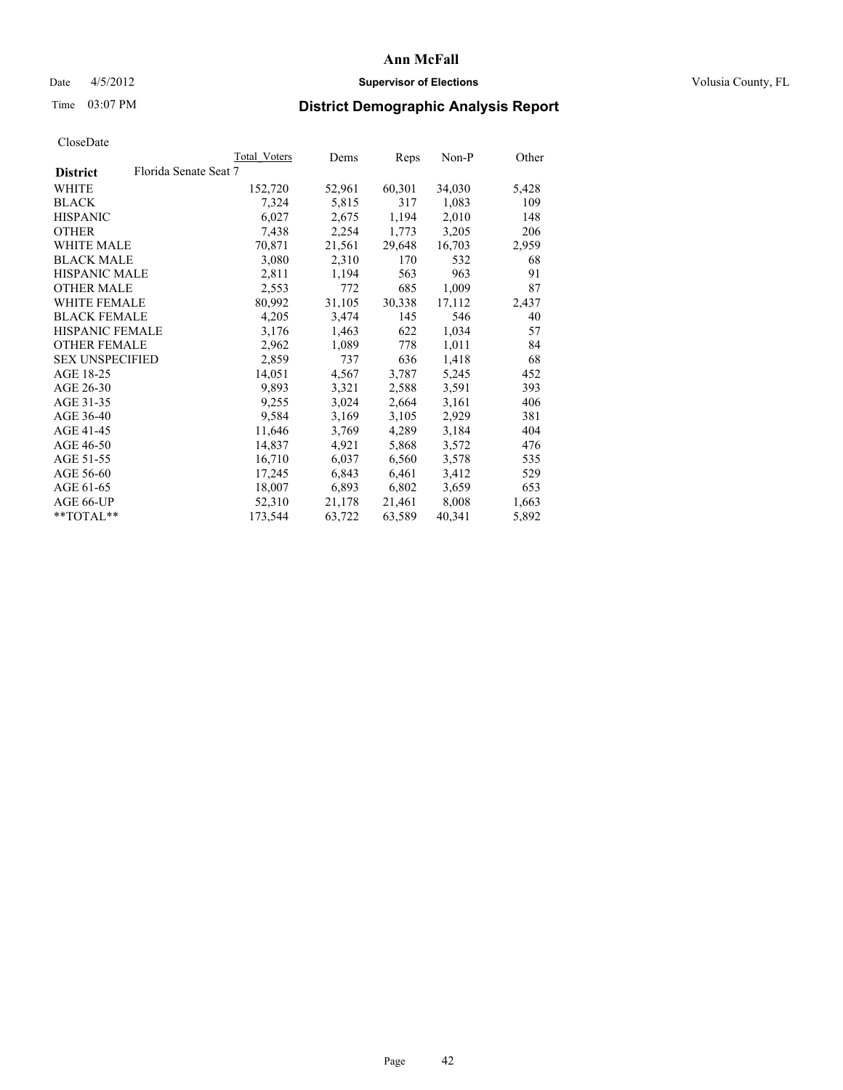# Date 4/5/2012 **Supervisor of Elections Supervisor of Elections** Volusia County, FL

# Time 03:07 PM **District Demographic Analysis Report**

|                        | Total Voters          | Dems   | <b>Reps</b> | Non-P  | Other |
|------------------------|-----------------------|--------|-------------|--------|-------|
| <b>District</b>        | Florida Senate Seat 7 |        |             |        |       |
| WHITE                  | 152,720               | 52,961 | 60,301      | 34,030 | 5,428 |
| <b>BLACK</b>           | 7,324                 | 5,815  | 317         | 1,083  | 109   |
| <b>HISPANIC</b>        | 6,027                 | 2,675  | 1,194       | 2,010  | 148   |
| <b>OTHER</b>           | 7,438                 | 2,254  | 1,773       | 3,205  | 206   |
| WHITE MALE             | 70,871                | 21,561 | 29,648      | 16,703 | 2,959 |
| <b>BLACK MALE</b>      | 3,080                 | 2,310  | 170         | 532    | 68    |
| <b>HISPANIC MALE</b>   | 2,811                 | 1,194  | 563         | 963    | 91    |
| <b>OTHER MALE</b>      | 2,553                 | 772    | 685         | 1,009  | 87    |
| <b>WHITE FEMALE</b>    | 80,992                | 31,105 | 30,338      | 17,112 | 2,437 |
| <b>BLACK FEMALE</b>    | 4,205                 | 3,474  | 145         | 546    | 40    |
| <b>HISPANIC FEMALE</b> | 3,176                 | 1,463  | 622         | 1,034  | 57    |
| <b>OTHER FEMALE</b>    | 2,962                 | 1,089  | 778         | 1,011  | 84    |
| <b>SEX UNSPECIFIED</b> | 2,859                 | 737    | 636         | 1,418  | 68    |
| AGE 18-25              | 14,051                | 4,567  | 3,787       | 5,245  | 452   |
| AGE 26-30              | 9,893                 | 3,321  | 2,588       | 3,591  | 393   |
| AGE 31-35              | 9,255                 | 3,024  | 2,664       | 3,161  | 406   |
| AGE 36-40              | 9,584                 | 3,169  | 3,105       | 2,929  | 381   |
| AGE 41-45              | 11,646                | 3,769  | 4,289       | 3,184  | 404   |
| AGE 46-50              | 14,837                | 4,921  | 5,868       | 3,572  | 476   |
| AGE 51-55              | 16,710                | 6,037  | 6,560       | 3,578  | 535   |
| AGE 56-60              | 17,245                | 6,843  | 6,461       | 3,412  | 529   |
| AGE 61-65              | 18,007                | 6,893  | 6,802       | 3,659  | 653   |
| AGE 66-UP              | 52,310                | 21,178 | 21,461      | 8,008  | 1,663 |
| $*$ TOTAL $*$          | 173,544               | 63,722 | 63,589      | 40,341 | 5,892 |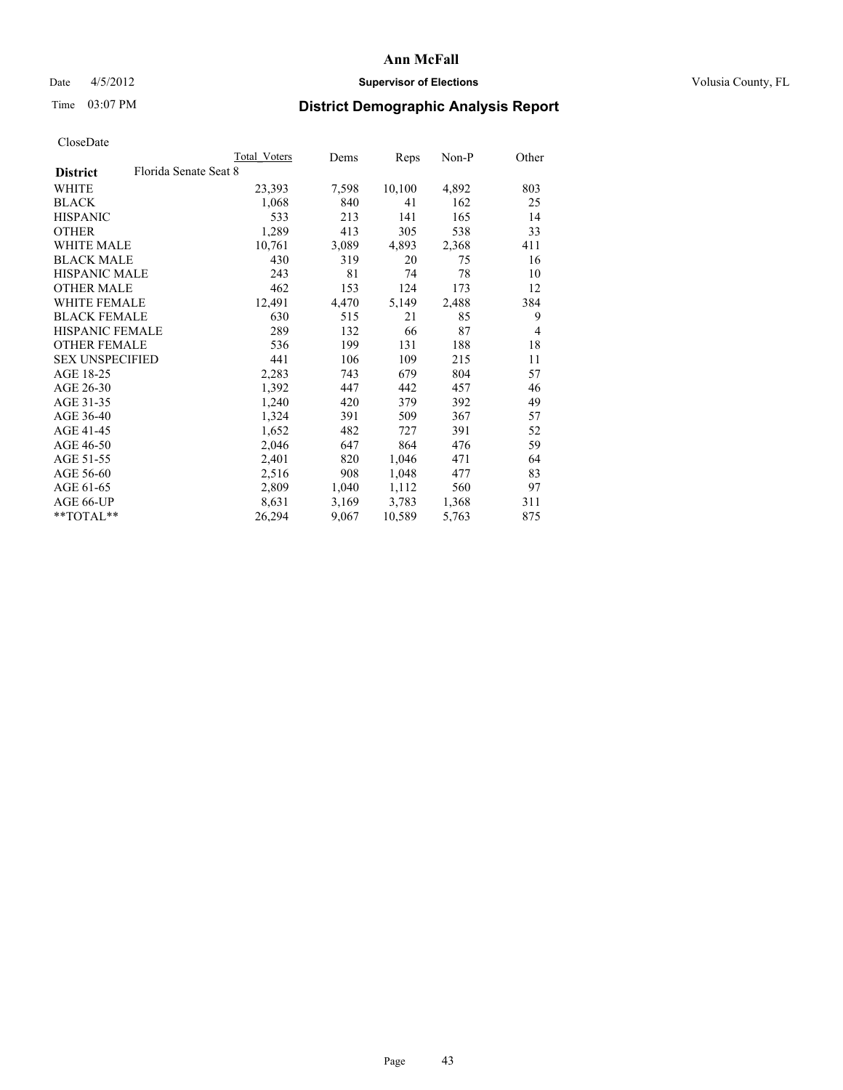# Date 4/5/2012 **Supervisor of Elections Supervisor of Elections** Volusia County, FL

# Time 03:07 PM **District Demographic Analysis Report**

| <b>Total Voters</b>   | Dems  | Reps   | Non-P | Other          |
|-----------------------|-------|--------|-------|----------------|
| Florida Senate Seat 8 |       |        |       |                |
| 23,393                | 7,598 | 10,100 | 4,892 | 803            |
| 1,068                 | 840   | 41     | 162   | 25             |
| 533                   | 213   | 141    | 165   | 14             |
| 1,289                 | 413   | 305    | 538   | 33             |
| 10,761                | 3,089 | 4,893  | 2,368 | 411            |
| 430                   | 319   | 20     | 75    | 16             |
| 243                   | 81    | 74     | 78    | 10             |
| 462                   | 153   | 124    | 173   | 12             |
| 12,491                | 4,470 | 5,149  | 2,488 | 384            |
| 630                   | 515   | 21     | 85    | 9              |
| 289                   | 132   | 66     | 87    | $\overline{4}$ |
| 536                   | 199   | 131    | 188   | 18             |
| 441                   | 106   | 109    | 215   | 11             |
| 2,283                 | 743   | 679    | 804   | 57             |
| 1,392                 | 447   | 442    | 457   | 46             |
| 1,240                 | 420   | 379    | 392   | 49             |
| 1,324                 | 391   | 509    | 367   | 57             |
| 1,652                 | 482   | 727    | 391   | 52             |
| 2,046                 | 647   | 864    | 476   | 59             |
| 2,401                 | 820   | 1,046  | 471   | 64             |
| 2,516                 | 908   | 1,048  | 477   | 83             |
| 2,809                 | 1,040 | 1,112  | 560   | 97             |
| 8,631                 | 3,169 | 3,783  | 1,368 | 311            |
| 26,294                | 9,067 | 10,589 | 5,763 | 875            |
|                       |       |        |       |                |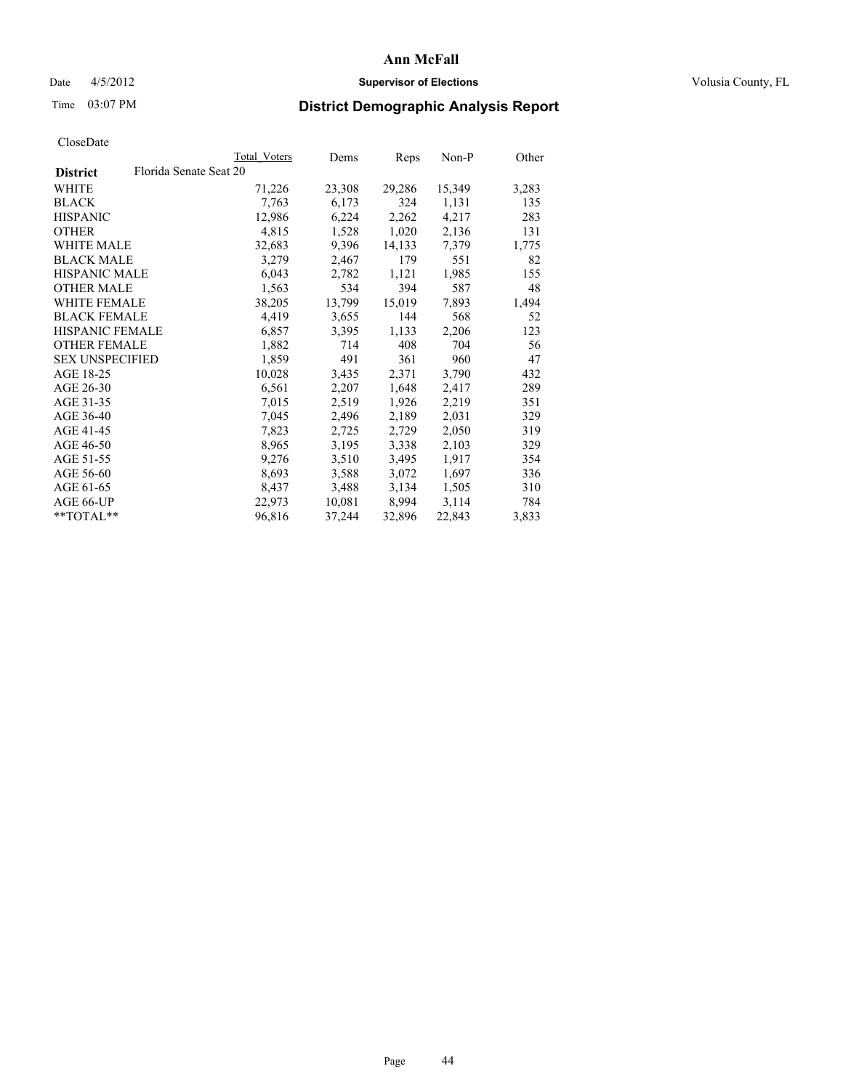# Date 4/5/2012 **Supervisor of Elections Supervisor of Elections** Volusia County, FL

# Time 03:07 PM **District Demographic Analysis Report**

|                        |                        | Total Voters | Dems   | <b>Reps</b> | Non-P  | Other |
|------------------------|------------------------|--------------|--------|-------------|--------|-------|
| <b>District</b>        | Florida Senate Seat 20 |              |        |             |        |       |
| WHITE                  |                        | 71,226       | 23,308 | 29,286      | 15,349 | 3,283 |
| <b>BLACK</b>           |                        | 7.763        | 6,173  | 324         | 1,131  | 135   |
| <b>HISPANIC</b>        |                        | 12,986       | 6,224  | 2,262       | 4,217  | 283   |
| <b>OTHER</b>           |                        | 4,815        | 1,528  | 1,020       | 2,136  | 131   |
| WHITE MALE             |                        | 32,683       | 9,396  | 14,133      | 7,379  | 1,775 |
| <b>BLACK MALE</b>      |                        | 3,279        | 2,467  | 179         | 551    | 82    |
| <b>HISPANIC MALE</b>   |                        | 6,043        | 2,782  | 1,121       | 1,985  | 155   |
| <b>OTHER MALE</b>      |                        | 1,563        | 534    | 394         | 587    | 48    |
| <b>WHITE FEMALE</b>    |                        | 38,205       | 13,799 | 15,019      | 7,893  | 1,494 |
| <b>BLACK FEMALE</b>    |                        | 4,419        | 3,655  | 144         | 568    | 52    |
| <b>HISPANIC FEMALE</b> |                        | 6,857        | 3,395  | 1,133       | 2,206  | 123   |
| <b>OTHER FEMALE</b>    |                        | 1,882        | 714    | 408         | 704    | 56    |
| <b>SEX UNSPECIFIED</b> |                        | 1,859        | 491    | 361         | 960    | 47    |
| AGE 18-25              |                        | 10,028       | 3,435  | 2,371       | 3,790  | 432   |
| AGE 26-30              |                        | 6,561        | 2,207  | 1,648       | 2,417  | 289   |
| AGE 31-35              |                        | 7,015        | 2,519  | 1,926       | 2,219  | 351   |
| AGE 36-40              |                        | 7,045        | 2,496  | 2,189       | 2,031  | 329   |
| AGE 41-45              |                        | 7,823        | 2,725  | 2,729       | 2,050  | 319   |
| AGE 46-50              |                        | 8,965        | 3,195  | 3,338       | 2,103  | 329   |
| AGE 51-55              |                        | 9,276        | 3,510  | 3,495       | 1,917  | 354   |
| AGE 56-60              |                        | 8,693        | 3,588  | 3,072       | 1,697  | 336   |
| AGE 61-65              |                        | 8,437        | 3,488  | 3,134       | 1,505  | 310   |
| AGE 66-UP              |                        | 22,973       | 10,081 | 8,994       | 3,114  | 784   |
| $*$ $TOTAL**$          |                        | 96,816       | 37,244 | 32,896      | 22,843 | 3,833 |
|                        |                        |              |        |             |        |       |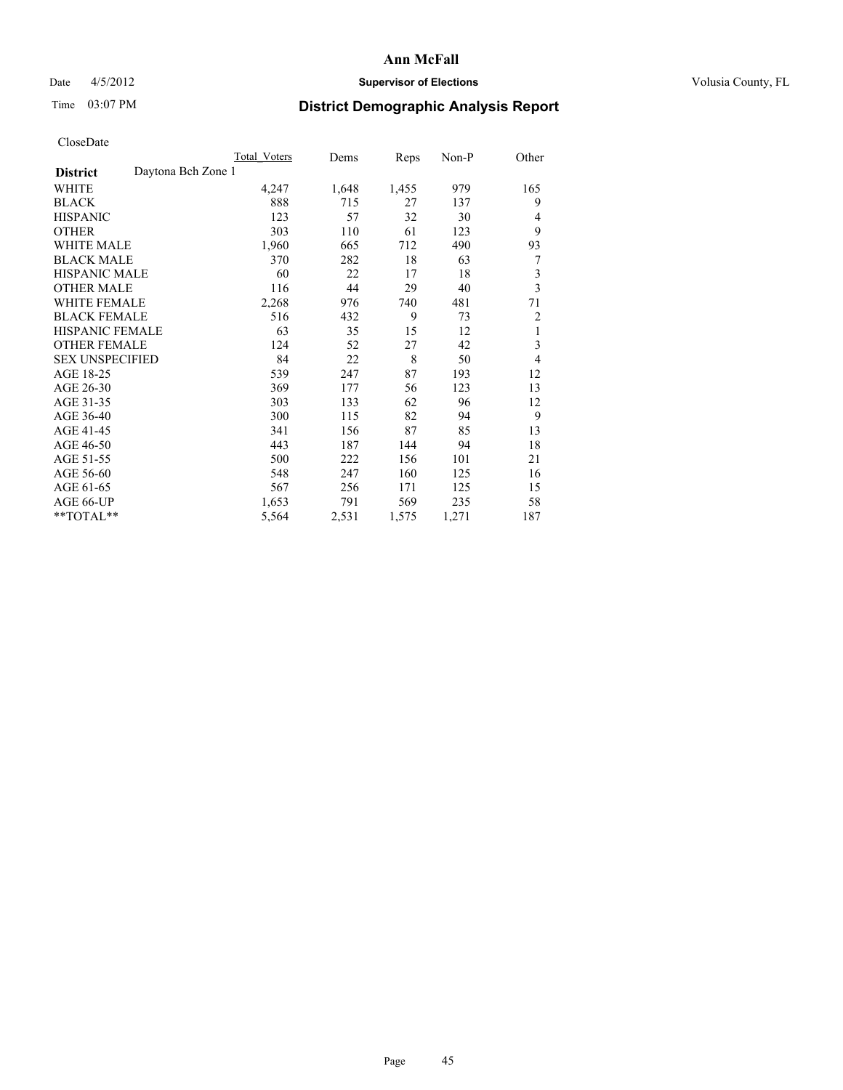# Date 4/5/2012 **Supervisor of Elections Supervisor of Elections** Volusia County, FL

# Time 03:07 PM **District Demographic Analysis Report**

|                                       | <b>Total Voters</b> | Dems  | Reps  | Non-P | Other          |
|---------------------------------------|---------------------|-------|-------|-------|----------------|
| Daytona Bch Zone 1<br><b>District</b> |                     |       |       |       |                |
| WHITE                                 | 4,247               | 1,648 | 1,455 | 979   | 165            |
| <b>BLACK</b>                          | 888                 | 715   | 27    | 137   | 9              |
| <b>HISPANIC</b>                       | 123                 | 57    | 32    | 30    | 4              |
| <b>OTHER</b>                          | 303                 | 110   | 61    | 123   | 9              |
| WHITE MALE                            | 1,960               | 665   | 712   | 490   | 93             |
| <b>BLACK MALE</b>                     | 370                 | 282   | 18    | 63    | 7              |
| HISPANIC MALE                         | 60                  | 22    | 17    | 18    | 3              |
| <b>OTHER MALE</b>                     | 116                 | 44    | 29    | 40    | 3              |
| WHITE FEMALE                          | 2,268               | 976   | 740   | 481   | 71             |
| <b>BLACK FEMALE</b>                   | 516                 | 432   | 9     | 73    | $\overline{c}$ |
| <b>HISPANIC FEMALE</b>                | 63                  | 35    | 15    | 12    | 1              |
| <b>OTHER FEMALE</b>                   | 124                 | 52    | 27    | 42    | 3              |
| <b>SEX UNSPECIFIED</b>                | 84                  | 22    | 8     | 50    | $\overline{4}$ |
| AGE 18-25                             | 539                 | 247   | 87    | 193   | 12             |
| AGE 26-30                             | 369                 | 177   | 56    | 123   | 13             |
| AGE 31-35                             | 303                 | 133   | 62    | 96    | 12             |
| AGE 36-40                             | 300                 | 115   | 82    | 94    | 9              |
| AGE 41-45                             | 341                 | 156   | 87    | 85    | 13             |
| AGE 46-50                             | 443                 | 187   | 144   | 94    | 18             |
| AGE 51-55                             | 500                 | 222   | 156   | 101   | 21             |
| AGE 56-60                             | 548                 | 247   | 160   | 125   | 16             |
| AGE 61-65                             | 567                 | 256   | 171   | 125   | 15             |
| AGE 66-UP                             | 1,653               | 791   | 569   | 235   | 58             |
| **TOTAL**                             | 5,564               | 2,531 | 1,575 | 1,271 | 187            |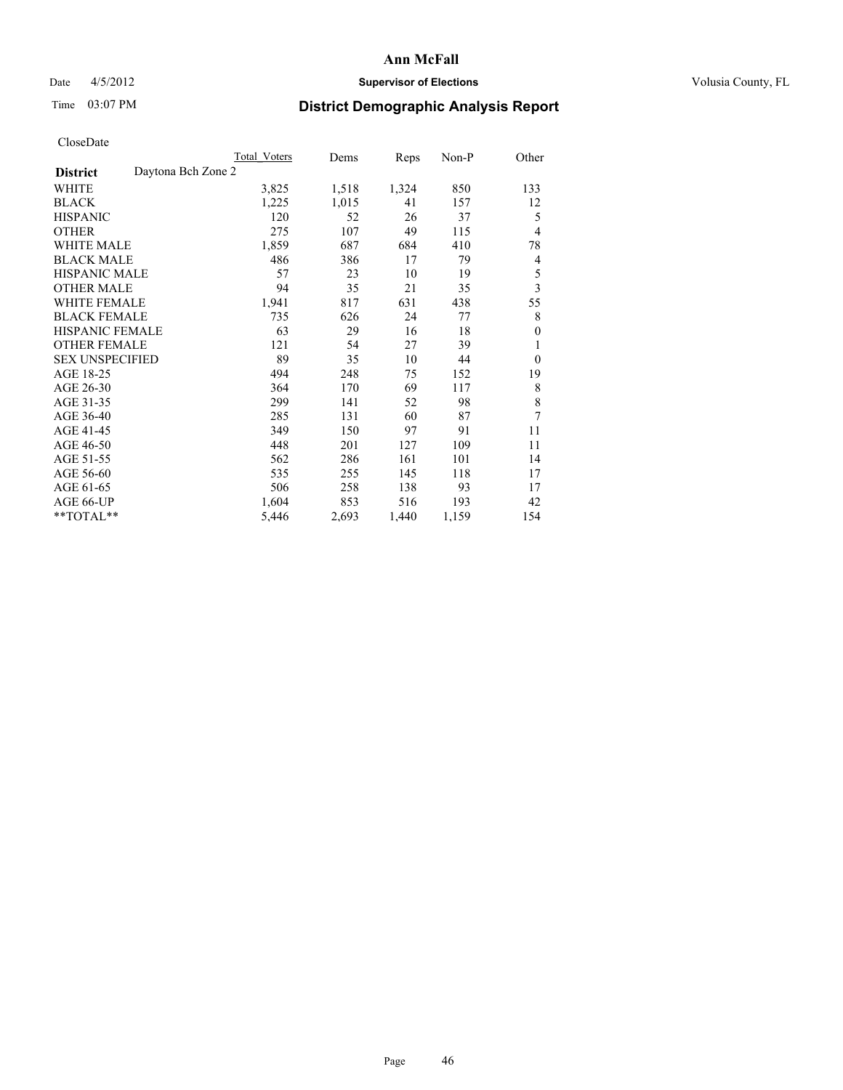# Date 4/5/2012 **Supervisor of Elections Supervisor of Elections** Volusia County, FL

# Time 03:07 PM **District Demographic Analysis Report**

|                                       | <b>Total Voters</b> | Dems  | Reps  | Non-P | Other        |
|---------------------------------------|---------------------|-------|-------|-------|--------------|
| Daytona Bch Zone 2<br><b>District</b> |                     |       |       |       |              |
| WHITE                                 | 3,825               | 1,518 | 1,324 | 850   | 133          |
| <b>BLACK</b>                          | 1,225               | 1,015 | 41    | 157   | 12           |
| <b>HISPANIC</b>                       | 120                 | 52    | 26    | 37    | 5            |
| <b>OTHER</b>                          | 275                 | 107   | 49    | 115   | 4            |
| <b>WHITE MALE</b>                     | 1,859               | 687   | 684   | 410   | 78           |
| <b>BLACK MALE</b>                     | 486                 | 386   | 17    | 79    | 4            |
| HISPANIC MALE                         | 57                  | 23    | 10    | 19    | 5            |
| <b>OTHER MALE</b>                     | 94                  | 35    | 21    | 35    | 3            |
| <b>WHITE FEMALE</b>                   | 1,941               | 817   | 631   | 438   | 55           |
| <b>BLACK FEMALE</b>                   | 735                 | 626   | 24    | 77    | 8            |
| <b>HISPANIC FEMALE</b>                | 63                  | 29    | 16    | 18    | $\mathbf{0}$ |
| <b>OTHER FEMALE</b>                   | 121                 | 54    | 27    | 39    | 1            |
| <b>SEX UNSPECIFIED</b>                | 89                  | 35    | 10    | 44    | $\theta$     |
| AGE 18-25                             | 494                 | 248   | 75    | 152   | 19           |
| AGE 26-30                             | 364                 | 170   | 69    | 117   | 8            |
| AGE 31-35                             | 299                 | 141   | 52    | 98    | 8            |
| AGE 36-40                             | 285                 | 131   | 60    | 87    | 7            |
| AGE 41-45                             | 349                 | 150   | 97    | 91    | 11           |
| AGE 46-50                             | 448                 | 201   | 127   | 109   | 11           |
| AGE 51-55                             | 562                 | 286   | 161   | 101   | 14           |
| AGE 56-60                             | 535                 | 255   | 145   | 118   | 17           |
| AGE 61-65                             | 506                 | 258   | 138   | 93    | 17           |
| AGE 66-UP                             | 1,604               | 853   | 516   | 193   | 42           |
| **TOTAL**                             | 5,446               | 2,693 | 1,440 | 1,159 | 154          |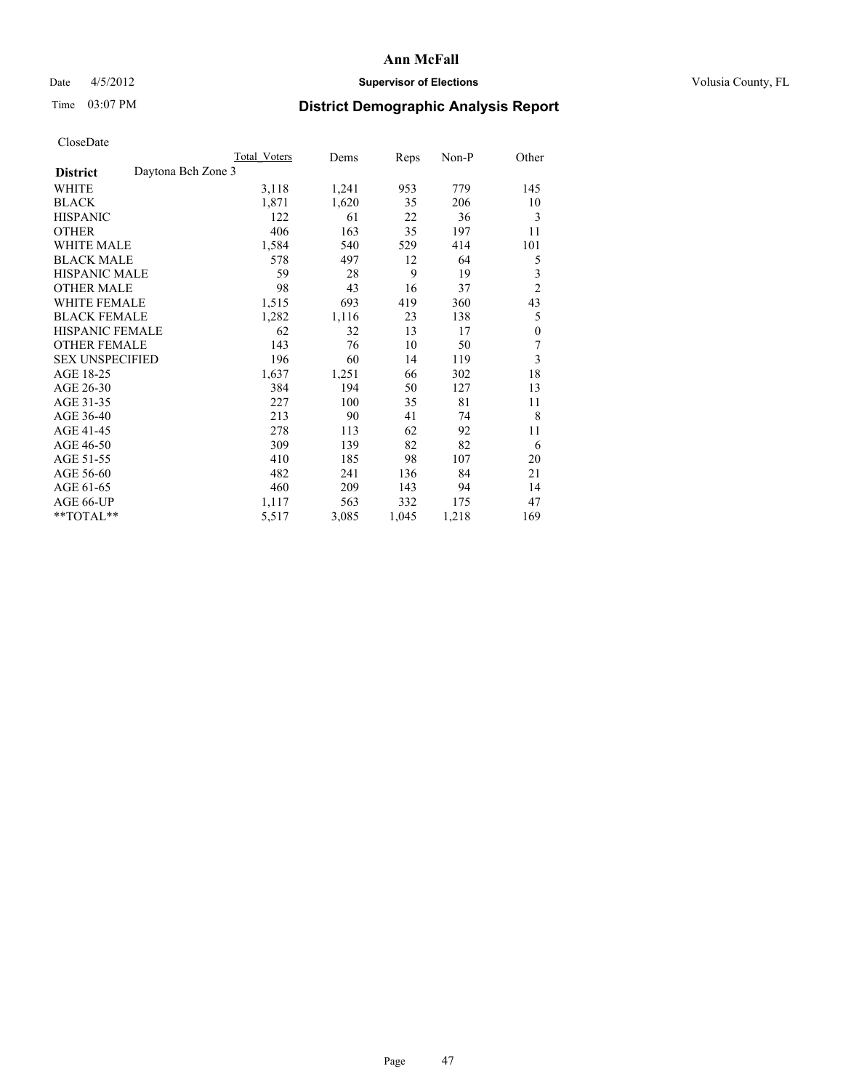# Date 4/5/2012 **Supervisor of Elections Supervisor of Elections** Volusia County, FL

# Time 03:07 PM **District Demographic Analysis Report**

|                                       | Total Voters | Dems  | Reps  | Non-P | Other            |
|---------------------------------------|--------------|-------|-------|-------|------------------|
| Daytona Bch Zone 3<br><b>District</b> |              |       |       |       |                  |
| WHITE                                 | 3,118        | 1,241 | 953   | 779   | 145              |
| <b>BLACK</b>                          | 1,871        | 1,620 | 35    | 206   | 10               |
| <b>HISPANIC</b>                       | 122          | 61    | 22    | 36    | 3                |
| <b>OTHER</b>                          | 406          | 163   | 35    | 197   | 11               |
| <b>WHITE MALE</b>                     | 1,584        | 540   | 529   | 414   | 101              |
| <b>BLACK MALE</b>                     | 578          | 497   | 12    | 64    | 5                |
| HISPANIC MALE                         | 59           | 28    | 9     | 19    | 3                |
| <b>OTHER MALE</b>                     | 98           | 43    | 16    | 37    | $\overline{c}$   |
| <b>WHITE FEMALE</b>                   | 1,515        | 693   | 419   | 360   | 43               |
| <b>BLACK FEMALE</b>                   | 1,282        | 1,116 | 23    | 138   | 5                |
| <b>HISPANIC FEMALE</b>                | 62           | 32    | 13    | 17    | $\boldsymbol{0}$ |
| <b>OTHER FEMALE</b>                   | 143          | 76    | 10    | 50    | 7                |
| <b>SEX UNSPECIFIED</b>                | 196          | 60    | 14    | 119   | 3                |
| AGE 18-25                             | 1,637        | 1,251 | 66    | 302   | 18               |
| AGE 26-30                             | 384          | 194   | 50    | 127   | 13               |
| AGE 31-35                             | 227          | 100   | 35    | 81    | 11               |
| AGE 36-40                             | 213          | 90    | 41    | 74    | 8                |
| AGE 41-45                             | 278          | 113   | 62    | 92    | 11               |
| AGE 46-50                             | 309          | 139   | 82    | 82    | 6                |
| AGE 51-55                             | 410          | 185   | 98    | 107   | 20               |
| AGE 56-60                             | 482          | 241   | 136   | 84    | 21               |
| AGE 61-65                             | 460          | 209   | 143   | 94    | 14               |
| AGE 66-UP                             | 1,117        | 563   | 332   | 175   | 47               |
| **TOTAL**                             | 5,517        | 3,085 | 1,045 | 1,218 | 169              |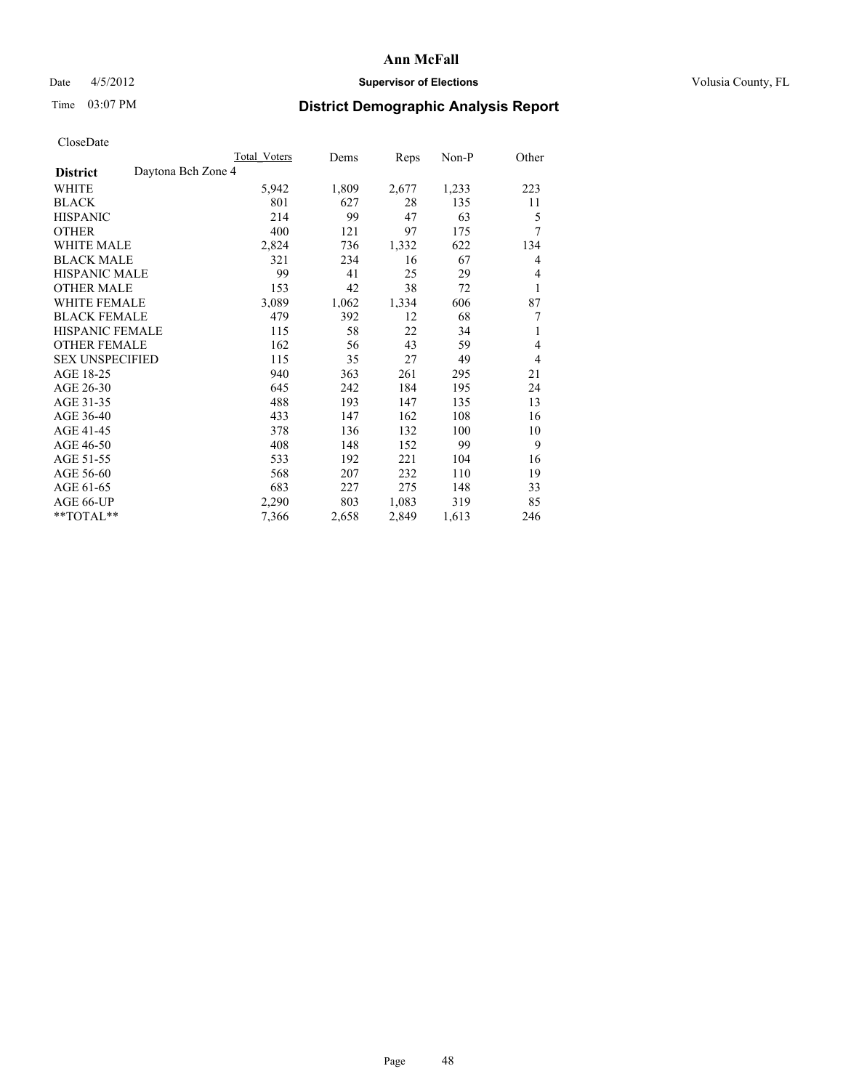## Date  $4/5/2012$  **Supervisor of Elections Supervisor of Elections** Volusia County, FL

# Time 03:07 PM **District Demographic Analysis Report**

| <b>Total Voters</b> | Dems  | Reps  | Non-P | Other          |
|---------------------|-------|-------|-------|----------------|
| Daytona Bch Zone 4  |       |       |       |                |
| 5,942               | 1,809 | 2,677 | 1,233 | 223            |
| 801                 | 627   | 28    | 135   | 11             |
| 214                 | 99    | 47    | 63    | 5              |
| 400                 | 121   | 97    | 175   | 7              |
| 2,824               | 736   | 1,332 | 622   | 134            |
| 321                 | 234   | 16    | 67    | 4              |
| 99                  | 41    | 25    | 29    | 4              |
| 153                 | 42    | 38    | 72    | 1              |
| 3,089               | 1,062 | 1,334 | 606   | 87             |
| 479                 | 392   | 12    | 68    | 7              |
| 115                 | 58    | 22    | 34    | 1              |
| 162                 | 56    | 43    | 59    | $\overline{4}$ |
| 115                 | 35    | 27    | 49    | $\overline{4}$ |
| 940                 | 363   | 261   | 295   | 21             |
| 645                 | 242   | 184   | 195   | 24             |
| 488                 | 193   | 147   | 135   | 13             |
| 433                 | 147   | 162   | 108   | 16             |
| 378                 | 136   | 132   | 100   | 10             |
| 408                 | 148   | 152   | 99    | 9              |
| 533                 | 192   | 221   | 104   | 16             |
| 568                 | 207   | 232   | 110   | 19             |
| 683                 | 227   | 275   | 148   | 33             |
| 2,290               | 803   | 1,083 | 319   | 85             |
| 7,366               | 2,658 | 2,849 | 1,613 | 246            |
|                     |       |       |       |                |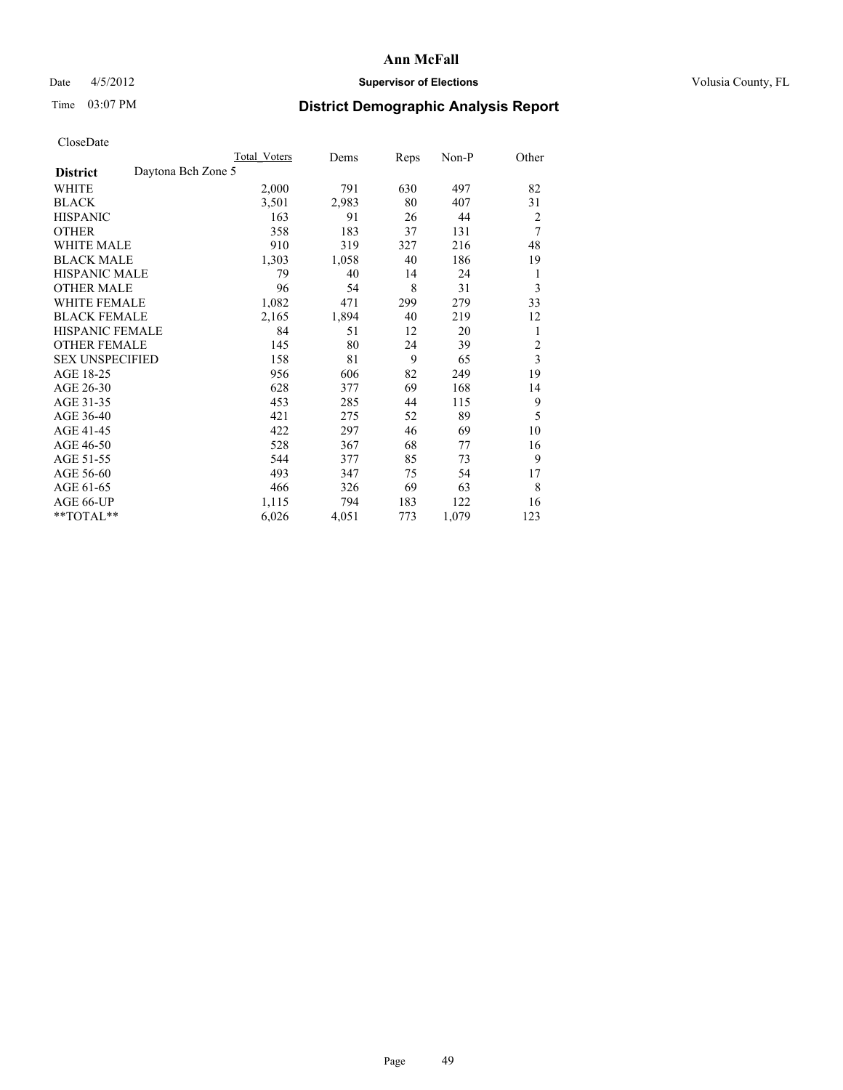# Date 4/5/2012 **Supervisor of Elections Supervisor of Elections** Volusia County, FL

# Time 03:07 PM **District Demographic Analysis Report**

|                        |                    | Total Voters | Dems  | Reps | Non-P | Other |
|------------------------|--------------------|--------------|-------|------|-------|-------|
| <b>District</b>        | Daytona Bch Zone 5 |              |       |      |       |       |
| WHITE                  |                    | 2,000        | 791   | 630  | 497   | 82    |
| <b>BLACK</b>           |                    | 3,501        | 2,983 | 80   | 407   | 31    |
| <b>HISPANIC</b>        |                    | 163          | 91    | 26   | 44    | 2     |
| <b>OTHER</b>           |                    | 358          | 183   | 37   | 131   | 7     |
| WHITE MALE             |                    | 910          | 319   | 327  | 216   | 48    |
| <b>BLACK MALE</b>      |                    | 1,303        | 1,058 | 40   | 186   | 19    |
| <b>HISPANIC MALE</b>   |                    | 79           | 40    | 14   | 24    | 1     |
| <b>OTHER MALE</b>      |                    | 96           | 54    | 8    | 31    | 3     |
| WHITE FEMALE           |                    | 1,082        | 471   | 299  | 279   | 33    |
| <b>BLACK FEMALE</b>    |                    | 2,165        | 1,894 | 40   | 219   | 12    |
| <b>HISPANIC FEMALE</b> |                    | 84           | 51    | 12   | 20    | 1     |
| <b>OTHER FEMALE</b>    |                    | 145          | 80    | 24   | 39    | 2     |
| <b>SEX UNSPECIFIED</b> |                    | 158          | 81    | 9    | 65    | 3     |
| AGE 18-25              |                    | 956          | 606   | 82   | 249   | 19    |
| AGE 26-30              |                    | 628          | 377   | 69   | 168   | 14    |
| AGE 31-35              |                    | 453          | 285   | 44   | 115   | 9     |
| AGE 36-40              |                    | 421          | 275   | 52   | 89    | 5     |
| AGE 41-45              |                    | 422          | 297   | 46   | 69    | 10    |
| AGE 46-50              |                    | 528          | 367   | 68   | 77    | 16    |
| AGE 51-55              |                    | 544          | 377   | 85   | 73    | 9     |
| AGE 56-60              |                    | 493          | 347   | 75   | 54    | 17    |
| AGE 61-65              |                    | 466          | 326   | 69   | 63    | 8     |
| AGE 66-UP              |                    | 1,115        | 794   | 183  | 122   | 16    |
| **TOTAL**              |                    | 6,026        | 4,051 | 773  | 1,079 | 123   |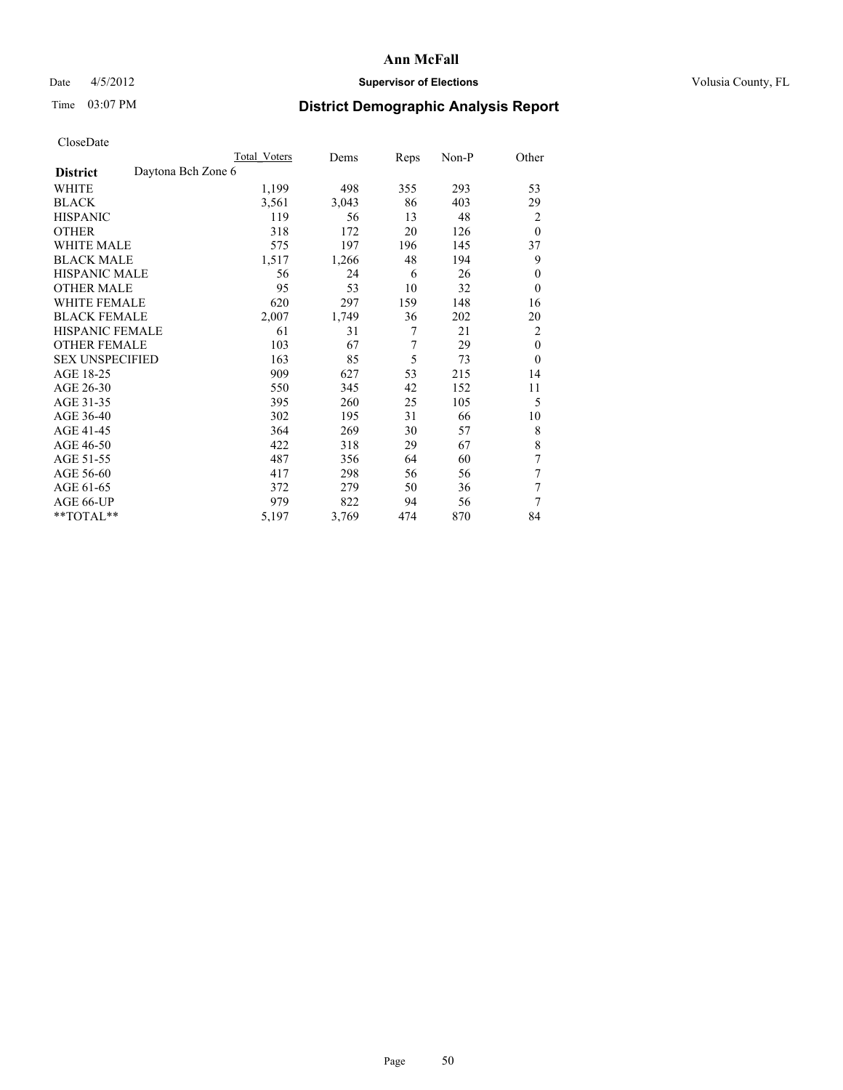# Date 4/5/2012 **Supervisor of Elections Supervisor of Elections** Volusia County, FL

# Time 03:07 PM **District Demographic Analysis Report**

|                                       | Total Voters | Dems  | Reps | Non-P | Other          |
|---------------------------------------|--------------|-------|------|-------|----------------|
| Daytona Bch Zone 6<br><b>District</b> |              |       |      |       |                |
| WHITE                                 | 1,199        | 498   | 355  | 293   | 53             |
| <b>BLACK</b>                          | 3,561        | 3,043 | 86   | 403   | 29             |
| <b>HISPANIC</b>                       | 119          | 56    | 13   | 48    | $\overline{2}$ |
| <b>OTHER</b>                          | 318          | 172   | 20   | 126   | $\theta$       |
| WHITE MALE                            | 575          | 197   | 196  | 145   | 37             |
| <b>BLACK MALE</b>                     | 1,517        | 1,266 | 48   | 194   | 9              |
| <b>HISPANIC MALE</b>                  | 56           | 24    | 6    | 26    | $\mathbf{0}$   |
| <b>OTHER MALE</b>                     | 95           | 53    | 10   | 32    | $\theta$       |
| WHITE FEMALE                          | 620          | 297   | 159  | 148   | 16             |
| <b>BLACK FEMALE</b>                   | 2,007        | 1,749 | 36   | 202   | 20             |
| <b>HISPANIC FEMALE</b>                | 61           | 31    | 7    | 21    | $\overline{2}$ |
| <b>OTHER FEMALE</b>                   | 103          | 67    | 7    | 29    | $\mathbf{0}$   |
| <b>SEX UNSPECIFIED</b>                | 163          | 85    | 5    | 73    | $\theta$       |
| AGE 18-25                             | 909          | 627   | 53   | 215   | 14             |
| AGE 26-30                             | 550          | 345   | 42   | 152   | 11             |
| AGE 31-35                             | 395          | 260   | 25   | 105   | 5              |
| AGE 36-40                             | 302          | 195   | 31   | 66    | 10             |
| AGE 41-45                             | 364          | 269   | 30   | 57    | 8              |
| AGE 46-50                             | 422          | 318   | 29   | 67    | 8              |
| AGE 51-55                             | 487          | 356   | 64   | 60    | 7              |
| AGE 56-60                             | 417          | 298   | 56   | 56    | 7              |
| AGE 61-65                             | 372          | 279   | 50   | 36    | 7              |
| AGE 66-UP                             | 979          | 822   | 94   | 56    | 7              |
| **TOTAL**                             | 5,197        | 3,769 | 474  | 870   | 84             |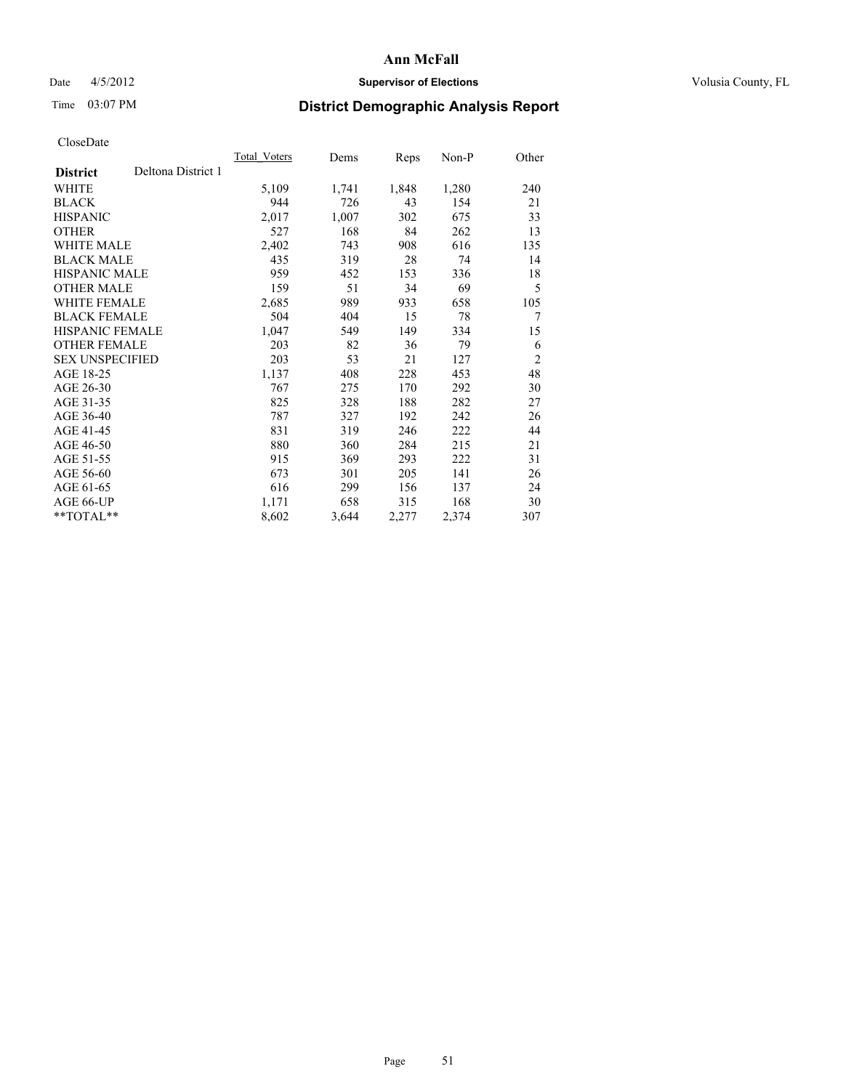## Date 4/5/2012 **Supervisor of Elections Supervisor of Elections** Volusia County, FL

# Time 03:07 PM **District Demographic Analysis Report**

|                                       | Total Voters | Dems  | <b>Reps</b> | Non-P | Other          |
|---------------------------------------|--------------|-------|-------------|-------|----------------|
| Deltona District 1<br><b>District</b> |              |       |             |       |                |
| WHITE                                 | 5,109        | 1,741 | 1,848       | 1,280 | 240            |
| <b>BLACK</b>                          | 944          | 726   | 43          | 154   | 21             |
| <b>HISPANIC</b>                       | 2,017        | 1,007 | 302         | 675   | 33             |
| <b>OTHER</b>                          | 527          | 168   | 84          | 262   | 13             |
| <b>WHITE MALE</b>                     | 2,402        | 743   | 908         | 616   | 135            |
| <b>BLACK MALE</b>                     | 435          | 319   | 28          | 74    | 14             |
| HISPANIC MALE                         | 959          | 452   | 153         | 336   | 18             |
| <b>OTHER MALE</b>                     | 159          | 51    | 34          | 69    | 5              |
| <b>WHITE FEMALE</b>                   | 2,685        | 989   | 933         | 658   | 105            |
| <b>BLACK FEMALE</b>                   | 504          | 404   | 15          | 78    | 7              |
| <b>HISPANIC FEMALE</b>                | 1,047        | 549   | 149         | 334   | 15             |
| <b>OTHER FEMALE</b>                   | 203          | 82    | 36          | 79    | 6              |
| <b>SEX UNSPECIFIED</b>                | 203          | 53    | 21          | 127   | $\overline{2}$ |
| AGE 18-25                             | 1,137        | 408   | 228         | 453   | 48             |
| AGE 26-30                             | 767          | 275   | 170         | 292   | 30             |
| AGE 31-35                             | 825          | 328   | 188         | 282   | 27             |
| AGE 36-40                             | 787          | 327   | 192         | 242   | 26             |
| AGE 41-45                             | 831          | 319   | 246         | 222   | 44             |
| AGE 46-50                             | 880          | 360   | 284         | 215   | 21             |
| AGE 51-55                             | 915          | 369   | 293         | 222   | 31             |
| AGE 56-60                             | 673          | 301   | 205         | 141   | 26             |
| AGE 61-65                             | 616          | 299   | 156         | 137   | 24             |
| AGE 66-UP                             | 1,171        | 658   | 315         | 168   | 30             |
| **TOTAL**                             | 8,602        | 3,644 | 2,277       | 2,374 | 307            |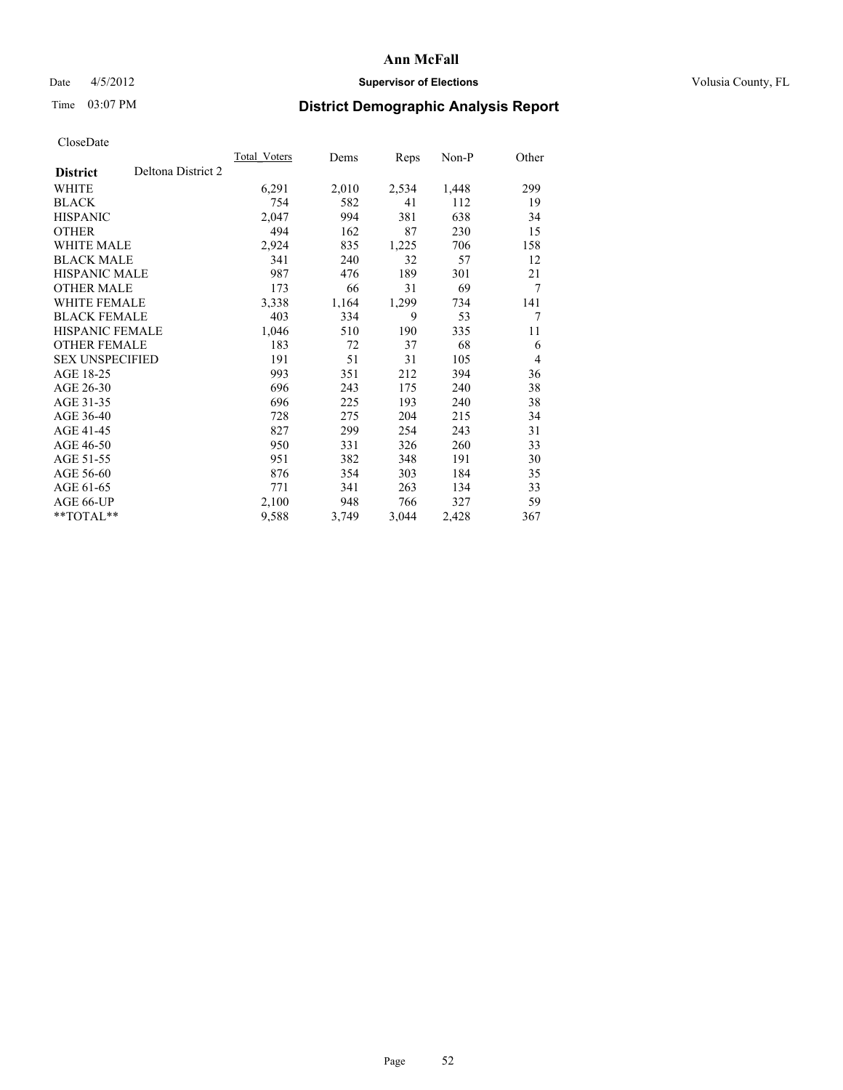# Date 4/5/2012 **Supervisor of Elections Supervisor of Elections** Volusia County, FL

# Time 03:07 PM **District Demographic Analysis Report**

|                        |                    | Total Voters | Dems  | Reps  | Non-P | Other |
|------------------------|--------------------|--------------|-------|-------|-------|-------|
| <b>District</b>        | Deltona District 2 |              |       |       |       |       |
| WHITE                  |                    | 6,291        | 2,010 | 2,534 | 1,448 | 299   |
| <b>BLACK</b>           |                    | 754          | 582   | 41    | 112   | 19    |
| <b>HISPANIC</b>        |                    | 2,047        | 994   | 381   | 638   | 34    |
| <b>OTHER</b>           |                    | 494          | 162   | 87    | 230   | 15    |
| <b>WHITE MALE</b>      |                    | 2,924        | 835   | 1,225 | 706   | 158   |
| <b>BLACK MALE</b>      |                    | 341          | 240   | 32    | 57    | 12    |
| <b>HISPANIC MALE</b>   |                    | 987          | 476   | 189   | 301   | 21    |
| <b>OTHER MALE</b>      |                    | 173          | 66    | 31    | 69    | 7     |
| <b>WHITE FEMALE</b>    |                    | 3,338        | 1,164 | 1,299 | 734   | 141   |
| <b>BLACK FEMALE</b>    |                    | 403          | 334   | 9     | 53    | 7     |
| <b>HISPANIC FEMALE</b> |                    | 1,046        | 510   | 190   | 335   | 11    |
| <b>OTHER FEMALE</b>    |                    | 183          | 72    | 37    | 68    | 6     |
| <b>SEX UNSPECIFIED</b> |                    | 191          | 51    | 31    | 105   | 4     |
| AGE 18-25              |                    | 993          | 351   | 212   | 394   | 36    |
| AGE 26-30              |                    | 696          | 243   | 175   | 240   | 38    |
| AGE 31-35              |                    | 696          | 225   | 193   | 240   | 38    |
| AGE 36-40              |                    | 728          | 275   | 204   | 215   | 34    |
| AGE 41-45              |                    | 827          | 299   | 254   | 243   | 31    |
| AGE 46-50              |                    | 950          | 331   | 326   | 260   | 33    |
| AGE 51-55              |                    | 951          | 382   | 348   | 191   | 30    |
| AGE 56-60              |                    | 876          | 354   | 303   | 184   | 35    |
| AGE 61-65              |                    | 771          | 341   | 263   | 134   | 33    |
| AGE 66-UP              |                    | 2,100        | 948   | 766   | 327   | 59    |
| **TOTAL**              |                    | 9,588        | 3,749 | 3,044 | 2,428 | 367   |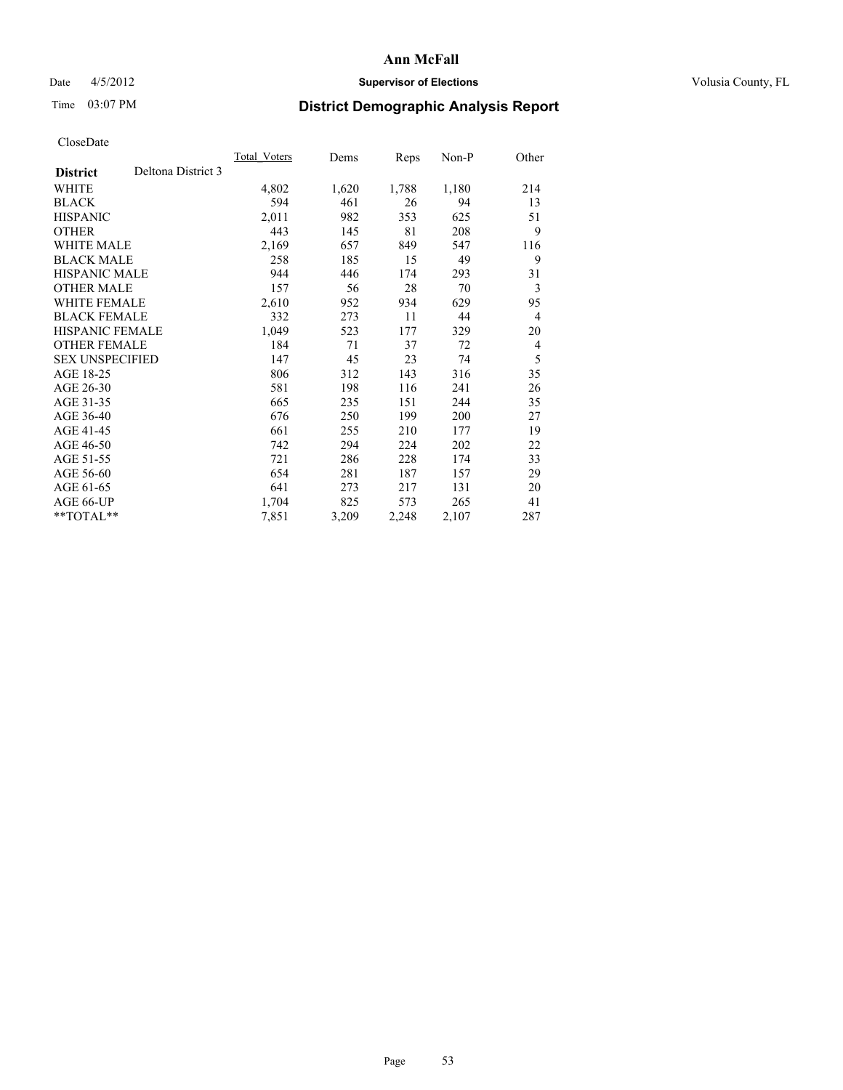## Date 4/5/2012 **Supervisor of Elections Supervisor of Elections** Volusia County, FL

# Time 03:07 PM **District Demographic Analysis Report**

|                        |                    | Total Voters | Dems  | Reps  | Non-P | Other          |
|------------------------|--------------------|--------------|-------|-------|-------|----------------|
| <b>District</b>        | Deltona District 3 |              |       |       |       |                |
| WHITE                  |                    | 4,802        | 1,620 | 1,788 | 1,180 | 214            |
| <b>BLACK</b>           |                    | 594          | 461   | 26    | 94    | 13             |
| <b>HISPANIC</b>        |                    | 2,011        | 982   | 353   | 625   | 51             |
| <b>OTHER</b>           |                    | 443          | 145   | 81    | 208   | 9              |
| <b>WHITE MALE</b>      |                    | 2,169        | 657   | 849   | 547   | 116            |
| <b>BLACK MALE</b>      |                    | 258          | 185   | 15    | 49    | 9              |
| HISPANIC MALE          |                    | 944          | 446   | 174   | 293   | 31             |
| <b>OTHER MALE</b>      |                    | 157          | 56    | 28    | 70    | 3              |
| <b>WHITE FEMALE</b>    |                    | 2,610        | 952   | 934   | 629   | 95             |
| <b>BLACK FEMALE</b>    |                    | 332          | 273   | 11    | 44    | $\overline{4}$ |
| <b>HISPANIC FEMALE</b> |                    | 1,049        | 523   | 177   | 329   | 20             |
| <b>OTHER FEMALE</b>    |                    | 184          | 71    | 37    | 72    | 4              |
| <b>SEX UNSPECIFIED</b> |                    | 147          | 45    | 23    | 74    | 5              |
| AGE 18-25              |                    | 806          | 312   | 143   | 316   | 35             |
| AGE 26-30              |                    | 581          | 198   | 116   | 241   | 26             |
| AGE 31-35              |                    | 665          | 235   | 151   | 244   | 35             |
| AGE 36-40              |                    | 676          | 250   | 199   | 200   | 27             |
| AGE 41-45              |                    | 661          | 255   | 210   | 177   | 19             |
| AGE 46-50              |                    | 742          | 294   | 224   | 202   | 22             |
| AGE 51-55              |                    | 721          | 286   | 228   | 174   | 33             |
| AGE 56-60              |                    | 654          | 281   | 187   | 157   | 29             |
| AGE 61-65              |                    | 641          | 273   | 217   | 131   | 20             |
| AGE 66-UP              |                    | 1,704        | 825   | 573   | 265   | 41             |
| **TOTAL**              |                    | 7,851        | 3,209 | 2,248 | 2,107 | 287            |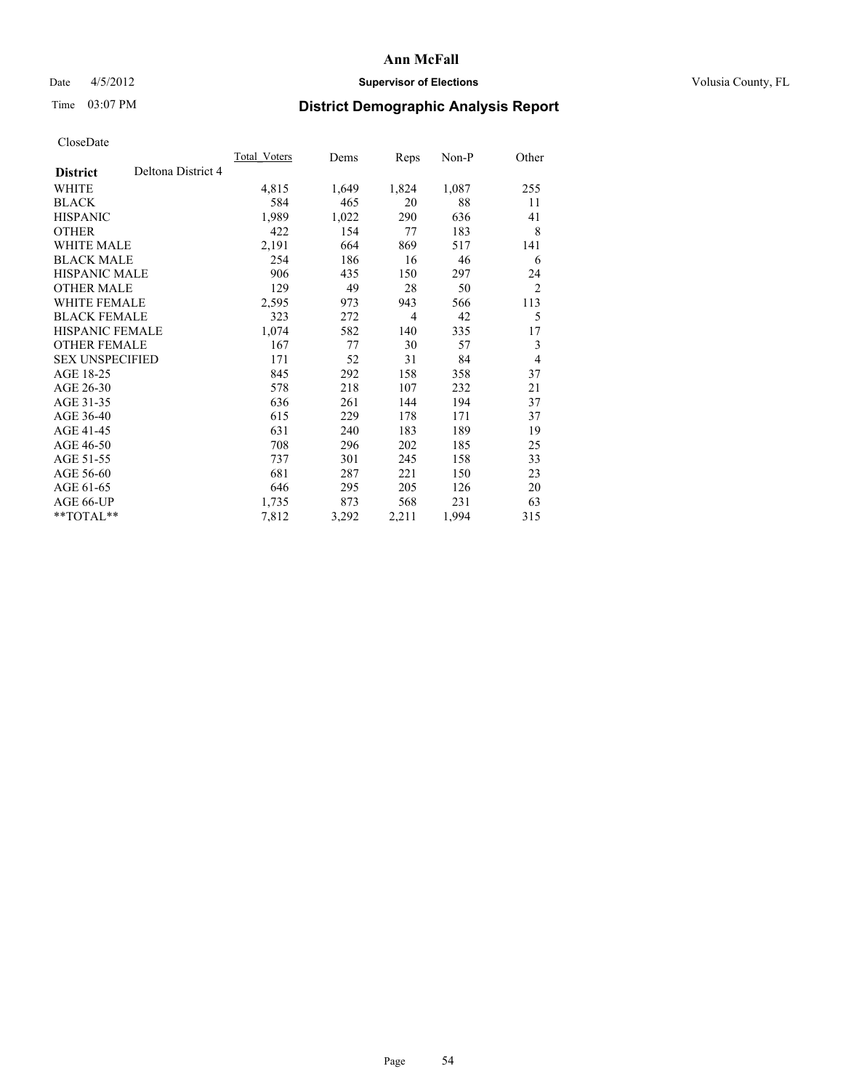## Date 4/5/2012 **Supervisor of Elections Supervisor of Elections** Volusia County, FL

# Time 03:07 PM **District Demographic Analysis Report**

|                        |                    | Total Voters | Dems  | Reps  | Non-P | Other          |
|------------------------|--------------------|--------------|-------|-------|-------|----------------|
| <b>District</b>        | Deltona District 4 |              |       |       |       |                |
| WHITE                  |                    | 4,815        | 1,649 | 1,824 | 1,087 | 255            |
| <b>BLACK</b>           |                    | 584          | 465   | 20    | 88    | 11             |
| <b>HISPANIC</b>        |                    | 1,989        | 1,022 | 290   | 636   | 41             |
| <b>OTHER</b>           |                    | 422          | 154   | 77    | 183   | 8              |
| <b>WHITE MALE</b>      |                    | 2,191        | 664   | 869   | 517   | 141            |
| <b>BLACK MALE</b>      |                    | 254          | 186   | 16    | 46    | 6              |
| HISPANIC MALE          |                    | 906          | 435   | 150   | 297   | 24             |
| <b>OTHER MALE</b>      |                    | 129          | 49    | 28    | 50    | $\overline{2}$ |
| <b>WHITE FEMALE</b>    |                    | 2,595        | 973   | 943   | 566   | 113            |
| <b>BLACK FEMALE</b>    |                    | 323          | 272   | 4     | 42    | 5              |
| <b>HISPANIC FEMALE</b> |                    | 1,074        | 582   | 140   | 335   | 17             |
| <b>OTHER FEMALE</b>    |                    | 167          | 77    | 30    | 57    | 3              |
| <b>SEX UNSPECIFIED</b> |                    | 171          | 52    | 31    | 84    | $\overline{4}$ |
| AGE 18-25              |                    | 845          | 292   | 158   | 358   | 37             |
| AGE 26-30              |                    | 578          | 218   | 107   | 232   | 21             |
| AGE 31-35              |                    | 636          | 261   | 144   | 194   | 37             |
| AGE 36-40              |                    | 615          | 229   | 178   | 171   | 37             |
| AGE 41-45              |                    | 631          | 240   | 183   | 189   | 19             |
| AGE 46-50              |                    | 708          | 296   | 202   | 185   | 25             |
| AGE 51-55              |                    | 737          | 301   | 245   | 158   | 33             |
| AGE 56-60              |                    | 681          | 287   | 221   | 150   | 23             |
| AGE 61-65              |                    | 646          | 295   | 205   | 126   | 20             |
| AGE 66-UP              |                    | 1,735        | 873   | 568   | 231   | 63             |
| **TOTAL**              |                    | 7,812        | 3,292 | 2,211 | 1,994 | 315            |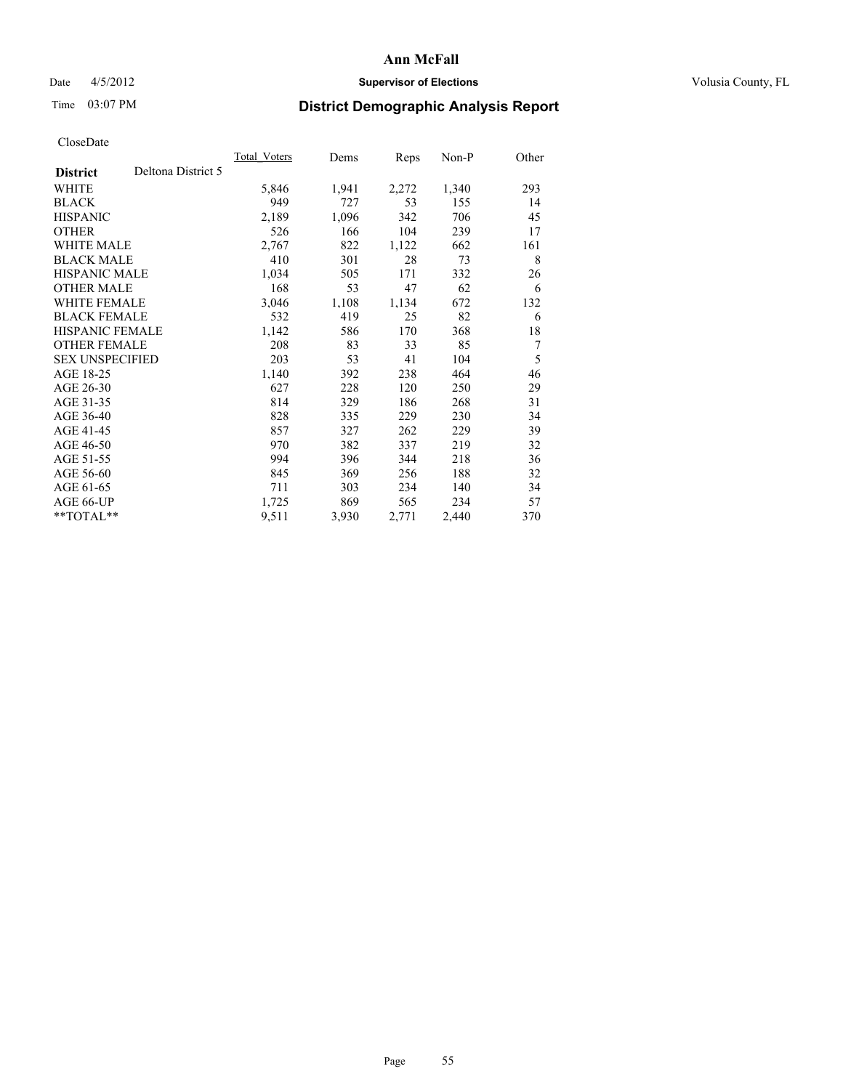# Date 4/5/2012 **Supervisor of Elections Supervisor of Elections** Volusia County, FL

# Time 03:07 PM **District Demographic Analysis Report**

|                        |                    | Total Voters | Dems  | <b>Reps</b> | Non-P | Other |
|------------------------|--------------------|--------------|-------|-------------|-------|-------|
| <b>District</b>        | Deltona District 5 |              |       |             |       |       |
| WHITE                  |                    | 5,846        | 1,941 | 2,272       | 1,340 | 293   |
| <b>BLACK</b>           |                    | 949          | 727   | 53          | 155   | 14    |
| <b>HISPANIC</b>        |                    | 2,189        | 1,096 | 342         | 706   | 45    |
| <b>OTHER</b>           |                    | 526          | 166   | 104         | 239   | 17    |
| WHITE MALE             |                    | 2,767        | 822   | 1,122       | 662   | 161   |
| <b>BLACK MALE</b>      |                    | 410          | 301   | 28          | 73    | 8     |
| <b>HISPANIC MALE</b>   |                    | 1,034        | 505   | 171         | 332   | 26    |
| <b>OTHER MALE</b>      |                    | 168          | 53    | 47          | 62    | 6     |
| <b>WHITE FEMALE</b>    |                    | 3,046        | 1,108 | 1,134       | 672   | 132   |
| <b>BLACK FEMALE</b>    |                    | 532          | 419   | 25          | 82    | 6     |
| <b>HISPANIC FEMALE</b> |                    | 1,142        | 586   | 170         | 368   | 18    |
| <b>OTHER FEMALE</b>    |                    | 208          | 83    | 33          | 85    | 7     |
| <b>SEX UNSPECIFIED</b> |                    | 203          | 53    | 41          | 104   | 5     |
| AGE 18-25              |                    | 1,140        | 392   | 238         | 464   | 46    |
| AGE 26-30              |                    | 627          | 228   | 120         | 250   | 29    |
| AGE 31-35              |                    | 814          | 329   | 186         | 268   | 31    |
| AGE 36-40              |                    | 828          | 335   | 229         | 230   | 34    |
| AGE 41-45              |                    | 857          | 327   | 262         | 229   | 39    |
| AGE 46-50              |                    | 970          | 382   | 337         | 219   | 32    |
| AGE 51-55              |                    | 994          | 396   | 344         | 218   | 36    |
| AGE 56-60              |                    | 845          | 369   | 256         | 188   | 32    |
| AGE 61-65              |                    | 711          | 303   | 234         | 140   | 34    |
| AGE 66-UP              |                    | 1,725        | 869   | 565         | 234   | 57    |
| **TOTAL**              |                    | 9,511        | 3,930 | 2,771       | 2,440 | 370   |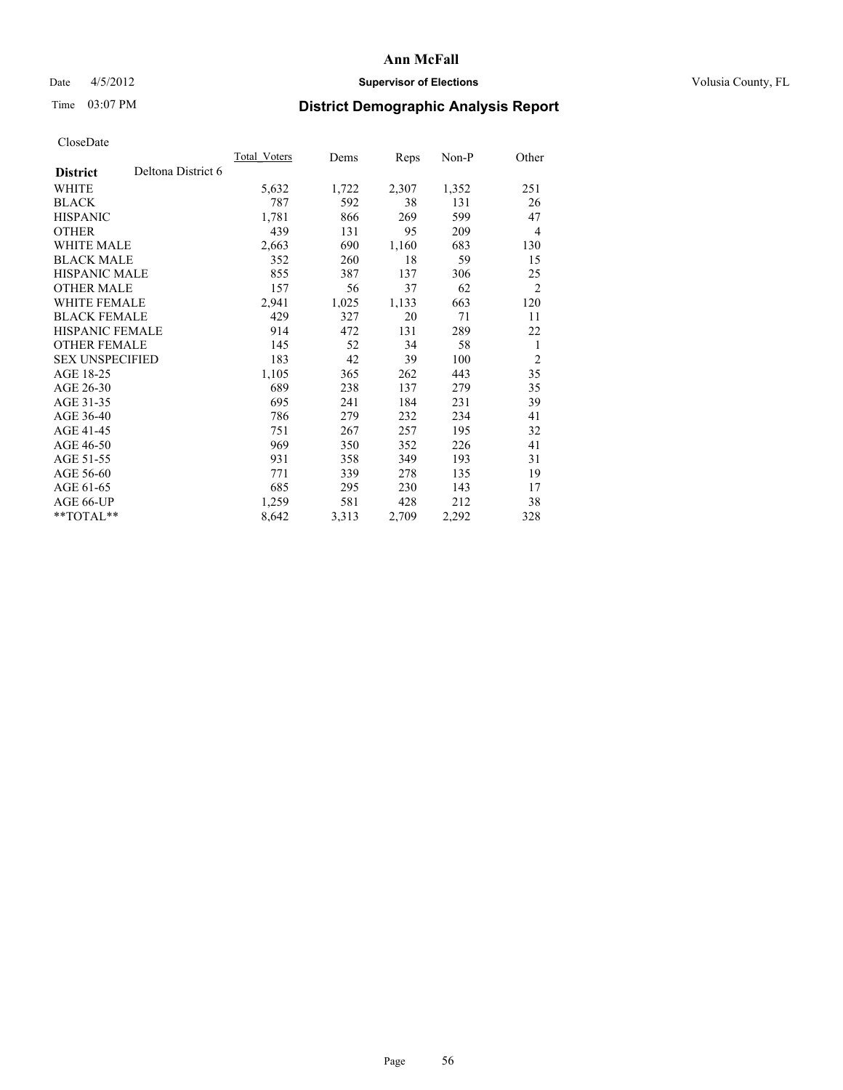# Date 4/5/2012 **Supervisor of Elections Supervisor of Elections** Volusia County, FL

# Time 03:07 PM **District Demographic Analysis Report**

|                        |                    | Total Voters | Dems  | <b>Reps</b> | Non-P | Other          |
|------------------------|--------------------|--------------|-------|-------------|-------|----------------|
| <b>District</b>        | Deltona District 6 |              |       |             |       |                |
| WHITE                  |                    | 5,632        | 1,722 | 2,307       | 1,352 | 251            |
| <b>BLACK</b>           |                    | 787          | 592   | 38          | 131   | 26             |
| <b>HISPANIC</b>        |                    | 1,781        | 866   | 269         | 599   | 47             |
| <b>OTHER</b>           |                    | 439          | 131   | 95          | 209   | 4              |
| WHITE MALE             |                    | 2,663        | 690   | 1,160       | 683   | 130            |
| <b>BLACK MALE</b>      |                    | 352          | 260   | 18          | 59    | 15             |
| <b>HISPANIC MALE</b>   |                    | 855          | 387   | 137         | 306   | 25             |
| <b>OTHER MALE</b>      |                    | 157          | 56    | 37          | 62    | $\overline{2}$ |
| <b>WHITE FEMALE</b>    |                    | 2,941        | 1,025 | 1,133       | 663   | 120            |
| <b>BLACK FEMALE</b>    |                    | 429          | 327   | 20          | 71    | 11             |
| <b>HISPANIC FEMALE</b> |                    | 914          | 472   | 131         | 289   | 22             |
| <b>OTHER FEMALE</b>    |                    | 145          | 52    | 34          | 58    | 1              |
| <b>SEX UNSPECIFIED</b> |                    | 183          | 42    | 39          | 100   | $\overline{2}$ |
| AGE 18-25              |                    | 1,105        | 365   | 262         | 443   | 35             |
| AGE 26-30              |                    | 689          | 238   | 137         | 279   | 35             |
| AGE 31-35              |                    | 695          | 241   | 184         | 231   | 39             |
| AGE 36-40              |                    | 786          | 279   | 232         | 234   | 41             |
| AGE 41-45              |                    | 751          | 267   | 257         | 195   | 32             |
| AGE 46-50              |                    | 969          | 350   | 352         | 226   | 41             |
| AGE 51-55              |                    | 931          | 358   | 349         | 193   | 31             |
| AGE 56-60              |                    | 771          | 339   | 278         | 135   | 19             |
| AGE 61-65              |                    | 685          | 295   | 230         | 143   | 17             |
| AGE 66-UP              |                    | 1,259        | 581   | 428         | 212   | 38             |
| **TOTAL**              |                    | 8,642        | 3,313 | 2,709       | 2,292 | 328            |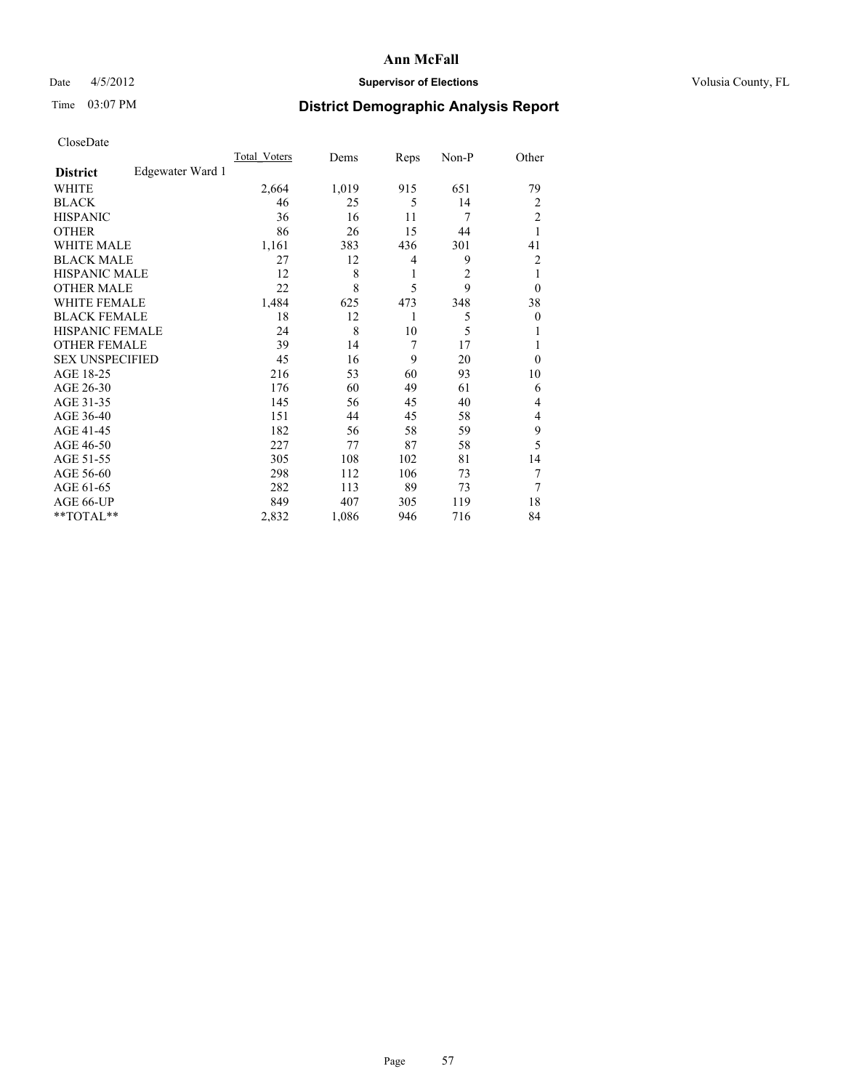# Date 4/5/2012 **Supervisor of Elections Supervisor of Elections** Volusia County, FL

# Time 03:07 PM **District Demographic Analysis Report**

|                        |                  | <b>Total Voters</b> | Dems  | Reps | Non-P          | Other          |
|------------------------|------------------|---------------------|-------|------|----------------|----------------|
| <b>District</b>        | Edgewater Ward 1 |                     |       |      |                |                |
| WHITE                  |                  | 2,664               | 1,019 | 915  | 651            | 79             |
| <b>BLACK</b>           |                  | 46                  | 25    | 5    | 14             | $\overline{2}$ |
| <b>HISPANIC</b>        |                  | 36                  | 16    | 11   | 7              | $\overline{c}$ |
| <b>OTHER</b>           |                  | 86                  | 26    | 15   | 44             | 1              |
| WHITE MALE             |                  | 1,161               | 383   | 436  | 301            | 41             |
| <b>BLACK MALE</b>      |                  | 27                  | 12    | 4    | 9              | 2              |
| <b>HISPANIC MALE</b>   |                  | 12                  | 8     | 1    | $\overline{c}$ | 1              |
| <b>OTHER MALE</b>      |                  | 22                  | 8     | 5    | 9              | $\theta$       |
| <b>WHITE FEMALE</b>    |                  | 1,484               | 625   | 473  | 348            | 38             |
| <b>BLACK FEMALE</b>    |                  | 18                  | 12    | 1    | 5              | $\theta$       |
| <b>HISPANIC FEMALE</b> |                  | 24                  | 8     | 10   | 5              | 1              |
| <b>OTHER FEMALE</b>    |                  | 39                  | 14    | 7    | 17             |                |
| <b>SEX UNSPECIFIED</b> |                  | 45                  | 16    | 9    | 20             | $\theta$       |
| AGE 18-25              |                  | 216                 | 53    | 60   | 93             | 10             |
| AGE 26-30              |                  | 176                 | 60    | 49   | 61             | 6              |
| AGE 31-35              |                  | 145                 | 56    | 45   | 40             | 4              |
| AGE 36-40              |                  | 151                 | 44    | 45   | 58             | 4              |
| AGE 41-45              |                  | 182                 | 56    | 58   | 59             | 9              |
| AGE 46-50              |                  | 227                 | 77    | 87   | 58             | 5              |
| AGE 51-55              |                  | 305                 | 108   | 102  | 81             | 14             |
| AGE 56-60              |                  | 298                 | 112   | 106  | 73             | 7              |
| AGE 61-65              |                  | 282                 | 113   | 89   | 73             | 7              |
| AGE 66-UP              |                  | 849                 | 407   | 305  | 119            | 18             |
| **TOTAL**              |                  | 2,832               | 1,086 | 946  | 716            | 84             |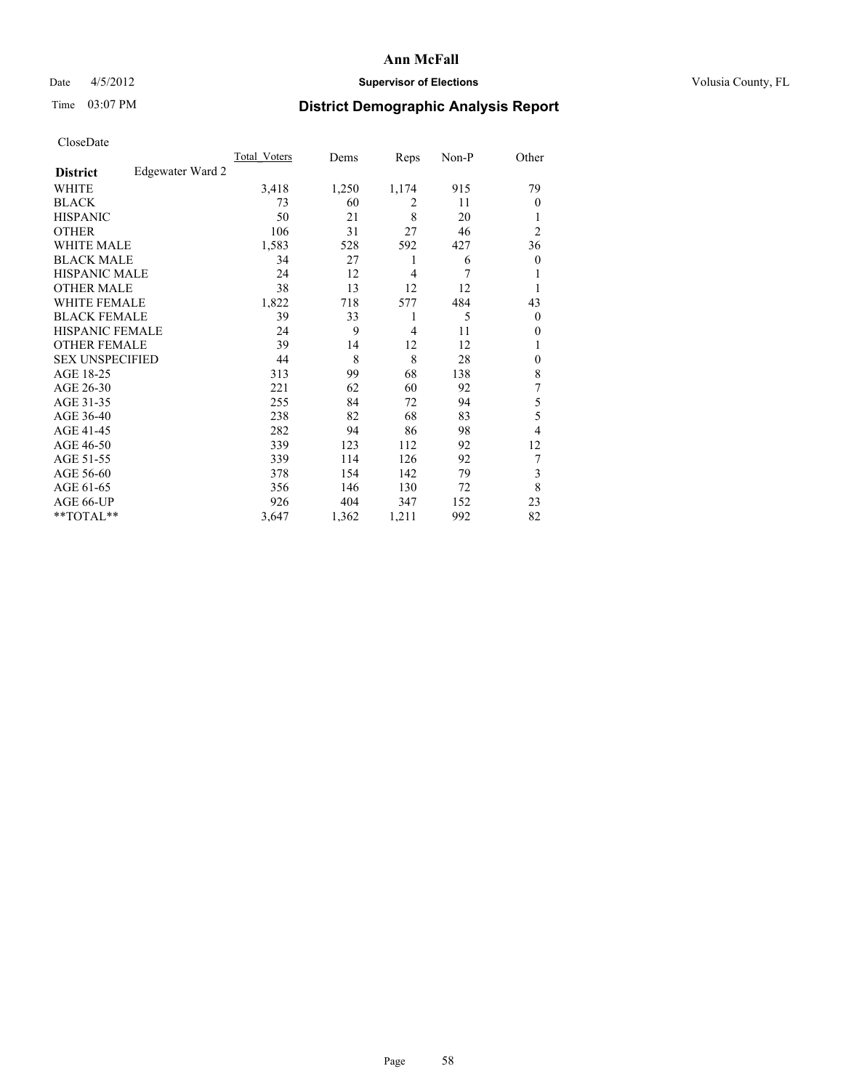# Date 4/5/2012 **Supervisor of Elections Supervisor of Elections** Volusia County, FL

# Time 03:07 PM **District Demographic Analysis Report**

|                        |                  | <b>Total Voters</b> | Dems  | Reps           | Non-P | Other          |
|------------------------|------------------|---------------------|-------|----------------|-------|----------------|
| <b>District</b>        | Edgewater Ward 2 |                     |       |                |       |                |
| WHITE                  |                  | 3,418               | 1,250 | 1,174          | 915   | 79             |
| <b>BLACK</b>           |                  | 73                  | 60    | 2              | 11    | $\theta$       |
| <b>HISPANIC</b>        |                  | 50                  | 21    | 8              | 20    | 1              |
| <b>OTHER</b>           |                  | 106                 | 31    | 27             | 46    | $\overline{2}$ |
| WHITE MALE             |                  | 1,583               | 528   | 592            | 427   | 36             |
| <b>BLACK MALE</b>      |                  | 34                  | 27    | 1              | 6     | $\overline{0}$ |
| <b>HISPANIC MALE</b>   |                  | 24                  | 12    | 4              | 7     | 1              |
| <b>OTHER MALE</b>      |                  | 38                  | 13    | 12             | 12    | 1              |
| <b>WHITE FEMALE</b>    |                  | 1,822               | 718   | 577            | 484   | 43             |
| <b>BLACK FEMALE</b>    |                  | 39                  | 33    | 1              | 5     | $\theta$       |
| <b>HISPANIC FEMALE</b> |                  | 24                  | 9     | $\overline{4}$ | 11    | $\theta$       |
| <b>OTHER FEMALE</b>    |                  | 39                  | 14    | 12             | 12    | 1              |
| <b>SEX UNSPECIFIED</b> |                  | 44                  | 8     | 8              | 28    | $\mathbf{0}$   |
| AGE 18-25              |                  | 313                 | 99    | 68             | 138   | 8              |
| AGE 26-30              |                  | 221                 | 62    | 60             | 92    | 7              |
| AGE 31-35              |                  | 255                 | 84    | 72             | 94    | 5              |
| AGE 36-40              |                  | 238                 | 82    | 68             | 83    | 5              |
| AGE 41-45              |                  | 282                 | 94    | 86             | 98    | 4              |
| AGE 46-50              |                  | 339                 | 123   | 112            | 92    | 12             |
| AGE 51-55              |                  | 339                 | 114   | 126            | 92    |                |
| AGE 56-60              |                  | 378                 | 154   | 142            | 79    | 3              |
| AGE 61-65              |                  | 356                 | 146   | 130            | 72    | 8              |
| AGE 66-UP              |                  | 926                 | 404   | 347            | 152   | 23             |
| **TOTAL**              |                  | 3,647               | 1,362 | 1,211          | 992   | 82             |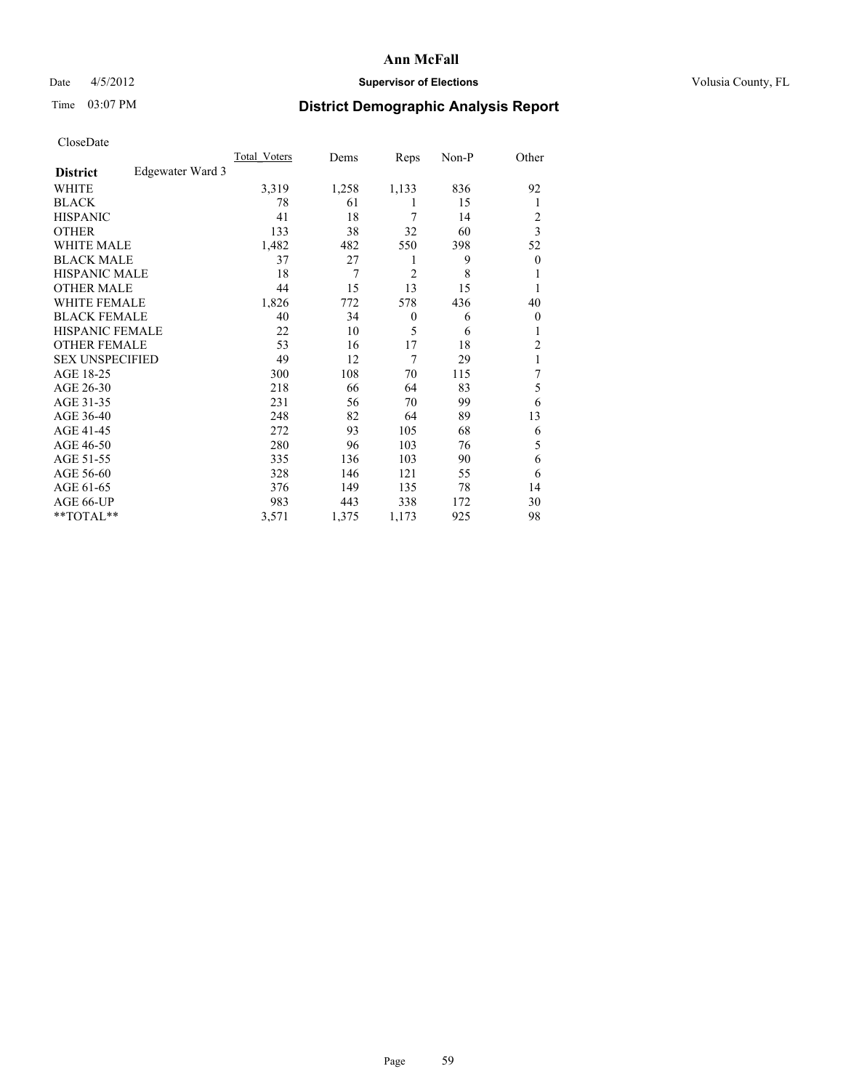# Date 4/5/2012 **Supervisor of Elections Supervisor of Elections** Volusia County, FL

# Time 03:07 PM **District Demographic Analysis Report**

|                        |                  | <b>Total Voters</b> | Dems  | Reps           | Non-P | Other            |
|------------------------|------------------|---------------------|-------|----------------|-------|------------------|
| <b>District</b>        | Edgewater Ward 3 |                     |       |                |       |                  |
| WHITE                  |                  | 3,319               | 1,258 | 1,133          | 836   | 92               |
| <b>BLACK</b>           |                  | 78                  | 61    | 1              | 15    | 1                |
| <b>HISPANIC</b>        |                  | 41                  | 18    | 7              | 14    | 2                |
| <b>OTHER</b>           |                  | 133                 | 38    | 32             | 60    | 3                |
| WHITE MALE             |                  | 1,482               | 482   | 550            | 398   | 52               |
| <b>BLACK MALE</b>      |                  | 37                  | 27    | 1              | 9     | $\boldsymbol{0}$ |
| <b>HISPANIC MALE</b>   |                  | 18                  | 7     | $\overline{2}$ | 8     | 1                |
| <b>OTHER MALE</b>      |                  | 44                  | 15    | 13             | 15    | 1                |
| WHITE FEMALE           |                  | 1,826               | 772   | 578            | 436   | 40               |
| <b>BLACK FEMALE</b>    |                  | 40                  | 34    | $\theta$       | 6     | $\overline{0}$   |
| <b>HISPANIC FEMALE</b> |                  | 22                  | 10    | 5              | 6     | 1                |
| <b>OTHER FEMALE</b>    |                  | 53                  | 16    | 17             | 18    | 2                |
| <b>SEX UNSPECIFIED</b> |                  | 49                  | 12    | 7              | 29    | 1                |
| AGE 18-25              |                  | 300                 | 108   | 70             | 115   | 7                |
| AGE 26-30              |                  | 218                 | 66    | 64             | 83    | 5                |
| AGE 31-35              |                  | 231                 | 56    | 70             | 99    | 6                |
| AGE 36-40              |                  | 248                 | 82    | 64             | 89    | 13               |
| AGE 41-45              |                  | 272                 | 93    | 105            | 68    | 6                |
| AGE 46-50              |                  | 280                 | 96    | 103            | 76    | 5                |
| AGE 51-55              |                  | 335                 | 136   | 103            | 90    | 6                |
| AGE 56-60              |                  | 328                 | 146   | 121            | 55    | 6                |
| AGE 61-65              |                  | 376                 | 149   | 135            | 78    | 14               |
| AGE 66-UP              |                  | 983                 | 443   | 338            | 172   | 30               |
| **TOTAL**              |                  | 3,571               | 1,375 | 1,173          | 925   | 98               |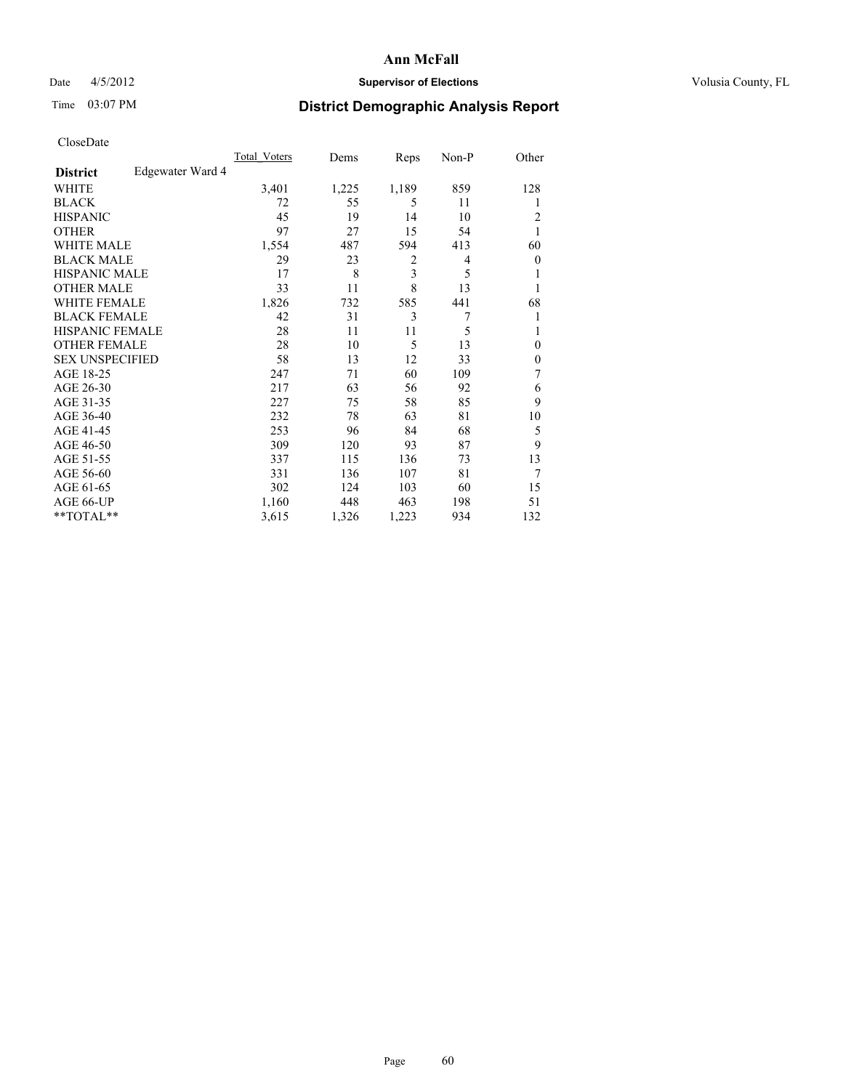# Date 4/5/2012 **Supervisor of Elections Supervisor of Elections** Volusia County, FL

# Time 03:07 PM **District Demographic Analysis Report**

|                        |                  | <b>Total Voters</b> | Dems  | Reps  | Non-P | Other            |
|------------------------|------------------|---------------------|-------|-------|-------|------------------|
| <b>District</b>        | Edgewater Ward 4 |                     |       |       |       |                  |
| WHITE                  |                  | 3,401               | 1,225 | 1,189 | 859   | 128              |
| <b>BLACK</b>           |                  | 72                  | 55    | 5     | 11    | 1                |
| <b>HISPANIC</b>        |                  | 45                  | 19    | 14    | 10    | 2                |
| <b>OTHER</b>           |                  | 97                  | 27    | 15    | 54    |                  |
| WHITE MALE             |                  | 1,554               | 487   | 594   | 413   | 60               |
| <b>BLACK MALE</b>      |                  | 29                  | 23    | 2     | 4     | $\boldsymbol{0}$ |
| <b>HISPANIC MALE</b>   |                  | 17                  | 8     | 3     | 5     | 1                |
| <b>OTHER MALE</b>      |                  | 33                  | 11    | 8     | 13    | 1                |
| <b>WHITE FEMALE</b>    |                  | 1,826               | 732   | 585   | 441   | 68               |
| <b>BLACK FEMALE</b>    |                  | 42                  | 31    | 3     | 7     | 1                |
| <b>HISPANIC FEMALE</b> |                  | 28                  | 11    | 11    | 5     | 1                |
| <b>OTHER FEMALE</b>    |                  | 28                  | 10    | 5     | 13    | $\theta$         |
| <b>SEX UNSPECIFIED</b> |                  | 58                  | 13    | 12    | 33    | $\mathbf{0}$     |
| AGE 18-25              |                  | 247                 | 71    | 60    | 109   | 7                |
| AGE 26-30              |                  | 217                 | 63    | 56    | 92    | 6                |
| AGE 31-35              |                  | 227                 | 75    | 58    | 85    | 9                |
| AGE 36-40              |                  | 232                 | 78    | 63    | 81    | 10               |
| AGE 41-45              |                  | 253                 | 96    | 84    | 68    | 5                |
| AGE 46-50              |                  | 309                 | 120   | 93    | 87    | 9                |
| AGE 51-55              |                  | 337                 | 115   | 136   | 73    | 13               |
| AGE 56-60              |                  | 331                 | 136   | 107   | 81    | 7                |
| AGE 61-65              |                  | 302                 | 124   | 103   | 60    | 15               |
| AGE 66-UP              |                  | 1,160               | 448   | 463   | 198   | 51               |
| **TOTAL**              |                  | 3,615               | 1,326 | 1,223 | 934   | 132              |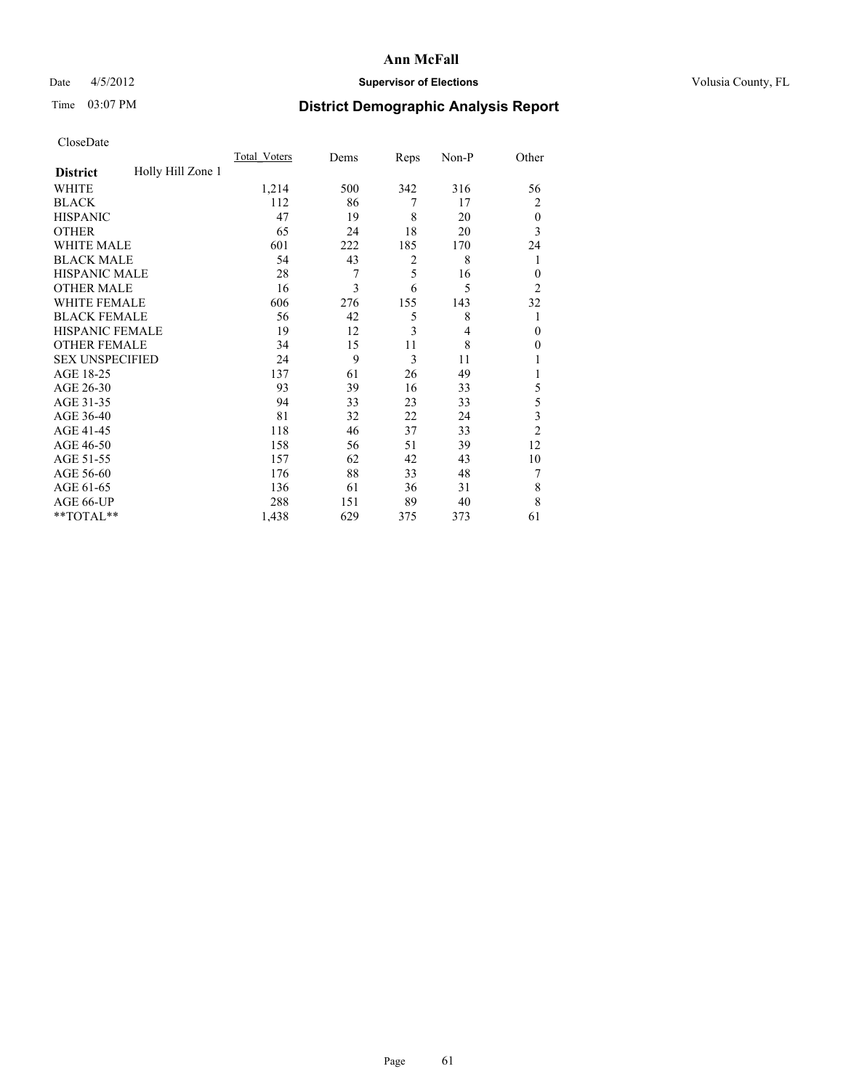# Date 4/5/2012 **Supervisor of Elections Supervisor of Elections** Volusia County, FL

# Time 03:07 PM **District Demographic Analysis Report**

|                        |                   | <b>Total Voters</b> | Dems | Reps           | Non-P          | Other          |
|------------------------|-------------------|---------------------|------|----------------|----------------|----------------|
| <b>District</b>        | Holly Hill Zone 1 |                     |      |                |                |                |
| WHITE                  |                   | 1,214               | 500  | 342            | 316            | 56             |
| <b>BLACK</b>           |                   | 112                 | 86   | 7              | 17             | 2              |
| <b>HISPANIC</b>        |                   | 47                  | 19   | 8              | 20             | $\theta$       |
| <b>OTHER</b>           |                   | 65                  | 24   | 18             | 20             | 3              |
| WHITE MALE             |                   | 601                 | 222  | 185            | 170            | 24             |
| <b>BLACK MALE</b>      |                   | 54                  | 43   | $\overline{2}$ | 8              | 1              |
| <b>HISPANIC MALE</b>   |                   | 28                  | 7    | 5              | 16             | $\mathbf{0}$   |
| <b>OTHER MALE</b>      |                   | 16                  | 3    | 6              | 5              | $\overline{2}$ |
| WHITE FEMALE           |                   | 606                 | 276  | 155            | 143            | 32             |
| <b>BLACK FEMALE</b>    |                   | 56                  | 42   | 5              | 8              | 1              |
| <b>HISPANIC FEMALE</b> |                   | 19                  | 12   | 3              | $\overline{4}$ | $\Omega$       |
| <b>OTHER FEMALE</b>    |                   | 34                  | 15   | 11             | 8              | $\theta$       |
| <b>SEX UNSPECIFIED</b> |                   | 24                  | 9    | 3              | 11             | 1              |
| AGE 18-25              |                   | 137                 | 61   | 26             | 49             | 1              |
| AGE 26-30              |                   | 93                  | 39   | 16             | 33             | 5              |
| AGE 31-35              |                   | 94                  | 33   | 23             | 33             | 5              |
| AGE 36-40              |                   | 81                  | 32   | 22             | 24             | $\mathfrak{Z}$ |
| AGE 41-45              |                   | 118                 | 46   | 37             | 33             | $\overline{2}$ |
| AGE 46-50              |                   | 158                 | 56   | 51             | 39             | 12             |
| AGE 51-55              |                   | 157                 | 62   | 42             | 43             | 10             |
| AGE 56-60              |                   | 176                 | 88   | 33             | 48             | 7              |
| AGE 61-65              |                   | 136                 | 61   | 36             | 31             | 8              |
| AGE 66-UP              |                   | 288                 | 151  | 89             | 40             | 8              |
| **TOTAL**              |                   | 1,438               | 629  | 375            | 373            | 61             |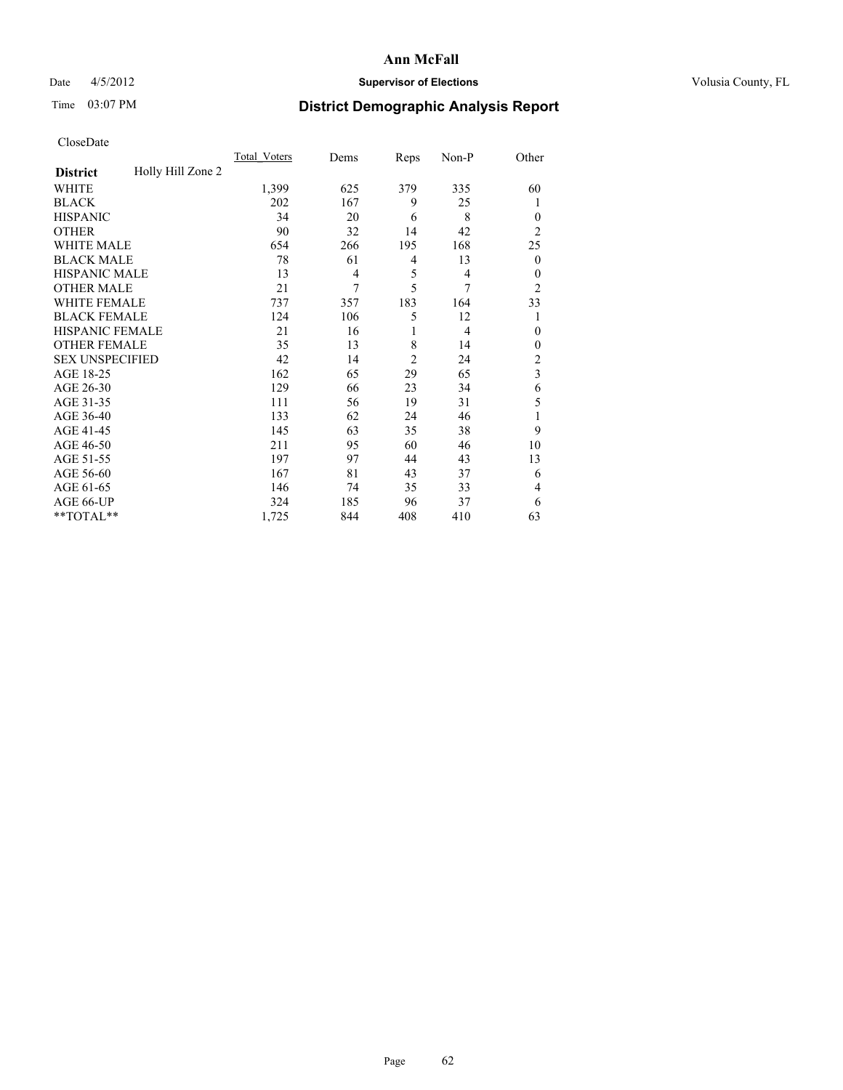# Date 4/5/2012 **Supervisor of Elections Supervisor of Elections** Volusia County, FL

# Time 03:07 PM **District Demographic Analysis Report**

|                        |                   | <b>Total Voters</b> | Dems           | Reps           | Non-P          | Other                   |
|------------------------|-------------------|---------------------|----------------|----------------|----------------|-------------------------|
| <b>District</b>        | Holly Hill Zone 2 |                     |                |                |                |                         |
| WHITE                  |                   | 1,399               | 625            | 379            | 335            | 60                      |
| <b>BLACK</b>           |                   | 202                 | 167            | 9              | 25             | 1                       |
| <b>HISPANIC</b>        |                   | 34                  | 20             | 6              | 8              | $\theta$                |
| <b>OTHER</b>           |                   | 90                  | 32             | 14             | 42             | $\overline{2}$          |
| WHITE MALE             |                   | 654                 | 266            | 195            | 168            | 25                      |
| <b>BLACK MALE</b>      |                   | 78                  | 61             | 4              | 13             | $\boldsymbol{0}$        |
| <b>HISPANIC MALE</b>   |                   | 13                  | $\overline{4}$ | 5              | 4              | $\mathbf{0}$            |
| <b>OTHER MALE</b>      |                   | 21                  | 7              | 5              | 7              | $\overline{2}$          |
| WHITE FEMALE           |                   | 737                 | 357            | 183            | 164            | 33                      |
| <b>BLACK FEMALE</b>    |                   | 124                 | 106            | 5              | 12             | 1                       |
| <b>HISPANIC FEMALE</b> |                   | 21                  | 16             | 1              | $\overline{4}$ | $\theta$                |
| <b>OTHER FEMALE</b>    |                   | 35                  | 13             | 8              | 14             | $\theta$                |
| <b>SEX UNSPECIFIED</b> |                   | 42                  | 14             | $\overline{c}$ | 24             | $\overline{\mathbf{c}}$ |
| AGE 18-25              |                   | 162                 | 65             | 29             | 65             | $\overline{\mathbf{3}}$ |
| AGE 26-30              |                   | 129                 | 66             | 23             | 34             | 6                       |
| AGE 31-35              |                   | 111                 | 56             | 19             | 31             | 5                       |
| AGE 36-40              |                   | 133                 | 62             | 24             | 46             | 1                       |
| AGE 41-45              |                   | 145                 | 63             | 35             | 38             | 9                       |
| AGE 46-50              |                   | 211                 | 95             | 60             | 46             | 10                      |
| AGE 51-55              |                   | 197                 | 97             | 44             | 43             | 13                      |
| AGE 56-60              |                   | 167                 | 81             | 43             | 37             | 6                       |
| AGE 61-65              |                   | 146                 | 74             | 35             | 33             | 4                       |
| AGE 66-UP              |                   | 324                 | 185            | 96             | 37             | 6                       |
| **TOTAL**              |                   | 1,725               | 844            | 408            | 410            | 63                      |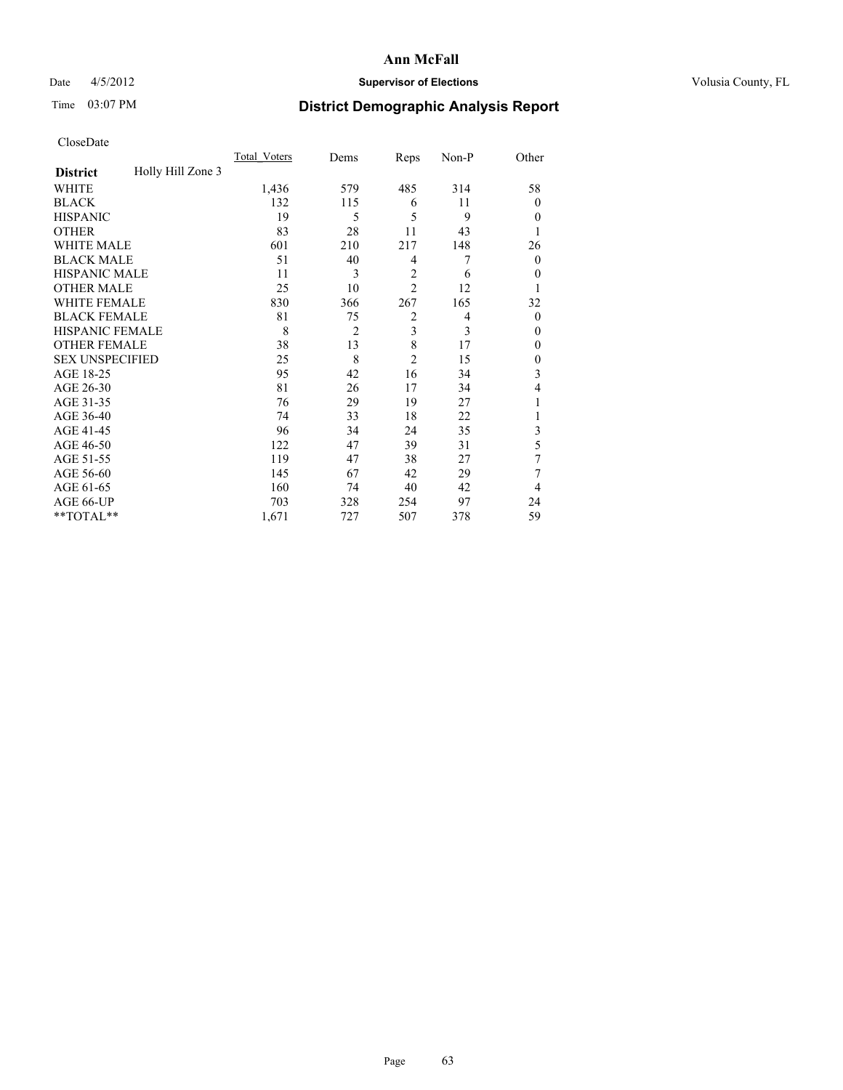# Date 4/5/2012 **Supervisor of Elections Supervisor of Elections** Volusia County, FL

# Time 03:07 PM **District Demographic Analysis Report**

|                        |                   | <b>Total Voters</b> | Dems           | Reps           | Non-P          | Other          |
|------------------------|-------------------|---------------------|----------------|----------------|----------------|----------------|
| <b>District</b>        | Holly Hill Zone 3 |                     |                |                |                |                |
| WHITE                  |                   | 1,436               | 579            | 485            | 314            | 58             |
| <b>BLACK</b>           |                   | 132                 | 115            | 6              | 11             | $\Omega$       |
| <b>HISPANIC</b>        |                   | 19                  | 5              | 5              | 9              | $\Omega$       |
| <b>OTHER</b>           |                   | 83                  | 28             | 11             | 43             |                |
| WHITE MALE             |                   | 601                 | 210            | 217            | 148            | 26             |
| <b>BLACK MALE</b>      |                   | 51                  | 40             | 4              | 7              | $\overline{0}$ |
| <b>HISPANIC MALE</b>   |                   | 11                  | 3              | $\overline{2}$ | 6              | $\overline{0}$ |
| <b>OTHER MALE</b>      |                   | 25                  | 10             | $\overline{2}$ | 12             |                |
| <b>WHITE FEMALE</b>    |                   | 830                 | 366            | 267            | 165            | 32             |
| <b>BLACK FEMALE</b>    |                   | 81                  | 75             | $\overline{2}$ | $\overline{4}$ | $\overline{0}$ |
| <b>HISPANIC FEMALE</b> |                   | 8                   | $\overline{2}$ | 3              | 3              | $\Omega$       |
| <b>OTHER FEMALE</b>    |                   | 38                  | 13             | 8              | 17             | $\Omega$       |
| <b>SEX UNSPECIFIED</b> |                   | 25                  | 8              | $\overline{c}$ | 15             | $\overline{0}$ |
| AGE 18-25              |                   | 95                  | 42             | 16             | 34             | 3              |
| AGE 26-30              |                   | 81                  | 26             | 17             | 34             | 4              |
| AGE 31-35              |                   | 76                  | 29             | 19             | 27             |                |
| AGE 36-40              |                   | 74                  | 33             | 18             | 22             |                |
| AGE 41-45              |                   | 96                  | 34             | 24             | 35             | 3              |
| AGE 46-50              |                   | 122                 | 47             | 39             | 31             | 5              |
| AGE 51-55              |                   | 119                 | 47             | 38             | 27             | 7              |
| AGE 56-60              |                   | 145                 | 67             | 42             | 29             | 7              |
| AGE 61-65              |                   | 160                 | 74             | 40             | 42             | 4              |
| AGE 66-UP              |                   | 703                 | 328            | 254            | 97             | 24             |
| **TOTAL**              |                   | 1,671               | 727            | 507            | 378            | 59             |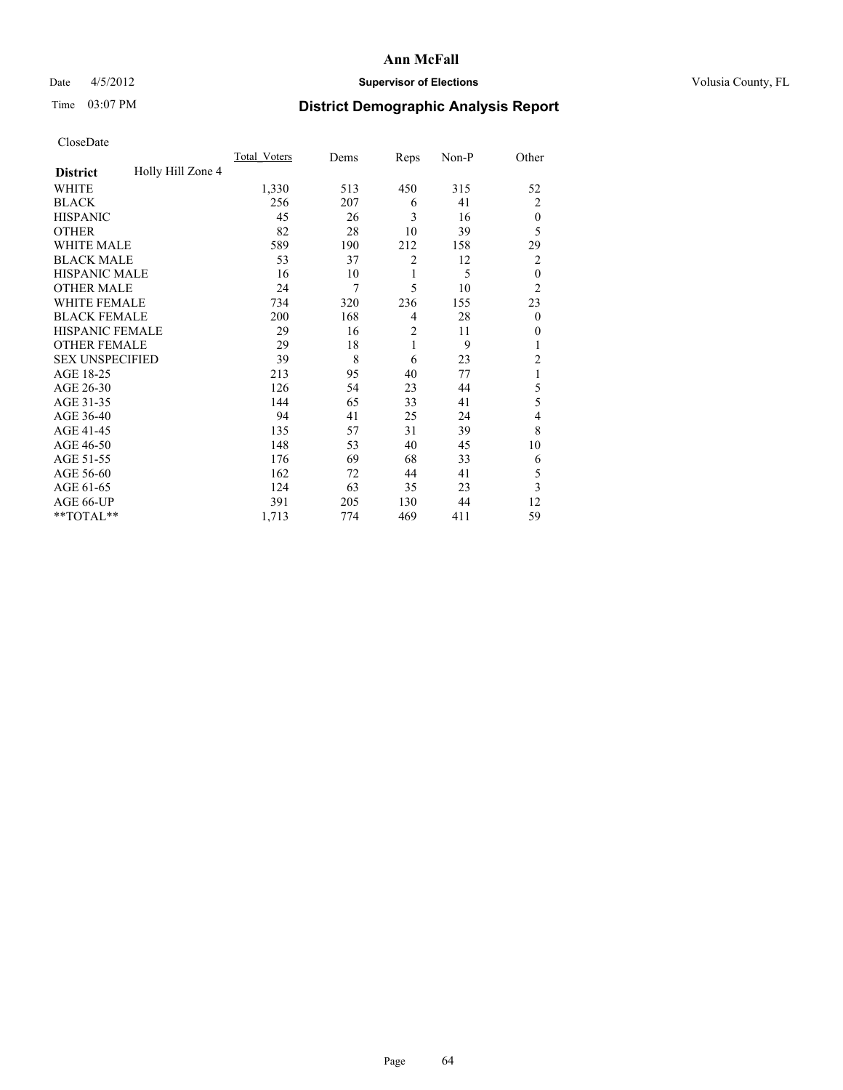## Date 4/5/2012 **Supervisor of Elections Supervisor of Elections** Volusia County, FL

# Time 03:07 PM **District Demographic Analysis Report**

| Cioscivate             |                   |                     |      |                |       |                |
|------------------------|-------------------|---------------------|------|----------------|-------|----------------|
|                        |                   | <b>Total Voters</b> | Dems | Reps           | Non-P | Other          |
| <b>District</b>        | Holly Hill Zone 4 |                     |      |                |       |                |
| <b>WHITE</b>           |                   | 1,330               | 513  | 450            | 315   | 52             |
| <b>BLACK</b>           |                   | 256                 | 207  | 6              | 41    | $\overline{2}$ |
| <b>HISPANIC</b>        |                   | 45                  | 26   | 3              | 16    | $\theta$       |
| <b>OTHER</b>           |                   | 82                  | 28   | 10             | 39    | 5              |
| WHITE MALE             |                   | 589                 | 190  | 212            | 158   | 29             |
| <b>BLACK MALE</b>      |                   | 53                  | 37   | $\overline{2}$ | 12    | $\overline{2}$ |
| <b>HISPANIC MALE</b>   |                   | 16                  | 10   | 1              | 5     | $\overline{0}$ |
| <b>OTHER MALE</b>      |                   | 24                  | 7    | 5              | 10    | $\overline{2}$ |
| <b>WHITE FEMALE</b>    |                   | 734                 | 320  | 236            | 155   | 23             |
| <b>BLACK FEMALE</b>    |                   | 200                 | 168  | $\overline{4}$ | 28    | $\theta$       |
| HISPANIC FEMALE        |                   | 29                  | 16   | $\overline{c}$ | 11    | $\Omega$       |
| <b>OTHER FEMALE</b>    |                   | 29                  | 18   | 1              | 9     | 1              |
| <b>SEX UNSPECIFIED</b> |                   | 39                  | 8    | 6              | 23    | $\overline{2}$ |
| AGE 18-25              |                   | 213                 | 95   | 40             | 77    | 1              |
| AGE 26-30              |                   | 126                 | 54   | 23             | 44    | 5              |
| AGE 31-35              |                   | 144                 | 65   | 33             | 41    | 5              |
| AGE 36-40              |                   | 94                  | 41   | 25             | 24    | 4              |
| AGE 41-45              |                   | 135                 | 57   | 31             | 39    | 8              |
| AGE 46-50              |                   | 148                 | 53   | 40             | 45    | 10             |
| AGE 51-55              |                   | 176                 | 69   | 68             | 33    | 6              |
| AGE 56-60              |                   | 162                 | 72   | 44             | 41    | 5              |
| AGE 61-65              |                   | 124                 | 63   | 35             | 23    | 3              |
| AGE 66-UP              |                   | 391                 | 205  | 130            | 44    | 12             |
| **TOTAL**              |                   | 1,713               | 774  | 469            | 411   | 59             |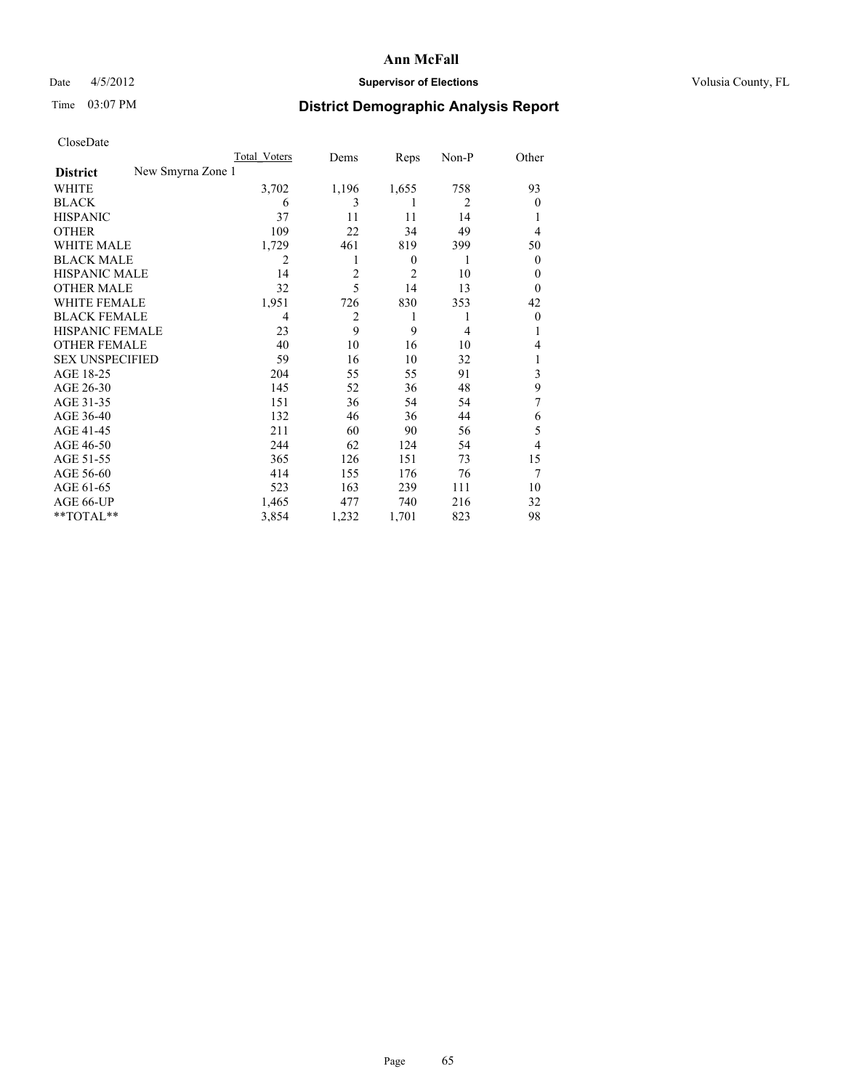# Date 4/5/2012 **Supervisor of Elections Supervisor of Elections** Volusia County, FL

# Time 03:07 PM **District Demographic Analysis Report**

|                        |                   | <b>Total Voters</b> | Dems           | Reps             | Non-P | Other          |
|------------------------|-------------------|---------------------|----------------|------------------|-------|----------------|
| <b>District</b>        | New Smyrna Zone 1 |                     |                |                  |       |                |
| WHITE                  |                   | 3,702               | 1,196          | 1,655            | 758   | 93             |
| <b>BLACK</b>           |                   | 6                   | 3              | 1                | 2     | $\Omega$       |
| <b>HISPANIC</b>        |                   | 37                  | 11             | 11               | 14    |                |
| <b>OTHER</b>           |                   | 109                 | 22             | 34               | 49    | $\overline{4}$ |
| WHITE MALE             |                   | 1,729               | 461            | 819              | 399   | 50             |
| <b>BLACK MALE</b>      |                   | 2                   |                | $\boldsymbol{0}$ | 1     | $\overline{0}$ |
| <b>HISPANIC MALE</b>   |                   | 14                  | $\overline{c}$ | 2                | 10    | 0              |
| <b>OTHER MALE</b>      |                   | 32                  | 5              | 14               | 13    | $\Omega$       |
| <b>WHITE FEMALE</b>    |                   | 1,951               | 726            | 830              | 353   | 42             |
| <b>BLACK FEMALE</b>    |                   | 4                   | 2              | 1                | 1     | $\overline{0}$ |
| <b>HISPANIC FEMALE</b> |                   | 23                  | 9              | 9                | 4     |                |
| <b>OTHER FEMALE</b>    |                   | 40                  | 10             | 16               | 10    | 4              |
| <b>SEX UNSPECIFIED</b> |                   | 59                  | 16             | 10               | 32    |                |
| AGE 18-25              |                   | 204                 | 55             | 55               | 91    | 3              |
| AGE 26-30              |                   | 145                 | 52             | 36               | 48    | 9              |
| AGE 31-35              |                   | 151                 | 36             | 54               | 54    | 7              |
| AGE 36-40              |                   | 132                 | 46             | 36               | 44    | 6              |
| AGE 41-45              |                   | 211                 | 60             | 90               | 56    | 5              |
| AGE 46-50              |                   | 244                 | 62             | 124              | 54    | $\overline{4}$ |
| AGE 51-55              |                   | 365                 | 126            | 151              | 73    | 15             |
| AGE 56-60              |                   | 414                 | 155            | 176              | 76    | 7              |
| AGE 61-65              |                   | 523                 | 163            | 239              | 111   | 10             |
| AGE 66-UP              |                   | 1,465               | 477            | 740              | 216   | 32             |
| **TOTAL**              |                   | 3,854               | 1,232          | 1,701            | 823   | 98             |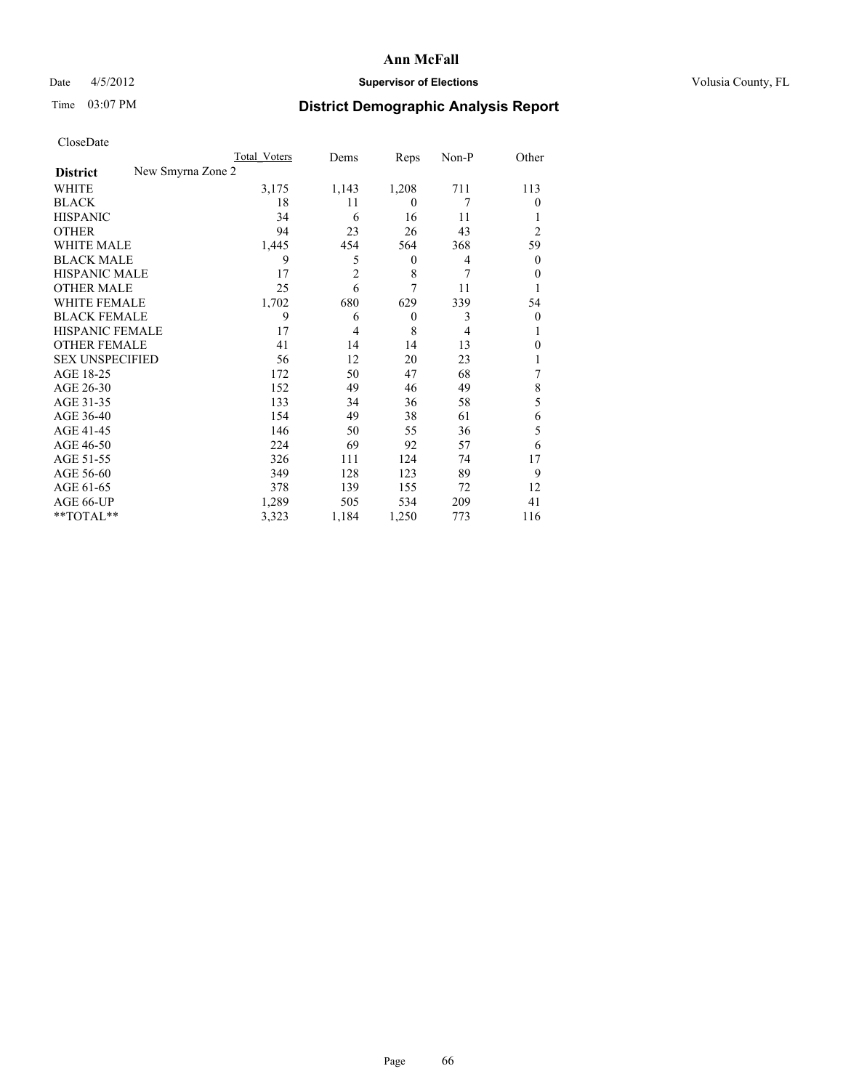# Date 4/5/2012 **Supervisor of Elections Supervisor of Elections** Volusia County, FL

# Time 03:07 PM **District Demographic Analysis Report**

|                        | Total Voters      |       | Dems           | Reps             | Non-P | Other          |
|------------------------|-------------------|-------|----------------|------------------|-------|----------------|
| <b>District</b>        | New Smyrna Zone 2 |       |                |                  |       |                |
| <b>WHITE</b>           |                   | 3,175 | 1,143          | 1,208            | 711   | 113            |
| <b>BLACK</b>           |                   | 18    | 11             | $\theta$         | 7     | $\theta$       |
| <b>HISPANIC</b>        |                   | 34    | 6              | 16               | 11    | 1              |
| <b>OTHER</b>           |                   | 94    | 23             | 26               | 43    | $\overline{c}$ |
| WHITE MALE             |                   | 1,445 | 454            | 564              | 368   | 59             |
| <b>BLACK MALE</b>      |                   | 9     | 5              | $\boldsymbol{0}$ | 4     | $\overline{0}$ |
| <b>HISPANIC MALE</b>   |                   | 17    | $\overline{c}$ | 8                | 7     | $\theta$       |
| <b>OTHER MALE</b>      |                   | 25    | 6              | 7                | 11    | 1              |
| <b>WHITE FEMALE</b>    |                   | 1,702 | 680            | 629              | 339   | 54             |
| <b>BLACK FEMALE</b>    |                   | 9     | 6              | $\theta$         | 3     | $\theta$       |
| <b>HISPANIC FEMALE</b> |                   | 17    | $\overline{4}$ | 8                | 4     | 1              |
| <b>OTHER FEMALE</b>    |                   | 41    | 14             | 14               | 13    | 0              |
| <b>SEX UNSPECIFIED</b> |                   | 56    | 12             | 20               | 23    |                |
| AGE 18-25              |                   | 172   | 50             | 47               | 68    | 7              |
| AGE 26-30              |                   | 152   | 49             | 46               | 49    | 8              |
| AGE 31-35              |                   | 133   | 34             | 36               | 58    | 5              |
| AGE 36-40              |                   | 154   | 49             | 38               | 61    | 6              |
| AGE 41-45              |                   | 146   | 50             | 55               | 36    | 5              |
| AGE 46-50              |                   | 224   | 69             | 92               | 57    | 6              |
| AGE 51-55              |                   | 326   | 111            | 124              | 74    | 17             |
| AGE 56-60              |                   | 349   | 128            | 123              | 89    | 9              |
| AGE 61-65              |                   | 378   | 139            | 155              | 72    | 12             |
| AGE 66-UP              |                   | 1,289 | 505            | 534              | 209   | 41             |
| **TOTAL**              |                   | 3,323 | 1,184          | 1,250            | 773   | 116            |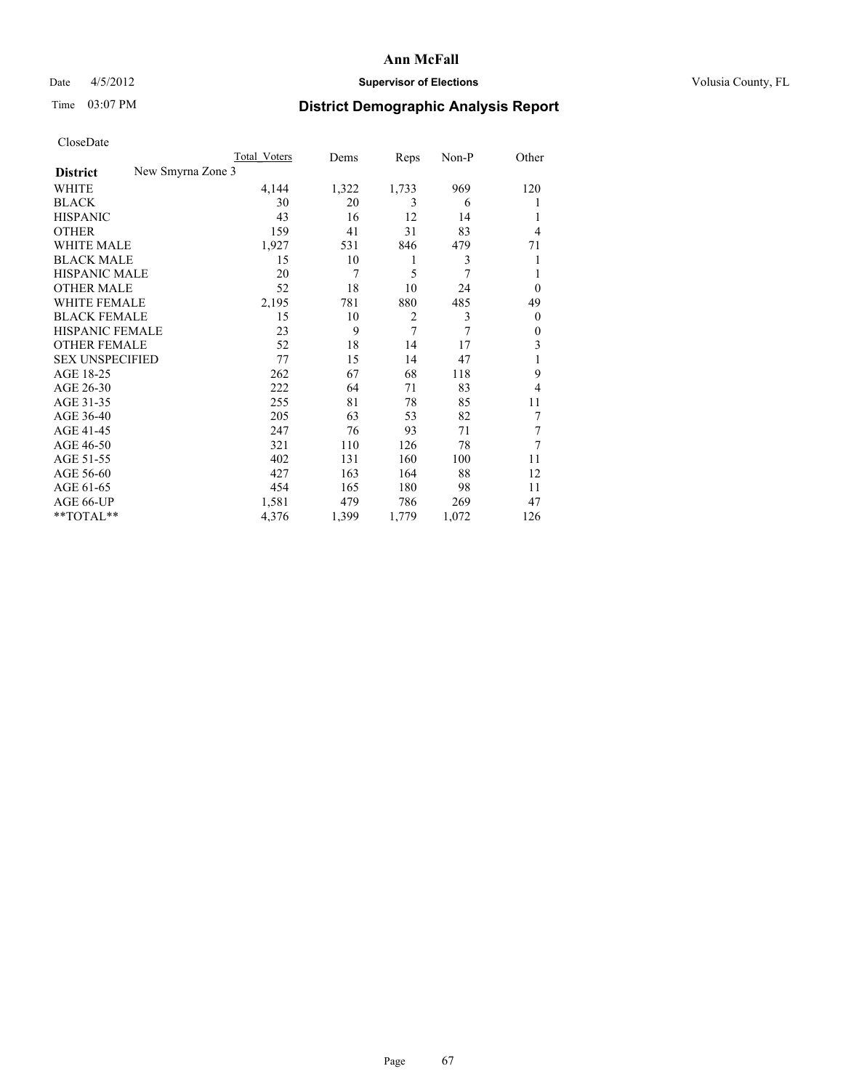# Date 4/5/2012 **Supervisor of Elections Supervisor of Elections** Volusia County, FL

# Time 03:07 PM **District Demographic Analysis Report**

|                                      | Total Voters | Dems  | Reps           | Non-P | Other          |
|--------------------------------------|--------------|-------|----------------|-------|----------------|
| New Smyrna Zone 3<br><b>District</b> |              |       |                |       |                |
| WHITE                                | 4,144        | 1,322 | 1,733          | 969   | 120            |
| <b>BLACK</b>                         | 30           | 20    | 3              | 6     | 1              |
| <b>HISPANIC</b>                      | 43           | 16    | 12             | 14    | 1              |
| <b>OTHER</b>                         | 159          | 41    | 31             | 83    | 4              |
| <b>WHITE MALE</b>                    | 1,927        | 531   | 846            | 479   | 71             |
| <b>BLACK MALE</b>                    | 15           | 10    | 1              | 3     | 1              |
| <b>HISPANIC MALE</b>                 | 20           | 7     | 5              | 7     | 1              |
| <b>OTHER MALE</b>                    | 52           | 18    | 10             | 24    | $\overline{0}$ |
| <b>WHITE FEMALE</b>                  | 2,195        | 781   | 880            | 485   | 49             |
| <b>BLACK FEMALE</b>                  | 15           | 10    | $\overline{2}$ | 3     | $\theta$       |
| <b>HISPANIC FEMALE</b>               | 23           | 9     | 7              | 7     | $\theta$       |
| <b>OTHER FEMALE</b>                  | 52           | 18    | 14             | 17    | 3              |
| <b>SEX UNSPECIFIED</b>               | 77           | 15    | 14             | 47    | 1              |
| AGE 18-25                            | 262          | 67    | 68             | 118   | 9              |
| AGE 26-30                            | 222          | 64    | 71             | 83    | 4              |
| AGE 31-35                            | 255          | 81    | 78             | 85    | 11             |
| AGE 36-40                            | 205          | 63    | 53             | 82    | 7              |
| AGE 41-45                            | 247          | 76    | 93             | 71    | 7              |
| AGE 46-50                            | 321          | 110   | 126            | 78    | 7              |
| AGE 51-55                            | 402          | 131   | 160            | 100   | 11             |
| AGE 56-60                            | 427          | 163   | 164            | 88    | 12             |
| AGE 61-65                            | 454          | 165   | 180            | 98    | 11             |
| AGE 66-UP                            | 1,581        | 479   | 786            | 269   | 47             |
| **TOTAL**                            | 4,376        | 1,399 | 1,779          | 1,072 | 126            |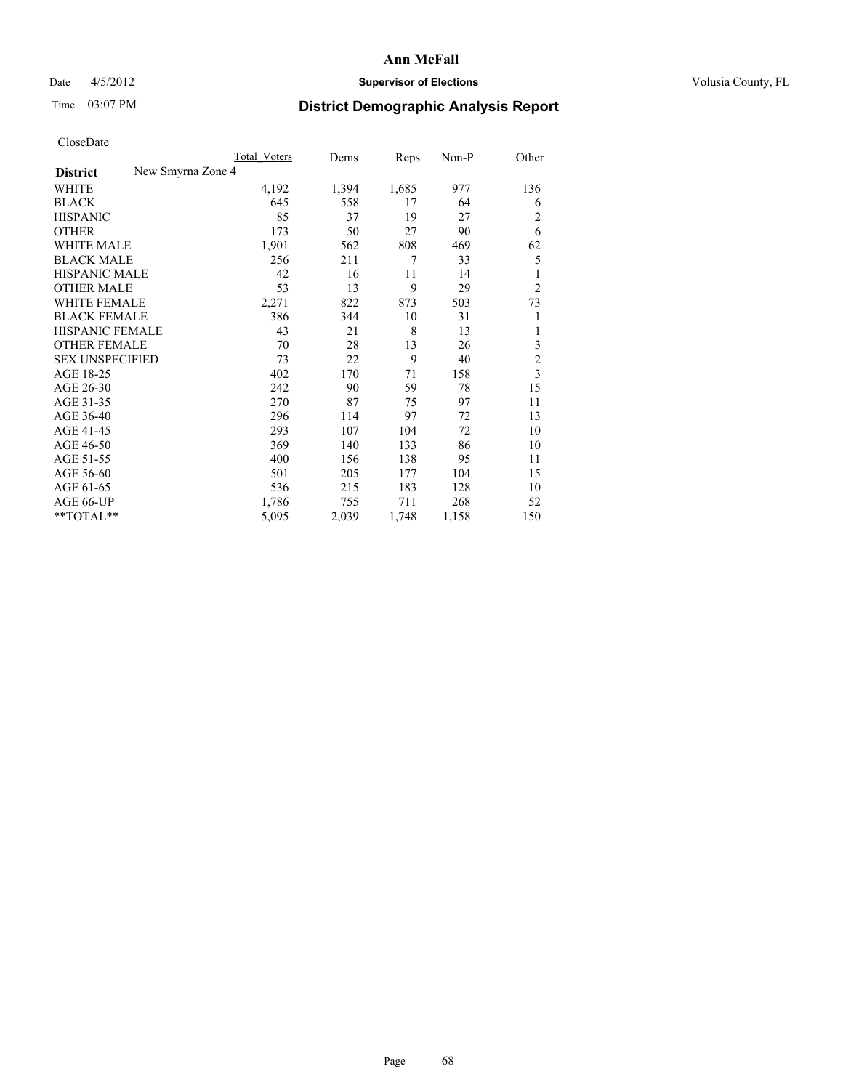## Date  $4/5/2012$  **Supervisor of Elections Supervisor of Elections** Volusia County, FL

# Time 03:07 PM **District Demographic Analysis Report**

|                                      | Total Voters | Dems  | Reps  | Non-P | Other                   |
|--------------------------------------|--------------|-------|-------|-------|-------------------------|
| New Smyrna Zone 4<br><b>District</b> |              |       |       |       |                         |
| WHITE                                | 4,192        | 1,394 | 1,685 | 977   | 136                     |
| <b>BLACK</b>                         | 645          | 558   | 17    | 64    | 6                       |
| <b>HISPANIC</b>                      | 85           | 37    | 19    | 27    | $\overline{c}$          |
| <b>OTHER</b>                         | 173          | 50    | 27    | 90    | 6                       |
| <b>WHITE MALE</b>                    | 1,901        | 562   | 808   | 469   | 62                      |
| <b>BLACK MALE</b>                    | 256          | 211   | 7     | 33    | 5                       |
| <b>HISPANIC MALE</b>                 | 42           | 16    | 11    | 14    | 1                       |
| <b>OTHER MALE</b>                    | 53           | 13    | 9     | 29    | $\overline{2}$          |
| <b>WHITE FEMALE</b>                  | 2,271        | 822   | 873   | 503   | 73                      |
| <b>BLACK FEMALE</b>                  | 386          | 344   | 10    | 31    | 1                       |
| <b>HISPANIC FEMALE</b>               | 43           | 21    | 8     | 13    | 1                       |
| <b>OTHER FEMALE</b>                  | 70           | 28    | 13    | 26    | 3                       |
| <b>SEX UNSPECIFIED</b>               | 73           | 22    | 9     | 40    | $\overline{c}$          |
| AGE 18-25                            | 402          | 170   | 71    | 158   | $\overline{\mathbf{3}}$ |
| AGE 26-30                            | 242          | 90    | 59    | 78    | 15                      |
| AGE 31-35                            | 270          | 87    | 75    | 97    | 11                      |
| AGE 36-40                            | 296          | 114   | 97    | 72    | 13                      |
| AGE 41-45                            | 293          | 107   | 104   | 72    | 10                      |
| AGE 46-50                            | 369          | 140   | 133   | 86    | 10                      |
| AGE 51-55                            | 400          | 156   | 138   | 95    | 11                      |
| AGE 56-60                            | 501          | 205   | 177   | 104   | 15                      |
| AGE 61-65                            | 536          | 215   | 183   | 128   | 10                      |
| AGE 66-UP                            | 1,786        | 755   | 711   | 268   | 52                      |
| **TOTAL**                            | 5,095        | 2,039 | 1,748 | 1,158 | 150                     |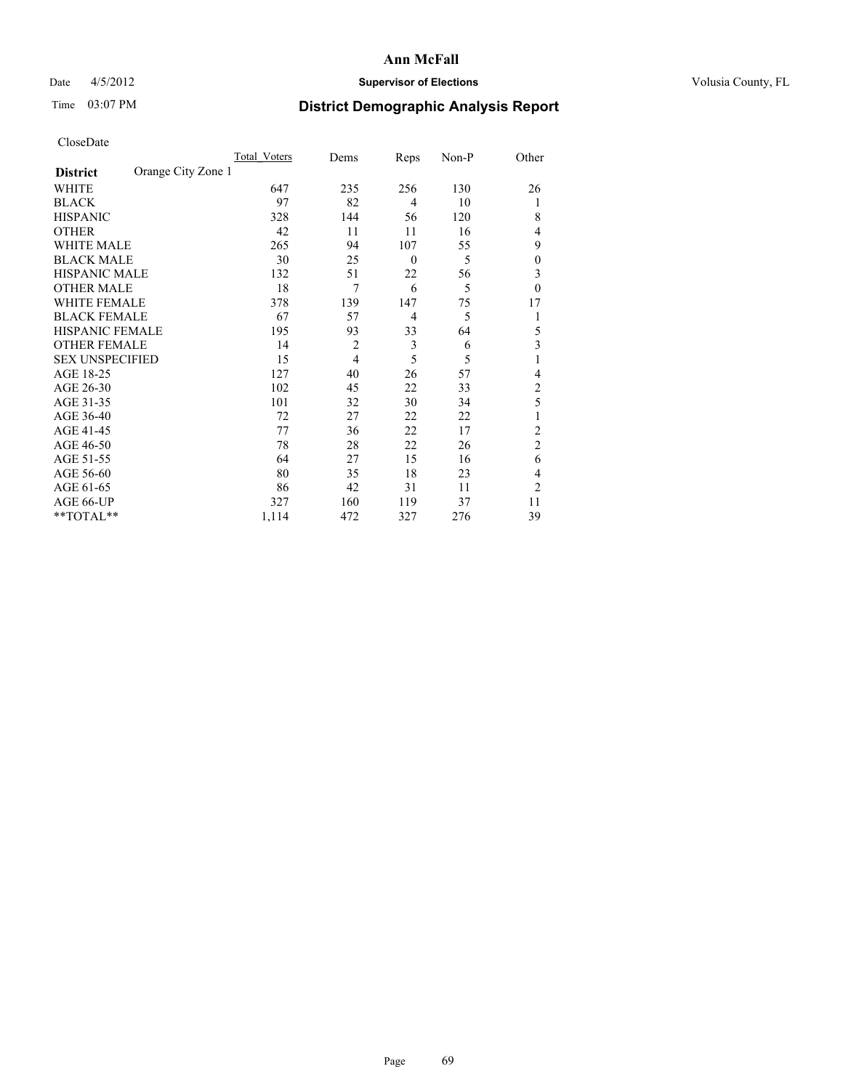# Date 4/5/2012 **Supervisor of Elections Supervisor of Elections** Volusia County, FL

# Time 03:07 PM **District Demographic Analysis Report**

|                        |                    | <b>Total Voters</b> | Dems           | Reps           | Non-P | Other            |
|------------------------|--------------------|---------------------|----------------|----------------|-------|------------------|
| <b>District</b>        | Orange City Zone 1 |                     |                |                |       |                  |
| WHITE                  |                    | 647                 | 235            | 256            | 130   | 26               |
| <b>BLACK</b>           |                    | 97                  | 82             | $\overline{4}$ | 10    | 1                |
| <b>HISPANIC</b>        |                    | 328                 | 144            | 56             | 120   | 8                |
| <b>OTHER</b>           |                    | 42                  | 11             | 11             | 16    | 4                |
| WHITE MALE             |                    | 265                 | 94             | 107            | 55    | 9                |
| <b>BLACK MALE</b>      |                    | 30                  | 25             | $\theta$       | 5     | $\boldsymbol{0}$ |
| <b>HISPANIC MALE</b>   |                    | 132                 | 51             | 22             | 56    | 3                |
| <b>OTHER MALE</b>      |                    | 18                  | 7              | 6              | 5     | $\mathbf{0}$     |
| WHITE FEMALE           |                    | 378                 | 139            | 147            | 75    | 17               |
| <b>BLACK FEMALE</b>    |                    | 67                  | 57             | $\overline{4}$ | 5     | 1                |
| <b>HISPANIC FEMALE</b> |                    | 195                 | 93             | 33             | 64    | 5                |
| <b>OTHER FEMALE</b>    |                    | 14                  | $\overline{c}$ | 3              | 6     | 3                |
| <b>SEX UNSPECIFIED</b> |                    | 15                  | $\overline{4}$ | 5              | 5     | 1                |
| AGE 18-25              |                    | 127                 | 40             | 26             | 57    | 4                |
| AGE 26-30              |                    | 102                 | 45             | 22             | 33    | $\overline{c}$   |
| AGE 31-35              |                    | 101                 | 32             | 30             | 34    | 5                |
| AGE 36-40              |                    | 72                  | 27             | 22             | 22    |                  |
| AGE 41-45              |                    | 77                  | 36             | 22             | 17    | 2                |
| AGE 46-50              |                    | 78                  | 28             | 22             | 26    | $\overline{2}$   |
| AGE 51-55              |                    | 64                  | 27             | 15             | 16    | 6                |
| AGE 56-60              |                    | 80                  | 35             | 18             | 23    | 4                |
| AGE 61-65              |                    | 86                  | 42             | 31             | 11    | $\overline{2}$   |
| AGE 66-UP              |                    | 327                 | 160            | 119            | 37    | 11               |
| **TOTAL**              |                    | 1,114               | 472            | 327            | 276   | 39               |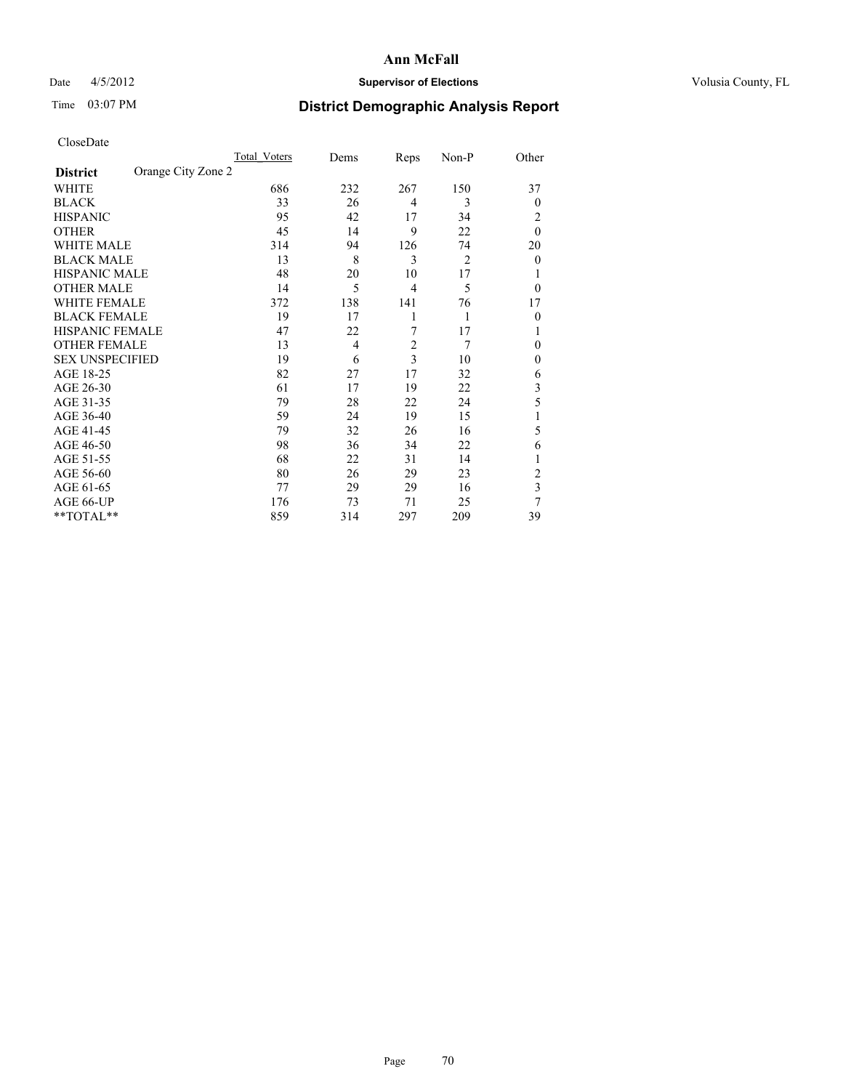# Date 4/5/2012 **Supervisor of Elections Supervisor of Elections** Volusia County, FL

# Time 03:07 PM **District Demographic Analysis Report**

|                        |                    | Total Voters | Dems | Reps           | Non-P          | Other          |
|------------------------|--------------------|--------------|------|----------------|----------------|----------------|
| <b>District</b>        | Orange City Zone 2 |              |      |                |                |                |
| WHITE                  |                    | 686          | 232  | 267            | 150            | 37             |
| <b>BLACK</b>           |                    | 33           | 26   | $\overline{4}$ | 3              | $\theta$       |
| <b>HISPANIC</b>        |                    | 95           | 42   | 17             | 34             | 2              |
| <b>OTHER</b>           |                    | 45           | 14   | 9              | 22             | $\theta$       |
| WHITE MALE             |                    | 314          | 94   | 126            | 74             | 20             |
| <b>BLACK MALE</b>      |                    | 13           | 8    | 3              | $\overline{2}$ | $\overline{0}$ |
| <b>HISPANIC MALE</b>   |                    | 48           | 20   | 10             | 17             |                |
| <b>OTHER MALE</b>      |                    | 14           | 5    | $\overline{4}$ | 5              | $\theta$       |
| WHITE FEMALE           |                    | 372          | 138  | 141            | 76             | 17             |
| <b>BLACK FEMALE</b>    |                    | 19           | 17   | 1              | 1              | $\theta$       |
| <b>HISPANIC FEMALE</b> |                    | 47           | 22   | 7              | 17             | 1              |
| <b>OTHER FEMALE</b>    |                    | 13           | 4    | $\overline{2}$ | 7              | $\theta$       |
| <b>SEX UNSPECIFIED</b> |                    | 19           | 6    | 3              | 10             | $\mathbf{0}$   |
| AGE 18-25              |                    | 82           | 27   | 17             | 32             | 6              |
| AGE 26-30              |                    | 61           | 17   | 19             | 22             | 3              |
| AGE 31-35              |                    | 79           | 28   | 22             | 24             | 5              |
| AGE 36-40              |                    | 59           | 24   | 19             | 15             |                |
| AGE 41-45              |                    | 79           | 32   | 26             | 16             | 5              |
| AGE 46-50              |                    | 98           | 36   | 34             | 22             | 6              |
| AGE 51-55              |                    | 68           | 22   | 31             | 14             | 1              |
| AGE 56-60              |                    | 80           | 26   | 29             | 23             | $\overline{c}$ |
| AGE 61-65              |                    | 77           | 29   | 29             | 16             | 3              |
| AGE 66-UP              |                    | 176          | 73   | 71             | 25             | 7              |
| **TOTAL**              |                    | 859          | 314  | 297            | 209            | 39             |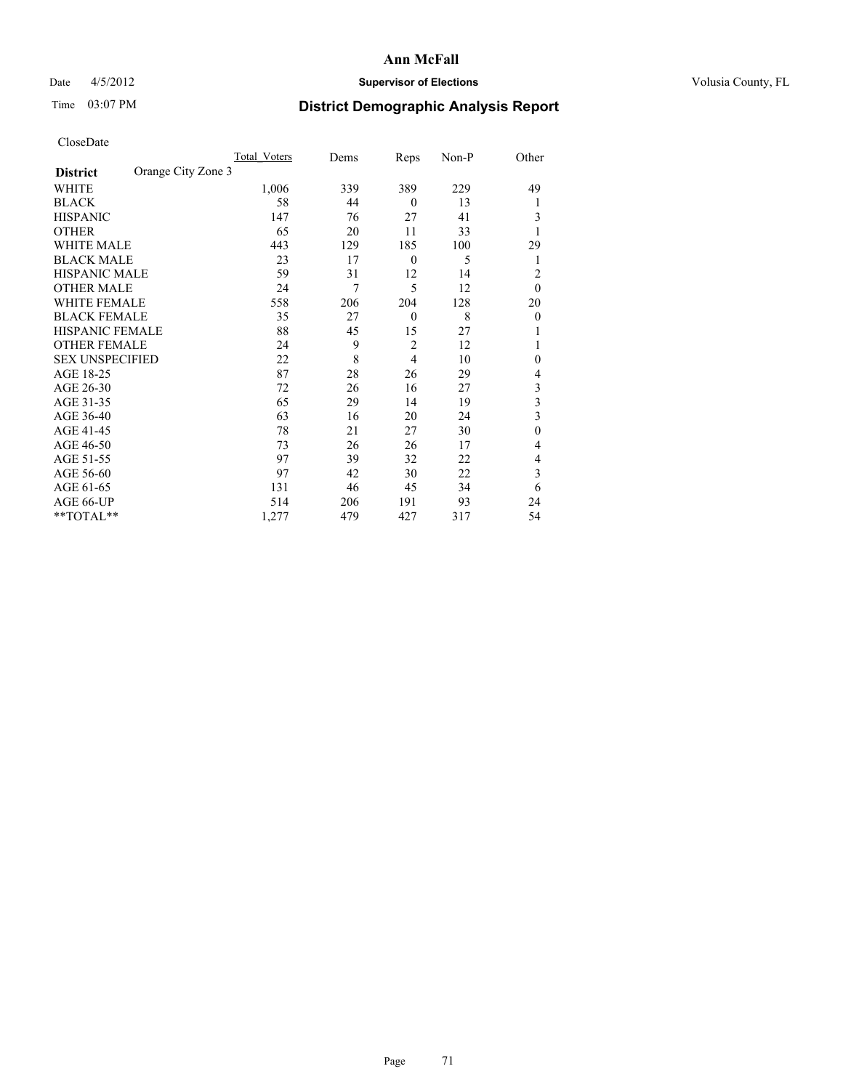# Date 4/5/2012 **Supervisor of Elections Supervisor of Elections** Volusia County, FL

# Time 03:07 PM **District Demographic Analysis Report**

|                        |                    | <b>Total Voters</b> | Dems | Reps             | Non-P | Other        |
|------------------------|--------------------|---------------------|------|------------------|-------|--------------|
| <b>District</b>        | Orange City Zone 3 |                     |      |                  |       |              |
| WHITE                  |                    | 1,006               | 339  | 389              | 229   | 49           |
| <b>BLACK</b>           |                    | 58                  | 44   | $\theta$         | 13    |              |
| <b>HISPANIC</b>        |                    | 147                 | 76   | 27               | 41    | 3            |
| <b>OTHER</b>           |                    | 65                  | 20   | 11               | 33    |              |
| WHITE MALE             |                    | 443                 | 129  | 185              | 100   | 29           |
| <b>BLACK MALE</b>      |                    | 23                  | 17   | $\boldsymbol{0}$ | 5     | 1            |
| <b>HISPANIC MALE</b>   |                    | 59                  | 31   | 12               | 14    | 2            |
| <b>OTHER MALE</b>      |                    | 24                  | 7    | 5                | 12    | $\theta$     |
| WHITE FEMALE           |                    | 558                 | 206  | 204              | 128   | 20           |
| <b>BLACK FEMALE</b>    |                    | 35                  | 27   | $\mathbf{0}$     | 8     | $\theta$     |
| <b>HISPANIC FEMALE</b> |                    | 88                  | 45   | 15               | 27    |              |
| <b>OTHER FEMALE</b>    |                    | 24                  | 9    | $\overline{c}$   | 12    |              |
| <b>SEX UNSPECIFIED</b> |                    | 22                  | 8    | 4                | 10    | $\mathbf{0}$ |
| AGE 18-25              |                    | 87                  | 28   | 26               | 29    | 4            |
| AGE 26-30              |                    | 72                  | 26   | 16               | 27    | 3            |
| AGE 31-35              |                    | 65                  | 29   | 14               | 19    | 3            |
| AGE 36-40              |                    | 63                  | 16   | 20               | 24    | 3            |
| AGE 41-45              |                    | 78                  | 21   | 27               | 30    | $\mathbf{0}$ |
| AGE 46-50              |                    | 73                  | 26   | 26               | 17    | 4            |
| AGE 51-55              |                    | 97                  | 39   | 32               | 22    | 4            |
| AGE 56-60              |                    | 97                  | 42   | 30               | 22    | 3            |
| AGE 61-65              |                    | 131                 | 46   | 45               | 34    | 6            |
| AGE 66-UP              |                    | 514                 | 206  | 191              | 93    | 24           |
| $*$ TOTAL $**$         |                    | 1,277               | 479  | 427              | 317   | 54           |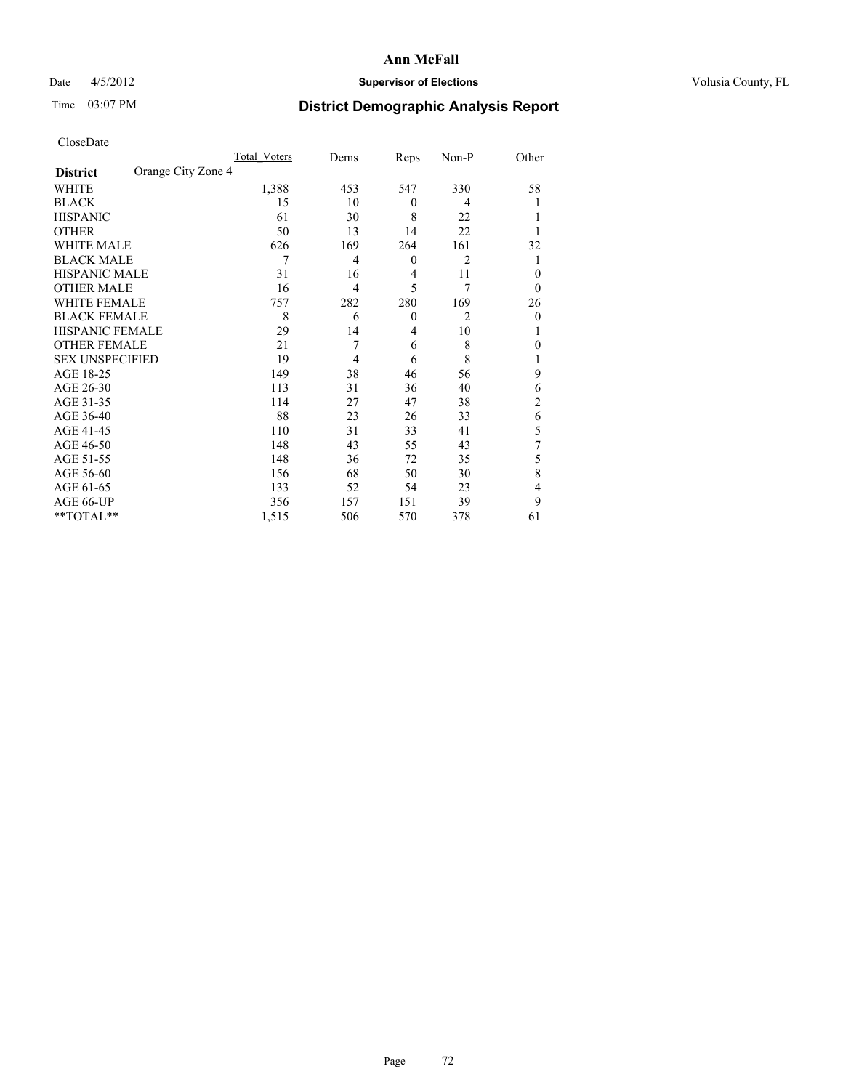# Date 4/5/2012 **Supervisor of Elections Supervisor of Elections** Volusia County, FL

# Time 03:07 PM **District Demographic Analysis Report**

|                        |                    | Total Voters | Dems           | Reps             | Non-P          | Other          |
|------------------------|--------------------|--------------|----------------|------------------|----------------|----------------|
| <b>District</b>        | Orange City Zone 4 |              |                |                  |                |                |
| <b>WHITE</b>           |                    | 1,388        | 453            | 547              | 330            | 58             |
| <b>BLACK</b>           |                    | 15           | 10             | $\theta$         | 4              |                |
| <b>HISPANIC</b>        |                    | 61           | 30             | 8                | 22             |                |
| <b>OTHER</b>           |                    | 50           | 13             | 14               | 22             |                |
| WHITE MALE             |                    | 626          | 169            | 264              | 161            | 32             |
| <b>BLACK MALE</b>      |                    | 7            | 4              | $\boldsymbol{0}$ | $\overline{2}$ |                |
| <b>HISPANIC MALE</b>   |                    | 31           | 16             | 4                | 11             | $\theta$       |
| <b>OTHER MALE</b>      |                    | 16           | $\overline{4}$ | 5                | 7              | $\theta$       |
| WHITE FEMALE           |                    | 757          | 282            | 280              | 169            | 26             |
| <b>BLACK FEMALE</b>    |                    | 8            | 6              | $\mathbf{0}$     | $\overline{c}$ | $\mathbf{0}$   |
| <b>HISPANIC FEMALE</b> |                    | 29           | 14             | 4                | 10             | 1              |
| <b>OTHER FEMALE</b>    |                    | 21           | 7              | 6                | 8              | 0              |
| <b>SEX UNSPECIFIED</b> |                    | 19           | $\overline{4}$ | 6                | 8              |                |
| AGE 18-25              |                    | 149          | 38             | 46               | 56             | 9              |
| AGE 26-30              |                    | 113          | 31             | 36               | 40             | 6              |
| AGE 31-35              |                    | 114          | 27             | 47               | 38             | $\overline{c}$ |
| AGE 36-40              |                    | 88           | 23             | 26               | 33             | 6              |
| AGE 41-45              |                    | 110          | 31             | 33               | 41             | 5              |
| AGE 46-50              |                    | 148          | 43             | 55               | 43             | 7              |
| AGE 51-55              |                    | 148          | 36             | 72               | 35             | 5              |
| AGE 56-60              |                    | 156          | 68             | 50               | 30             | 8              |
| AGE 61-65              |                    | 133          | 52             | 54               | 23             | 4              |
| AGE 66-UP              |                    | 356          | 157            | 151              | 39             | 9              |
| **TOTAL**              |                    | 1,515        | 506            | 570              | 378            | 61             |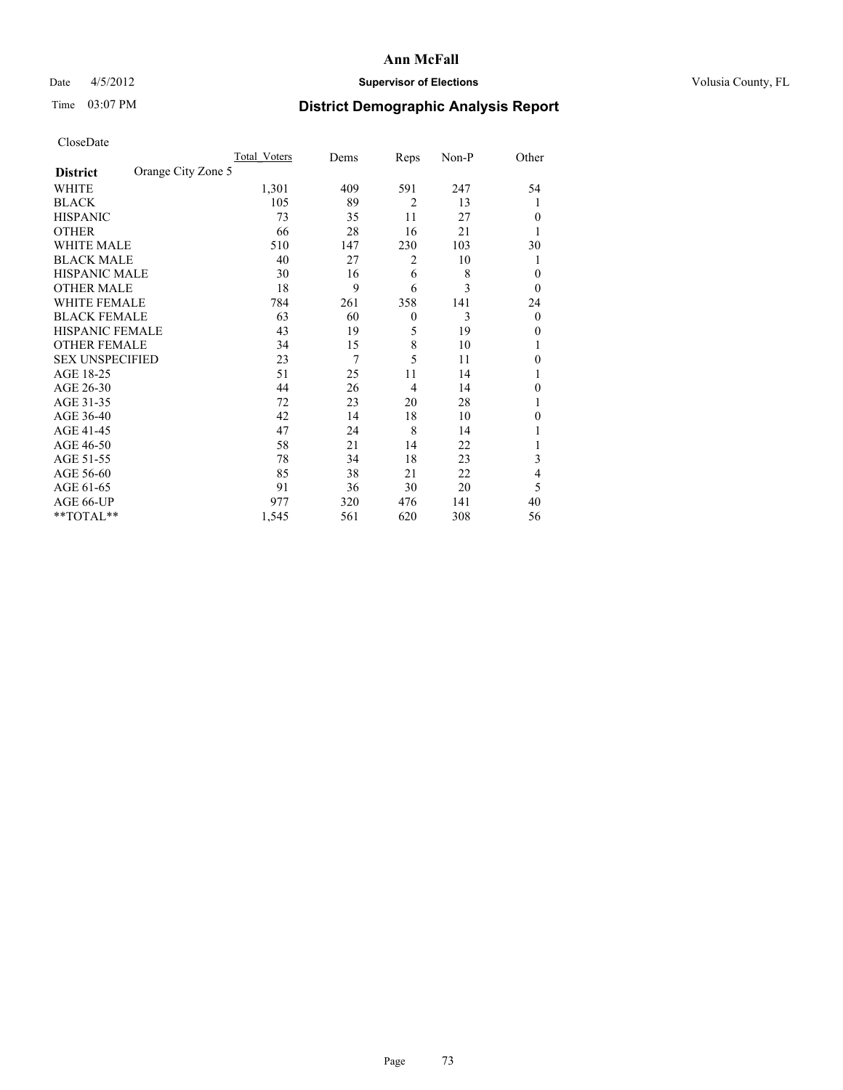## Date 4/5/2012 **Supervisor of Elections Supervisor of Elections** Volusia County, FL

# Time 03:07 PM **District Demographic Analysis Report**

|                        |                    | <b>Total Voters</b> | Dems | Reps           | Non-P | Other        |
|------------------------|--------------------|---------------------|------|----------------|-------|--------------|
| <b>District</b>        | Orange City Zone 5 |                     |      |                |       |              |
| WHITE                  |                    | 1,301               | 409  | 591            | 247   | 54           |
| <b>BLACK</b>           |                    | 105                 | 89   | $\overline{2}$ | 13    | 1            |
| <b>HISPANIC</b>        |                    | 73                  | 35   | 11             | 27    | $\theta$     |
| <b>OTHER</b>           |                    | 66                  | 28   | 16             | 21    | 1            |
| WHITE MALE             |                    | 510                 | 147  | 230            | 103   | 30           |
| <b>BLACK MALE</b>      |                    | 40                  | 27   | 2              | 10    | 1            |
| <b>HISPANIC MALE</b>   |                    | 30                  | 16   | 6              | 8     | $\theta$     |
| <b>OTHER MALE</b>      |                    | 18                  | 9    | 6              | 3     | $\theta$     |
| WHITE FEMALE           |                    | 784                 | 261  | 358            | 141   | 24           |
| <b>BLACK FEMALE</b>    |                    | 63                  | 60   | $\overline{0}$ | 3     | $\theta$     |
| <b>HISPANIC FEMALE</b> |                    | 43                  | 19   | 5              | 19    | $\theta$     |
| <b>OTHER FEMALE</b>    |                    | 34                  | 15   | 8              | 10    | 1            |
| <b>SEX UNSPECIFIED</b> |                    | 23                  | 7    | 5              | 11    | $\theta$     |
| AGE 18-25              |                    | 51                  | 25   | 11             | 14    | 1            |
| AGE 26-30              |                    | 44                  | 26   | $\overline{4}$ | 14    | $\mathbf{0}$ |
| AGE 31-35              |                    | 72                  | 23   | 20             | 28    | 1            |
| AGE 36-40              |                    | 42                  | 14   | 18             | 10    | $\theta$     |
| AGE 41-45              |                    | 47                  | 24   | 8              | 14    |              |
| AGE 46-50              |                    | 58                  | 21   | 14             | 22    | 1            |
| AGE 51-55              |                    | 78                  | 34   | 18             | 23    | 3            |
| AGE 56-60              |                    | 85                  | 38   | 21             | 22    | 4            |
| AGE 61-65              |                    | 91                  | 36   | 30             | 20    | 5            |
| AGE 66-UP              |                    | 977                 | 320  | 476            | 141   | 40           |
| **TOTAL**              |                    | 1,545               | 561  | 620            | 308   | 56           |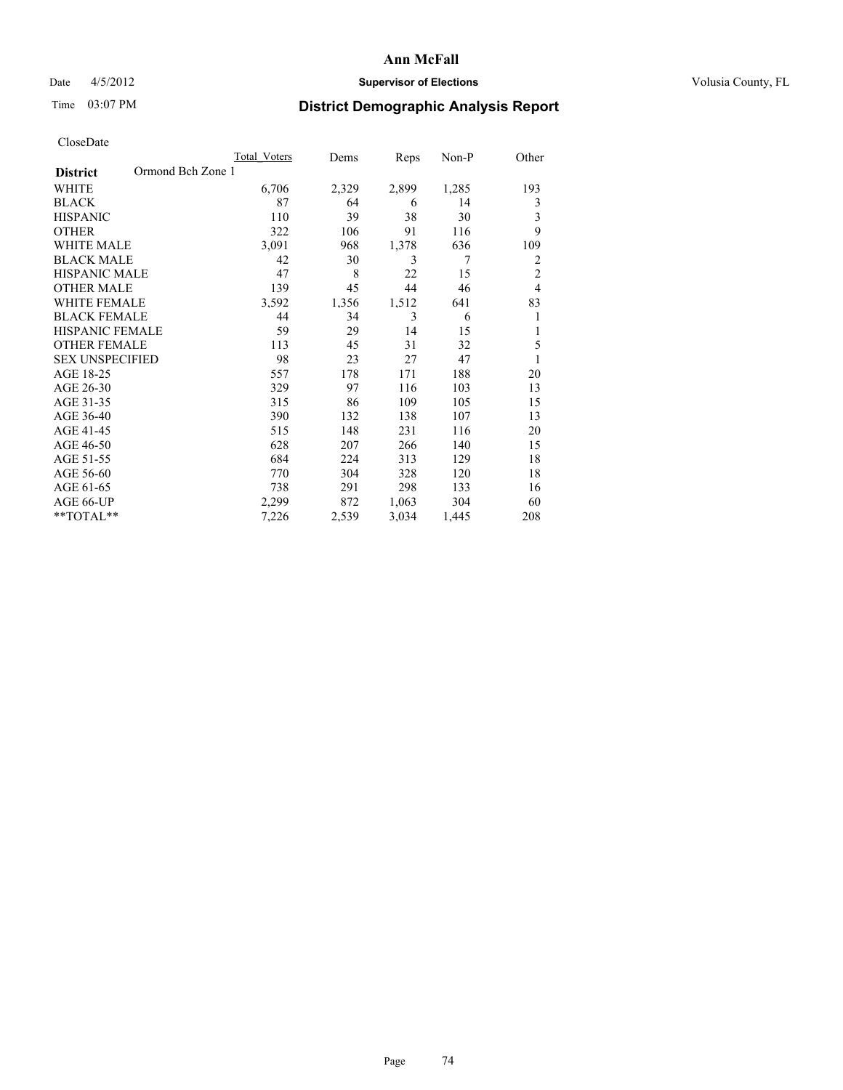## Date 4/5/2012 **Supervisor of Elections Supervisor of Elections** Volusia County, FL

# Time 03:07 PM **District Demographic Analysis Report**

|                                      | Total Voters | Dems  | Reps  | Non-P | Other          |
|--------------------------------------|--------------|-------|-------|-------|----------------|
| Ormond Bch Zone 1<br><b>District</b> |              |       |       |       |                |
| WHITE                                | 6,706        | 2,329 | 2,899 | 1,285 | 193            |
| <b>BLACK</b>                         | 87           | 64    | 6     | 14    | 3              |
| <b>HISPANIC</b>                      | 110          | 39    | 38    | 30    | 3              |
| <b>OTHER</b>                         | 322          | 106   | 91    | 116   | 9              |
| WHITE MALE                           | 3,091        | 968   | 1,378 | 636   | 109            |
| <b>BLACK MALE</b>                    | 42           | 30    | 3     | 7     | 2              |
| <b>HISPANIC MALE</b>                 | 47           | 8     | 22    | 15    | $\overline{2}$ |
| <b>OTHER MALE</b>                    | 139          | 45    | 44    | 46    | $\overline{4}$ |
| WHITE FEMALE                         | 3,592        | 1,356 | 1,512 | 641   | 83             |
| <b>BLACK FEMALE</b>                  | 44           | 34    | 3     | 6     | 1              |
| <b>HISPANIC FEMALE</b>               | 59           | 29    | 14    | 15    | 1              |
| <b>OTHER FEMALE</b>                  | 113          | 45    | 31    | 32    | 5              |
| <b>SEX UNSPECIFIED</b>               | 98           | 23    | 27    | 47    | 1              |
| AGE 18-25                            | 557          | 178   | 171   | 188   | 20             |
| AGE 26-30                            | 329          | 97    | 116   | 103   | 13             |
| AGE 31-35                            | 315          | 86    | 109   | 105   | 15             |
| AGE 36-40                            | 390          | 132   | 138   | 107   | 13             |
| AGE 41-45                            | 515          | 148   | 231   | 116   | 20             |
| AGE 46-50                            | 628          | 207   | 266   | 140   | 15             |
| AGE 51-55                            | 684          | 224   | 313   | 129   | 18             |
| AGE 56-60                            | 770          | 304   | 328   | 120   | 18             |
| AGE 61-65                            | 738          | 291   | 298   | 133   | 16             |
| AGE 66-UP                            | 2,299        | 872   | 1,063 | 304   | 60             |
| **TOTAL**                            | 7,226        | 2,539 | 3,034 | 1,445 | 208            |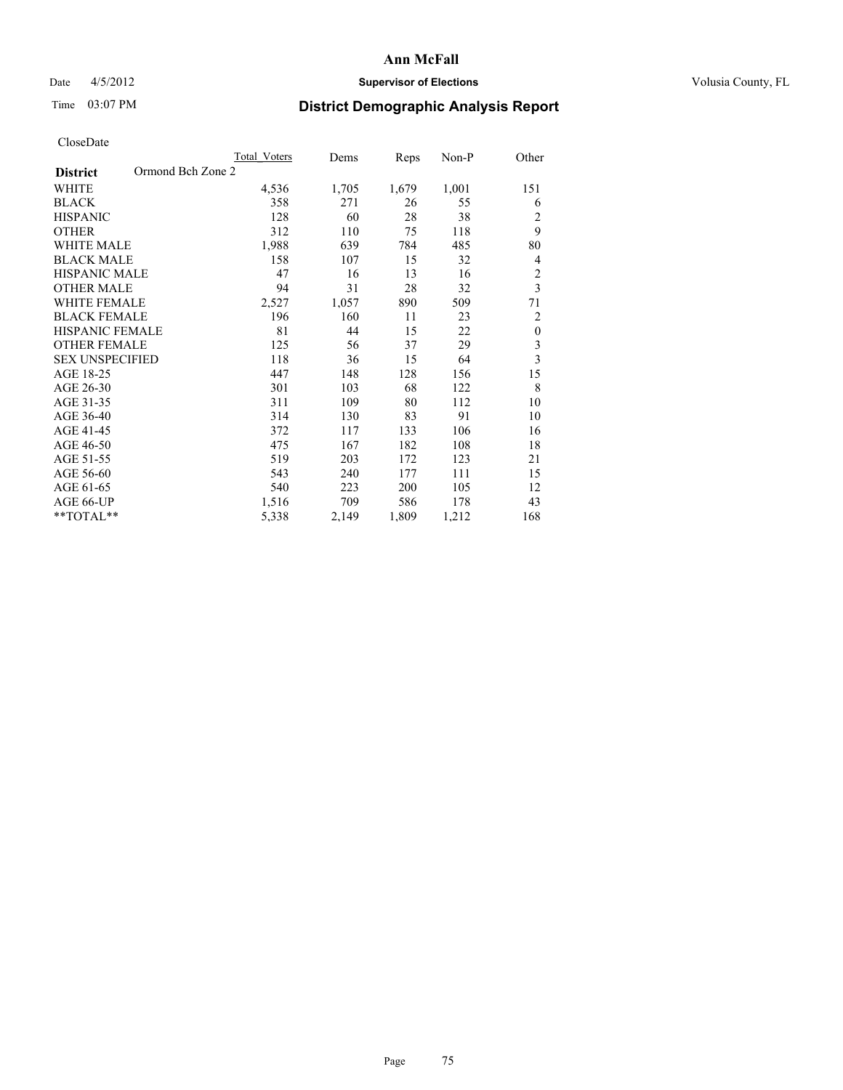## Date  $4/5/2012$  **Supervisor of Elections** Volusia County, FL

# Time 03:07 PM **District Demographic Analysis Report**

|                                      | <b>Total Voters</b> | Dems  | Reps  | Non-P | Other                   |
|--------------------------------------|---------------------|-------|-------|-------|-------------------------|
| Ormond Bch Zone 2<br><b>District</b> |                     |       |       |       |                         |
| <b>WHITE</b>                         | 4,536               | 1,705 | 1,679 | 1,001 | 151                     |
| <b>BLACK</b>                         | 358                 | 271   | 26    | 55    | 6                       |
| <b>HISPANIC</b>                      | 128                 | 60    | 28    | 38    | $\overline{c}$          |
| <b>OTHER</b>                         | 312                 | 110   | 75    | 118   | 9                       |
| <b>WHITE MALE</b>                    | 1,988               | 639   | 784   | 485   | 80                      |
| <b>BLACK MALE</b>                    | 158                 | 107   | 15    | 32    | 4                       |
| HISPANIC MALE                        | 47                  | 16    | 13    | 16    | $\overline{c}$          |
| <b>OTHER MALE</b>                    | 94                  | 31    | 28    | 32    | $\overline{\mathbf{3}}$ |
| <b>WHITE FEMALE</b>                  | 2,527               | 1,057 | 890   | 509   | 71                      |
| <b>BLACK FEMALE</b>                  | 196                 | 160   | 11    | 23    | $\overline{2}$          |
| <b>HISPANIC FEMALE</b>               | 81                  | 44    | 15    | 22    | $\boldsymbol{0}$        |
| <b>OTHER FEMALE</b>                  | 125                 | 56    | 37    | 29    | 3                       |
| <b>SEX UNSPECIFIED</b>               | 118                 | 36    | 15    | 64    | $\overline{\mathbf{3}}$ |
| AGE 18-25                            | 447                 | 148   | 128   | 156   | 15                      |
| AGE 26-30                            | 301                 | 103   | 68    | 122   | 8                       |
| AGE 31-35                            | 311                 | 109   | 80    | 112   | 10                      |
| AGE 36-40                            | 314                 | 130   | 83    | 91    | 10                      |
| AGE 41-45                            | 372                 | 117   | 133   | 106   | 16                      |
| AGE 46-50                            | 475                 | 167   | 182   | 108   | 18                      |
| AGE 51-55                            | 519                 | 203   | 172   | 123   | 21                      |
| AGE 56-60                            | 543                 | 240   | 177   | 111   | 15                      |
| AGE 61-65                            | 540                 | 223   | 200   | 105   | 12                      |
| AGE 66-UP                            | 1,516               | 709   | 586   | 178   | 43                      |
| **TOTAL**                            | 5,338               | 2,149 | 1,809 | 1,212 | 168                     |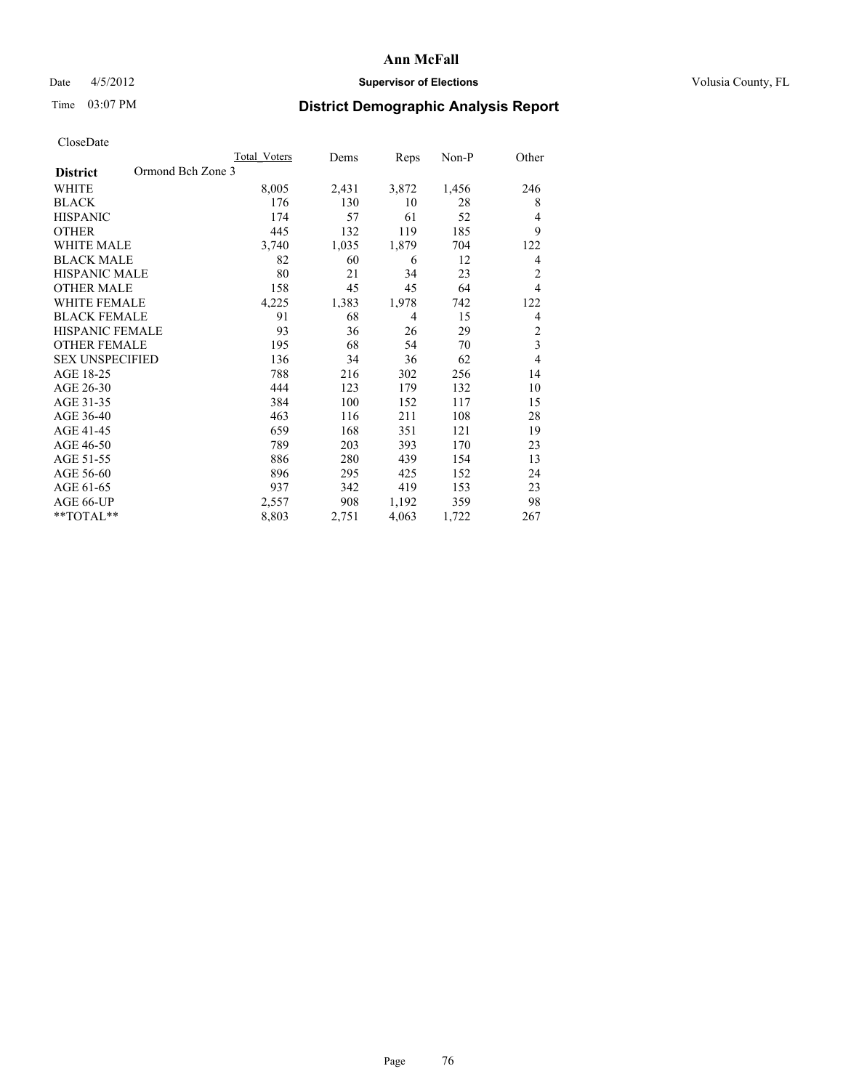## Date 4/5/2012 **Supervisor of Elections Supervisor of Elections** Volusia County, FL

# Time 03:07 PM **District Demographic Analysis Report**

|                                      | Total Voters | Dems  | Reps           | Non-P | Other          |
|--------------------------------------|--------------|-------|----------------|-------|----------------|
| Ormond Bch Zone 3<br><b>District</b> |              |       |                |       |                |
| WHITE                                | 8,005        | 2,431 | 3,872          | 1,456 | 246            |
| <b>BLACK</b>                         | 176          | 130   | 10             | 28    | 8              |
| <b>HISPANIC</b>                      | 174          | 57    | 61             | 52    | $\overline{4}$ |
| <b>OTHER</b>                         | 445          | 132   | 119            | 185   | 9              |
| WHITE MALE                           | 3,740        | 1,035 | 1,879          | 704   | 122            |
| <b>BLACK MALE</b>                    | 82           | 60    | 6              | 12    | 4              |
| HISPANIC MALE                        | 80           | 21    | 34             | 23    | $\overline{c}$ |
| <b>OTHER MALE</b>                    | 158          | 45    | 45             | 64    | $\overline{4}$ |
| <b>WHITE FEMALE</b>                  | 4,225        | 1,383 | 1,978          | 742   | 122            |
| <b>BLACK FEMALE</b>                  | 91           | 68    | $\overline{4}$ | 15    | $\overline{4}$ |
| <b>HISPANIC FEMALE</b>               | 93           | 36    | 26             | 29    | $\overline{2}$ |
| <b>OTHER FEMALE</b>                  | 195          | 68    | 54             | 70    | $\overline{3}$ |
| <b>SEX UNSPECIFIED</b>               | 136          | 34    | 36             | 62    | $\overline{4}$ |
| AGE 18-25                            | 788          | 216   | 302            | 256   | 14             |
| AGE 26-30                            | 444          | 123   | 179            | 132   | 10             |
| AGE 31-35                            | 384          | 100   | 152            | 117   | 15             |
| AGE 36-40                            | 463          | 116   | 211            | 108   | 28             |
| AGE 41-45                            | 659          | 168   | 351            | 121   | 19             |
| AGE 46-50                            | 789          | 203   | 393            | 170   | 23             |
| AGE 51-55                            | 886          | 280   | 439            | 154   | 13             |
| AGE 56-60                            | 896          | 295   | 425            | 152   | 24             |
| AGE 61-65                            | 937          | 342   | 419            | 153   | 23             |
| AGE 66-UP                            | 2,557        | 908   | 1,192          | 359   | 98             |
| **TOTAL**                            | 8,803        | 2,751 | 4,063          | 1,722 | 267            |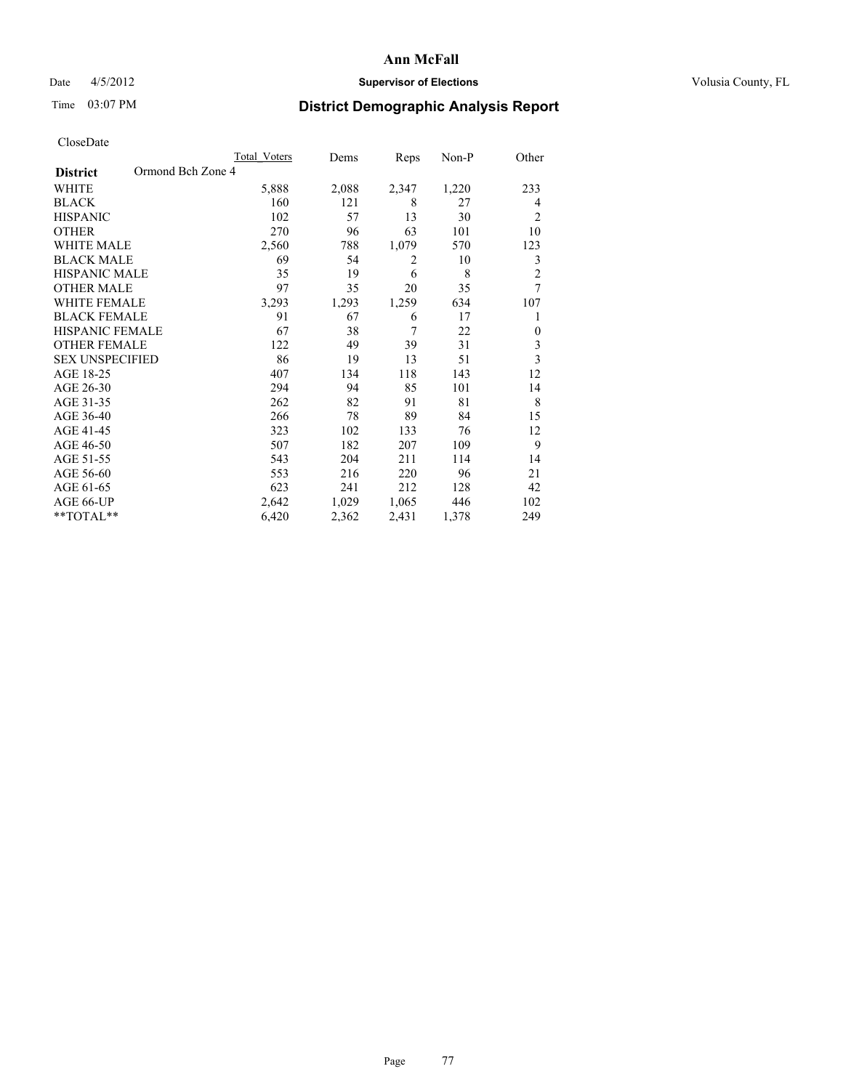## Date 4/5/2012 **Supervisor of Elections Supervisor of Elections** Volusia County, FL

# Time 03:07 PM **District Demographic Analysis Report**

|                        | <b>Total Voters</b> | Dems  | Reps  | Non-P | Other          |
|------------------------|---------------------|-------|-------|-------|----------------|
| <b>District</b>        | Ormond Bch Zone 4   |       |       |       |                |
| WHITE                  | 5,888               | 2,088 | 2,347 | 1,220 | 233            |
| <b>BLACK</b>           | 160                 | 121   | 8     | 27    | 4              |
| <b>HISPANIC</b>        | 102                 | 57    | 13    | 30    | $\overline{c}$ |
| <b>OTHER</b>           | 270                 | 96    | 63    | 101   | 10             |
| WHITE MALE             | 2,560               | 788   | 1,079 | 570   | 123            |
| <b>BLACK MALE</b>      | 69                  | 54    | 2     | 10    | 3              |
| <b>HISPANIC MALE</b>   | 35                  | 19    | 6     | 8     | $\overline{2}$ |
| <b>OTHER MALE</b>      | 97                  | 35    | 20    | 35    | 7              |
| <b>WHITE FEMALE</b>    | 3,293               | 1,293 | 1,259 | 634   | 107            |
| <b>BLACK FEMALE</b>    | 91                  | 67    | 6     | 17    | 1              |
| <b>HISPANIC FEMALE</b> | 67                  | 38    | 7     | 22    | $\Omega$       |
| <b>OTHER FEMALE</b>    | 122                 | 49    | 39    | 31    | $\mathfrak{Z}$ |
| <b>SEX UNSPECIFIED</b> | 86                  | 19    | 13    | 51    | 3              |
| AGE 18-25              | 407                 | 134   | 118   | 143   | 12             |
| AGE 26-30              | 294                 | 94    | 85    | 101   | 14             |
| AGE 31-35              | 262                 | 82    | 91    | 81    | 8              |
| AGE 36-40              | 266                 | 78    | 89    | 84    | 15             |
| AGE 41-45              | 323                 | 102   | 133   | 76    | 12             |
| AGE 46-50              | 507                 | 182   | 207   | 109   | 9              |
| AGE 51-55              | 543                 | 204   | 211   | 114   | 14             |
| AGE 56-60              | 553                 | 216   | 220   | 96    | 21             |
| AGE 61-65              | 623                 | 241   | 212   | 128   | 42             |
| AGE 66-UP              | 2,642               | 1,029 | 1,065 | 446   | 102            |
| **TOTAL**              | 6,420               | 2,362 | 2,431 | 1,378 | 249            |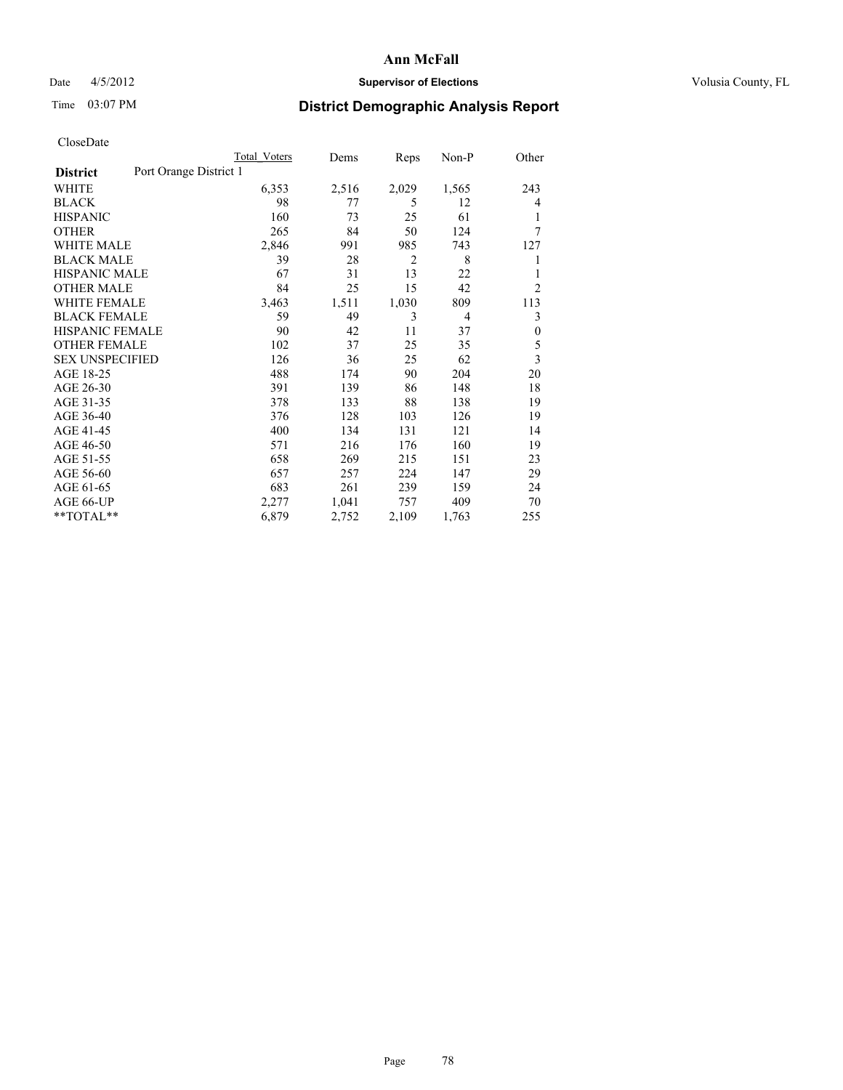## Date  $4/5/2012$  **Supervisor of Elections** Volusia County, FL

# Time 03:07 PM **District Demographic Analysis Report**

|                                           | <b>Total Voters</b> | Dems  | Reps  | $Non-P$        | Other                   |
|-------------------------------------------|---------------------|-------|-------|----------------|-------------------------|
| Port Orange District 1<br><b>District</b> |                     |       |       |                |                         |
| WHITE                                     | 6,353               | 2,516 | 2,029 | 1,565          | 243                     |
| <b>BLACK</b>                              | 98                  | 77    | 5     | 12             | $\overline{4}$          |
| <b>HISPANIC</b>                           | 160                 | 73    | 25    | 61             |                         |
| <b>OTHER</b>                              | 265                 | 84    | 50    | 124            | 7                       |
| <b>WHITE MALE</b>                         | 2,846               | 991   | 985   | 743            | 127                     |
| <b>BLACK MALE</b>                         | 39                  | 28    | 2     | 8              | 1                       |
| HISPANIC MALE                             | 67                  | 31    | 13    | 22             | 1                       |
| <b>OTHER MALE</b>                         | 84                  | 25    | 15    | 42             | $\overline{2}$          |
| <b>WHITE FEMALE</b>                       | 3,463               | 1,511 | 1,030 | 809            | 113                     |
| <b>BLACK FEMALE</b>                       | 59                  | 49    | 3     | $\overline{4}$ | 3                       |
| HISPANIC FEMALE                           | 90                  | 42    | 11    | 37             | $\boldsymbol{0}$        |
| <b>OTHER FEMALE</b>                       | 102                 | 37    | 25    | 35             | 5                       |
| <b>SEX UNSPECIFIED</b>                    | 126                 | 36    | 25    | 62             | $\overline{\mathbf{3}}$ |
| AGE 18-25                                 | 488                 | 174   | 90    | 204            | 20                      |
| AGE 26-30                                 | 391                 | 139   | 86    | 148            | 18                      |
| AGE 31-35                                 | 378                 | 133   | 88    | 138            | 19                      |
| AGE 36-40                                 | 376                 | 128   | 103   | 126            | 19                      |
| AGE 41-45                                 | 400                 | 134   | 131   | 121            | 14                      |
| AGE 46-50                                 | 571                 | 216   | 176   | 160            | 19                      |
| AGE 51-55                                 | 658                 | 269   | 215   | 151            | 23                      |
| AGE 56-60                                 | 657                 | 257   | 224   | 147            | 29                      |
| AGE 61-65                                 | 683                 | 261   | 239   | 159            | 24                      |
| AGE 66-UP                                 | 2,277               | 1,041 | 757   | 409            | 70                      |
| **TOTAL**                                 | 6,879               | 2,752 | 2,109 | 1,763          | 255                     |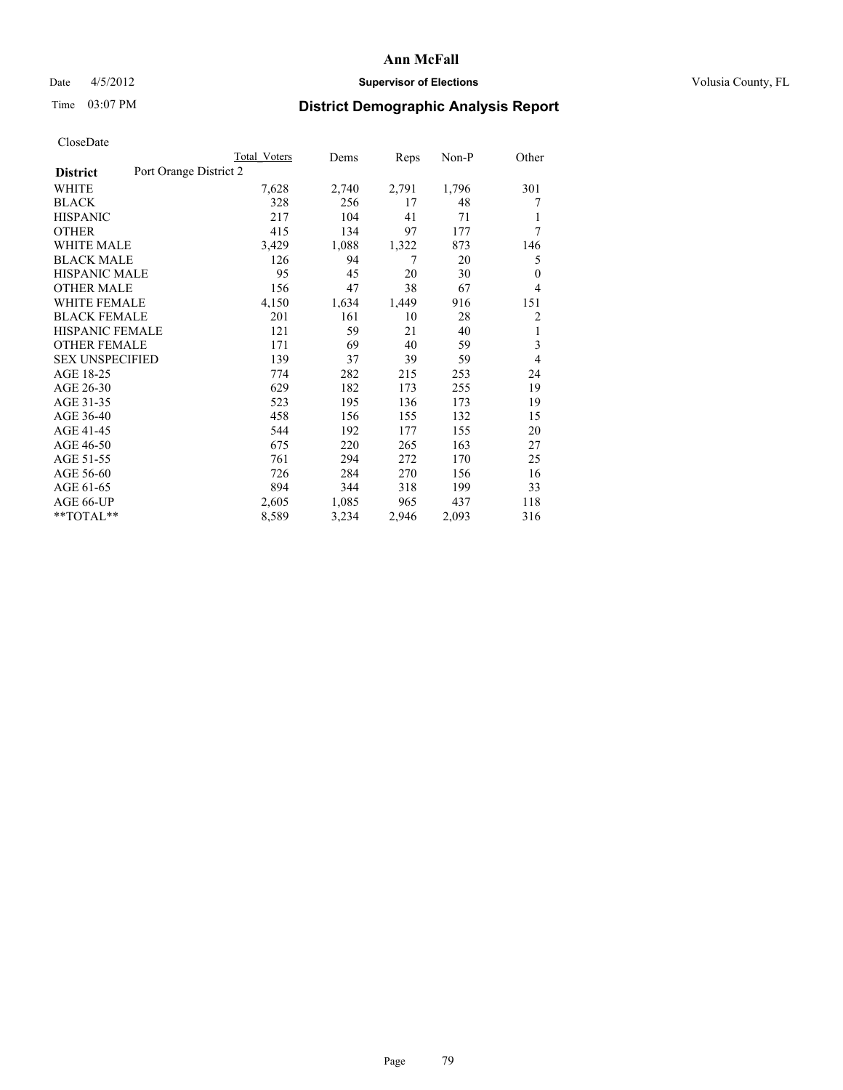## Date 4/5/2012 **Supervisor of Elections Supervisor of Elections** Volusia County, FL

# Time 03:07 PM **District Demographic Analysis Report**

|                        |                        | <b>Total Voters</b> | Dems  | Reps  | $Non-P$ | Other          |
|------------------------|------------------------|---------------------|-------|-------|---------|----------------|
| <b>District</b>        | Port Orange District 2 |                     |       |       |         |                |
| WHITE                  |                        | 7,628               | 2,740 | 2,791 | 1,796   | 301            |
| <b>BLACK</b>           |                        | 328                 | 256   | 17    | 48      | 7              |
| <b>HISPANIC</b>        |                        | 217                 | 104   | 41    | 71      | 1              |
| <b>OTHER</b>           |                        | 415                 | 134   | 97    | 177     | 7              |
| WHITE MALE             |                        | 3,429               | 1,088 | 1,322 | 873     | 146            |
| <b>BLACK MALE</b>      |                        | 126                 | 94    | 7     | 20      | 5              |
| <b>HISPANIC MALE</b>   |                        | 95                  | 45    | 20    | 30      | $\mathbf{0}$   |
| <b>OTHER MALE</b>      |                        | 156                 | 47    | 38    | 67      | $\overline{4}$ |
| <b>WHITE FEMALE</b>    |                        | 4,150               | 1,634 | 1,449 | 916     | 151            |
| <b>BLACK FEMALE</b>    |                        | 201                 | 161   | 10    | 28      | 2              |
| HISPANIC FEMALE        |                        | 121                 | 59    | 21    | 40      | 1              |
| <b>OTHER FEMALE</b>    |                        | 171                 | 69    | 40    | 59      | 3              |
| <b>SEX UNSPECIFIED</b> |                        | 139                 | 37    | 39    | 59      | $\overline{4}$ |
| AGE 18-25              |                        | 774                 | 282   | 215   | 253     | 24             |
| AGE 26-30              |                        | 629                 | 182   | 173   | 255     | 19             |
| AGE 31-35              |                        | 523                 | 195   | 136   | 173     | 19             |
| AGE 36-40              |                        | 458                 | 156   | 155   | 132     | 15             |
| AGE 41-45              |                        | 544                 | 192   | 177   | 155     | 20             |
| AGE 46-50              |                        | 675                 | 220   | 265   | 163     | 27             |
| AGE 51-55              |                        | 761                 | 294   | 272   | 170     | 25             |
| AGE 56-60              |                        | 726                 | 284   | 270   | 156     | 16             |
| AGE 61-65              |                        | 894                 | 344   | 318   | 199     | 33             |
| AGE 66-UP              |                        | 2,605               | 1,085 | 965   | 437     | 118            |
| **TOTAL**              |                        | 8,589               | 3,234 | 2,946 | 2,093   | 316            |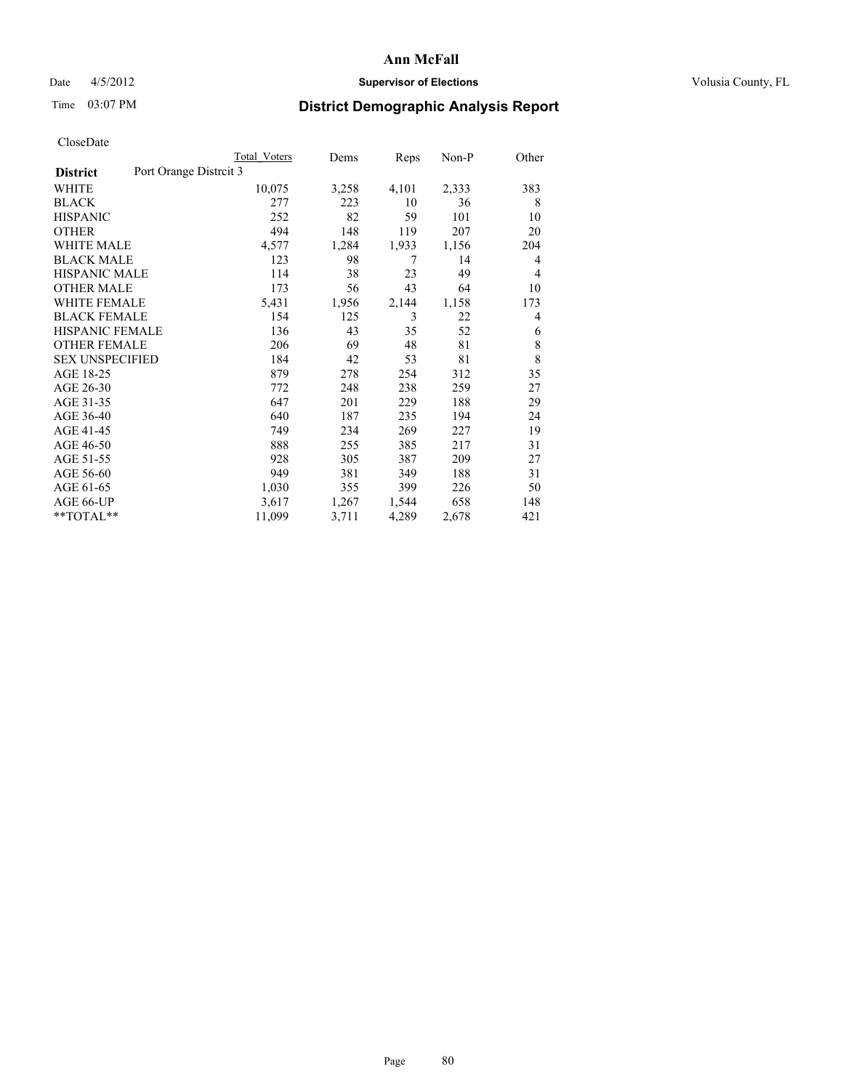## Date  $4/5/2012$  **Supervisor of Elections Supervisor of Elections** Volusia County, FL

# Time 03:07 PM **District Demographic Analysis Report**

|                        | <b>Total Voters</b>    | Dems  | Reps  | Non-P | Other |
|------------------------|------------------------|-------|-------|-------|-------|
| <b>District</b>        | Port Orange Distrcit 3 |       |       |       |       |
| WHITE                  | 10,075                 | 3,258 | 4,101 | 2,333 | 383   |
| <b>BLACK</b>           | 277                    | 223   | 10    | 36    | 8     |
| <b>HISPANIC</b>        | 252                    | 82    | 59    | 101   | 10    |
| <b>OTHER</b>           | 494                    | 148   | 119   | 207   | 20    |
| WHITE MALE             | 4,577                  | 1,284 | 1,933 | 1,156 | 204   |
| <b>BLACK MALE</b>      | 123                    | 98    | 7     | 14    | 4     |
| <b>HISPANIC MALE</b>   | 114                    | 38    | 23    | 49    | 4     |
| <b>OTHER MALE</b>      | 173                    | 56    | 43    | 64    | 10    |
| <b>WHITE FEMALE</b>    | 5,431                  | 1,956 | 2,144 | 1,158 | 173   |
| <b>BLACK FEMALE</b>    | 154                    | 125   | 3     | 22    | 4     |
| <b>HISPANIC FEMALE</b> | 136                    | 43    | 35    | 52    | 6     |
| <b>OTHER FEMALE</b>    | 206                    | 69    | 48    | 81    | 8     |
| <b>SEX UNSPECIFIED</b> | 184                    | 42    | 53    | 81    | 8     |
| AGE 18-25              | 879                    | 278   | 254   | 312   | 35    |
| AGE 26-30              | 772                    | 248   | 238   | 259   | 27    |
| AGE 31-35              | 647                    | 201   | 229   | 188   | 29    |
| AGE 36-40              | 640                    | 187   | 235   | 194   | 24    |
| AGE 41-45              | 749                    | 234   | 269   | 227   | 19    |
| AGE 46-50              | 888                    | 255   | 385   | 217   | 31    |
| AGE 51-55              | 928                    | 305   | 387   | 209   | 27    |
| AGE 56-60              | 949                    | 381   | 349   | 188   | 31    |
| AGE 61-65              | 1,030                  | 355   | 399   | 226   | 50    |
| AGE 66-UP              | 3,617                  | 1,267 | 1,544 | 658   | 148   |
| **TOTAL**              | 11,099                 | 3,711 | 4,289 | 2,678 | 421   |